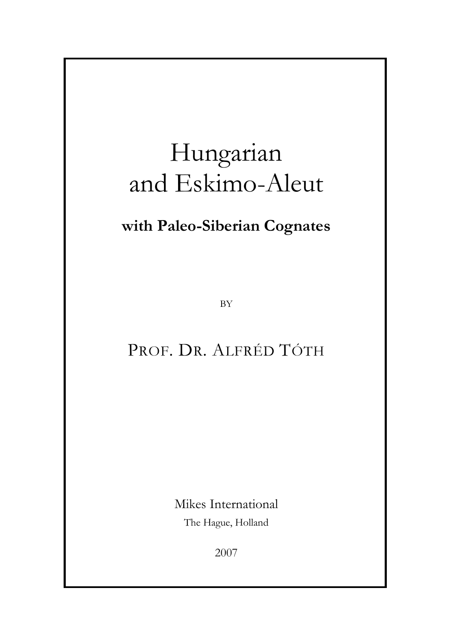# Hungarian and Eskimo-Aleut

# with Paleo-Siberian Cognates

**BY** 

# PROF. DR. ALFRÉD TÓTH

Mikes International The Hague, Holland

2007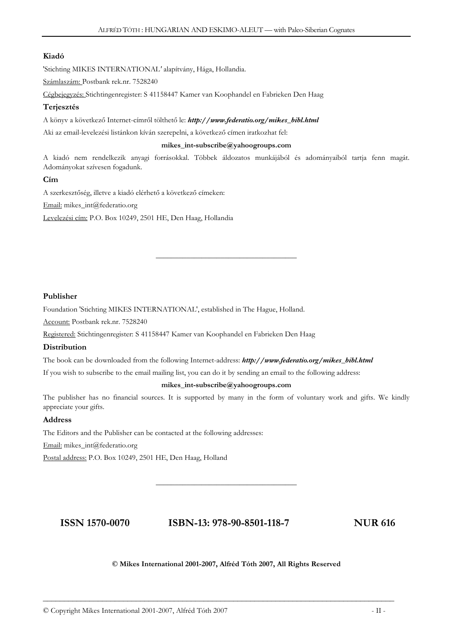#### Kiadó

'Stichting MIKES INTERNATIONAL' alapítvány, Hága, Hollandia.

Számlaszám: Postbank rek.nr. 7528240

Cégbejegyzés: Stichtingenregister: S 41158447 Kamer van Koophandel en Fabrieken Den Haag

#### Terjesztés

A könyv a következő Internet-címről tölthető le: http://www.federatio.org/mikes\_bibl.html

Aki az email-levelezési listánkon kíván szerepelni, a következő címen iratkozhat fel:

#### mikes\_int-subscribe@yahoogroups.com

A kiadó nem rendelkezik anyagi forrásokkal. Többek áldozatos munkájából és adományaiból tartja fenn magát. Adományokat szívesen fogadunk.

 $\_$ 

#### Cím

A szerkesztőség, illetve a kiadó elérhető a következő címeken: Email: mikes\_int@federatio.org Levelezési cím: P.O. Box 10249, 2501 HE, Den Haag, Hollandia

#### Publisher

Foundation 'Stichting MIKES INTERNATIONAL', established in The Hague, Holland.

Account: Postbank rek.nr. 7528240

Registered: Stichtingenregister: S 41158447 Kamer van Koophandel en Fabrieken Den Haag

#### **Distribution**

The book can be downloaded from the following Internet-address: http://www.federatio.org/mikes\_bibl.html

If you wish to subscribe to the email mailing list, you can do it by sending an email to the following address:

#### mikes\_int-subscribe@yahoogroups.com

The publisher has no financial sources. It is supported by many in the form of voluntary work and gifts. We kindly appreciate your gifts.

#### Address

The Editors and the Publisher can be contacted at the following addresses:

Email: mikes\_int@federatio.org

Postal address: P.O. Box 10249, 2501 HE, Den Haag, Holland

### ISSN 1570-0070 ISBN-13: 978-90-8501-118-7 NUR 616

 $\_$ 

#### © Mikes International 2001-2007, Alfréd Tóth 2007, All Rights Reserved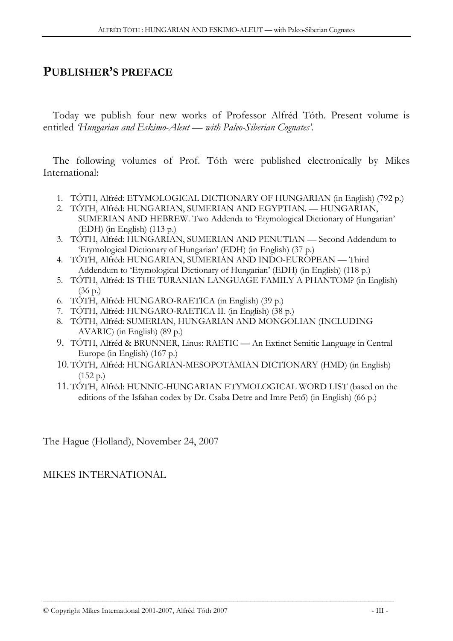### PUBLISHER'S PREFACE

Today we publish four new works of Professor Alfréd Tóth. Present volume is entitled 'Hungarian and Eskimo-Aleut — with Paleo-Siberian Cognates'.

The following volumes of Prof. Tóth were published electronically by Mikes International:

- 1. TÓTH, Alfréd: ETYMOLOGICAL DICTIONARY OF HUNGARIAN (in English) (792 p.)
- 2. TÓTH, Alfréd: HUNGARIAN, SUMERIAN AND EGYPTIAN. HUNGARIAN, SUMERIAN AND HEBREW. Two Addenda to 'Etymological Dictionary of Hungarian' (EDH) (in English) (113 p.)
- 3. TÓTH, Alfréd: HUNGARIAN, SUMERIAN AND PENUTIAN Second Addendum to 'Etymological Dictionary of Hungarian' (EDH) (in English) (37 p.)
- 4. TÓTH, Alfréd: HUNGARIAN, SUMERIAN AND INDO-EUROPEAN Third Addendum to 'Etymological Dictionary of Hungarian' (EDH) (in English) (118 p.)
- 5. TÓTH, Alfréd: IS THE TURANIAN LANGUAGE FAMILY A PHANTOM? (in English) (36 p.)
- 6. TÓTH, Alfréd: HUNGARO-RAETICA (in English) (39 p.)
- 7. TÓTH, Alfréd: HUNGARO-RAETICA II. (in English) (38 p.)
- 8. TÓTH, Alfréd: SUMERIAN, HUNGARIAN AND MONGOLIAN (INCLUDING AVARIC) (in English) (89 p.)
- 9. TÓTH, Alfréd & BRUNNER, Linus: RAETIC An Extinct Semitic Language in Central Europe (in English) (167 p.)
- 10.TÓTH, Alfréd: HUNGARIAN-MESOPOTAMIAN DICTIONARY (HMD) (in English) (152 p.)
- 11.TÓTH, Alfréd: HUNNIC-HUNGARIAN ETYMOLOGICAL WORD LIST (based on the editions of the Isfahan codex by Dr. Csaba Detre and Imre Pető) (in English) (66 p.)

The Hague (Holland), November 24, 2007

### MIKES INTERNATIONAL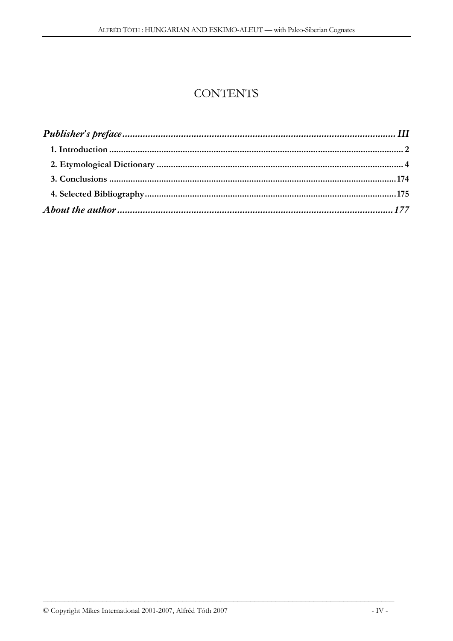# **CONTENTS**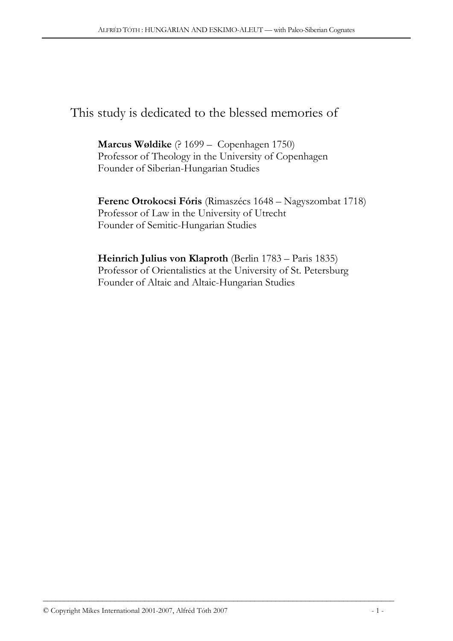## This study is dedicated to the blessed memories of

Marcus Wøldike (? 1699 – Copenhagen 1750) Professor of Theology in the University of Copenhagen Founder of Siberian-Hungarian Studies

Ferenc Otrokocsi Fóris (Rimaszécs 1648 – Nagyszombat 1718) Professor of Law in the University of Utrecht Founder of Semitic-Hungarian Studies

Heinrich Julius von Klaproth (Berlin 1783 – Paris 1835) Professor of Orientalistics at the University of St. Petersburg Founder of Altaic and Altaic-Hungarian Studies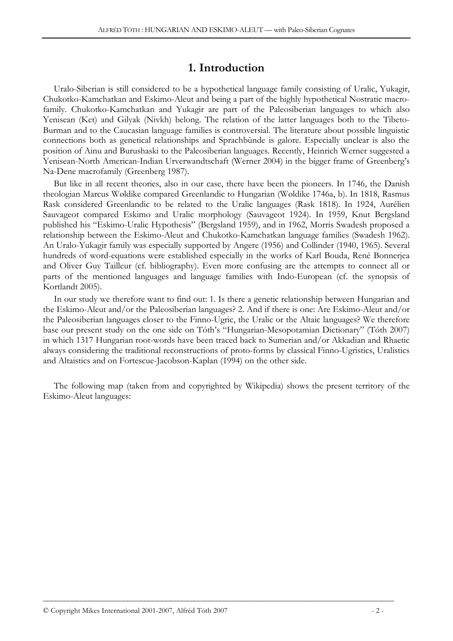### 1. Introduction

Uralo-Siberian is still considered to be a hypothetical language family consisting of Uralic, Yukagir, Chukotko-Kamchatkan and Eskimo-Aleut and being a part of the highly hypothetical Nostratic macrofamily. Chukotko-Kamchatkan and Yukagir are part of the Paleosiberian languages to which also Yenisean (Ket) and Gilyak (Nivkh) belong. The relation of the latter languages both to the Tibeto-Burman and to the Caucasian language families is controversial. The literature about possible linguistic connections both as genetical relationships and Sprachbünde is galore. Especially unclear is also the position of Ainu and Burushaski to the Paleosiberian languages. Recently, Heinrich Werner suggested a Yenisean-North American-Indian Urverwandtschaft (Werner 2004) in the bigger frame of Greenberg's Na-Dene macrofamily (Greenberg 1987).

But like in all recent theories, also in our case, there have been the pioneers. In 1746, the Danish theologian Marcus Wøldike compared Greenlandic to Hungarian (Wøldike 1746a, b). In 1818, Rasmus Rask considered Greenlandic to be related to the Uralic languages (Rask 1818). In 1924, Aurélien Sauvageot compared Eskimo and Uralic morphology (Sauvageot 1924). In 1959, Knut Bergsland published his "Eskimo-Uralic Hypothesis" (Bergsland 1959), and in 1962, Morris Swadesh proposed a relationship between the Eskimo-Aleut and Chukotko-Kamchatkan language families (Swadesh 1962). An Uralo-Yukagir family was especially supported by Angere (1956) and Collinder (1940, 1965). Several hundreds of word-equations were established especially in the works of Karl Bouda, René Bonnerjea and Oliver Guy Tailleur (cf. bibliography). Even more confusing are the attempts to connect all or parts of the mentioned languages and language families with Indo-European (cf. the synopsis of Kortlandt 2005).

In our study we therefore want to find out: 1. Is there a genetic relationship between Hungarian and the Eskimo-Aleut and/or the Paleosiberian languages? 2. And if there is one: Are Eskimo-Aleut and/or the Paleosiberian languages closer to the Finno-Ugric, the Uralic or the Altaic languages? We therefore base our present study on the one side on Tóth's "Hungarian-Mesopotamian Dictionary" (Tóth 2007) in which 1317 Hungarian root-words have been traced back to Sumerian and/or Akkadian and Rhaetic always considering the traditional reconstructions of proto-forms by classical Finno-Ugristics, Uralistics and Altaistics and on Fortescue-Jacobson-Kaplan (1994) on the other side.

The following map (taken from and copyrighted by Wikipedia) shows the present territory of the Eskimo-Aleut languages: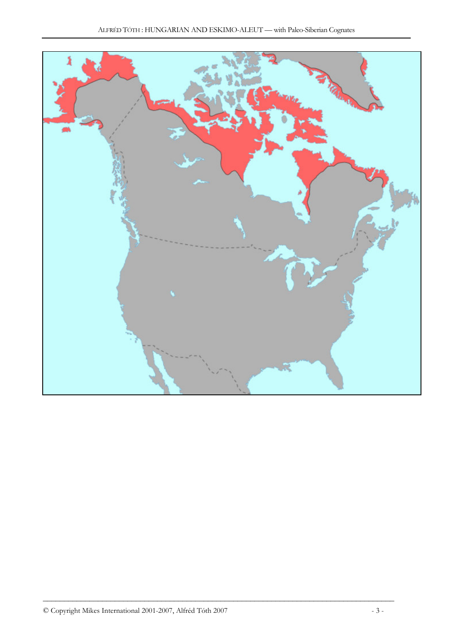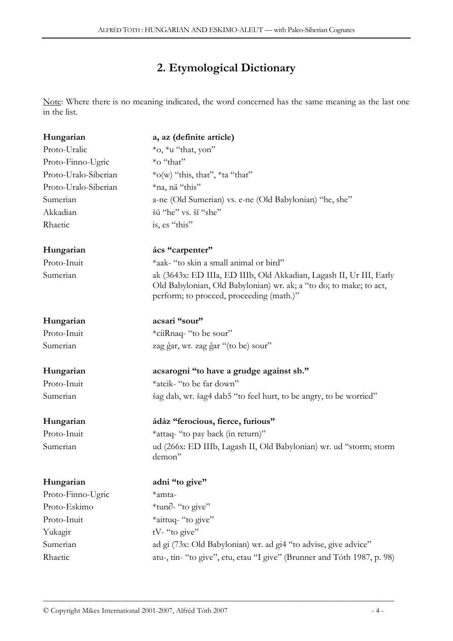## 2. Etymological Dictionary

Note: Where there is no meaning indicated, the word concerned has the same meaning as the last one in the list.

| Hungarian            | a, az (definite article)                                                                                                                                                              |
|----------------------|---------------------------------------------------------------------------------------------------------------------------------------------------------------------------------------|
| Proto-Uralic         | *o, *u "that, yon"                                                                                                                                                                    |
| Proto-Finno-Ugric    | *o "that"                                                                                                                                                                             |
| Proto-Uralo-Siberian | $*$ <sup>o</sup> (w) "this, that", $*$ ta "that"                                                                                                                                      |
| Proto-Uralo-Siberian | *na, nä "this"                                                                                                                                                                        |
| Sumerian             | a-ne (Old Sumerian) vs. e-ne (Old Babylonian) "he, she"                                                                                                                               |
| Akkadian             | šū "he" vs. šī "she"                                                                                                                                                                  |
| Rhaetic              | is, es "this"                                                                                                                                                                         |
| Hungarian            | ács "carpenter"                                                                                                                                                                       |
| Proto-Inuit          | *aak- "to skin a small animal or bird"                                                                                                                                                |
| Sumerian             | ak (3643x: ED IIIa, ED IIIb, Old Akkadian, Lagash II, Ur III, Early<br>Old Babylonian, Old Babylonian) wr. ak; a "to do; to make; to act,<br>perform; to proceed, proceeding (math.)" |
| Hungarian            | acsari "sour"                                                                                                                                                                         |
| Proto-Inuit          | *ciiRnaq- "to be sour"                                                                                                                                                                |
| Sumerian             | zag ĝar, wr. zag ĝar "(to be) sour"                                                                                                                                                   |
| Hungarian            | acsarogni "to have a grudge against sb."                                                                                                                                              |
| Proto-Inuit          | *atcik- "to be far down"                                                                                                                                                              |
| Sumerian             | šag dab, wr. šag4 dab5 "to feel hurt, to be angry, to be worried"                                                                                                                     |
| Hungarian            | ádáz "ferocious, fierce, furious"                                                                                                                                                     |
| Proto-Inuit          | *attaq- "to pay back (in return)"                                                                                                                                                     |
| Sumerian             | ud (266x: ED IIIb, Lagash II, Old Babylonian) wr. ud "storm; storm<br>demon"                                                                                                          |
| Hungarian            | adni "to give"                                                                                                                                                                        |
| Proto-Finno-Ugric    | *amta-                                                                                                                                                                                |
| Proto-Eskimo         | *tun $\partial$ - "to give"                                                                                                                                                           |
| Proto-Inuit          | *aittuq- "to give"                                                                                                                                                                    |
| Yukagir              | $tV$ - "to give"                                                                                                                                                                      |
| Sumerian             | ad gi (73x: Old Babylonian) wr. ad gi4 "to advise, give advice"                                                                                                                       |
| Rhaetic              | atu-, tin- "to give", etu, etau "I give" (Brunner and Tóth 1987, p. 98)                                                                                                               |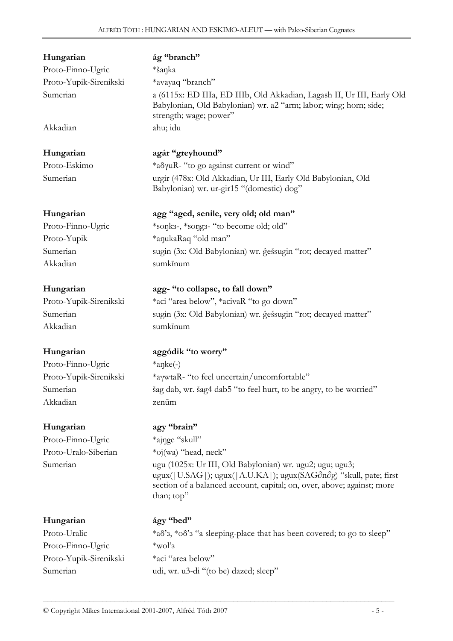| Hungarian<br>Proto-Finno-Ugric<br>Proto-Yupik-Sirenikski | ág "branch"<br>*šaηka<br>*avayaq "branch"                                                                                                                                                                            |
|----------------------------------------------------------|----------------------------------------------------------------------------------------------------------------------------------------------------------------------------------------------------------------------|
| Sumerian                                                 | a (6115x: ED IIIa, ED IIIb, Old Akkadian, Lagash II, Ur III, Early Old<br>Babylonian, Old Babylonian) wr. a2 "arm; labor; wing; horn; side;<br>strength; wage; power"                                                |
| Akkadian                                                 | ahu; idu                                                                                                                                                                                                             |
| Hungarian                                                | agár "greyhound"                                                                                                                                                                                                     |
| Proto-Eskimo                                             | *aδγuR- "to go against current or wind"                                                                                                                                                                              |
| Sumerian                                                 | urgir (478x: Old Akkadian, Ur III, Early Old Babylonian, Old<br>Babylonian) wr. ur-gir15 "(domestic) dog"                                                                                                            |
| Hungarian                                                | agg "aged, senile, very old; old man"                                                                                                                                                                                |
| Proto-Finno-Ugric                                        | *sonka-, *songa- "to become old; old"                                                                                                                                                                                |
| Proto-Yupik                                              | *anukaRaq "old man"                                                                                                                                                                                                  |
| Sumerian                                                 | sugin (3x: Old Babylonian) wr. gessugin "rot; decayed matter"                                                                                                                                                        |
| Akkadian                                                 | sumkīnum                                                                                                                                                                                                             |
| Hungarian                                                | agg- "to collapse, to fall down"                                                                                                                                                                                     |
| Proto-Yupik-Sirenikski                                   | *aci "area below", *acivaR "to go down"                                                                                                                                                                              |
| Sumerian                                                 | sugin (3x: Old Babylonian) wr. ĝešsugin "rot; decayed matter"                                                                                                                                                        |
| Akkadian                                                 | sumkīnum                                                                                                                                                                                                             |
| Hungarian                                                | aggódik "to worry"                                                                                                                                                                                                   |
| Proto-Finno-Ugric                                        | $*$ anke $(-)$                                                                                                                                                                                                       |
| Proto-Yupik-Sirenikski                                   | *aywtaR- "to feel uncertain/uncomfortable"                                                                                                                                                                           |
| Sumerian                                                 | šag dab, wr. šag4 dab5 "to feel hurt, to be angry, to be worried"                                                                                                                                                    |
| Akkadian                                                 | zenūm                                                                                                                                                                                                                |
| Hungarian                                                | agy "brain"                                                                                                                                                                                                          |
| Proto-Finno-Ugric                                        | *ajnge "skull"                                                                                                                                                                                                       |
| Proto-Uralo-Siberian                                     | *oj(wa) "head, neck"                                                                                                                                                                                                 |
| Sumerian                                                 | ugu (1025x: Ur III, Old Babylonian) wr. ugu2; ugu; ugu3;<br>ugux( U.SAG ); ugux( A.U.KA ); ugux(SAG∂n∂g) "skull, pate; first<br>section of a balanced account, capital; on, over, above; against; more<br>than; top" |
| Hungarian                                                | ágy "bed"                                                                                                                                                                                                            |
| Proto-Uralic                                             | *a8's, *o8's "a sleeping-place that has been covered; to go to sleep"                                                                                                                                                |
| Proto-Finno-Ugric                                        | $*_{\text{WO}}$ <sup>2</sup>                                                                                                                                                                                         |
| Proto-Yupik-Sirenikski                                   | *aci "area below"                                                                                                                                                                                                    |
| Sumerian                                                 | udi, wr. u3-di "(to be) dazed; sleep"                                                                                                                                                                                |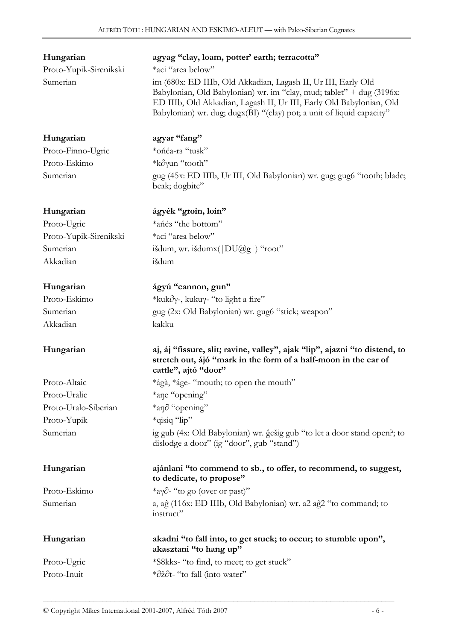| Hungarian<br>Proto-Yupik-Sirenikski<br>Sumerian | agyag "clay, loam, potter' earth; terracotta"<br>*aci "area below"<br>im (680x: ED IIIb, Old Akkadian, Lagash II, Ur III, Early Old<br>Babylonian, Old Babylonian) wr. im "clay, mud; tablet" + dug (3196x:<br>ED IIIb, Old Akkadian, Lagash II, Ur III, Early Old Babylonian, Old<br>Babylonian) wr. dug; dugx(BI) "(clay) pot; a unit of liquid capacity" |
|-------------------------------------------------|-------------------------------------------------------------------------------------------------------------------------------------------------------------------------------------------------------------------------------------------------------------------------------------------------------------------------------------------------------------|
| Hungarian                                       | agyar "fang"                                                                                                                                                                                                                                                                                                                                                |
| Proto-Finno-Ugric                               | *ońća-ra "tusk"                                                                                                                                                                                                                                                                                                                                             |
| Proto-Eskimo                                    | *k∂γun "tooth"                                                                                                                                                                                                                                                                                                                                              |
| Sumerian                                        | gug (45x: ED IIIb, Ur III, Old Babylonian) wr. gug; gug6 "tooth; blade;<br>beak; dogbite"                                                                                                                                                                                                                                                                   |
| Hungarian                                       | ágyék "groin, loin"                                                                                                                                                                                                                                                                                                                                         |
| Proto-Ugric                                     | *ańćs "the bottom"                                                                                                                                                                                                                                                                                                                                          |
| Proto-Yupik-Sirenikski                          | *aci "area below"                                                                                                                                                                                                                                                                                                                                           |
| Sumerian                                        | išdum, wr. išdumx $( DU@g )$ "root"                                                                                                                                                                                                                                                                                                                         |
| Akkadian                                        | išdum                                                                                                                                                                                                                                                                                                                                                       |
| Hungarian                                       | ágyú "cannon, gun"                                                                                                                                                                                                                                                                                                                                          |
| Proto-Eskimo                                    | *kuk∂γ-, kukuγ- "to light a fire"                                                                                                                                                                                                                                                                                                                           |
| Sumerian                                        | gug (2x: Old Babylonian) wr. gug6 "stick; weapon"                                                                                                                                                                                                                                                                                                           |
| Akkadian                                        | kakku                                                                                                                                                                                                                                                                                                                                                       |
| Hungarian                                       | aj, áj "fissure, slit; ravine, valley", ajak "lip", ajazni "to distend, to<br>stretch out, ájó "mark in the form of a half-moon in the ear of<br>cattle", ajtó "door"                                                                                                                                                                                       |
| Proto-Altaic                                    | *ágà, *áge- "mouth; to open the mouth"                                                                                                                                                                                                                                                                                                                      |
| Proto-Uralic                                    | *ane "opening"                                                                                                                                                                                                                                                                                                                                              |
| Proto-Uralo-Siberian                            | *and "opening"                                                                                                                                                                                                                                                                                                                                              |
| Proto-Yupik                                     | *qisiq "lip"                                                                                                                                                                                                                                                                                                                                                |
| Sumerian                                        | ig gub (4x: Old Babylonian) wr. gesig gub "to let a door stand open?; to<br>dislodge a door" (ig "door", gub "stand")                                                                                                                                                                                                                                       |
| Hungarian                                       | ajánlani "to commend to sb., to offer, to recommend, to suggest,<br>to dedicate, to propose"                                                                                                                                                                                                                                                                |
| Proto-Eskimo                                    | *aγ $\partial$ - "to go (over or past)"                                                                                                                                                                                                                                                                                                                     |
| Sumerian                                        | a, aĝ (116x: ED IIIb, Old Babylonian) wr. a2 aĝ2 "to command; to<br>instruct"                                                                                                                                                                                                                                                                               |
| Hungarian                                       | akadni "to fall into, to get stuck; to occur; to stumble upon",<br>akasztani "to hang up"                                                                                                                                                                                                                                                                   |
| Proto-Ugric                                     | *S8kk3- "to find, to meet; to get stuck"                                                                                                                                                                                                                                                                                                                    |
| Proto-Inuit                                     | *∂ž∂t- "to fall (into water"                                                                                                                                                                                                                                                                                                                                |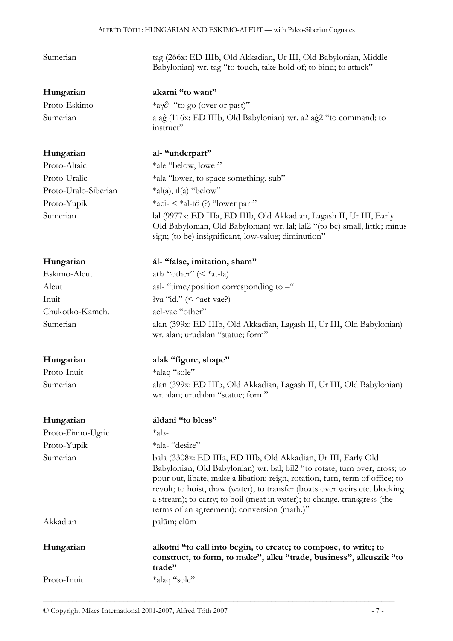| Sumerian             | tag (266x: ED IIIb, Old Akkadian, Ur III, Old Babylonian, Middle<br>Babylonian) wr. tag "to touch, take hold of; to bind; to attack"                                                                                                                                                                                                                                                                                                   |
|----------------------|----------------------------------------------------------------------------------------------------------------------------------------------------------------------------------------------------------------------------------------------------------------------------------------------------------------------------------------------------------------------------------------------------------------------------------------|
| Hungarian            | akarni "to want"                                                                                                                                                                                                                                                                                                                                                                                                                       |
| Proto-Eskimo         | *aγ $\partial$ - "to go (over or past)"                                                                                                                                                                                                                                                                                                                                                                                                |
| Sumerian             | a aĝ (116x: ED IIIb, Old Babylonian) wr. a2 aĝ2 "to command; to<br>instruct"                                                                                                                                                                                                                                                                                                                                                           |
| Hungarian            | al- "underpart"                                                                                                                                                                                                                                                                                                                                                                                                                        |
| Proto-Altaic         | *ale "below, lower"                                                                                                                                                                                                                                                                                                                                                                                                                    |
| Proto-Uralic         | *ala "lower, to space something, sub"                                                                                                                                                                                                                                                                                                                                                                                                  |
| Proto-Uralo-Siberian | $*al(a), il(a)$ "below"                                                                                                                                                                                                                                                                                                                                                                                                                |
| Proto-Yupik          | *aci- < *al-t $\partial$ (?) "lower part"                                                                                                                                                                                                                                                                                                                                                                                              |
| Sumerian             | lal (9977x: ED IIIa, ED IIIb, Old Akkadian, Lagash II, Ur III, Early<br>Old Babylonian, Old Babylonian) wr. lal; lal2 "(to be) small, little; minus<br>sign; (to be) insignificant, low-value; diminution"                                                                                                                                                                                                                             |
| Hungarian            | ál- "false, imitation, sham"                                                                                                                                                                                                                                                                                                                                                                                                           |
| Eskimo-Aleut         | atla "other" $\left(\leq \ast_{\text{at-la}}\right)$                                                                                                                                                                                                                                                                                                                                                                                   |
| Aleut                | asl-"time/position corresponding to -"                                                                                                                                                                                                                                                                                                                                                                                                 |
| Inuit                | $\{ a "id." \leq \text{%} (x^2 - 1) \}$                                                                                                                                                                                                                                                                                                                                                                                                |
| Chukotko-Kamch.      | ael-vae "other"                                                                                                                                                                                                                                                                                                                                                                                                                        |
| Sumerian             | alan (399x: ED IIIb, Old Akkadian, Lagash II, Ur III, Old Babylonian)<br>wr. alan; urudalan "statue; form"                                                                                                                                                                                                                                                                                                                             |
| Hungarian            | alak "figure, shape"                                                                                                                                                                                                                                                                                                                                                                                                                   |
| Proto-Inuit          | *alaq "sole"                                                                                                                                                                                                                                                                                                                                                                                                                           |
| Sumerian             | alan (399x: ED IIIb, Old Akkadian, Lagash II, Ur III, Old Babylonian)<br>wr. alan; urudalan "statue; form"                                                                                                                                                                                                                                                                                                                             |
| Hungarian            | áldani "to bless"                                                                                                                                                                                                                                                                                                                                                                                                                      |
| Proto-Finno-Ugric    | $*$ al <sub>3</sub> -                                                                                                                                                                                                                                                                                                                                                                                                                  |
| Proto-Yupik          | *ala- "desire"                                                                                                                                                                                                                                                                                                                                                                                                                         |
| Sumerian             | bala (3308x: ED IIIa, ED IIIb, Old Akkadian, Ur III, Early Old<br>Babylonian, Old Babylonian) wr. bal; bil2 "to rotate, turn over, cross; to<br>pour out, libate, make a libation; reign, rotation, turn, term of office; to<br>revolt; to hoist, draw (water); to transfer (boats over weirs etc. blocking<br>a stream); to carry; to boil (meat in water); to change, transgress (the<br>terms of an agreement); conversion (math.)" |
| Akkadian             | palūm; elūm                                                                                                                                                                                                                                                                                                                                                                                                                            |
| Hungarian            | alkotni "to call into begin, to create; to compose, to write; to<br>construct, to form, to make", alku "trade, business", alkuszik "to<br>trade"                                                                                                                                                                                                                                                                                       |
| Proto-Inuit          | *alaq "sole"                                                                                                                                                                                                                                                                                                                                                                                                                           |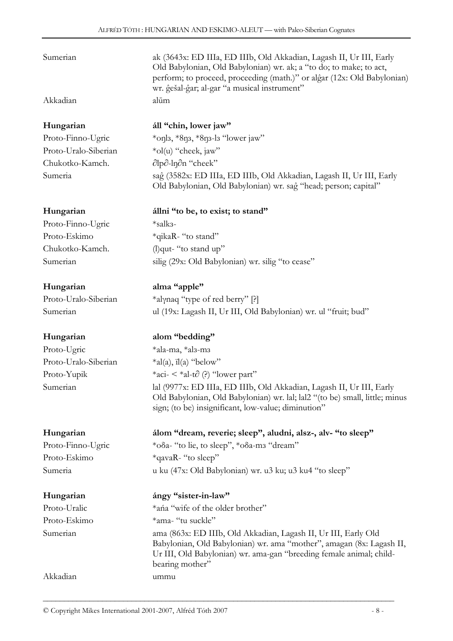| Sumerian             | ak (3643x: ED IIIa, ED IIIb, Old Akkadian, Lagash II, Ur III, Early<br>Old Babylonian, Old Babylonian) wr. ak; a "to do; to make; to act,<br>perform; to proceed, proceeding (math.)" or algar (12x: Old Babylonian)<br>wr. ĝešal-ĝar; al-gar "a musical instrument" |
|----------------------|----------------------------------------------------------------------------------------------------------------------------------------------------------------------------------------------------------------------------------------------------------------------|
| Akkadian             | alūm                                                                                                                                                                                                                                                                 |
| Hungarian            | áll "chin, lower jaw"                                                                                                                                                                                                                                                |
| Proto-Finno-Ugric    | $*$ onla, $*8$ na, $*8$ na-la "lower jaw"                                                                                                                                                                                                                            |
| Proto-Uralo-Siberian | *ol(u) "cheek, jaw"                                                                                                                                                                                                                                                  |
| Chukotko-Kamch.      | $\partial$ lp $\partial$ -ln $\partial$ n "cheek"                                                                                                                                                                                                                    |
| Sumeria              | saĝ (3582x: ED IIIa, ED IIIb, Old Akkadian, Lagash II, Ur III, Early<br>Old Babylonian, Old Babylonian) wr. sag "head; person; capital"                                                                                                                              |
| Hungarian            | állni "to be, to exist; to stand"                                                                                                                                                                                                                                    |
| Proto-Finno-Ugric    | *salk3-                                                                                                                                                                                                                                                              |
| Proto-Eskimo         | *qikaR- "to stand"                                                                                                                                                                                                                                                   |
| Chukotko-Kamch.      | (l)qut- "to stand up"                                                                                                                                                                                                                                                |
| Sumerian             | silig (29x: Old Babylonian) wr. silig "to cease"                                                                                                                                                                                                                     |
| Hungarian            | alma "apple"                                                                                                                                                                                                                                                         |
| Proto-Uralo-Siberian | *alγnaq "type of red berry" [?]                                                                                                                                                                                                                                      |
| Sumerian             | ul (19x: Lagash II, Ur III, Old Babylonian) wr. ul "fruit; bud"                                                                                                                                                                                                      |
| Hungarian            | alom "bedding"                                                                                                                                                                                                                                                       |
| Proto-Ugric          | *ala-ma, *als-m3                                                                                                                                                                                                                                                     |
| Proto-Uralo-Siberian | $*al(a), il(a)$ "below"                                                                                                                                                                                                                                              |
| Proto-Yupik          | *aci- < *al-t $\partial$ (?) "lower part"                                                                                                                                                                                                                            |
| Sumerian             | lal (9977x: ED IIIa, ED IIIb, Old Akkadian, Lagash II, Ur III, Early<br>Old Babylonian, Old Babylonian) wr. lal; lal2 "(to be) small, little; minus<br>sign; (to be) insignificant, low-value; diminution"                                                           |
| Hungarian            | álom "dream, reverie; sleep", aludni, alsz-, alv- "to sleep"                                                                                                                                                                                                         |
| Proto-Finno-Ugric    | *oôa- "to lie, to sleep", *oôa-ma "dream"                                                                                                                                                                                                                            |
| Proto-Eskimo         | *qavaR- "to sleep"                                                                                                                                                                                                                                                   |
| Sumeria              | u ku (47x: Old Babylonian) wr. u3 ku; u3 ku4 "to sleep"                                                                                                                                                                                                              |
| Hungarian            | ángy "sister-in-law"                                                                                                                                                                                                                                                 |
| Proto-Uralic         | *ana "wife of the older brother"                                                                                                                                                                                                                                     |
| Proto-Eskimo         | *ama- "tu suckle"                                                                                                                                                                                                                                                    |
| Sumerian             | ama (863x: ED IIIb, Old Akkadian, Lagash II, Ur III, Early Old<br>Babylonian, Old Babylonian) wr. ama "mother", amagan (8x: Lagash II,<br>Ur III, Old Babylonian) wr. ama-gan "breeding female animal; child-<br>bearing mother"                                     |
| Akkadian             | ummu                                                                                                                                                                                                                                                                 |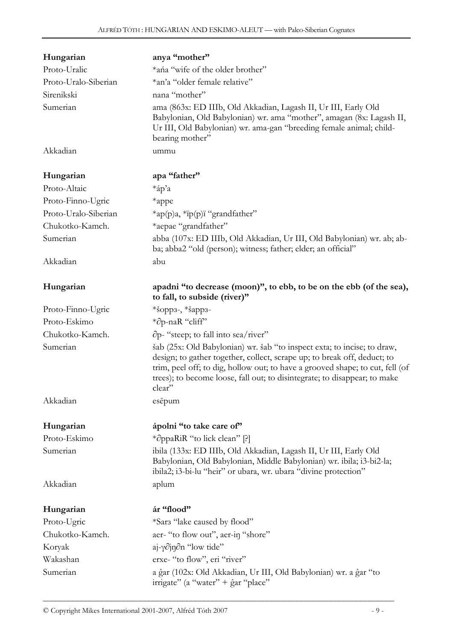| Hungarian            | anya "mother"                                                                                                                                                                                                                                                                                                               |
|----------------------|-----------------------------------------------------------------------------------------------------------------------------------------------------------------------------------------------------------------------------------------------------------------------------------------------------------------------------|
| Proto-Uralic         | *ańa "wife of the older brother"                                                                                                                                                                                                                                                                                            |
| Proto-Uralo-Siberian | *an'a "older female relative"                                                                                                                                                                                                                                                                                               |
| Sirenikski           | nana "mother"                                                                                                                                                                                                                                                                                                               |
| Sumerian             | ama (863x: ED IIIb, Old Akkadian, Lagash II, Ur III, Early Old<br>Babylonian, Old Babylonian) wr. ama "mother", amagan (8x: Lagash II,<br>Ur III, Old Babylonian) wr. ama-gan "breeding female animal; child-<br>bearing mother"                                                                                            |
| Akkadian             | ummu                                                                                                                                                                                                                                                                                                                        |
| Hungarian            | apa "father"                                                                                                                                                                                                                                                                                                                |
| Proto-Altaic         | $*ap'a$                                                                                                                                                                                                                                                                                                                     |
| Proto-Finno-Ugric    | *appe                                                                                                                                                                                                                                                                                                                       |
| Proto-Uralo-Siberian | *ap(p)a, *ip(p)i "grandfather"                                                                                                                                                                                                                                                                                              |
| Chukotko-Kamch.      | *aepae "grandfather"                                                                                                                                                                                                                                                                                                        |
| Sumerian             | abba (107x: ED IIIb, Old Akkadian, Ur III, Old Babylonian) wr. ab; ab-<br>ba; abba2 "old (person); witness; father; elder; an official"                                                                                                                                                                                     |
| Akkadian             | abu                                                                                                                                                                                                                                                                                                                         |
| Hungarian            | apadni "to decrease (moon)", to ebb, to be on the ebb (of the sea),<br>to fall, to subside (river)"                                                                                                                                                                                                                         |
| Proto-Finno-Ugric    | $*$ soppa-, $*$ sappa-                                                                                                                                                                                                                                                                                                      |
| Proto-Eskimo         | * $\partial p$ -naR "cliff"                                                                                                                                                                                                                                                                                                 |
| Chukotko-Kamch.      | $\partial p$ - "steep; to fall into sea/river"                                                                                                                                                                                                                                                                              |
| Sumerian             | šab (25x: Old Babylonian) wr. šab "to inspect exta; to incise; to draw,<br>design; to gather together, collect, scrape up; to break off, deduct; to<br>trim, peel off; to dig, hollow out; to have a grooved shape; to cut, fell (of<br>trees); to become loose, fall out; to disintegrate; to disappear; to make<br>clear" |
| Akkadian             | esēpum                                                                                                                                                                                                                                                                                                                      |
| Hungarian            | ápolni "to take care of"                                                                                                                                                                                                                                                                                                    |
| Proto-Eskimo         | * $\partial$ ppaRiR "to lick clean" [?]                                                                                                                                                                                                                                                                                     |
| Sumerian             | ibila (133x: ED IIIb, Old Akkadian, Lagash II, Ur III, Early Old<br>Babylonian, Old Babylonian, Middle Babylonian) wr. ibila; i3-bi2-la;<br>ibila2; i3-bi-lu "heir" or ubara, wr. ubara "divine protection"                                                                                                                 |
| Akkadian             | aplum                                                                                                                                                                                                                                                                                                                       |
| Hungarian            | ár "flood"                                                                                                                                                                                                                                                                                                                  |
| Proto-Ugric          | *Sars "lake caused by flood"                                                                                                                                                                                                                                                                                                |
| Chukotko-Kamch.      | aer-"to flow out", aer-in "shore"                                                                                                                                                                                                                                                                                           |
| Koryak               | $a$ j- $\gamma \partial$ jn $\partial$ n "low tide"                                                                                                                                                                                                                                                                         |
| Wakashan             | erxe-"to flow", eri "river"                                                                                                                                                                                                                                                                                                 |
| Sumerian             | a ĝar (102x: Old Akkadian, Ur III, Old Babylonian) wr. a ĝar "to<br>irrigate" (a "water" + $\hat{g}$ ar "place"                                                                                                                                                                                                             |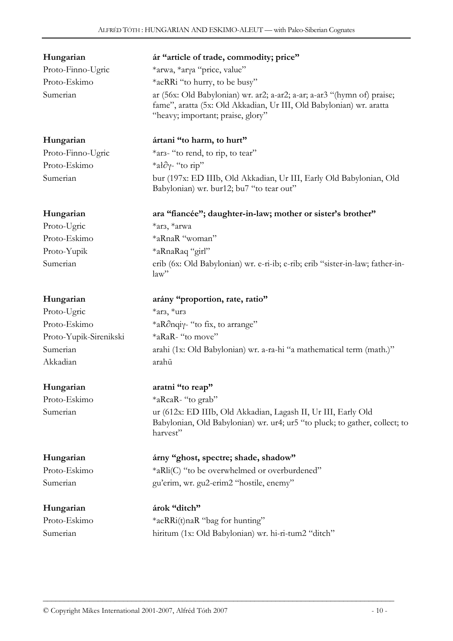#### Hungarian

Proto-Finno-Ugric Proto-Eskimo Sumerian

### ár "article of trade, commodity; price"

\*arwa, \*arγa "price, value" \*aeRRi "to hurry, to be busy" ar (56x: Old Babylonian) wr. ar2; a-ar2; a-ar; a-ar3 "(hymn of) praise; fame", aratta (5x: Old Akkadian, Ur III, Old Babylonian) wr. aratta "heavy; important; praise, glory"

### Hungarian

Proto-Finno-Ugric Proto-Eskimo Sumerian

### Hungarian

Proto-Ugric Proto-Eskimo Proto-Yupik Sumerian

### Hungarian

Proto-Ugric Proto-Eskimo Proto-Yupik-Sirenikski Sumerian Akkadian

#### Hungarian

Proto-Eskimo Sumerian

#### Hungarian

Proto-Eskimo Sumerian

#### Hungarian

Proto-Eskimo Sumerian

### ártani "to harm, to hurt" \*ars- "to rend, to rip, to tear" \*al $\partial y$ - "to rip" bur (197x: ED IIIb, Old Akkadian, Ur III, Early Old Babylonian, Old Babylonian) wr. bur12; bu7 "to tear out"

### ara "fiancée"; daughter-in-law; mother or sister's brother"

\*ars, \*arwa \*aRnaR "woman" \*aRnaRaq "girl" erib (6x: Old Babylonian) wr. e-ri-ib; e-rib; erib "sister-in-law; father-in $law'$ 

### arány "proportion, rate, ratio"

\*ars, \*urs *\*aR∂nqiy*- "to fix, to arrange" \*aRaR- "to move" arahi (1x: Old Babylonian) wr. a-ra-hi "a mathematical term (math.)" arahū

#### aratni "to reap"

\*aRcaR- "to grab" ur (612x: ED IIIb, Old Akkadian, Lagash II, Ur III, Early Old Babylonian, Old Babylonian) wr. ur4; ur5 "to pluck; to gather, collect; to harvest"

### árny "ghost, spectre; shade, shadow"

\*aRli(C) "to be overwhelmed or overburdened" gu'erim, wr. gu2-erim2 "hostile, enemy"

#### árok "ditch"

\*aeRRi(t)naR "bag for hunting" hiritum (1x: Old Babylonian) wr. hi-ri-tum2 "ditch"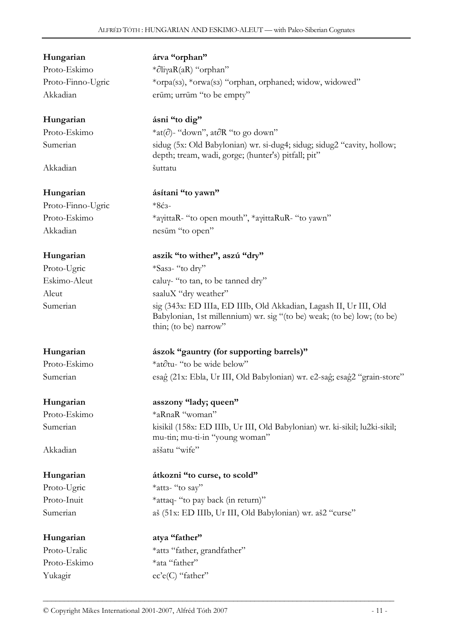| Hungarian<br>árva "orphan"<br>Proto-Eskimo<br>*∂liγaR(aR) "orphan"<br>*orpa(s3), *orwa(s3) "orphan, orphaned; widow, widowed"<br>Proto-Finno-Ugric<br>Akkadian<br>erūm; urrūm "to be empty"<br>Hungarian<br>ásni "to dig"<br>Proto-Eskimo<br>*at( $\partial$ )- "down", at $\partial$ R "to go down"<br>Sumerian<br>sidug (5x: Old Babylonian) wr. si-dug4; sidug; sidug2 "cavity, hollow;<br>depth; tream, wadi, gorge; (hunter's) pitfall; pit"<br>Akkadian<br>šuttatu<br>Hungarian<br>ásítani "to yawn"<br>Proto-Finno-Ugric<br>$*8c3-$<br>Proto-Eskimo<br>*ayittaR- "to open mouth", *ayittaRuR- "to yawn"<br>Akkadian<br>nesūm "to open"<br>Hungarian<br>aszik "to wither", aszú "dry"<br>*Sass- "to dry"<br>Proto-Ugric<br>Eskimo-Aleut<br>caluy-"to tan, to be tanned dry"<br>saaluX "dry weather"<br>Aleut<br>sig (343x: ED IIIa, ED IIIb, Old Akkadian, Lagash II, Ur III, Old<br>Sumerian<br>Babylonian, 1st millennium) wr. sig "(to be) weak; (to be) low; (to be)<br>thin; (to be) narrow"<br>Hungarian<br>ászok "gauntry (for supporting barrels)"<br>*atotu- "to be wide below"<br>Proto-Eskimo<br>Sumerian<br>esaĝ (21x: Ebla, Ur III, Old Babylonian) wr. e2-saĝ; esaĝ2 "grain-store"<br>Hungarian<br>asszony "lady; queen"<br>Proto-Eskimo<br>*aRnaR "woman"<br>Sumerian<br>kisikil (158x: ED IIIb, Ur III, Old Babylonian) wr. ki-sikil; lu2ki-sikil; |
|--------------------------------------------------------------------------------------------------------------------------------------------------------------------------------------------------------------------------------------------------------------------------------------------------------------------------------------------------------------------------------------------------------------------------------------------------------------------------------------------------------------------------------------------------------------------------------------------------------------------------------------------------------------------------------------------------------------------------------------------------------------------------------------------------------------------------------------------------------------------------------------------------------------------------------------------------------------------------------------------------------------------------------------------------------------------------------------------------------------------------------------------------------------------------------------------------------------------------------------------------------------------------------------------------------------------------------------------------------------------------|
|                                                                                                                                                                                                                                                                                                                                                                                                                                                                                                                                                                                                                                                                                                                                                                                                                                                                                                                                                                                                                                                                                                                                                                                                                                                                                                                                                                          |
|                                                                                                                                                                                                                                                                                                                                                                                                                                                                                                                                                                                                                                                                                                                                                                                                                                                                                                                                                                                                                                                                                                                                                                                                                                                                                                                                                                          |
|                                                                                                                                                                                                                                                                                                                                                                                                                                                                                                                                                                                                                                                                                                                                                                                                                                                                                                                                                                                                                                                                                                                                                                                                                                                                                                                                                                          |
|                                                                                                                                                                                                                                                                                                                                                                                                                                                                                                                                                                                                                                                                                                                                                                                                                                                                                                                                                                                                                                                                                                                                                                                                                                                                                                                                                                          |
|                                                                                                                                                                                                                                                                                                                                                                                                                                                                                                                                                                                                                                                                                                                                                                                                                                                                                                                                                                                                                                                                                                                                                                                                                                                                                                                                                                          |
|                                                                                                                                                                                                                                                                                                                                                                                                                                                                                                                                                                                                                                                                                                                                                                                                                                                                                                                                                                                                                                                                                                                                                                                                                                                                                                                                                                          |
|                                                                                                                                                                                                                                                                                                                                                                                                                                                                                                                                                                                                                                                                                                                                                                                                                                                                                                                                                                                                                                                                                                                                                                                                                                                                                                                                                                          |
|                                                                                                                                                                                                                                                                                                                                                                                                                                                                                                                                                                                                                                                                                                                                                                                                                                                                                                                                                                                                                                                                                                                                                                                                                                                                                                                                                                          |
|                                                                                                                                                                                                                                                                                                                                                                                                                                                                                                                                                                                                                                                                                                                                                                                                                                                                                                                                                                                                                                                                                                                                                                                                                                                                                                                                                                          |
|                                                                                                                                                                                                                                                                                                                                                                                                                                                                                                                                                                                                                                                                                                                                                                                                                                                                                                                                                                                                                                                                                                                                                                                                                                                                                                                                                                          |
|                                                                                                                                                                                                                                                                                                                                                                                                                                                                                                                                                                                                                                                                                                                                                                                                                                                                                                                                                                                                                                                                                                                                                                                                                                                                                                                                                                          |
|                                                                                                                                                                                                                                                                                                                                                                                                                                                                                                                                                                                                                                                                                                                                                                                                                                                                                                                                                                                                                                                                                                                                                                                                                                                                                                                                                                          |
|                                                                                                                                                                                                                                                                                                                                                                                                                                                                                                                                                                                                                                                                                                                                                                                                                                                                                                                                                                                                                                                                                                                                                                                                                                                                                                                                                                          |
|                                                                                                                                                                                                                                                                                                                                                                                                                                                                                                                                                                                                                                                                                                                                                                                                                                                                                                                                                                                                                                                                                                                                                                                                                                                                                                                                                                          |
|                                                                                                                                                                                                                                                                                                                                                                                                                                                                                                                                                                                                                                                                                                                                                                                                                                                                                                                                                                                                                                                                                                                                                                                                                                                                                                                                                                          |
|                                                                                                                                                                                                                                                                                                                                                                                                                                                                                                                                                                                                                                                                                                                                                                                                                                                                                                                                                                                                                                                                                                                                                                                                                                                                                                                                                                          |
|                                                                                                                                                                                                                                                                                                                                                                                                                                                                                                                                                                                                                                                                                                                                                                                                                                                                                                                                                                                                                                                                                                                                                                                                                                                                                                                                                                          |
|                                                                                                                                                                                                                                                                                                                                                                                                                                                                                                                                                                                                                                                                                                                                                                                                                                                                                                                                                                                                                                                                                                                                                                                                                                                                                                                                                                          |
|                                                                                                                                                                                                                                                                                                                                                                                                                                                                                                                                                                                                                                                                                                                                                                                                                                                                                                                                                                                                                                                                                                                                                                                                                                                                                                                                                                          |
|                                                                                                                                                                                                                                                                                                                                                                                                                                                                                                                                                                                                                                                                                                                                                                                                                                                                                                                                                                                                                                                                                                                                                                                                                                                                                                                                                                          |
|                                                                                                                                                                                                                                                                                                                                                                                                                                                                                                                                                                                                                                                                                                                                                                                                                                                                                                                                                                                                                                                                                                                                                                                                                                                                                                                                                                          |
|                                                                                                                                                                                                                                                                                                                                                                                                                                                                                                                                                                                                                                                                                                                                                                                                                                                                                                                                                                                                                                                                                                                                                                                                                                                                                                                                                                          |
|                                                                                                                                                                                                                                                                                                                                                                                                                                                                                                                                                                                                                                                                                                                                                                                                                                                                                                                                                                                                                                                                                                                                                                                                                                                                                                                                                                          |
| mu-tin; mu-ti-in "young woman"                                                                                                                                                                                                                                                                                                                                                                                                                                                                                                                                                                                                                                                                                                                                                                                                                                                                                                                                                                                                                                                                                                                                                                                                                                                                                                                                           |
| aššatu "wife"<br>Akkadian                                                                                                                                                                                                                                                                                                                                                                                                                                                                                                                                                                                                                                                                                                                                                                                                                                                                                                                                                                                                                                                                                                                                                                                                                                                                                                                                                |
| Hungarian<br>átkozni "to curse, to scold"                                                                                                                                                                                                                                                                                                                                                                                                                                                                                                                                                                                                                                                                                                                                                                                                                                                                                                                                                                                                                                                                                                                                                                                                                                                                                                                                |
| Proto-Ugric<br>*atta- "to say"                                                                                                                                                                                                                                                                                                                                                                                                                                                                                                                                                                                                                                                                                                                                                                                                                                                                                                                                                                                                                                                                                                                                                                                                                                                                                                                                           |
| Proto-Inuit<br>*attaq- "to pay back (in return)"                                                                                                                                                                                                                                                                                                                                                                                                                                                                                                                                                                                                                                                                                                                                                                                                                                                                                                                                                                                                                                                                                                                                                                                                                                                                                                                         |
| Sumerian<br>aš (51x: ED IIIb, Ur III, Old Babylonian) wr. aš2 "curse"                                                                                                                                                                                                                                                                                                                                                                                                                                                                                                                                                                                                                                                                                                                                                                                                                                                                                                                                                                                                                                                                                                                                                                                                                                                                                                    |
| Hungarian<br>atya "father"                                                                                                                                                                                                                                                                                                                                                                                                                                                                                                                                                                                                                                                                                                                                                                                                                                                                                                                                                                                                                                                                                                                                                                                                                                                                                                                                               |
| Proto-Uralic<br>*atta "father, grandfather"                                                                                                                                                                                                                                                                                                                                                                                                                                                                                                                                                                                                                                                                                                                                                                                                                                                                                                                                                                                                                                                                                                                                                                                                                                                                                                                              |
| *ata "father"<br>Proto-Eskimo                                                                                                                                                                                                                                                                                                                                                                                                                                                                                                                                                                                                                                                                                                                                                                                                                                                                                                                                                                                                                                                                                                                                                                                                                                                                                                                                            |
| ec'e(C) "father"<br>Yukagir                                                                                                                                                                                                                                                                                                                                                                                                                                                                                                                                                                                                                                                                                                                                                                                                                                                                                                                                                                                                                                                                                                                                                                                                                                                                                                                                              |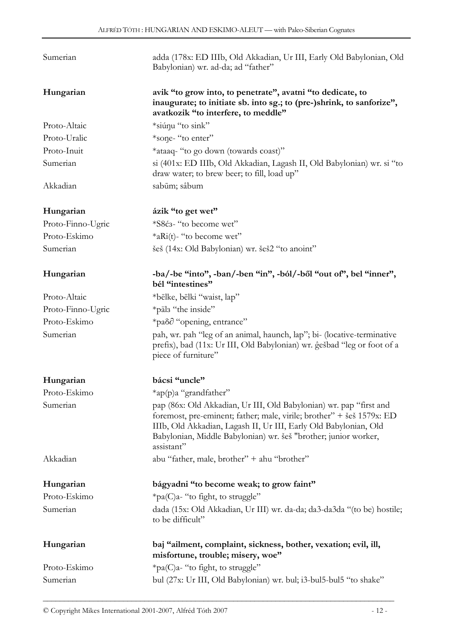| Sumerian          | adda (178x: ED IIIb, Old Akkadian, Ur III, Early Old Babylonian, Old<br>Babylonian) wr. ad-da; ad "father"                                                                                                                                                                                       |
|-------------------|--------------------------------------------------------------------------------------------------------------------------------------------------------------------------------------------------------------------------------------------------------------------------------------------------|
| Hungarian         | avik "to grow into, to penetrate", avatni "to dedicate, to<br>inaugurate; to initiate sb. into sg.; to (pre-)shrink, to sanforize",<br>avatkozik "to interfere, to meddle"                                                                                                                       |
| Proto-Altaic      | *siúnu "to sink"                                                                                                                                                                                                                                                                                 |
| Proto-Uralic      | *sone- "to enter"                                                                                                                                                                                                                                                                                |
| Proto-Inuit       | *ataaq- "to go down (towards coast)"                                                                                                                                                                                                                                                             |
| Sumerian          | si (401x: ED IIIb, Old Akkadian, Lagash II, Old Babylonian) wr. si "to<br>draw water; to brew beer; to fill, load up"                                                                                                                                                                            |
| Akkadian          | sabūm; sâbum                                                                                                                                                                                                                                                                                     |
| Hungarian         | ázik "to get wet"                                                                                                                                                                                                                                                                                |
| Proto-Finno-Ugric | *S8ć3- "to become wet"                                                                                                                                                                                                                                                                           |
| Proto-Eskimo      | *aRi(t)- "to become wet"                                                                                                                                                                                                                                                                         |
| Sumerian          | šeš (14x: Old Babylonian) wr. šeš2 "to anoint"                                                                                                                                                                                                                                                   |
| Hungarian         | -ba/-be "into", -ban/-ben "in", -ból/-ből "out of", bel "inner",<br>bél "intestines"                                                                                                                                                                                                             |
| Proto-Altaic      | *bēlke, bēlki "waist, lap"                                                                                                                                                                                                                                                                       |
| Proto-Finno-Ugric | *päls "the inside"                                                                                                                                                                                                                                                                               |
| Proto-Eskimo      | *paδ∂ "opening, entrance"                                                                                                                                                                                                                                                                        |
| Sumerian          | pah, wr. pah "leg of an animal, haunch, lap"; bi- (locative-terminative<br>prefix), bad (11x: Ur III, Old Babylonian) wr. ĝešbad "leg or foot of a<br>piece of furniture"                                                                                                                        |
| Hungarian         | bácsi "uncle"                                                                                                                                                                                                                                                                                    |
| Proto-Eskimo      | *ap(p)a "grandfather"                                                                                                                                                                                                                                                                            |
| Sumerian          | pap (86x: Old Akkadian, Ur III, Old Babylonian) wr. pap "first and<br>foremost, pre-eminent; father; male, virile; brother" + šeš 1579x: ED<br>IIIb, Old Akkadian, Lagash II, Ur III, Early Old Babylonian, Old<br>Babylonian, Middle Babylonian) wr. šeš "brother; junior worker,<br>assistant" |
| Akkadian          | abu "father, male, brother" + ahu "brother"                                                                                                                                                                                                                                                      |
| Hungarian         | bágyadni "to become weak; to grow faint"                                                                                                                                                                                                                                                         |
| Proto-Eskimo      | *pa(C)a- "to fight, to struggle"                                                                                                                                                                                                                                                                 |
| Sumerian          | dada (15x: Old Akkadian, Ur III) wr. da-da; da3-da3da "(to be) hostile;<br>to be difficult"                                                                                                                                                                                                      |
| Hungarian         | baj "ailment, complaint, sickness, bother, vexation; evil, ill,<br>misfortune, trouble; misery, woe"                                                                                                                                                                                             |
| Proto-Eskimo      | *pa(C)a- "to fight, to struggle"                                                                                                                                                                                                                                                                 |
| Sumerian          | bul (27x: Ur III, Old Babylonian) wr. bul; i3-bul5-bul5 "to shake"                                                                                                                                                                                                                               |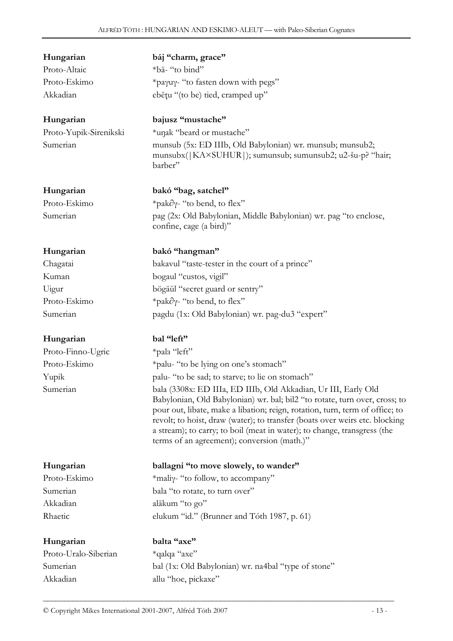| Hungarian              | báj "charm, grace"                                                                                                                                                                                                                                                                                                                                                                                                                     |
|------------------------|----------------------------------------------------------------------------------------------------------------------------------------------------------------------------------------------------------------------------------------------------------------------------------------------------------------------------------------------------------------------------------------------------------------------------------------|
| Proto-Altaic           | *bā- "to bind"                                                                                                                                                                                                                                                                                                                                                                                                                         |
| Proto-Eskimo           | *paγuγ- "to fasten down with pegs"                                                                                                                                                                                                                                                                                                                                                                                                     |
| Akkadian               | ebētu "(to be) tied, cramped up"                                                                                                                                                                                                                                                                                                                                                                                                       |
|                        |                                                                                                                                                                                                                                                                                                                                                                                                                                        |
| Hungarian              | bajusz "mustache"                                                                                                                                                                                                                                                                                                                                                                                                                      |
| Proto-Yupik-Sirenikski | *unak "beard or mustache"                                                                                                                                                                                                                                                                                                                                                                                                              |
| Sumerian               | munsub (5x: ED IIIb, Old Babylonian) wr. munsub; munsub2;<br>munsubx( KA×SUHUR ); sumunsub; sumunsub2; u2-šu-p? "hair;<br>barber"                                                                                                                                                                                                                                                                                                      |
| Hungarian              | bakó "bag, satchel"                                                                                                                                                                                                                                                                                                                                                                                                                    |
| Proto-Eskimo           | *pak∂γ- "to bend, to flex"                                                                                                                                                                                                                                                                                                                                                                                                             |
| Sumerian               | pag (2x: Old Babylonian, Middle Babylonian) wr. pag "to enclose,<br>confine, cage (a bird)"                                                                                                                                                                                                                                                                                                                                            |
| Hungarian              | bakó "hangman"                                                                                                                                                                                                                                                                                                                                                                                                                         |
| Chagatai               | bakavul "taste-tester in the court of a prince"                                                                                                                                                                                                                                                                                                                                                                                        |
| Kuman                  | bogaul "custos, vigil"                                                                                                                                                                                                                                                                                                                                                                                                                 |
| Uigur                  | bögäül "secret guard or sentry"                                                                                                                                                                                                                                                                                                                                                                                                        |
| Proto-Eskimo           | *pak $\partial y$ - "to bend, to flex"                                                                                                                                                                                                                                                                                                                                                                                                 |
| Sumerian               | pagdu (1x: Old Babylonian) wr. pag-du3 "expert"                                                                                                                                                                                                                                                                                                                                                                                        |
| Hungarian              | bal "left"                                                                                                                                                                                                                                                                                                                                                                                                                             |
| Proto-Finno-Ugric      | *pals "left"                                                                                                                                                                                                                                                                                                                                                                                                                           |
| Proto-Eskimo           | *palu- "to be lying on one's stomach"                                                                                                                                                                                                                                                                                                                                                                                                  |
| Yupik                  | palu-"to be sad; to starve; to lie on stomach"                                                                                                                                                                                                                                                                                                                                                                                         |
| Sumerian               | bala (3308x: ED IIIa, ED IIIb, Old Akkadian, Ur III, Early Old<br>Babylonian, Old Babylonian) wr. bal; bil2 "to rotate, turn over, cross; to<br>pour out, libate, make a libation; reign, rotation, turn, term of office; to<br>revolt; to hoist, draw (water); to transfer (boats over weirs etc. blocking<br>a stream); to carry; to boil (meat in water); to change, transgress (the<br>terms of an agreement); conversion (math.)" |
| Hungarian              | ballagni "to move slowely, to wander"                                                                                                                                                                                                                                                                                                                                                                                                  |
| Proto-Eskimo           | *maliγ- "to follow, to accompany"                                                                                                                                                                                                                                                                                                                                                                                                      |
| Sumerian               | bala "to rotate, to turn over"                                                                                                                                                                                                                                                                                                                                                                                                         |
| Akkadian               | alākum "to go"                                                                                                                                                                                                                                                                                                                                                                                                                         |
| Rhaetic                | elukum "id." (Brunner and Tóth 1987, p. 61)                                                                                                                                                                                                                                                                                                                                                                                            |
| Hungarian              | balta "axe"                                                                                                                                                                                                                                                                                                                                                                                                                            |
| Proto-Uralo-Siberian   | *qalqa "axe"                                                                                                                                                                                                                                                                                                                                                                                                                           |
| Sumerian               | bal (1x: Old Babylonian) wr. na4bal "type of stone"                                                                                                                                                                                                                                                                                                                                                                                    |
| Akkadian               | allu "hoe, pickaxe"                                                                                                                                                                                                                                                                                                                                                                                                                    |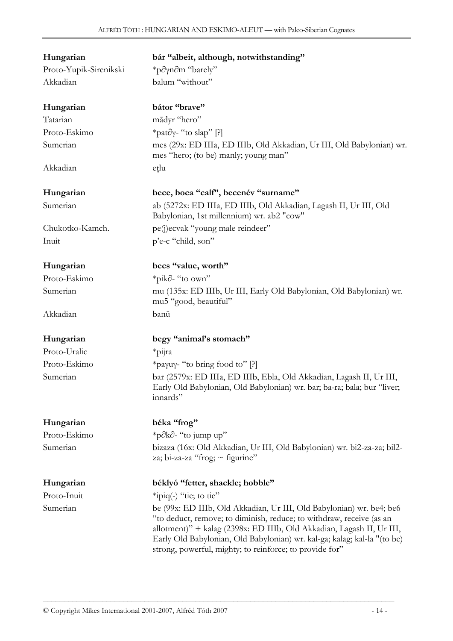| Hungarian              | bár "albeit, although, notwithstanding"                                                                                                                                                                                                                                                                                                                      |
|------------------------|--------------------------------------------------------------------------------------------------------------------------------------------------------------------------------------------------------------------------------------------------------------------------------------------------------------------------------------------------------------|
| Proto-Yupik-Sirenikski | *p∂γn∂m "barely"                                                                                                                                                                                                                                                                                                                                             |
| Akkadian               | balum "without"                                                                                                                                                                                                                                                                                                                                              |
|                        | bátor "brave"                                                                                                                                                                                                                                                                                                                                                |
| Hungarian<br>Tatarian  |                                                                                                                                                                                                                                                                                                                                                              |
|                        | mādyr "hero"                                                                                                                                                                                                                                                                                                                                                 |
| Proto-Eskimo           | *pat∂γ- "to slap" [?]                                                                                                                                                                                                                                                                                                                                        |
| Sumerian               | mes (29x: ED IIIa, ED IIIb, Old Akkadian, Ur III, Old Babylonian) wr.<br>mes "hero; (to be) manly; young man"                                                                                                                                                                                                                                                |
| Akkadian               | ețlu                                                                                                                                                                                                                                                                                                                                                         |
| Hungarian              | bece, boca "calf", becenév "surname"                                                                                                                                                                                                                                                                                                                         |
| Sumerian               | ab (5272x: ED IIIa, ED IIIb, Old Akkadian, Lagash II, Ur III, Old<br>Babylonian, 1st millennium) wr. ab2 "cow"                                                                                                                                                                                                                                               |
| Chukotko-Kamch.        | pe(j)ecvak "young male reindeer"                                                                                                                                                                                                                                                                                                                             |
| Inuit                  | p'e-c "child, son"                                                                                                                                                                                                                                                                                                                                           |
| Hungarian              | becs "value, worth"                                                                                                                                                                                                                                                                                                                                          |
| Proto-Eskimo           | *pik $\partial$ - "to own"                                                                                                                                                                                                                                                                                                                                   |
| Sumerian               | mu (135x: ED IIIb, Ur III, Early Old Babylonian, Old Babylonian) wr.<br>mu5 "good, beautiful"                                                                                                                                                                                                                                                                |
| Akkadian               | banū                                                                                                                                                                                                                                                                                                                                                         |
| Hungarian              | begy "animal's stomach"                                                                                                                                                                                                                                                                                                                                      |
| Proto-Uralic           | *pijra                                                                                                                                                                                                                                                                                                                                                       |
| Proto-Eskimo           | *paγuγ- "to bring food to" [?]                                                                                                                                                                                                                                                                                                                               |
| Sumerian               | bar (2579x: ED IIIa, ED IIIb, Ebla, Old Akkadian, Lagash II, Ur III,<br>Early Old Babylonian, Old Babylonian) wr. bar; ba-ra; bala; bur "liver;<br>innards"                                                                                                                                                                                                  |
| Hungarian              | béka "frog"                                                                                                                                                                                                                                                                                                                                                  |
| Proto-Eskimo           | * $p\partial k\partial$ - "to jump up"                                                                                                                                                                                                                                                                                                                       |
| Sumerian               | bizaza (16x: Old Akkadian, Ur III, Old Babylonian) wr. bi2-za-za; bil2-<br>za; bi-za-za "frog; ~ figurine"                                                                                                                                                                                                                                                   |
| Hungarian              | béklyó "fetter, shackle; hobble"                                                                                                                                                                                                                                                                                                                             |
| Proto-Inuit            | $*ipiq(-)$ "tie; to tie"                                                                                                                                                                                                                                                                                                                                     |
| Sumerian               | be (99x: ED IIIb, Old Akkadian, Ur III, Old Babylonian) wr. be4; be6<br>"to deduct, remove; to diminish, reduce; to withdraw, receive (as an<br>allotment)" + kalag (2398x: ED IIIb, Old Akkadian, Lagash II, Ur III,<br>Early Old Babylonian, Old Babylonian) wr. kal-ga; kalag; kal-la "(to be)<br>strong, powerful, mighty; to reinforce; to provide for" |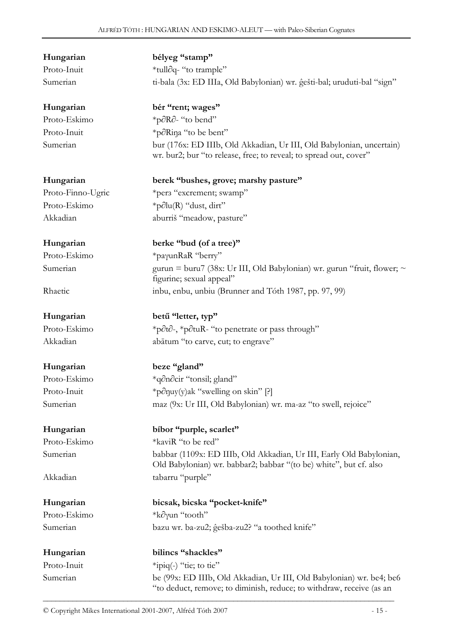Hungarian bélyeg "stamp"

Proto-Inuit \*tull∂q- "to trample" Sumerian ti-bala (3x: ED IIIa, Old Babylonian) wr. ĝešti-bal; uruduti-bal "sign" Hungarian bér "rent; wages"

Proto-Eskimo \*p∂R∂- "to bend" Proto-Inuit \*p∂Rina "to be bent" Sumerian bur (176x: ED IIIb, Old Akkadian, Ur III, Old Babylonian, uncertain) wr. bur2; bur "to release, free; to reveal; to spread out, cover"

Hungarian berek "bushes, grove; marshy pasture" Proto-Finno-Ugric \*pers "excrement; swamp" Proto-Eskimo \*p∂lu(R) "dust, dirt" Akkadian aburriš "meadow, pasture"

Hungarian berke "bud (of a tree)" Proto-Eskimo \*paγunRaR "berry" Sumerian gurun = buru7 (38x: Ur III, Old Babylonian) wr. gurun "fruit, flower;  $\sim$ figurine; sexual appeal" Rhaetic inbu, enbu, unbiu (Brunner and Tóth 1987, pp. 97, 99)

Hungarian betű "letter, typ" Proto-Eskimo \*p∂t∂-, \*p∂tuR- "to penetrate or pass through" Akkadian abātum "to carve, cut; to engrave"

Hungarian beze "gland" Proto-Eskimo \*q∂n∂cir "tonsil; gland" Proto-Inuit  $*_{\mathcal{D}}\partial_{\eta}w(\eta)$ ak "swelling on skin" [?] Sumerian maz (9x: Ur III, Old Babylonian) wr. ma-az "to swell, rejoice"

Hungarian bíbor "purple, scarlet" Proto-Eskimo \*kaviR "to be red" Sumerian babbar (1109x: ED IIIb, Old Akkadian, Ur III, Early Old Babylonian, Old Babylonian) wr. babbar2; babbar "(to be) white", but cf. also Akkadian tabarru "purple"

Hungarian bicsak, bicska "pocket-knife" Proto-Eskimo \*k∂γun "tooth" Sumerian bazu wr. ba-zu2; ĝešba-zu2? "a toothed knife"

Hungarian bilincs "shackles" Proto-Inuit \*ipiq(-) "tie; to tie" Sumerian be (99x: ED IIIb, Old Akkadian, Ur III, Old Babylonian) wr. be4; be6 "to deduct, remove; to diminish, reduce; to withdraw, receive (as an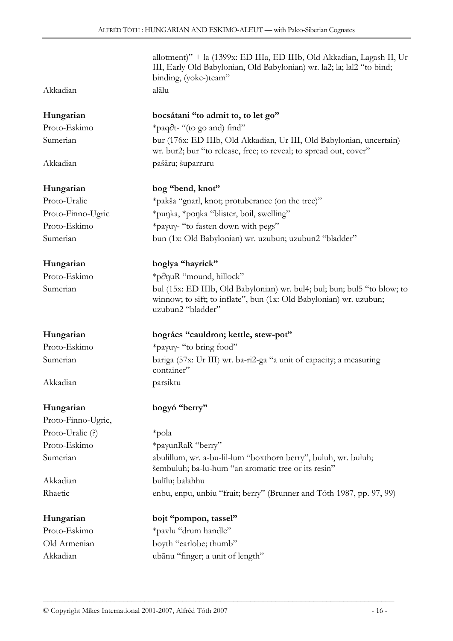|                    | allotment)" + la (1399x: ED IIIa, ED IIIb, Old Akkadian, Lagash II, Ur<br>III, Early Old Babylonian, Old Babylonian) wr. la2; la; lal2 "to bind;<br>binding, (yoke-)team" |
|--------------------|---------------------------------------------------------------------------------------------------------------------------------------------------------------------------|
| Akkadian           | alālu                                                                                                                                                                     |
| Hungarian          | bocsátani "to admit to, to let go"                                                                                                                                        |
| Proto-Eskimo       | *paq∂t- "(to go and) find"                                                                                                                                                |
| Sumerian           | bur (176x: ED IIIb, Old Akkadian, Ur III, Old Babylonian, uncertain)<br>wr. bur2; bur "to release, free; to reveal; to spread out, cover"                                 |
| Akkadian           | pašāru; šuparruru                                                                                                                                                         |
| Hungarian          | bog "bend, knot"                                                                                                                                                          |
| Proto-Uralic       | *pakša "gnarl, knot; protuberance (on the tree)"                                                                                                                          |
| Proto-Finno-Ugric  | *punka, *ponka "blister, boil, swelling"                                                                                                                                  |
| Proto-Eskimo       | *paγuγ- "to fasten down with pegs"                                                                                                                                        |
| Sumerian           | bun (1x: Old Babylonian) wr. uzubun; uzubun2 "bladder"                                                                                                                    |
| Hungarian          | boglya "hayrick"                                                                                                                                                          |
| Proto-Eskimo       | *p∂nuR "mound, hillock"                                                                                                                                                   |
| Sumerian           | bul (15x: ED IIIb, Old Babylonian) wr. bul4; bul; bun; bul5 "to blow; to<br>winnow; to sift; to inflate", bun (1x: Old Babylonian) wr. uzubun;<br>uzubun2 "bladder"       |
| Hungarian          | bogrács "cauldron; kettle, stew-pot"                                                                                                                                      |
| Proto-Eskimo       | *paγuγ- "to bring food"                                                                                                                                                   |
| Sumerian           | bariga (57x: Ur III) wr. ba-ri2-ga "a unit of capacity; a measuring<br>container"                                                                                         |
| Akkadian           | parsiktu                                                                                                                                                                  |
| Hungarian          | bogyó "berry"                                                                                                                                                             |
| Proto-Finno-Ugric, |                                                                                                                                                                           |
| Proto-Uralic (?)   | *pola                                                                                                                                                                     |
| Proto-Eskimo       | <i>*payunRaR "berry"</i>                                                                                                                                                  |
| Sumerian           | abulillum, wr. a-bu-lil-lum "boxthorn berry", buluh, wr. buluh;<br>šembuluh; ba-lu-hum "an aromatic tree or its resin"                                                    |
| Akkadian           | bulīlu; balahhu                                                                                                                                                           |
| Rhaetic            | enbu, enpu, unbiu "fruit; berry" (Brunner and Tóth 1987, pp. 97, 99)                                                                                                      |
| Hungarian          | bojt "pompon, tassel"                                                                                                                                                     |
| Proto-Eskimo       | *pavlu "drum handle"                                                                                                                                                      |
| Old Armenian       | boyth "earlobe; thumb"                                                                                                                                                    |
| Akkadian           | ubānu "finger; a unit of length"                                                                                                                                          |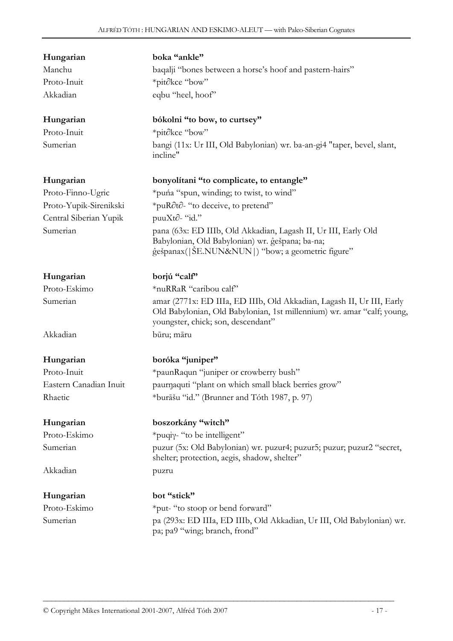| Hungarian              | boka "ankle"                                                                                                                                                                          |
|------------------------|---------------------------------------------------------------------------------------------------------------------------------------------------------------------------------------|
| Manchu                 | baqalji "bones between a horse's hoof and pastern-hairs"                                                                                                                              |
| Proto-Inuit            | *pitokce "bow"                                                                                                                                                                        |
| Akkadian               | eqbu "heel, hoof"                                                                                                                                                                     |
| Hungarian              | bókolni "to bow, to curtsey"                                                                                                                                                          |
| Proto-Inuit            | *pit∂kce "bow"                                                                                                                                                                        |
| Sumerian               | bangi (11x: Ur III, Old Babylonian) wr. ba-an-gi4 "taper, bevel, slant,<br>incline"                                                                                                   |
| Hungarian              | bonyolitani "to complicate, to entangle"                                                                                                                                              |
| Proto-Finno-Ugric      | *puńa "spun, winding; to twist, to wind"                                                                                                                                              |
| Proto-Yupik-Sirenikski | *puR∂t∂- "to deceive, to pretend"                                                                                                                                                     |
| Central Siberian Yupik | puu $Xt\partial$ - "id."                                                                                                                                                              |
| Sumerian               | pana (63x: ED IIIb, Old Akkadian, Lagash II, Ur III, Early Old<br>Babylonian, Old Babylonian) wr. ĝešpana; ba-na;<br>ĝešpanax( SE.NUN&NUN ) "bow; a geometric figure"                 |
| Hungarian              | borjú "calf"                                                                                                                                                                          |
| Proto-Eskimo           | *nuRRaR "caribou calf"                                                                                                                                                                |
| Sumerian               | amar (2771x: ED IIIa, ED IIIb, Old Akkadian, Lagash II, Ur III, Early<br>Old Babylonian, Old Babylonian, 1st millennium) wr. amar "calf; young,<br>youngster, chick; son, descendant" |
| Akkadian               | būru; māru                                                                                                                                                                            |
| Hungarian              | boróka "juniper"                                                                                                                                                                      |
| Proto-Inuit            | *paunRaqun "juniper or crowberry bush"                                                                                                                                                |
| Eastern Canadian Inuit | paurnaquti "plant on which small black berries grow"                                                                                                                                  |
| Rhaetic                | *burāšu "id." (Brunner and Tóth 1987, p. 97)                                                                                                                                          |
| Hungarian              | boszorkány "witch"                                                                                                                                                                    |
| Proto-Eskimo           | *puqiγ- "to be intelligent"                                                                                                                                                           |
| Sumerian               | puzur (5x: Old Babylonian) wr. puzur4; puzur5; puzur; puzur2 "secret,<br>shelter; protection, aegis, shadow, shelter"                                                                 |
| Akkadian               | puzru                                                                                                                                                                                 |
| Hungarian              | bot "stick"                                                                                                                                                                           |
| Proto-Eskimo           | *put- "to stoop or bend forward"                                                                                                                                                      |
| Sumerian               | pa (293x: ED IIIa, ED IIIb, Old Akkadian, Ur III, Old Babylonian) wr.<br>pa; pa9 "wing; branch, frond"                                                                                |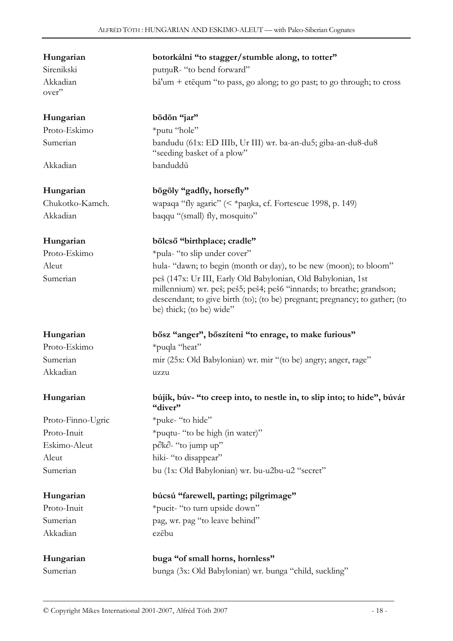| Hungarian<br>Sirenikski | botorkálni "to stagger/stumble along, to totter"<br>putnuR- "to bend forward"                                                                                                                                                                    |
|-------------------------|--------------------------------------------------------------------------------------------------------------------------------------------------------------------------------------------------------------------------------------------------|
| Akkadian<br>over"       | bâ'um + etēqum "to pass, go along; to go past; to go through; to cross                                                                                                                                                                           |
| Hungarian               | bödön "jar"                                                                                                                                                                                                                                      |
| Proto-Eskimo            | *putu "hole"                                                                                                                                                                                                                                     |
| Sumerian                | bandudu (61x: ED IIIb, Ur III) wr. ba-an-du5; giba-an-du8-du8<br>"seeding basket of a plow"                                                                                                                                                      |
| Akkadian                | banduddū                                                                                                                                                                                                                                         |
| Hungarian               | bögöly "gadfly, horsefly"                                                                                                                                                                                                                        |
| Chukotko-Kamch.         | wapaqa "fly agaric" (< *panka, cf. Fortescue 1998, p. 149)                                                                                                                                                                                       |
| Akkadian                | baqqu "(small) fly, mosquito"                                                                                                                                                                                                                    |
| Hungarian               | bölcső "birthplace; cradle"                                                                                                                                                                                                                      |
| Proto-Eskimo            | *pula- "to slip under cover"                                                                                                                                                                                                                     |
| Aleut                   | hula- "dawn; to begin (month or day), to be new (moon); to bloom"                                                                                                                                                                                |
| Sumerian                | peš (147x: Ur III, Early Old Babylonian, Old Babylonian, 1st<br>millennium) wr. peš; peš5; peš4; peš6 "innards; to breathe; grandson;<br>descendant; to give birth (to); (to be) pregnant; pregnancy; to gather; (to<br>be) thick; (to be) wide" |
| Hungarian               | bősz "anger", bőszíteni "to enrage, to make furious"                                                                                                                                                                                             |
| Proto-Eskimo            | *puqla "heat"                                                                                                                                                                                                                                    |
| Sumerian                | mir (25x: Old Babylonian) wr. mir "(to be) angry; anger, rage"                                                                                                                                                                                   |
| Akkadian                | uzzu                                                                                                                                                                                                                                             |
| Hungarian               | bújik, búv- "to creep into, to nestle in, to slip into; to hide", búvár<br>"diver"                                                                                                                                                               |
| Proto-Finno-Ugric       | *puke- "to hide"                                                                                                                                                                                                                                 |
| Proto-Inuit             | *puqtu- "to be high (in water)"                                                                                                                                                                                                                  |
| Eskimo-Aleut            | $p\partial k\partial$ - "to jump up"                                                                                                                                                                                                             |
| Aleut                   | hiki-"to disappear"                                                                                                                                                                                                                              |
| Sumerian                | bu (1x: Old Babylonian) wr. bu-u2bu-u2 "secret"                                                                                                                                                                                                  |
| Hungarian               | búcsú "farewell, parting; pilgrimage"                                                                                                                                                                                                            |
| Proto-Inuit             | *pucit- "to turn upside down"                                                                                                                                                                                                                    |
| Sumerian                | pag, wr. pag "to leave behind"                                                                                                                                                                                                                   |
| Akkadian                | ezēbu                                                                                                                                                                                                                                            |
| Hungarian               | buga "of small horns, hornless"                                                                                                                                                                                                                  |
| Sumerian                | bunga (3x: Old Babylonian) wr. bunga "child, suckling"                                                                                                                                                                                           |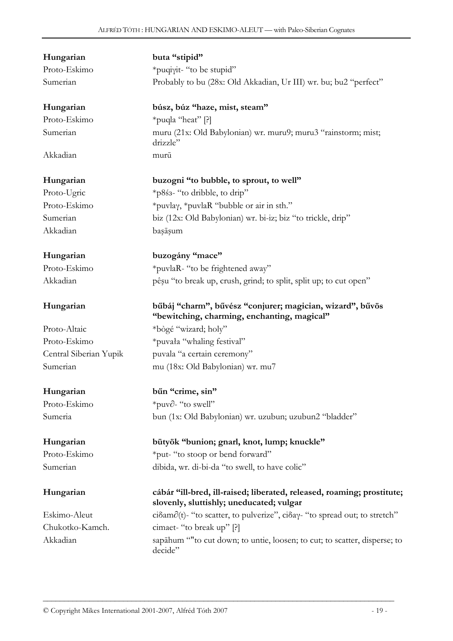| Hungarian<br>Proto-Eskimo | buta "stipid"<br>*puqiyit- "to be stupid"                                                                          |
|---------------------------|--------------------------------------------------------------------------------------------------------------------|
| Sumerian                  | Probably to bu (28x: Old Akkadian, Ur III) wr. bu; bu2 "perfect"                                                   |
| Hungarian                 | búsz, búz "haze, mist, steam"                                                                                      |
| Proto-Eskimo              | *puqla "heat" [?]                                                                                                  |
| Sumerian                  | muru (21x: Old Babylonian) wr. muru9; muru3 "rainstorm; mist;<br>drizzle"                                          |
| Akkadian                  | murū                                                                                                               |
| Hungarian                 | buzogni "to bubble, to sprout, to well"                                                                            |
| Proto-Ugric               | *p8ś3- "to dribble, to drip"                                                                                       |
| Proto-Eskimo              | *puvlay, *puvlaR "bubble or air in sth."                                                                           |
| Sumerian                  | biz (12x: Old Babylonian) wr. bi-iz; biz "to trickle, drip"                                                        |
| Akkadian                  | başāşum                                                                                                            |
| Hungarian                 | buzogány "mace"                                                                                                    |
| Proto-Eskimo              | *puvlaR- "to be frightened away"                                                                                   |
| Akkadian                  | pêșu "to break up, crush, grind; to split, split up; to cut open"                                                  |
| Hungarian                 | bűbáj "charm", bűvész "conjurer; magician, wizard", bűvös<br>"bewitching, charming, enchanting, magical"           |
| Proto-Altaic              | *bògé "wizard; holy"                                                                                               |
| Proto-Eskimo              | *puvała "whaling festival"                                                                                         |
| Central Siberian Yupik    | puvala "a certain ceremony"                                                                                        |
| Sumerian                  | mu (18x: Old Babylonian) wr. mu7                                                                                   |
| Hungarian                 | bűn "crime, sin"                                                                                                   |
| Proto-Eskimo              | *puv $\partial$ - "to swell"                                                                                       |
| Sumeria                   | bun (1x: Old Babylonian) wr. uzubun; uzubun2 "bladder"                                                             |
| Hungarian                 | bütyök "bunion; gnarl, knot, lump; knuckle"                                                                        |
| Proto-Eskimo              | *put- "to stoop or bend forward"                                                                                   |
| Sumerian                  | dibida, wr. di-bi-da "to swell, to have colic"                                                                     |
| Hungarian                 | cábár "ill-bred, ill-raised; liberated, released, roaming; prostitute;<br>slovenly, sluttishly; uneducated; vulgar |
| Eskimo-Aleut              | ci $\delta$ am $\partial$ (t)- "to scatter, to pulverize", ci $\delta$ ay- "to spread out; to stretch"             |
| Chukotko-Kamch.           | cimaet- "to break up" [?]                                                                                          |
| Akkadian                  | sapāhum ""to cut down; to untie, loosen; to cut; to scatter, disperse; to<br>decide"                               |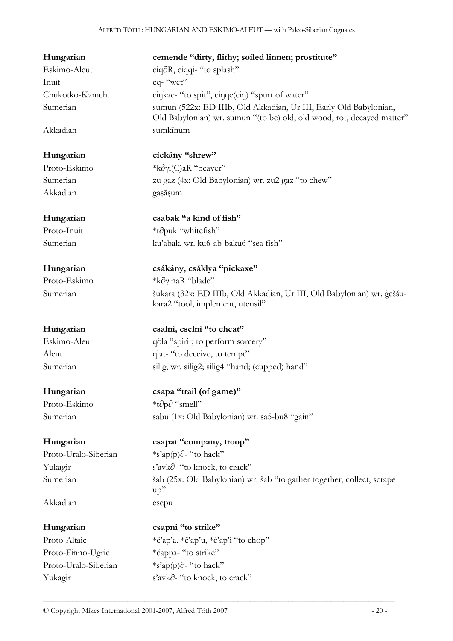| Hungarian            | cemende "dirty, flithy; soiled linnen; prostitute"                                                                                          |
|----------------------|---------------------------------------------------------------------------------------------------------------------------------------------|
| Eskimo-Aleut         | ciq∂R, ciqqi- "to splash"                                                                                                                   |
| Inuit                | cq-"wet"                                                                                                                                    |
| Chukotko-Kamch.      | cinkae- "to spit", cinqe(cin) "spurt of water"                                                                                              |
| Sumerian             | sumun (522x: ED IIIb, Old Akkadian, Ur III, Early Old Babylonian,<br>Old Babylonian) wr. sumun "(to be) old; old wood, rot, decayed matter" |
| Akkadian             | sumkīnum                                                                                                                                    |
| Hungarian            | cickány "shrew"                                                                                                                             |
| Proto-Eskimo         | *k∂γi(C)aR "beaver"                                                                                                                         |
| Sumerian             | zu gaz (4x: Old Babylonian) wr. zu2 gaz "to chew"                                                                                           |
| Akkadian             | gașāșum                                                                                                                                     |
| Hungarian            | csabak "a kind of fish"                                                                                                                     |
| Proto-Inuit          | *t∂puk "whitefish"                                                                                                                          |
| Sumerian             | ku'abak, wr. ku6-ab-baku6 "sea fish"                                                                                                        |
| Hungarian            | csákány, csáklya "pickaxe"                                                                                                                  |
| Proto-Eskimo         | <i>*k∂γinaR</i> "blade"                                                                                                                     |
| Sumerian             | šukara (32x: ED IIIb, Old Akkadian, Ur III, Old Babylonian) wr. ĝeššu-<br>kara2 "tool, implement, utensil"                                  |
| Hungarian            | csalni, cselni "to cheat"                                                                                                                   |
| Eskimo-Aleut         | qola "spirit; to perform sorcery"                                                                                                           |
| Aleut                | qlat-"to deceive, to tempt"                                                                                                                 |
| Sumerian             | silig, wr. silig2; silig4 "hand; (cupped) hand"                                                                                             |
| Hungarian            | csapa "trail (of game)"                                                                                                                     |
| Proto-Eskimo         | *t∂p∂ "smell"                                                                                                                               |
| Sumerian             | sabu (1x: Old Babylonian) wr. sa5-bu8 "gain"                                                                                                |
| Hungarian            | csapat "company, troop"                                                                                                                     |
| Proto-Uralo-Siberian | *s'ap(p) $\partial$ - "to hack"                                                                                                             |
| Yukagir              | s'avkô- "to knock, to crack"                                                                                                                |
| Sumerian             | šab (25x: Old Babylonian) wr. šab "to gather together, collect, scrape<br>up''                                                              |
| Akkadian             | esēpu                                                                                                                                       |
| Hungarian            | csapni "to strike"                                                                                                                          |
| Proto-Altaic         | *č'ap'a, *č'ap'u, *č'ap'i "to chop"                                                                                                         |
| Proto-Finno-Ugric    | *ćapp3- "to strike"                                                                                                                         |

### Hungaria

### Hungaria

### Hungaria

### Hungaria

### Hungaria

### Hungaria

### Hungaria

Proto-Alta Proto-Uralo-Siberian \*s'ap(p)∂- "to hack" Yukagir s'avk∂- "to knock, to crack"

\_\_\_\_\_\_\_\_\_\_\_\_\_\_\_\_\_\_\_\_\_\_\_\_\_\_\_\_\_\_\_\_\_\_\_\_\_\_\_\_\_\_\_\_\_\_\_\_\_\_\_\_\_\_\_\_\_\_\_\_\_\_\_\_\_\_\_\_\_\_\_\_\_\_\_\_\_\_\_\_\_\_\_ © Copyright Mikes International 2001-2007, Alfréd Tóth 2007 - 20 -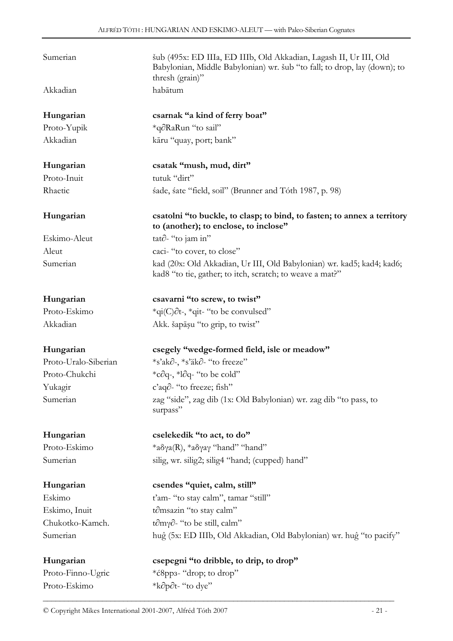| Sumerian             | šub (495x: ED IIIa, ED IIIb, Old Akkadian, Lagash II, Ur III, Old<br>Babylonian, Middle Babylonian) wr. šub "to fall; to drop, lay (down); to<br>thresh (grain)" |
|----------------------|------------------------------------------------------------------------------------------------------------------------------------------------------------------|
| Akkadian             | habātum                                                                                                                                                          |
| Hungarian            | csarnak "a kind of ferry boat"                                                                                                                                   |
| Proto-Yupik          | *q∂RaRun "to sail"                                                                                                                                               |
| Akkadian             | kāru "quay, port; bank"                                                                                                                                          |
| Hungarian            | csatak "mush, mud, dirt"                                                                                                                                         |
| Proto-Inuit          | tutuk "dirt"                                                                                                                                                     |
| Rhaetic              | sade, sate "field, soil" (Brunner and Toth 1987, p. 98)                                                                                                          |
| Hungarian            | csatolni "to buckle, to clasp; to bind, to fasten; to annex a territory<br>to (another); to enclose, to inclose"                                                 |
| Eskimo-Aleut         | $\text{tat} \partial$ - "to jam in"                                                                                                                              |
| Aleut                | caci-"to cover, to close"                                                                                                                                        |
| Sumerian             | kad (20x: Old Akkadian, Ur III, Old Babylonian) wr. kad5; kad4; kad6;<br>kad8 "to tie, gather; to itch, scratch; to weave a mat?"                                |
| Hungarian            | csavarni "to screw, to twist"                                                                                                                                    |
| Proto-Eskimo         | *qi(C) $\partial t$ -, *qit- "to be convulsed"                                                                                                                   |
| Akkadian             | Akk. šapāșu "to grip, to twist"                                                                                                                                  |
| Hungarian            | csegely "wedge-formed field, isle or meadow"                                                                                                                     |
| Proto-Uralo-Siberian | *s'ak∂-, *s'äk∂- "to freeze"                                                                                                                                     |
| Proto-Chukchi        | * $c\partial q$ -, * $l\partial q$ - "to be cold"                                                                                                                |
| Yukagir              | $c'aq\partial$ - "to freeze; fish"                                                                                                                               |
| Sumerian             | zag "side", zag dib (1x: Old Babylonian) wr. zag dib "to pass, to<br>surpass"                                                                                    |
| Hungarian            | cselekedik "to act, to do"                                                                                                                                       |
| Proto-Eskimo         | $*$ αδγα(R), $*$ αδγαγ "hand" "hand"                                                                                                                             |
| Sumerian             | silig, wr. silig2; silig4 "hand; (cupped) hand"                                                                                                                  |
| Hungarian            | csendes "quiet, calm, still"                                                                                                                                     |
| Eskimo               | t'am- "to stay calm", tamar "still"                                                                                                                              |
| Eskimo, Inuit        | to stay calm"                                                                                                                                                    |
| Chukotko-Kamch.      | t∂mγ $\partial$ - "to be still, calm"                                                                                                                            |
| Sumerian             | huĝ (5x: ED IIIb, Old Akkadian, Old Babylonian) wr. huĝ "to pacify"                                                                                              |
| Hungarian            | csepegni "to dribble, to drip, to drop"                                                                                                                          |
| Proto-Finno-Ugric    | *ć8pp3- "drop; to drop"                                                                                                                                          |
| Proto-Eskimo         | *k∂p∂t- "to dye"                                                                                                                                                 |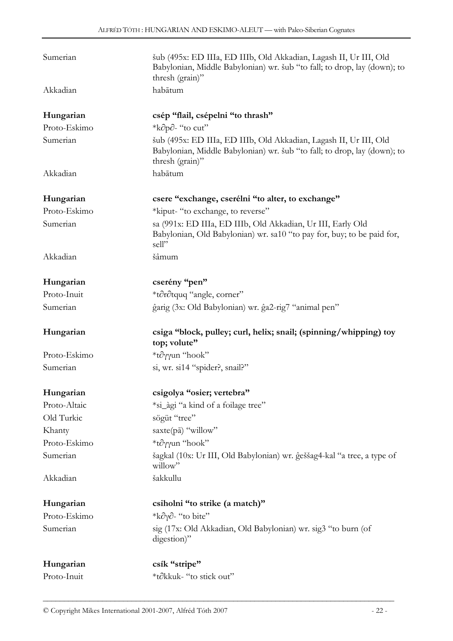| Sumerian     | šub (495x: ED IIIa, ED IIIb, Old Akkadian, Lagash II, Ur III, Old<br>Babylonian, Middle Babylonian) wr. šub "to fall; to drop, lay (down); to<br>thresh (grain)" |
|--------------|------------------------------------------------------------------------------------------------------------------------------------------------------------------|
| Akkadian     | habātum                                                                                                                                                          |
| Hungarian    | csép "flail, csépelni "to thrash"                                                                                                                                |
| Proto-Eskimo | * $k\partial p\partial$ - "to cut"                                                                                                                               |
| Sumerian     | šub (495x: ED IIIa, ED IIIb, Old Akkadian, Lagash II, Ur III, Old<br>Babylonian, Middle Babylonian) wr. šub "to fall; to drop, lay (down); to<br>thresh (grain)" |
| Akkadian     | habātum                                                                                                                                                          |
| Hungarian    | csere "exchange, cserélni "to alter, to exchange"                                                                                                                |
| Proto-Eskimo | *kiput- "to exchange, to reverse"                                                                                                                                |
| Sumerian     | sa (991x: ED IIIa, ED IIIb, Old Akkadian, Ur III, Early Old<br>Babylonian, Old Babylonian) wr. sa10 "to pay for, buy; to be paid for,<br>sell"                   |
| Akkadian     | šâmum                                                                                                                                                            |
| Hungarian    | cserény "pen"                                                                                                                                                    |
| Proto-Inuit  | *t∂r∂tquq "angle, corner"                                                                                                                                        |
| Sumerian     | ĝarig (3x: Old Babylonian) wr. ĝa2-rig7 "animal pen"                                                                                                             |
| Hungarian    | csiga "block, pulley; curl, helix; snail; (spinning/whipping) toy<br>top; volute"                                                                                |
| Proto-Eskimo | *t∂γγun "hook"                                                                                                                                                   |
| Sumerian     | si, wr. si14 "spider?, snail?"                                                                                                                                   |
| Hungarian    | csigolya "osier; vertebra"                                                                                                                                       |
| Proto-Altaic | *si_àgi "a kind of a foilage tree"                                                                                                                               |
| Old Turkic   | sögüt "tree"                                                                                                                                                     |
| Khanty       | saxte(pā) "willow"                                                                                                                                               |
| Proto-Eskimo | *t∂γγun "hook"                                                                                                                                                   |
| Sumerian     | šagkal (10x: Ur III, Old Babylonian) wr. ĝeššag4-kal "a tree, a type of<br>willow"                                                                               |
| Akkadian     | šakkullu                                                                                                                                                         |
| Hungarian    | csiholni "to strike (a match)"                                                                                                                                   |
| Proto-Eskimo | *k∂γ∂- "to bite"                                                                                                                                                 |
| Sumerian     | sig (17x: Old Akkadian, Old Babylonian) wr. sig3 "to burn (of<br>digestion)"                                                                                     |
| Hungarian    | csík "stripe"                                                                                                                                                    |
| Proto-Inuit  | *t∂kkuk- "to stick out"                                                                                                                                          |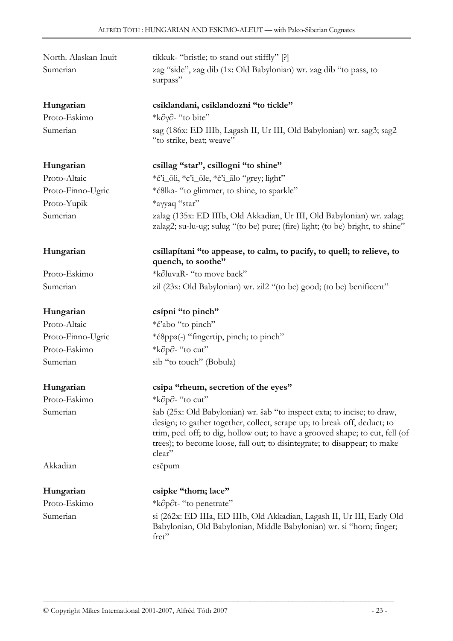North. Alaskan Inuit Sumerian

#### Hungarian

Proto-Eskimo Sumerian

### Hungarian

Proto-Altaic Proto-Finno-Ugric Proto-Yupik Sumerian

### Hungarian

Proto-Eskimo Sumerian

#### Hungarian

Proto-Altaic Proto-Finno-Ugric Proto-Eskimo Sumerian

#### Hungarian

Proto-Eskimo Sumerian

Akkadian

Hungarian Proto-Eskimo

Sumerian

tikkuk- "bristle; to stand out stiffly" [?] zag "side", zag dib (1x: Old Babylonian) wr. zag dib "to pass, to surpass"

csiklandani, csiklandozni "to tickle" \*k∂γ∂- "to bite" sag (186x: ED IIIb, Lagash II, Ur III, Old Babylonian) wr. sag3; sag2 "to strike, beat; weave"

#### csillag "star", csillogni "to shine"

\*č'i\_ōli, \*c'i\_ōle, \*č'i\_ālo "grey; light" \*ć8lk3- "to glimmer, to shine, to sparkle" \*aγyaq "star" zalag (135x: ED IIIb, Old Akkadian, Ur III, Old Babylonian) wr. zalag; zalag2; su-lu-ug; sulug "(to be) pure; (fire) light; (to be) bright, to shine"

### csillapítani "to appease, to calm, to pacify, to quell; to relieve, to quench, to soothe"

\*kolluvaR- "to move back" zil (23x: Old Babylonian) wr. zil2 "(to be) good; (to be) benificent"

### csípni "to pinch" \*č'abo "to pinch" \*c8pp3(-) "fingertip, pinch; to pinch" \*k∂p∂- "to cut" sib "to touch" (Bobula)

#### csipa "rheum, secretion of the eyes"

\* $k\partial p\partial$ - "to cut"

šab (25x: Old Babylonian) wr. šab "to inspect exta; to incise; to draw, design; to gather together, collect, scrape up; to break off, deduct; to trim, peel off; to dig, hollow out; to have a grooved shape; to cut, fell (of trees); to become loose, fall out; to disintegrate; to disappear; to make clear"

esēpum

csipke "thorn; lace"

\*k∂p∂t- "to penetrate"

si (262x: ED IIIa, ED IIIb, Old Akkadian, Lagash II, Ur III, Early Old Babylonian, Old Babylonian, Middle Babylonian) wr. si "horn; finger; fret"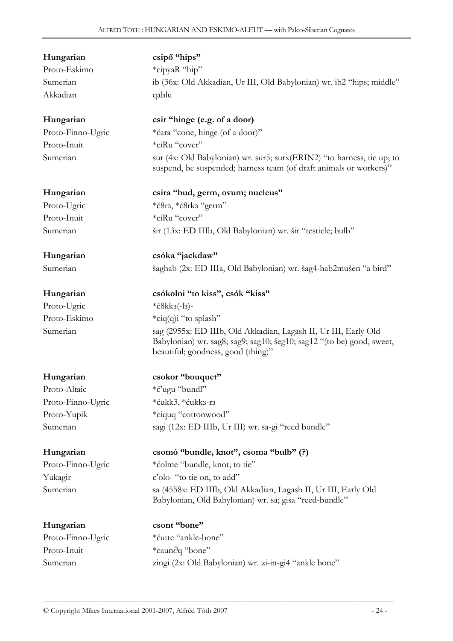### Hungarian csipő "hips"

Proto-Eskimo \*cipyaR "hip" Akkadian qablu

Proto-Inuit \*ciRu "cover"

Proto-Ugric \*ć8kk3(-l<sub>3</sub>)-

Proto-Altaic \*č'ugu "bundl" Proto-Finno-Ugric \*ćukk3, \*ćukk3-r3

Proto-Inuit \*caun∂q "bone"

# Sumerian ib (36x: Old Akkadian, Ur III, Old Babylonian) wr. ib2 "hips; middle" Hungarian csir "hinge (e.g. of a door)

Proto-Finno-Ugric \*ćara "cone, hinge (of a door)" Sumerian sur (4x: Old Babylonian) wr. sur5; surx(ERIN2) "to harness, tie up; to suspend, be suspended; harness team (of draft animals or workers)"

### Hungarian csira "bud, germ, ovum; nucleus" Proto-Ugric \*ć8rs, \*ć8rks "germ"

Proto-Inuit \*ciRu "cover" Sumerian šir (13x: ED IIIb, Old Babylonian) wr. šir "testicle; bulb"

Hungarian csóka "jackdaw" Sumerian šaghab (2x: ED IIIa, Old Babylonian) wr. šag4-hab2mušen "a bird"

# Hungarian csókolni "to kiss", csók "kiss"

Proto-Eskimo  $*{c}iq(q)i$  "to splash" Sumerian sag (2955x: ED IIIb, Old Akkadian, Lagash II, Ur III, Early Old Babylonian) wr. sag8; sag9; sag10; šeg10; sag12 "(to be) good, sweet, beautiful; goodness, good (thing)"

# Hungarian csokor "bouquet"

Proto-Yupik \*ciquq "cottonwood" Sumerian sagi (12x: ED IIIb, Ur III) wr. sa-gi "reed bundle"

### Hungarian csomó "bundle, knot", csoma "bulb" (?)

Proto-Finno-Ugric \*ćolme "bundle, knot; to tie" Yukagir c'olo- "to tie on, to add" Sumerian sa (4558x: ED IIIb, Old Akkadian, Lagash II, Ur III, Early Old Babylonian, Old Babylonian) wr. sa; gisa "reed-bundle"

Hungarian csont "bone" Proto-Finno-Ugric \* cutte "ankle-bone" Sumerian zingi (2x: Old Babylonian) wr. zi-in-gi4 "ankle bone"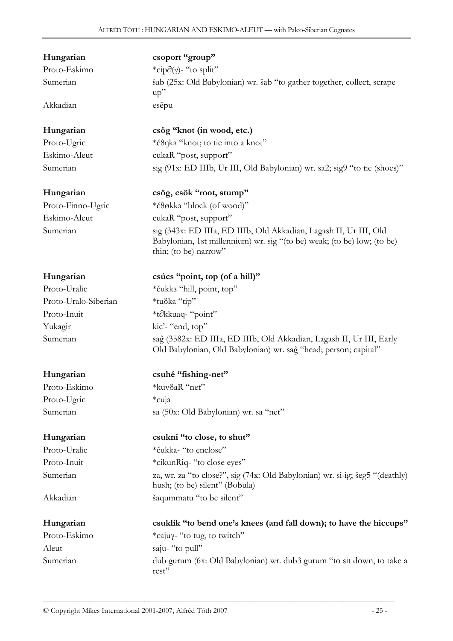#### Hungarian csoport "group"

Proto-Eskimo  $*{cip}\partial(\gamma)$ - "to split" Sumerian šab (25x: Old Babylonian) wr. šab "to gather together, collect, scrape up" Akkadian esēpu

### Hungarian csúcs "point, top (of a hill)"

Proto-Uralic \*ćukk<sub>3</sub> "hill, point, top" Proto-Uralo-Siberian \*tuδka "tip" Proto-Inuit \*t∂kkuaq- "point" Yukagir kic'- "end, top"

Proto-Eskimo \*kuv $\delta aR$  "net" Proto-Ugric \*cuja

Hungarian csög "knot (in wood, etc.) Proto-Ugric \*ć8ŋkɜ "knot; to tie into a knot" Eskimo-Aleut cukaR "post, support" Sumerian sig (91x: ED IIIb, Ur III, Old Babylonian) wr. sa2; sig9 "to tie (shoes)"

### Hungarian csög, csök "root, stump" Proto-Finno-Ugric \*č8økk3 "block (of wood)" Eskimo-Aleut cukaR "post, support" Sumerian sig (343x: ED IIIa, ED IIIb, Old Akkadian, Lagash II, Ur III, Old

Babylonian, 1st millennium) wr. sig "(to be) weak; (to be) low; (to be) thin; (to be) narrow"

Sumerian saĝ (3582x: ED IIIa, ED IIIb, Old Akkadian, Lagash II, Ur III, Early Old Babylonian, Old Babylonian) wr. saĝ "head; person; capital"

### Hungarian csuhé "fishing-net"

Sumerian sa (50x: Old Babylonian) wr. sa "net"

Hungarian csukni "to close, to shut" Proto-Uralic \*čukka- "to enclose" Proto-Inuit \*cikunRiq- "to close eyes" Sumerian za, wr. za "to close?", sig (74x: Old Babylonian) wr. si-ig; šeg5 "(deathly) hush; (to be) silent" (Bobula) Akkadian šaqummatu "to be silent"

### Hungarian csuklik "to bend one's knees (and fall down); to have the hiccups" Proto-Eskimo \*cajuγ- "to tug, to twitch" Aleut saju- "to pull" Sumerian dub gurum (6x: Old Babylonian) wr. dub3 gurum "to sit down, to take a rest"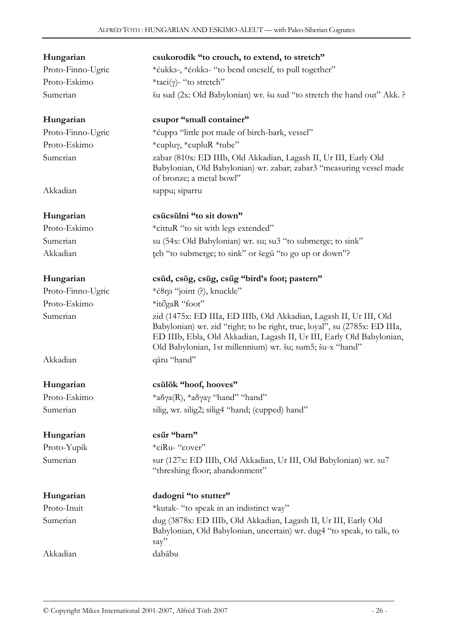| Hungarian<br>Proto-Finno-Ugric | csukorodik "to crouch, to extend, to stretch"<br>*ćukk3-, *ćokk3- "to bend oneself, to pull together"                                                                                                                                                                                  |
|--------------------------------|----------------------------------------------------------------------------------------------------------------------------------------------------------------------------------------------------------------------------------------------------------------------------------------|
| Proto-Eskimo                   | *taci(y)- "to stretch"                                                                                                                                                                                                                                                                 |
| Sumerian                       | šu sud (2x: Old Babylonian) wr. šu sud "to stretch the hand out" Akk. ?                                                                                                                                                                                                                |
| Hungarian                      | csupor "small container"                                                                                                                                                                                                                                                               |
| Proto-Finno-Ugric              | *cupps "little pot made of birch-bark, vessel"                                                                                                                                                                                                                                         |
| Proto-Eskimo                   | *cupluγ, *cupluR *tube"                                                                                                                                                                                                                                                                |
| Sumerian                       | zabar (810x: ED IIIb, Old Akkadian, Lagash II, Ur III, Early Old<br>Babylonian, Old Babylonian) wr. zabar; zabar3 "measuring vessel made<br>of bronze; a metal bowl"                                                                                                                   |
| Akkadian                       | sappu; siparru                                                                                                                                                                                                                                                                         |
| Hungarian                      | csücsülni "to sit down"                                                                                                                                                                                                                                                                |
| Proto-Eskimo                   | *cittuR "to sit with legs extended"                                                                                                                                                                                                                                                    |
| Sumerian                       | su (54x: Old Babylonian) wr. su; su3 "to submerge; to sink"                                                                                                                                                                                                                            |
| Akkadian                       | teb "to submerge; to sink" or šegū "to go up or down"?                                                                                                                                                                                                                                 |
| Hungarian                      | csüd, csög, csüg, csűg "bird's foot; pastern"                                                                                                                                                                                                                                          |
| Proto-Finno-Ugric              | *ć8n3 "joint (?), knuckle"                                                                                                                                                                                                                                                             |
| Proto-Eskimo                   | *it∂gaR "foot"                                                                                                                                                                                                                                                                         |
| Sumerian                       | zid (1475x: ED IIIa, ED IIIb, Old Akkadian, Lagash II, Ur III, Old<br>Babylonian) wr. zid "right; to be right, true, loyal", su (2785x: ED IIIa,<br>ED IIIb, Ebla, Old Akkadian, Lagash II, Ur III, Early Old Babylonian,<br>Old Babylonian, 1st millennium) wr. šu; sum5; šu-x "hand" |
| Akkadian                       | qātu "hand"                                                                                                                                                                                                                                                                            |
| Hungarian                      | csülök "hoof, hooves"                                                                                                                                                                                                                                                                  |
| Proto-Eskimo                   | $*$ αδγα(R), $*$ αδγαγ "hand" "hand"                                                                                                                                                                                                                                                   |
| Sumerian                       | silig, wr. silig2; silig4 "hand; (cupped) hand"                                                                                                                                                                                                                                        |
| Hungarian                      | csűr "barn"                                                                                                                                                                                                                                                                            |
| Proto-Yupik                    | *ciRu- "cover"                                                                                                                                                                                                                                                                         |
| Sumerian                       | sur (127x: ED IIIb, Old Akkadian, Ur III, Old Babylonian) wr. su7<br>"threshing floor; abandonment"                                                                                                                                                                                    |
| Hungarian                      | dadogni "to stutter"                                                                                                                                                                                                                                                                   |
| Proto-Inuit                    | *kutak- "to speak in an indistinct way"                                                                                                                                                                                                                                                |
| Sumerian                       | dug (3878x: ED IIIb, Old Akkadian, Lagash II, Ur III, Early Old<br>Babylonian, Old Babylonian, uncertain) wr. dug4 "to speak, to talk, to<br>$\text{say}$ "                                                                                                                            |
| Akkadian                       | dabābu                                                                                                                                                                                                                                                                                 |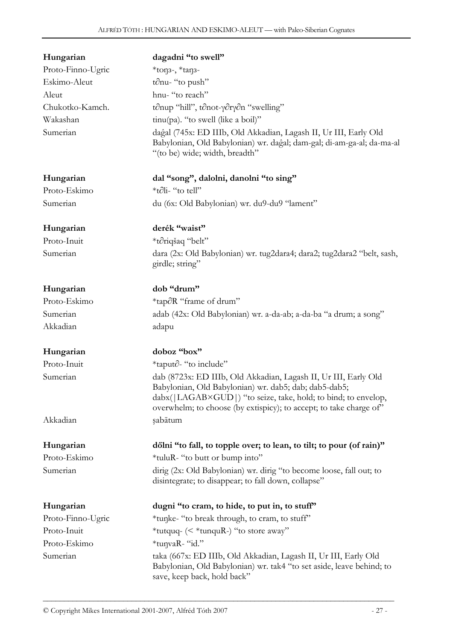| Hungarian         | dagadni "to swell"                                                                                                                                                                                                                                              |
|-------------------|-----------------------------------------------------------------------------------------------------------------------------------------------------------------------------------------------------------------------------------------------------------------|
| Proto-Finno-Ugric | $*$ ton <sup>3</sup> -, $*$ tan <sup>3</sup> -                                                                                                                                                                                                                  |
| Eskimo-Aleut      | $t\partial$ nu-"to push"                                                                                                                                                                                                                                        |
| Aleut             | hnu-"to reach"                                                                                                                                                                                                                                                  |
| Chukotko-Kamch.   | t∂nup "hill", t∂not-γ∂rγ∂n "swelling"                                                                                                                                                                                                                           |
| Wakashan          | tinu(pa). "to swell (like a boil)"                                                                                                                                                                                                                              |
| Sumerian          | daĝal (745x: ED IIIb, Old Akkadian, Lagash II, Ur III, Early Old                                                                                                                                                                                                |
|                   | Babylonian, Old Babylonian) wr. dagal; dam-gal; di-am-ga-al; da-ma-al<br>"(to be) wide; width, breadth"                                                                                                                                                         |
| Hungarian         | dal "song", dalolni, danolni "to sing"                                                                                                                                                                                                                          |
| Proto-Eskimo      | *t∂li- "to tell"                                                                                                                                                                                                                                                |
| Sumerian          | du (6x: Old Babylonian) wr. du9-du9 "lament"                                                                                                                                                                                                                    |
| Hungarian         | derék "waist"                                                                                                                                                                                                                                                   |
| Proto-Inuit       | *t∂riqšaq "belt"                                                                                                                                                                                                                                                |
| Sumerian          | dara (2x: Old Babylonian) wr. tug2dara4; dara2; tug2dara2 "belt, sash,<br>girdle; string"                                                                                                                                                                       |
| Hungarian         | dob "drum"                                                                                                                                                                                                                                                      |
| Proto-Eskimo      | *tap∂R "frame of drum"                                                                                                                                                                                                                                          |
| Sumerian          | adab (42x: Old Babylonian) wr. a-da-ab; a-da-ba "a drum; a song"                                                                                                                                                                                                |
| Akkadian          | adapu                                                                                                                                                                                                                                                           |
| Hungarian         | doboz "box"                                                                                                                                                                                                                                                     |
| Proto-Inuit       | *taput∂- "to include"                                                                                                                                                                                                                                           |
| Sumerian          | dab (8723x: ED IIIb, Old Akkadian, Lagash II, Ur III, Early Old<br>Babylonian, Old Babylonian) wr. dab5; dab; dab5-dab5;<br>dabx( LAGAB×GUD ) "to seize, take, hold; to bind; to envelop,<br>overwhelm; to choose (by extispicy); to accept; to take charge of" |
| Akkadian          | şabātum                                                                                                                                                                                                                                                         |
| Hungarian         | dőlni "to fall, to topple over; to lean, to tilt; to pour (of rain)"                                                                                                                                                                                            |
| Proto-Eskimo      | *tuluR- "to butt or bump into"                                                                                                                                                                                                                                  |
| Sumerian          | dirig (2x: Old Babylonian) wr. dirig "to become loose, fall out; to<br>disintegrate; to disappear; to fall down, collapse"                                                                                                                                      |
| Hungarian         | dugni "to cram, to hide, to put in, to stuff"                                                                                                                                                                                                                   |
| Proto-Finno-Ugric | *tunke- "to break through, to cram, to stuff"                                                                                                                                                                                                                   |
| Proto-Inuit       | *tutquq- (< *tunquR-) "to store away"                                                                                                                                                                                                                           |
| Proto-Eskimo      | *tunvaR- "id."                                                                                                                                                                                                                                                  |
| Sumerian          | taka (667x: ED IIIb, Old Akkadian, Lagash II, Ur III, Early Old<br>Babylonian, Old Babylonian) wr. tak4 "to set aside, leave behind; to<br>save, keep back, hold back"                                                                                          |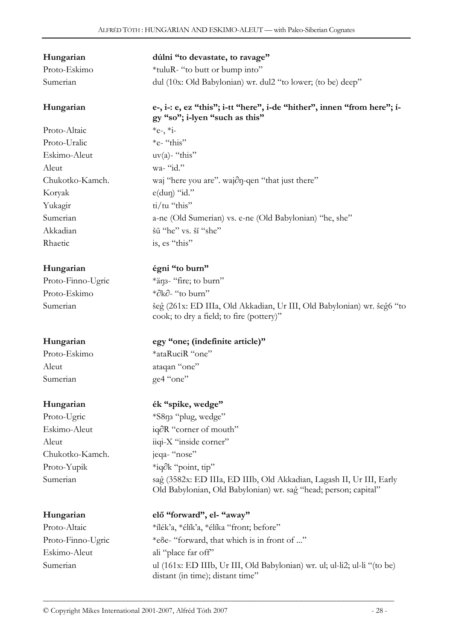| Hungarian         | dúlni "to devastate, to ravage"                                                                                                         |
|-------------------|-----------------------------------------------------------------------------------------------------------------------------------------|
| Proto-Eskimo      | *tuluR- "to butt or bump into"                                                                                                          |
| Sumerian          | dul (10x: Old Babylonian) wr. dul2 "to lower; (to be) deep"                                                                             |
| Hungarian         | e-, i-: e, ez "this"; i-tt "here", i-de "hither", innen "from here"; i-<br>gy "so"; i-lyen "such as this"                               |
| Proto-Altaic      | $*_e$ -, $*_i$ -                                                                                                                        |
| Proto-Uralic      | *e- "this"                                                                                                                              |
| Eskimo-Aleut      | $uv(a)$ - "this"                                                                                                                        |
| Aleut             | wa- "id."                                                                                                                               |
| Chukotko-Kamch.   | waj "here you are". waj $\partial$ n-qen "that just there"                                                                              |
| Koryak            | $e(du\eta)$ "id."                                                                                                                       |
| Yukagir           | $\frac{t}{t}$ / $\frac{t}{t}$ this"                                                                                                     |
| Sumerian          | a-ne (Old Sumerian) vs. e-ne (Old Babylonian) "he, she"                                                                                 |
| Akkadian          | šū "he" vs. šī "she"                                                                                                                    |
| Rhaetic           | is, es "this"                                                                                                                           |
| Hungarian         | égni "to burn"                                                                                                                          |
| Proto-Finno-Ugric | *än3- "fire; to burn"                                                                                                                   |
| Proto-Eskimo      | $*\partial k\partial$ - "to burn"                                                                                                       |
| Sumerian          | šeĝ (261x: ED IIIa, Old Akkadian, Ur III, Old Babylonian) wr. šeĝ6 "to<br>cook; to dry a field; to fire (pottery)"                      |
| Hungarian         | egy "one; (indefinite article)"                                                                                                         |
| Proto-Eskimo      | *ataRuciR "one"                                                                                                                         |
| Aleut             | ataqan "one"                                                                                                                            |
| Sumerian          | ge4 "one"                                                                                                                               |
| Hungarian         | ék "spike, wedge"                                                                                                                       |
| Proto-Ugric       | *S8n3 "plug, wedge"                                                                                                                     |
| Eskimo-Aleut      | iq∂R "corner of mouth"                                                                                                                  |
| Aleut             | iiqi-X "inside corner"                                                                                                                  |
| Chukotko-Kamch.   | jeqa- "nose"                                                                                                                            |
| Proto-Yupik       | *iq∂k "point, tip"                                                                                                                      |
| Sumerian          | saĝ (3582x: ED IIIa, ED IIIb, Old Akkadian, Lagash II, Ur III, Early<br>Old Babylonian, Old Babylonian) wr. sag "head; person; capital" |
| Hungarian         | elő "forward", el- "away"                                                                                                               |
| Proto-Altaic      | *ílék'a, *élík'a, *élíka "front; before"                                                                                                |
| Proto-Finno-Ugric | *e&e- "forward, that which is in front of "                                                                                             |
| Eskimo-Aleut      | ali "place far off"                                                                                                                     |
| Sumerian          | ul (161x: ED IIIb, Ur III, Old Babylonian) wr. ul; ul-li2; ul-li "(to be)<br>distant (in time); distant time"                           |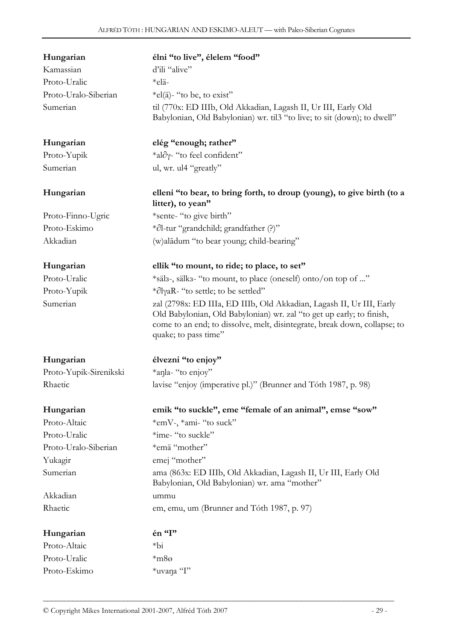| Hungarian              | élni "to live", élelem "food"                                                                                                                                                                                                                     |
|------------------------|---------------------------------------------------------------------------------------------------------------------------------------------------------------------------------------------------------------------------------------------------|
| Kamassian              | d'ili "alive"                                                                                                                                                                                                                                     |
| Proto-Uralic           | *elä-                                                                                                                                                                                                                                             |
| Proto-Uralo-Siberian   | *el(ä)- "to be, to exist"                                                                                                                                                                                                                         |
| Sumerian               | til (770x: ED IIIb, Old Akkadian, Lagash II, Ur III, Early Old<br>Babylonian, Old Babylonian) wr. til3 "to live; to sit (down); to dwell"                                                                                                         |
| Hungarian              | elég "enough; rather"                                                                                                                                                                                                                             |
| Proto-Yupik            | *al∂γ- "to feel confident"                                                                                                                                                                                                                        |
| Sumerian               | ul, wr. ul4 "greatly"                                                                                                                                                                                                                             |
| Hungarian              | elleni "to bear, to bring forth, to droup (young), to give birth (to a<br>litter), to yean"                                                                                                                                                       |
| Proto-Finno-Ugric      | *sente- "to give birth"                                                                                                                                                                                                                           |
| Proto-Eskimo           | * $\partial$ l-tur "grandchild; grandfather (?)"                                                                                                                                                                                                  |
| Akkadian               | (w)alādum "to bear young; child-bearing"                                                                                                                                                                                                          |
| Hungarian              | ellik "to mount, to ride; to place, to set"                                                                                                                                                                                                       |
| Proto-Uralic           | *säla-, sälka- "to mount, to place (oneself) onto/on top of "                                                                                                                                                                                     |
| Proto-Yupik            | *∂lγaR- "to settle; to be settled"                                                                                                                                                                                                                |
| Sumerian               | zal (2798x: ED IIIa, ED IIIb, Old Akkadian, Lagash II, Ur III, Early<br>Old Babylonian, Old Babylonian) wr. zal "to get up early; to finish,<br>come to an end; to dissolve, melt, disintegrate, break down, collapse; to<br>quake; to pass time" |
| Hungarian              | élvezni "to enjoy"                                                                                                                                                                                                                                |
| Proto-Yupik-Sirenikski | *anla- "to enjoy"                                                                                                                                                                                                                                 |
| Rhaetic                | lavise "enjoy (imperative pl.)" (Brunner and Tóth 1987, p. 98)                                                                                                                                                                                    |
| Hungarian              | emik "to suckle", eme "female of an animal", emse "sow"                                                                                                                                                                                           |
| Proto-Altaic           | *emV-, *ami- "to suck"                                                                                                                                                                                                                            |
| Proto-Uralic           | *ime- "to suckle"                                                                                                                                                                                                                                 |
| Proto-Uralo-Siberian   | *emä "mother"                                                                                                                                                                                                                                     |
| Yukagir                | emej "mother"                                                                                                                                                                                                                                     |
| Sumerian               | ama (863x: ED IIIb, Old Akkadian, Lagash II, Ur III, Early Old<br>Babylonian, Old Babylonian) wr. ama "mother"                                                                                                                                    |
| Akkadian               | ummu                                                                                                                                                                                                                                              |
| Rhaetic                | em, emu, um (Brunner and Tóth 1987, p. 97)                                                                                                                                                                                                        |
| Hungarian              | én "I"                                                                                                                                                                                                                                            |
| Proto-Altaic           | $*bi$                                                                                                                                                                                                                                             |
| Proto-Uralic           | $*$ m8ø                                                                                                                                                                                                                                           |

Proto-Eskimo \*uvaŋa "I"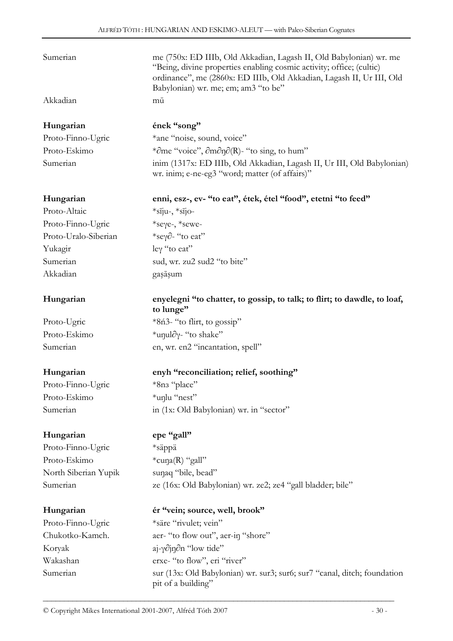| Sumerian             | me (750x: ED IIIb, Old Akkadian, Lagash II, Old Babylonian) wr. me<br>"Being, divine properties enabling cosmic activity; office; (cultic)<br>ordinance", me (2860x: ED IIIb, Old Akkadian, Lagash II, Ur III, Old<br>Babylonian) wr. me; em; am3 "to be" |
|----------------------|-----------------------------------------------------------------------------------------------------------------------------------------------------------------------------------------------------------------------------------------------------------|
| Akkadian             | mū                                                                                                                                                                                                                                                        |
| Hungarian            | ének "song"                                                                                                                                                                                                                                               |
| Proto-Finno-Ugric    | *ane "noise, sound, voice"                                                                                                                                                                                                                                |
| Proto-Eskimo         | * $\partial$ me "voice", $\partial$ m $\partial$ n $\partial$ (R)- "to sing, to hum"                                                                                                                                                                      |
| Sumerian             | inim (1317x: ED IIIb, Old Akkadian, Lagash II, Ur III, Old Babylonian)<br>wr. inim; e-ne-eg3 "word; matter (of affairs)"                                                                                                                                  |
| Hungarian            | enni, esz-, ev- "to eat", étek, étel "food", etetni "to feed"                                                                                                                                                                                             |
| Proto-Altaic         | $*$ sīju-, $*$ sījo-                                                                                                                                                                                                                                      |
| Proto-Finno-Ugric    | $*$ seye-, $*$ sewe-                                                                                                                                                                                                                                      |
| Proto-Uralo-Siberian | *sey $\partial$ - "to eat"                                                                                                                                                                                                                                |
| Yukagir              | $ley$ "to eat"                                                                                                                                                                                                                                            |
| Sumerian             | sud, wr. zu2 sud2 "to bite"                                                                                                                                                                                                                               |
| Akkadian             | gaşāşum                                                                                                                                                                                                                                                   |
| Hungarian            | enyelegni "to chatter, to gossip, to talk; to flirt; to dawdle, to loaf,<br>to lunge"                                                                                                                                                                     |
| Proto-Ugric          | *8n3- "to flirt, to gossip"                                                                                                                                                                                                                               |
| Proto-Eskimo         | *uηul∂γ- "to shake"                                                                                                                                                                                                                                       |
| Sumerian             | en, wr. en2 "incantation, spell"                                                                                                                                                                                                                          |
| Hungarian            | enyh "reconciliation; relief, soothing"                                                                                                                                                                                                                   |
| Proto-Finno-Ugric    | *8n3 "place"                                                                                                                                                                                                                                              |
| Proto-Eskimo         | *unlu "nest"                                                                                                                                                                                                                                              |
| Sumerian             | in (1x: Old Babylonian) wr. in "sector"                                                                                                                                                                                                                   |
| Hungarian            | epe "gall"                                                                                                                                                                                                                                                |
| Proto-Finno-Ugric    | *säppä                                                                                                                                                                                                                                                    |
| Proto-Eskimo         | *cuna(R) "gall"                                                                                                                                                                                                                                           |
| North Siberian Yupik | sunaq "bile, bead"                                                                                                                                                                                                                                        |
| Sumerian             | ze (16x: Old Babylonian) wr. ze2; ze4 "gall bladder; bile"                                                                                                                                                                                                |
| Hungarian            | ér "vein; source, well, brook"                                                                                                                                                                                                                            |
| Proto-Finno-Ugric    | *säre "rivulet; vein"                                                                                                                                                                                                                                     |
| Chukotko-Kamch.      | aer- "to flow out", aer-in "shore"                                                                                                                                                                                                                        |
| Koryak               | $a$ j-y $\partial$ jn $\partial$ n "low tide"                                                                                                                                                                                                             |
| Wakashan             | erxe-"to flow", eri "river"                                                                                                                                                                                                                               |
| Sumerian             | sur (13x: Old Babylonian) wr. sur3; sur6; sur7 "canal, ditch; foundation<br>pit of a building"                                                                                                                                                            |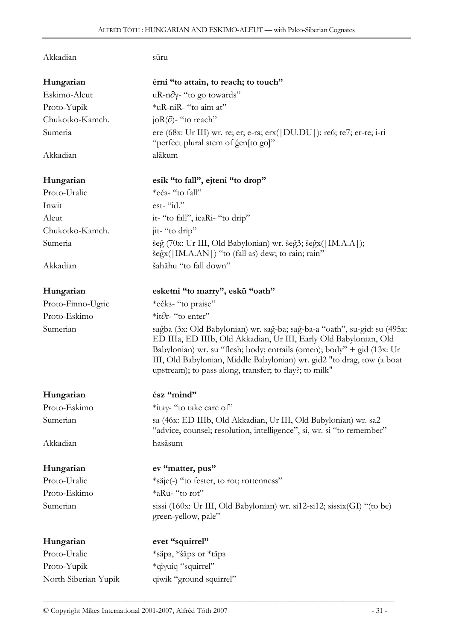| Akkadian             | sūru                                                                                                                                                                                                                                                                                                                                                         |
|----------------------|--------------------------------------------------------------------------------------------------------------------------------------------------------------------------------------------------------------------------------------------------------------------------------------------------------------------------------------------------------------|
| Hungarian            | érni "to attain, to reach; to touch"                                                                                                                                                                                                                                                                                                                         |
| Eskimo-Aleut         | $uR-n\partial y$ - "to go towards"                                                                                                                                                                                                                                                                                                                           |
| Proto-Yupik          | *uR-niR- "to aim at"                                                                                                                                                                                                                                                                                                                                         |
| Chukotko-Kamch.      | joR $(\partial)$ - "to reach"                                                                                                                                                                                                                                                                                                                                |
| Sumeria              | ere (68x: Ur III) wr. re; er; e-ra; erx( DU.DU ); re6; re7; er-re; i-ri<br>"perfect plural stem of gen[to go]"                                                                                                                                                                                                                                               |
| Akkadian             | alākum                                                                                                                                                                                                                                                                                                                                                       |
| Hungarian            | esik "to fall", ejteni "to drop"                                                                                                                                                                                                                                                                                                                             |
| Proto-Uralic         | *eć3-"to fall"                                                                                                                                                                                                                                                                                                                                               |
| Inwit                | est-"id."                                                                                                                                                                                                                                                                                                                                                    |
| Aleut                | it-"to fall", icaRi-"to drip"                                                                                                                                                                                                                                                                                                                                |
| Chukotko-Kamch.      | jit-"to drip"                                                                                                                                                                                                                                                                                                                                                |
| Sumeria              | šeĝ (70x: Ur III, Old Babylonian) wr. šeĝ3; šeĝx( IM.A.A );<br>šeĝx( IM.A.AN ) "to (fall as) dew; to rain; rain"                                                                                                                                                                                                                                             |
| Akkadian             | šahāhu "to fall down"                                                                                                                                                                                                                                                                                                                                        |
| Hungarian            | esketni "to marry", eskü "oath"                                                                                                                                                                                                                                                                                                                              |
| Proto-Finno-Ugric    | *ečka- "to praise"                                                                                                                                                                                                                                                                                                                                           |
| Proto-Eskimo         | $*it\partial r$ - "to enter"                                                                                                                                                                                                                                                                                                                                 |
| Sumerian             | saĝba (3x: Old Babylonian) wr. saĝ-ba; saĝ-ba-a "oath", su-gid: su (495x:<br>ED IIIa, ED IIIb, Old Akkadian, Ur III, Early Old Babylonian, Old<br>Babylonian) wr. su "flesh; body; entrails (omen); body" + gid (13x: Ur<br>III, Old Babylonian, Middle Babylonian) wr. gid2 "to drag, tow (a boat<br>upstream); to pass along, transfer; to flay?; to milk" |
| Hungarian            | ész "mind"                                                                                                                                                                                                                                                                                                                                                   |
| Proto-Eskimo         | *itaγ- "to take care of"                                                                                                                                                                                                                                                                                                                                     |
| Sumerian             | sa (46x: ED IIIb, Old Akkadian, Ur III, Old Babylonian) wr. sa2<br>"advice, counsel; resolution, intelligence", si, wr. si "to remember"                                                                                                                                                                                                                     |
| Akkadian             | hasāsum                                                                                                                                                                                                                                                                                                                                                      |
| Hungarian            | ev "matter, pus"                                                                                                                                                                                                                                                                                                                                             |
| Proto-Uralic         | *säje(-) "to fester, to rot; rottenness"                                                                                                                                                                                                                                                                                                                     |
| Proto-Eskimo         | *aRu- "to rot"                                                                                                                                                                                                                                                                                                                                               |
| Sumerian             | sissi (160x: Ur III, Old Babylonian) wr. si12-si12; sissix(GI) "(to be)<br>green-yellow, pale"                                                                                                                                                                                                                                                               |
| Hungarian            | evet "squirrel"                                                                                                                                                                                                                                                                                                                                              |
| Proto-Uralic         | *säps, *šäps or *täps                                                                                                                                                                                                                                                                                                                                        |
| Proto-Yupik          | *qiyuiq "squirrel"                                                                                                                                                                                                                                                                                                                                           |
| North Siberian Yupik | qiwik "ground squirrel"                                                                                                                                                                                                                                                                                                                                      |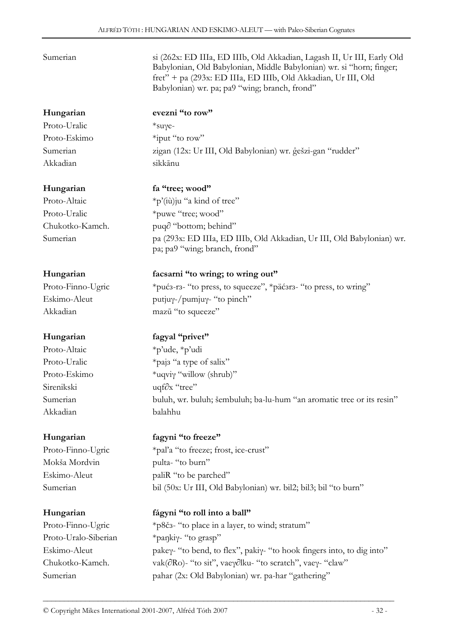Sumerian

si (262x: ED IIIa, ED IIIb, Old Akkadian, Lagash II, Ur III, Early Old Babylonian, Old Babylonian, Middle Babylonian) wr. si "horn; finger; fret" + pa (293x: ED IIIa, ED IIIb, Old Akkadian, Ur III, Old Babylonian) wr. pa; pa9 "wing; branch, frond"

#### Hungarian

Proto-Uralic Proto-Eskimo Sumerian Akkadian

evezni "to row"  $*$ suve-\*iput "to row" sikkānu

#### Hungarian

Proto-Altaic Proto-Uralic Chukotko-Kamch. Sumerian

#### Hungarian

Proto-Finno-Ugric Eskimo-Aleut Akkadian

#### Hungarian

Proto-Altaic Proto-Uralic Proto-Eskimo Sirenikski Sumerian Akkadian

#### Hungarian

Proto-Finno-Ugric Mokša Mordvin Eskimo-Aleut Sumerian

#### Hungarian

Proto-Finno-Ugric Proto-Uralo-Siberian Eskimo-Aleut Chukotko-Kamch. Sumerian

zigan (12x: Ur III, Old Babylonian) wr. ĝešzi-gan "rudder" fa "tree; wood" \*p'(iù)ju "a kind of tree"

\*puwe "tree; wood" puq $\partial$  "bottom; behind" pa (293x: ED IIIa, ED IIIb, Old Akkadian, Ur III, Old Babylonian) wr. pa; pa9 "wing; branch, frond"

#### facsarni "to wring; to wring out"

\*puća-ra- "to press, to squeeze", \*päćara- "to press, to wring" putjuy-/pumjuy- "to pinch" mazū "to squeeze"

#### fagyal "privet"

\*p'ude, \*p'udi \*pajs "a type of salix" \*uqviγ "willow (shrub)" uqf∂x "tree" buluh, wr. buluh; šembuluh; ba-lu-hum "an aromatic tree or its resin" balahhu

#### fagyni "to freeze"

\*pal'a "to freeze; frost, ice-crust" pulta-"to burn" paliR "to be parched" bil (50x: Ur III, Old Babylonian) wr. bil2; bil3; bil "to burn"

#### fágyni "to roll into a ball"

\*p8č3- "to place in a layer, to wind; stratum" \*pankiγ- "to grasp" pakey- "to bend, to flex", pakiy- "to hook fingers into, to dig into" vak(∂Ro)- "to sit", vaey∂lku- "to scratch", vaey- "claw" pahar (2x: Old Babylonian) wr. pa-har "gathering"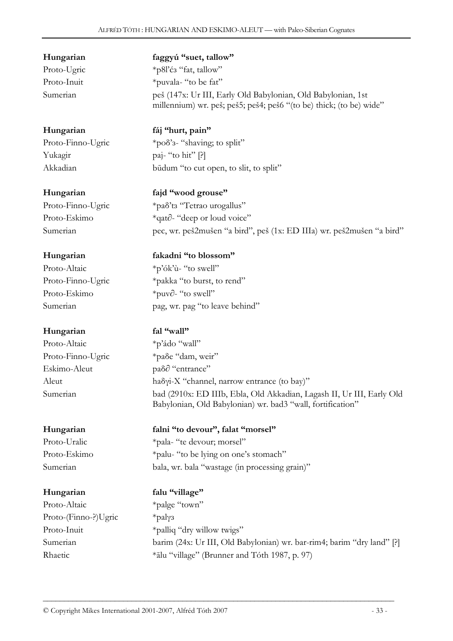### Hungarian

Proto-Ugric Proto-Inuit Sumerian

### Hungarian

Proto-Finno-Ugric Yukagir Akkadian

### Hungarian

Proto-Finno-Ugric Proto-Eskimo Sumerian

### Hungarian

Proto-Altaic Proto-Finno-Ugric Proto-Eskimo Sumerian

### Hungarian

Proto-Altaic Proto-Finno-Ugric Eskimo-Aleut Aleut Sumerian

### Hungarian

Proto-Uralic Proto-Eskimo Sumerian

### Hungarian

Proto-Altaic Proto-(Finno-?)Ugric Proto-Inuit Sumerian Rhaetic

faggyú "suet, tallow" \*p8l'ć<sub>3</sub> "fat, tallow" \*puvala- "to be fat" peš (147x: Ur III, Early Old Babylonian, Old Babylonian, 1st millennium) wr. peš; peš5; peš4; peš6 "(to be) thick; (to be) wide"

### fáj "hurt, pain"

 $*$ po $\delta$ 's- "shaving; to split" paj-"to hit" $[?]$ būdum "to cut open, to slit, to split"

### fajd "wood grouse"

\*pa8'ts "Tetrao urogallus" \*qatô- "deep or loud voice" pec, wr. peš2mušen "a bird", peš (1x: ED IIIa) wr. peš2mušen "a bird"

### fakadni "to blossom" \*p'ók'ù- "to swell" \*pakka "to burst, to rend" \*puv $\partial$ - "to swell" pag, wr. pag "to leave behind"

### fal "wall"

\*p'ádo "wall" \*pa<sub>δe</sub> "dam, weir"  $pa\delta\partial$  "entrance" haδγi-X "channel, narrow entrance (to bay)" bad (2910x: ED IIIb, Ebla, Old Akkadian, Lagash II, Ur III, Early Old Babylonian, Old Babylonian) wr. bad3 "wall, fortification"

### falni "to devour", falat "morsel"

\*pala- "te devour; morsel" \*palu- "to be lying on one's stomach" bala, wr. bala "wastage (in processing grain)"

### falu "village"

\*palge "town"  $*$ paly3 \*palliq "dry willow twigs" barim (24x: Ur III, Old Babylonian) wr. bar-rim4; barim "dry land" [?] \*ālu "village" (Brunner and Tóth 1987, p. 97)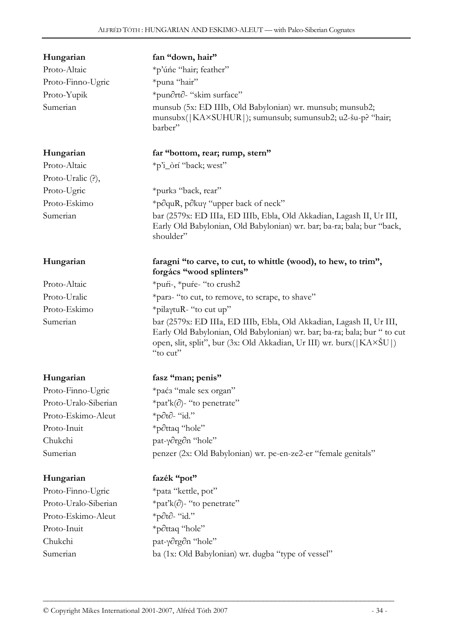Proto-Finno-Ugric \*puna "hair"

Proto-Uralic (?),

fan "down, hair" Proto-Altaic \*p'úne "hair; feather" Proto-Yupik \*pun∂rt∂- "skim surface" Sumerian munsub (5x: ED IIIb, Old Babylonian) wr. munsub; munsub2; munsubx(|KA×SUHUR|); sumunsub; sumunsub2; u2-šu-p? "hair; barber"

#### Hungarian far "bottom, rear; rump, stern"

Proto-Altaic \*p'i\_òrí "back; west"

Proto-Ugric \*purks "back, rear" Proto-Eskimo \*p∂quR, p∂kuγ "upper back of neck" Sumerian bar (2579x: ED IIIa, ED IIIb, Ebla, Old Akkadian, Lagash II, Ur III, Early Old Babylonian, Old Babylonian) wr. bar; ba-ra; bala; bur "back, shoulder"

#### Hungarian faragni "to carve, to cut, to whittle (wood), to hew, to trim", forgács "wood splinters"

Proto-Altaic  $*$ puŕi-,  $*$ puŕe- "to crush2 Proto-Uralic \*pars- "to cut, to remove, to scrape, to shave" Proto-Eskimo \*pilaγtuR- "to cut up" Sumerian bar (2579x: ED IIIa, ED IIIb, Ebla, Old Akkadian, Lagash II, Ur III, Early Old Babylonian, Old Babylonian) wr. bar; ba-ra; bala; bur " to cut open, slit, split", bur (3x: Old Akkadian, Ur III) wr. burx $(|KAXSU|)$  $``$ to cut"

### Hungarian fasz "man; penis"

Proto-Finno-Ugric \*paćs "male sex organ" Proto-Uralo-Siberian \*pat'k(∂)- "to penetrate" Proto-Eskimo-Aleut \*p∂t∂- "id." Proto-Inuit \*p∂ttaq "hole" Chukchi pat-γ∂rg∂n "hole" Sumerian penzer (2x: Old Babylonian) wr. pe-en-ze2-er "female genitals"

Proto-Finno-Ugric \*pata "kettle, pot" Proto-Uralo-Siberian \*pat'k(∂)- "to penetrate" Proto-Eskimo-Aleut \*p∂t∂- "id." Proto-Inuit \*p∂ttaq "hole" Chukchi pat-γ∂rg∂n "hole" Sumerian ba (1x: Old Babylonian) wr. dugba "type of vessel"

Hungarian fazék "pot"

- 
- 
- 

\_\_\_\_\_\_\_\_\_\_\_\_\_\_\_\_\_\_\_\_\_\_\_\_\_\_\_\_\_\_\_\_\_\_\_\_\_\_\_\_\_\_\_\_\_\_\_\_\_\_\_\_\_\_\_\_\_\_\_\_\_\_\_\_\_\_\_\_\_\_\_\_\_\_\_\_\_\_\_\_\_\_\_ © Copyright Mikes International 2001-2007, Alfréd Tóth 2007 - 34 -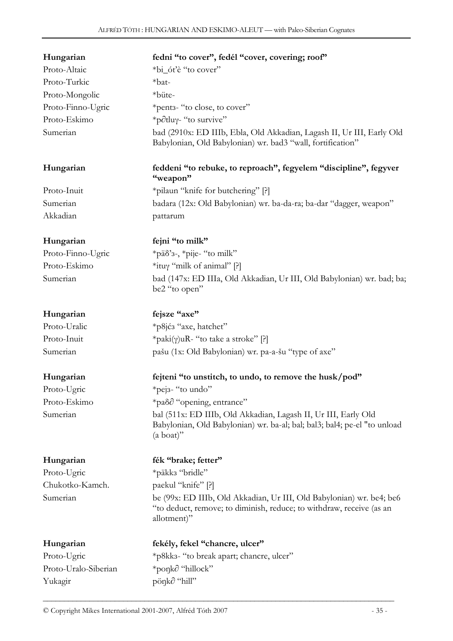| Hungarian            | fedni "to cover", fedél "cover, covering; roof"                                                                                                                   |
|----------------------|-------------------------------------------------------------------------------------------------------------------------------------------------------------------|
| Proto-Altaic         | *bi_ót'è "to cover"                                                                                                                                               |
| Proto-Turkic         | *bat-                                                                                                                                                             |
| Proto-Mongolic       | *büte-                                                                                                                                                            |
| Proto-Finno-Ugric    | *penta- "to close, to cover"                                                                                                                                      |
| Proto-Eskimo         | *p∂tluγ- "to survive"                                                                                                                                             |
| Sumerian             | bad (2910x: ED IIIb, Ebla, Old Akkadian, Lagash II, Ur III, Early Old<br>Babylonian, Old Babylonian) wr. bad3 "wall, fortification"                               |
| Hungarian            | feddeni "to rebuke, to reproach", fegyelem "discipline", fegyver<br>"weapon"                                                                                      |
| Proto-Inuit          | *pilaun "knife for butchering" [?]                                                                                                                                |
| Sumerian             | badara (12x: Old Babylonian) wr. ba-da-ra; ba-dar "dagger, weapon"                                                                                                |
| Akkadian             | pattarum                                                                                                                                                          |
| Hungarian            | fejni "to milk"                                                                                                                                                   |
| Proto-Finno-Ugric    | *pä <sub>8</sub> ' <sub>3</sub> -, *pije- "to milk"                                                                                                               |
| Proto-Eskimo         | *ituγ "milk of animal" [?]                                                                                                                                        |
| Sumerian             | bad (147x: ED IIIa, Old Akkadian, Ur III, Old Babylonian) wr. bad; ba;<br>be2 "to open"                                                                           |
| Hungarian            | fejsze "axe"                                                                                                                                                      |
| Proto-Uralic         | *p8jćs "axe, hatchet"                                                                                                                                             |
| Proto-Inuit          | *paki(y)uR- "to take a stroke" [?]                                                                                                                                |
| Sumerian             | pašu (1x: Old Babylonian) wr. pa-a-šu "type of axe"                                                                                                               |
| Hungarian            | fejteni "to unstitch, to undo, to remove the husk/pod"                                                                                                            |
| Proto-Ugric          | *pej <sub>3</sub> - "to undo"                                                                                                                                     |
| Proto-Eskimo         | *paδ∂ "opening, entrance"                                                                                                                                         |
| Sumerian             | bal (511x: ED IIIb, Old Akkadian, Lagash II, Ur III, Early Old<br>Babylonian, Old Babylonian) wr. ba-al; bal; bal3; bal4; pe-el "to unload<br>$(a\text{ boat})$ " |
| Hungarian            | fék "brake; fetter"                                                                                                                                               |
| Proto-Ugric          | *päkks "bridle"                                                                                                                                                   |
| Chukotko-Kamch.      | paekul "knife" [?]                                                                                                                                                |
| Sumerian             | be (99x: ED IIIb, Old Akkadian, Ur III, Old Babylonian) wr. be4; be6<br>"to deduct, remove; to diminish, reduce; to withdraw, receive (as an<br>allotment)"       |
| Hungarian            | fekély, fekel "chancre, ulcer"                                                                                                                                    |
| Proto-Ugric          | *p8kk3- "to break apart; chancre, ulcer"                                                                                                                          |
| Proto-Uralo-Siberian | *ponk∂ "hillock"                                                                                                                                                  |
| Yukagir              | pönk $\partial$ "hill"                                                                                                                                            |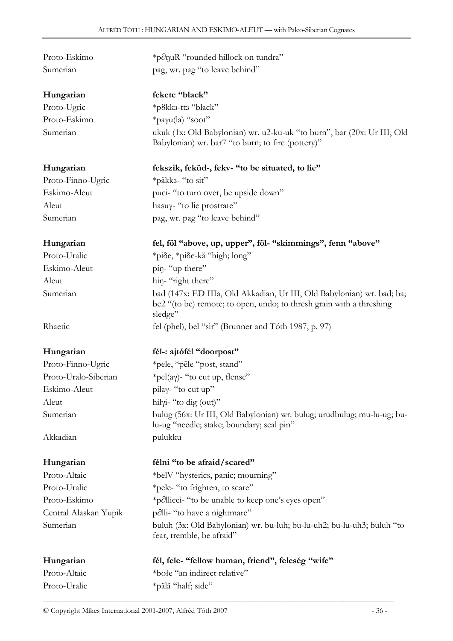| Proto-Eskimo          | *p∂ηuR "rounded hillock on tundra"                                                                                                                        |
|-----------------------|-----------------------------------------------------------------------------------------------------------------------------------------------------------|
| Sumerian              | pag, wr. pag "to leave behind"                                                                                                                            |
|                       |                                                                                                                                                           |
| Hungarian             | fekete "black"                                                                                                                                            |
| Proto-Ugric           | *p8kk3-tt3 "black"                                                                                                                                        |
| Proto-Eskimo          | *paγu(la) "soot"                                                                                                                                          |
| Sumerian              | ukuk (1x: Old Babylonian) wr. u2-ku-uk "to burn", bar (20x: Ur III, Old<br>Babylonian) wr. bar7 "to burn; to fire (pottery)"                              |
| Hungarian             | fekszik, feküd-, fekv- "to be situated, to lie"                                                                                                           |
| Proto-Finno-Ugric     | *päkk3- "to sit"                                                                                                                                          |
| Eskimo-Aleut          | puci-"to turn over, be upside down"                                                                                                                       |
| Aleut                 | hasuγ- "to lie prostrate"                                                                                                                                 |
| Sumerian              | pag, wr. pag "to leave behind"                                                                                                                            |
| Hungarian             | fel, föl "above, up, upper", föl- "skimmings", fenn "above"                                                                                               |
| Proto-Uralic          | *piδe, *piδe-kä "high; long"                                                                                                                              |
| Eskimo-Aleut          | pin-"up there"                                                                                                                                            |
| Aleut                 | hin-"right there"                                                                                                                                         |
| Sumerian              | bad (147x: ED IIIa, Old Akkadian, Ur III, Old Babylonian) wr. bad; ba;<br>be2 "(to be) remote; to open, undo; to thresh grain with a threshing<br>sledge" |
| Rhaetic               | fel (phel), bel "sir" (Brunner and Tóth 1987, p. 97)                                                                                                      |
| Hungarian             | fél-: ajtófél "doorpost"                                                                                                                                  |
| Proto-Finno-Ugric     | *pele, *pēle "post, stand"                                                                                                                                |
| Proto-Uralo-Siberian  | *pel(ay)- "to cut up, flense"                                                                                                                             |
| Eskimo-Aleut          | pilaγ- "to cut up"                                                                                                                                        |
| Aleut                 | hilyi- "to dig (out)"                                                                                                                                     |
| Sumerian              | bulug (56x: Ur III, Old Babylonian) wr. bulug; urudbulug; mu-lu-ug; bu-<br>lu-ug "needle; stake; boundary; seal pin"                                      |
| Akkadian              | pulukku                                                                                                                                                   |
| Hungarian             | félni "to be afraid/scared"                                                                                                                               |
| Proto-Altaic          | *belV "hysterics, panic; mourning"                                                                                                                        |
| Proto-Uralic          | *pele- "to frighten, to scare"                                                                                                                            |
| Proto-Eskimo          | *pollicci- "to be unable to keep one's eyes open"                                                                                                         |
| Central Alaskan Yupik | polli- "to have a nightmare"                                                                                                                              |
| Sumerian              | buluh (3x: Old Babylonian) wr. bu-luh; bu-lu-uh2; bu-lu-uh3; buluh "to<br>fear, tremble, be afraid"                                                       |
| Hungarian             | fél, fele- "fellow human, friend", feleség "wife"                                                                                                         |
| Proto-Altaic          | *bole "an indirect relative"                                                                                                                              |

Proto-Uralic \*pälä "half; side"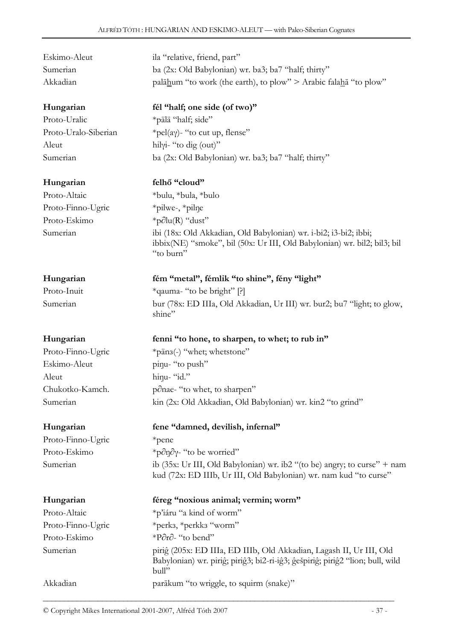| Eskimo-Aleut         | ila "relative, friend, part"                                                                                                                                  |
|----------------------|---------------------------------------------------------------------------------------------------------------------------------------------------------------|
| Sumerian             | ba (2x: Old Babylonian) wr. ba3; ba7 "half; thirty"                                                                                                           |
| Akkadian             | palāhum "to work (the earth), to plow" > Arabic falahā "to plow"                                                                                              |
| Hungarian            | fél "half; one side (of two)"                                                                                                                                 |
| Proto-Uralic         | *pälä "half; side"                                                                                                                                            |
| Proto-Uralo-Siberian | *pel(ay)- "to cut up, flense"                                                                                                                                 |
| Aleut                | hilyi- "to dig $(out)$ "                                                                                                                                      |
| Sumerian             | ba (2x: Old Babylonian) wr. ba3; ba7 "half; thirty"                                                                                                           |
| Hungarian            | felhő "cloud"                                                                                                                                                 |
| Proto-Altaic         | *bulu, *bula, *bulo                                                                                                                                           |
| Proto-Finno-Ugric    | *pilwe-, *pilne                                                                                                                                               |
| Proto-Eskimo         | $*_{\mathcal{D}}\partial$ lu(R) "dust"                                                                                                                        |
| Sumerian             | ibi (18x: Old Akkadian, Old Babylonian) wr. i-bi2; i3-bi2; ibbi;<br>ibbix(NE) "smoke", bil (50x: Ur III, Old Babylonian) wr. bil2; bil3; bil<br>"to burn"     |
| Hungarian            | fém "metal", fémlik "to shine", fény "light"                                                                                                                  |
| Proto-Inuit          | *qauma- "to be bright" [?]                                                                                                                                    |
| Sumerian             | bur (78x: ED IIIa, Old Akkadian, Ur III) wr. bur2; bu7 "light; to glow,<br>shine"                                                                             |
| Hungarian            | fenni "to hone, to sharpen, to whet; to rub in"                                                                                                               |
| Proto-Finno-Ugric    | *päns(-) "whet; whetstone"                                                                                                                                    |
| Eskimo-Aleut         | pinu-"to push"                                                                                                                                                |
| Aleut                | hinu-"id."                                                                                                                                                    |
| Chukotko-Kamch.      | $p\partial$ nae- "to whet, to sharpen"                                                                                                                        |
| Sumerian             | kin (2x: Old Akkadian, Old Babylonian) wr. kin2 "to grind"                                                                                                    |
| Hungarian            | fene "damned, devilish, infernal"                                                                                                                             |
| Proto-Finno-Ugric    | *pene                                                                                                                                                         |
| Proto-Eskimo         | * $p\partial \eta \partial \gamma$ - "to be worried"                                                                                                          |
| Sumerian             | ib (35x: Ur III, Old Babylonian) wr. ib2 "(to be) angry; to curse" + nam<br>kud (72x: ED IIIb, Ur III, Old Babylonian) wr. nam kud "to curse"                 |
| Hungarian            | féreg "noxious animal; vermin; worm"                                                                                                                          |
| Proto-Altaic         | *p'iáru "a kind of worm"                                                                                                                                      |
| Proto-Finno-Ugric    | *perks, *perkks "worm"                                                                                                                                        |
| Proto-Eskimo         | *Pôrô- "to bend"                                                                                                                                              |
| Sumerian             | piriĝ (205x: ED IIIa, ED IIIb, Old Akkadian, Lagash II, Ur III, Old<br>Babylonian) wr. piriĝ; piriĝ3; bi2-ri-iĝ3; ĝešpiriĝ; piriĝ2 "lion; bull, wild<br>bull" |
| Akkadian             | parākum "to wriggle, to squirm (snake)"                                                                                                                       |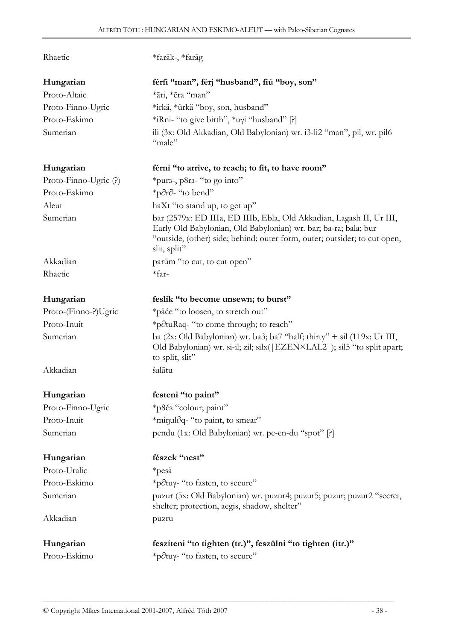| Rhaetic               | *farāk-, *farāg                                                                                                                                                                                                                      |
|-----------------------|--------------------------------------------------------------------------------------------------------------------------------------------------------------------------------------------------------------------------------------|
| Hungarian             | férfi "man", férj "husband", fiú "boy, son"                                                                                                                                                                                          |
| Proto-Altaic          | *āri, *ēra "man"                                                                                                                                                                                                                     |
| Proto-Finno-Ugric     | *irkä, *ürkä "boy, son, husband"                                                                                                                                                                                                     |
| Proto-Eskimo          | *iRni- "to give birth", *uyi "husband" [?]                                                                                                                                                                                           |
| Sumerian              | ili (3x: Old Akkadian, Old Babylonian) wr. i3-li2 "man", pil, wr. pil6<br>"male"                                                                                                                                                     |
| Hungarian             | férni "to arrive, to reach; to fit, to have room"                                                                                                                                                                                    |
| Proto-Finno-Ugric (?) | $*_{\text{purs-}}$ , p8r <sub>3</sub> - "to go into"                                                                                                                                                                                 |
| Proto-Eskimo          | * $p\partial r\partial$ - "to bend"                                                                                                                                                                                                  |
| Aleut                 | haXt "to stand up, to get up"                                                                                                                                                                                                        |
| Sumerian              | bar (2579x: ED IIIa, ED IIIb, Ebla, Old Akkadian, Lagash II, Ur III,<br>Early Old Babylonian, Old Babylonian) wr. bar; ba-ra; bala; bur<br>"outside, (other) side; behind; outer form, outer; outsider; to cut open,<br>slit, split" |
| Akkadian              | parūm "to cut, to cut open"                                                                                                                                                                                                          |
| Rhaetic               | $*far$                                                                                                                                                                                                                               |
| Hungarian             | feslik "to become unsewn; to burst"                                                                                                                                                                                                  |
| Proto-(Finno-?)Ugric  | *päće "to loosen, to stretch out"                                                                                                                                                                                                    |
| Proto-Inuit           | *p∂tuRaq- "to come through; to reach"                                                                                                                                                                                                |
| Sumerian              | ba (2x: Old Babylonian) wr. ba3; ba7 "half; thirty" + sil (119x: Ur III,<br>Old Babylonian) wr. si-il; zil; silx( EZEN×LAL2 ); sil5 "to split apart;<br>to split, slit"                                                              |
| Akkadian              | šalātu                                                                                                                                                                                                                               |
| Hungarian             | festeni "to paint"                                                                                                                                                                                                                   |
| Proto-Finno-Ugric     | *p8č3 "colour; paint"                                                                                                                                                                                                                |
| Proto-Inuit           | *minul∂q- "to paint, to smear"                                                                                                                                                                                                       |
| Sumerian              | pendu (1x: Old Babylonian) wr. pe-en-du "spot" [?]                                                                                                                                                                                   |
| Hungarian             | fészek "nest"                                                                                                                                                                                                                        |
| Proto-Uralic          | *pesä                                                                                                                                                                                                                                |
| Proto-Eskimo          | *p∂tuγ- "to fasten, to secure"                                                                                                                                                                                                       |
| Sumerian              | puzur (5x: Old Babylonian) wr. puzur4; puzur5; puzur; puzur2 "secret,<br>shelter; protection, aegis, shadow, shelter"                                                                                                                |
| Akkadian              | puzru                                                                                                                                                                                                                                |
| Hungarian             | feszíteni "to tighten (tr.)", feszülni "to tighten (itr.)"                                                                                                                                                                           |
| Proto-Eskimo          | *p∂tuγ- "to fasten, to secure"                                                                                                                                                                                                       |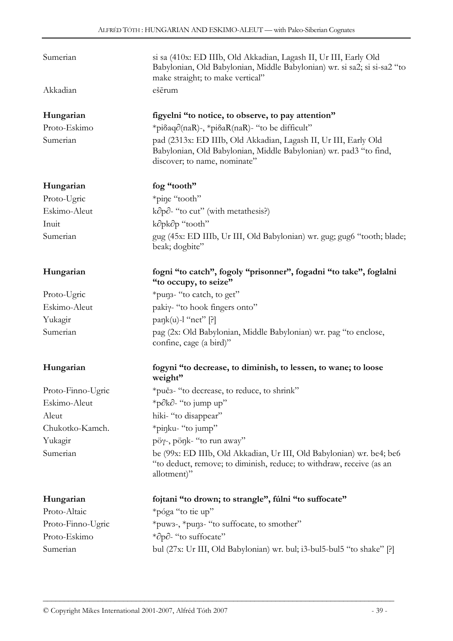| Sumerian          | si sa (410x: ED IIIb, Old Akkadian, Lagash II, Ur III, Early Old<br>Babylonian, Old Babylonian, Middle Babylonian) wr. si sa2; si si-sa2 "to<br>make straight; to make vertical" |
|-------------------|----------------------------------------------------------------------------------------------------------------------------------------------------------------------------------|
| Akkadian          | ešērum                                                                                                                                                                           |
| Hungarian         | figyelni "to notice, to observe, to pay attention"                                                                                                                               |
| Proto-Eskimo      | *piδaq∂(naR)-, *piδaR(naR)- "to be difficult"                                                                                                                                    |
| Sumerian          | pad (2313x: ED IIIb, Old Akkadian, Lagash II, Ur III, Early Old<br>Babylonian, Old Babylonian, Middle Babylonian) wr. pad3 "to find,<br>discover; to name, nominate"             |
| Hungarian         | fog "tooth"                                                                                                                                                                      |
| Proto-Ugric       | *pine "tooth"                                                                                                                                                                    |
| Eskimo-Aleut      | $k\partial p\partial$ - "to cut" (with metathesis?)                                                                                                                              |
| Inuit             | k $\partial$ pk $\partial$ p "tooth"                                                                                                                                             |
| Sumerian          | gug (45x: ED IIIb, Ur III, Old Babylonian) wr. gug; gug6 "tooth; blade;<br>beak; dogbite"                                                                                        |
| Hungarian         | fogni "to catch", fogoly "prisonner", fogadni "to take", foglalni<br>"to occupy, to seize"                                                                                       |
| Proto-Ugric       | *pun <sub>3</sub> - "to catch, to get"                                                                                                                                           |
| Eskimo-Aleut      | pakiy-"to hook fingers onto"                                                                                                                                                     |
| Yukagir           | $\text{pank}(u)$ -l "net" [?]                                                                                                                                                    |
| Sumerian          | pag (2x: Old Babylonian, Middle Babylonian) wr. pag "to enclose,<br>confine, cage (a bird)"                                                                                      |
| Hungarian         | fogyni "to decrease, to diminish, to lessen, to wane; to loose<br>weight"                                                                                                        |
| Proto-Finno-Ugric | *puča- "to decrease, to reduce, to shrink"                                                                                                                                       |
| Eskimo-Aleut      | *p∂k∂- "to jump up"                                                                                                                                                              |
| Aleut             | hiki-"to disappear"                                                                                                                                                              |
| Chukotko-Kamch.   | *pinku- "to jump"                                                                                                                                                                |
| Yukagir           | pöγ-, pönk- "to run away"                                                                                                                                                        |
| Sumerian          | be (99x: ED IIIb, Old Akkadian, Ur III, Old Babylonian) wr. be4; be6<br>"to deduct, remove; to diminish, reduce; to withdraw, receive (as an<br>allotment)"                      |
| Hungarian         | fojtani "to drown; to strangle", fúlni "to suffocate"                                                                                                                            |
| Proto-Altaic      | *póga "to tie up"                                                                                                                                                                |
| Proto-Finno-Ugric | *puw3-, *puŋ3- "to suffocate, to smother"                                                                                                                                        |
| Proto-Eskimo      | $*\partial p\partial$ - "to suffocate"                                                                                                                                           |
| Sumerian          | bul (27x: Ur III, Old Babylonian) wr. bul; i3-bul5-bul5 "to shake" [?]                                                                                                           |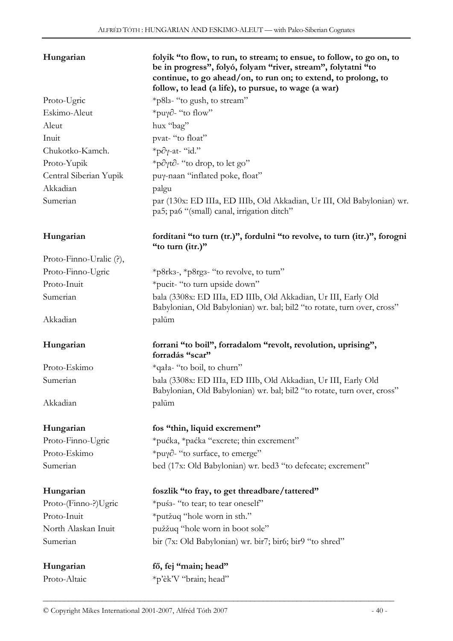| Hungarian               | folyik "to flow, to run, to stream; to ensue, to follow, to go on, to<br>be in progress", folyó, folyam "river, stream", folytatni "to<br>continue, to go ahead/on, to run on; to extend, to prolong, to<br>follow, to lead (a life), to pursue, to wage (a war) |
|-------------------------|------------------------------------------------------------------------------------------------------------------------------------------------------------------------------------------------------------------------------------------------------------------|
| Proto-Ugric             | *p8l3- "to gush, to stream"                                                                                                                                                                                                                                      |
| Eskimo-Aleut            | *ρυγ $∂$ - "to flow"                                                                                                                                                                                                                                             |
| Aleut                   | hux "bag"                                                                                                                                                                                                                                                        |
| Inuit                   | pvat-"to float"                                                                                                                                                                                                                                                  |
| Chukotko-Kamch.         | $*p\partial$ γ-at- "id."                                                                                                                                                                                                                                         |
| Proto-Yupik             | * $p\partial y$ t $\partial$ - "to drop, to let go"                                                                                                                                                                                                              |
| Central Siberian Yupik  | puy-naan "inflated poke, float"                                                                                                                                                                                                                                  |
| Akkadian                | palgu                                                                                                                                                                                                                                                            |
| Sumerian                | par (130x: ED IIIa, ED IIIb, Old Akkadian, Ur III, Old Babylonian) wr.<br>pa5; pa6 "(small) canal, irrigation ditch"                                                                                                                                             |
| Hungarian               | forditani "to turn (tr.)", fordulni "to revolve, to turn (itr.)", forogni<br>"to turn (itr.)"                                                                                                                                                                    |
| Proto-Finno-Uralic (?), |                                                                                                                                                                                                                                                                  |
| Proto-Finno-Ugric       | *p8rk3-, *p8rg3- "to revolve, to turn"                                                                                                                                                                                                                           |
| Proto-Inuit             | *pucit- "to turn upside down"                                                                                                                                                                                                                                    |
| Sumerian                | bala (3308x: ED IIIa, ED IIIb, Old Akkadian, Ur III, Early Old<br>Babylonian, Old Babylonian) wr. bal; bil2 "to rotate, turn over, cross"                                                                                                                        |
| Akkadian                | palūm                                                                                                                                                                                                                                                            |
| Hungarian               | forrani "to boil", forradalom "revolt, revolution, uprising",<br>forradás "scar"                                                                                                                                                                                 |
| Proto-Eskimo            | *qała- "to boil, to churn"                                                                                                                                                                                                                                       |
| Sumerian                | bala (3308x: ED IIIa, ED IIIb, Old Akkadian, Ur III, Early Old<br>Babylonian, Old Babylonian) wr. bal; bil2 "to rotate, turn over, cross"                                                                                                                        |
| Akkadian                | palūm                                                                                                                                                                                                                                                            |
| Hungarian               | fos "thin, liquid excrement"                                                                                                                                                                                                                                     |
| Proto-Finno-Ugric       | *pućka, *paćka "excrete; thin excrement"                                                                                                                                                                                                                         |
| Proto-Eskimo            | *puγ∂- "to surface, to emerge"                                                                                                                                                                                                                                   |
| Sumerian                | bed (17x: Old Babylonian) wr. bed3 "to defecate; excrement"                                                                                                                                                                                                      |
| Hungarian               | foszlik "to fray, to get threadbare/tattered"                                                                                                                                                                                                                    |
| Proto-(Finno-?)Ugric    | *puśa- "to tear; to tear oneself"                                                                                                                                                                                                                                |
| Proto-Inuit             | *putžuq "hole worn in sth."                                                                                                                                                                                                                                      |
| North Alaskan Inuit     | pužžuq "hole worn in boot sole"                                                                                                                                                                                                                                  |
| Sumerian                | bir (7x: Old Babylonian) wr. bir7; bir6; bir9 "to shred"                                                                                                                                                                                                         |
| Hungarian               | fő, fej "main; head"                                                                                                                                                                                                                                             |
| Proto-Altaic            | *p'èk'V "brain; head"                                                                                                                                                                                                                                            |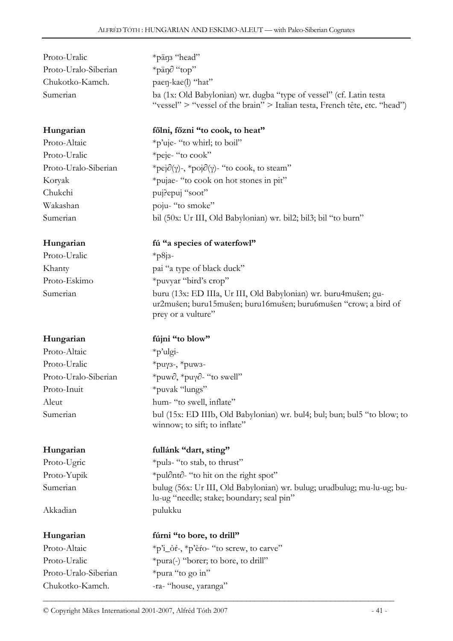Proto-Uralic Proto-Uralo-Siberian Chukotko-Kamch. Sumerian

### Hungarian

Proto-Altaic Proto-Uralic Proto-Uralo-Siberian Korvak Chukchi Wakashan Sumerian

### Hungarian

Proto-Uralic Khanty Proto-Eskimo Sumerian

#### Hungarian

Proto-Altaic Proto-Uralic Proto-Uralo-Siberian Proto-Inuit Aleut Sumerian

#### Hungarian

Proto-Ugric Proto-Yupik Sumerian

#### Akkadian

### Hungarian

Proto-Altaic Proto-Uralic Proto-Uralo-Siberian Chukotko-Kamch.

\*päns "head" \*pän∂ "top" paen-kae(l) "hat" ba (1x: Old Babylonian) wr. dugba "type of vessel" (cf. Latin testa "vessel" > "vessel of the brain" > Italian testa, French tête, etc. "head")

#### főlni, főzni "to cook, to heat"

\*p'uje- "to whirl; to boil" \*peje- "to cook" \*pej $\partial(y)$ -, \*poj $\partial(y)$ - "to cook, to steam" \*pujae- "to cook on hot stones in pit" puj?epuj "soot" poju-"to smoke" bil (50x: Ur III, Old Babylonian) wr. bil2; bil3; bil "to burn"

#### fú "a species of waterfowl"

 $*$ p8j3pai "a type of black duck" \*puvyar "bird's crop" buru (13x: ED IIIa, Ur III, Old Babylonian) wr. buru4mušen; guur2mušen; buru15mušen; buru16mušen; buru6mušen "crow; a bird of prey or a vulture"

### fújni "to blow"

\*p'ulgi- $*$ puy3-,  $*$ puw3-\*puw $\partial$ , \*pu $\gamma \partial$ - "to swell" \*puvak "lungs" hum-"to swell, inflate" bul (15x: ED IIIb, Old Babylonian) wr. bul4; bul; bun; bul5 "to blow; to winnow; to sift; to inflate"

#### fullánk "dart, sting"

\*puls- "to stab, to thrust" \*pul $\partial$ nt $\partial$ - "to hit on the right spot" bulug (56x: Ur III, Old Babylonian) wr. bulug; urudbulug; mu-lu-ug; bulu-ug "needle; stake; boundary; seal pin" pulukku

### fúrni "to bore, to drill" \*p'i\_òf-, \*p'èfo- "to screw, to carve" \*pura(-) "borer; to bore, to drill" \*pura "to go in" -ra- "house, yaranga"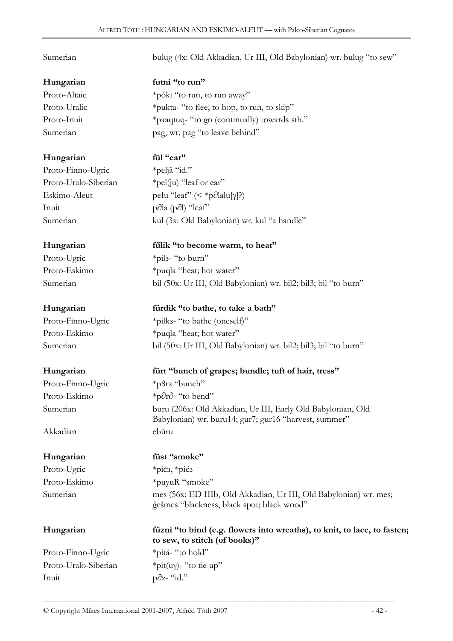| Sumerian             | bulug (4x: Old Akkadian, Ur III, Old Babylonian) wr. bulug "to sew"                                                  |
|----------------------|----------------------------------------------------------------------------------------------------------------------|
| Hungarian            | futni "to run"                                                                                                       |
| Proto-Altaic         | *póki "to run, to run away"                                                                                          |
| Proto-Uralic         | *pukta- "to flee, to hop, to run, to skip"                                                                           |
| Proto-Inuit          | *paaqtuq- "to go (continually) towards sth."                                                                         |
| Sumerian             | pag, wr. pag "to leave behind"                                                                                       |
| Hungarian            | fül "ear"                                                                                                            |
| Proto-Finno-Ugric    | *peljä "id."                                                                                                         |
| Proto-Uralo-Siberian | *pel(ju) "leaf or ear"                                                                                               |
| Eskimo-Aleut         | pełu "leaf" (< *p∂lalu[γ]?)                                                                                          |
| Inuit                | $p\partial$ la ( $p\partial$ l) "leaf"                                                                               |
| Sumerian             | kul (3x: Old Babylonian) wr. kul "a handle"                                                                          |
| Hungarian            | fülik "to become warm, to heat"                                                                                      |
| Proto-Ugric          | *pils- "to burn"                                                                                                     |
| Proto-Eskimo         | *puqla "heat; hot water"                                                                                             |
| Sumerian             | bil (50x: Ur III, Old Babylonian) wr. bil2; bil3; bil "to burn"                                                      |
| Hungarian            | fürdik "to bathe, to take a bath"                                                                                    |
| Proto-Finno-Ugric    | *pilka- "to bathe (oneself)"                                                                                         |
| Proto-Eskimo         | *puqla "heat; hot water"                                                                                             |
| Sumerian             | bil (50x: Ur III, Old Babylonian) wr. bil2; bil3; bil "to burn"                                                      |
| Hungarian            | fürt "bunch of grapes; bundle; tuft of hair, tress"                                                                  |
| Proto-Finno-Ugric    | *p8r3 "bunch"                                                                                                        |
| Proto-Eskimo         | *p∂r∂- "to bend"                                                                                                     |
| Sumerian             | buru (206x: Old Akkadian, Ur III, Early Old Babylonian, Old<br>Babylonian) wr. buru14; gur7; gur16 "harvest, summer" |
| Akkadian             | ebūru                                                                                                                |
| Hungarian            | füst "smoke"                                                                                                         |
| Proto-Ugric          | *pičs, *pićs                                                                                                         |
| Proto-Eskimo         | *puyuR "smoke"                                                                                                       |
| Sumerian             | mes (56x: ED IIIb, Old Akkadian, Ur III, Old Babylonian) wr. mes;<br>ĝešmes "blackness, black spot; black wood"      |
| Hungarian            | fűzni "to bind (e.g. flowers into wreaths), to knit, to lace, to fasten;<br>to sew, to stitch (of books)"            |
| Proto-Finno-Ugric    | *pitä- "to hold"                                                                                                     |
| Proto-Uralo-Siberian | *pit(u $\gamma$ )- "to tie up"                                                                                       |
|                      | $($ $($ $1$ $)$                                                                                                      |

Inuit p∂z- "id."

\_\_\_\_\_\_\_\_\_\_\_\_\_\_\_\_\_\_\_\_\_\_\_\_\_\_\_\_\_\_\_\_\_\_\_\_\_\_\_\_\_\_\_\_\_\_\_\_\_\_\_\_\_\_\_\_\_\_\_\_\_\_\_\_\_\_\_\_\_\_\_\_\_\_\_\_\_\_\_\_\_\_\_ © Copyright Mikes International 2001-2007, Alfréd Tóth 2007 - 42 -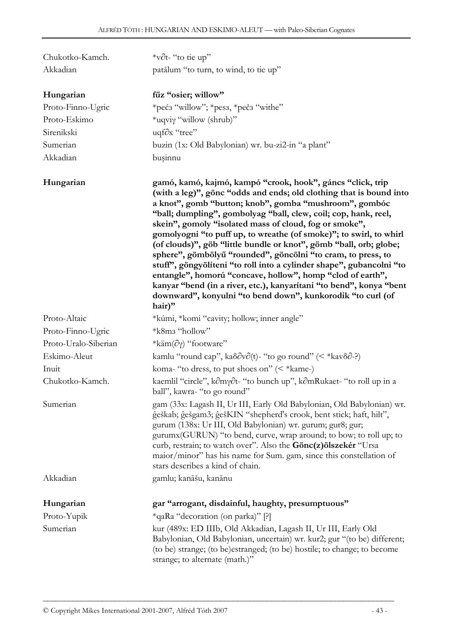| Chukotko-Kamch.      | *v∂t- "to tie up"                                                                                                                                                                                                                                                                                                                                                                                                                                                                                                                                                                                                                                                                                                                                                                                                          |
|----------------------|----------------------------------------------------------------------------------------------------------------------------------------------------------------------------------------------------------------------------------------------------------------------------------------------------------------------------------------------------------------------------------------------------------------------------------------------------------------------------------------------------------------------------------------------------------------------------------------------------------------------------------------------------------------------------------------------------------------------------------------------------------------------------------------------------------------------------|
| Akkadian             | patālum "to turn, to wind, to tie up"                                                                                                                                                                                                                                                                                                                                                                                                                                                                                                                                                                                                                                                                                                                                                                                      |
| Hungarian            | fűz "osier; willow"                                                                                                                                                                                                                                                                                                                                                                                                                                                                                                                                                                                                                                                                                                                                                                                                        |
| Proto-Finno-Ugric    | *peća "willow"; *pesa, *peča "withe"                                                                                                                                                                                                                                                                                                                                                                                                                                                                                                                                                                                                                                                                                                                                                                                       |
| Proto-Eskimo         | *uqviγ "willow (shrub)"                                                                                                                                                                                                                                                                                                                                                                                                                                                                                                                                                                                                                                                                                                                                                                                                    |
| Sirenikski           | $uqf\partial x$ "tree"                                                                                                                                                                                                                                                                                                                                                                                                                                                                                                                                                                                                                                                                                                                                                                                                     |
| Sumerian             | buzin (1x: Old Babylonian) wr. bu-zi2-in "a plant"                                                                                                                                                                                                                                                                                                                                                                                                                                                                                                                                                                                                                                                                                                                                                                         |
| Akkadian             | buşinnu                                                                                                                                                                                                                                                                                                                                                                                                                                                                                                                                                                                                                                                                                                                                                                                                                    |
| Hungarian            | gamó, kamó, kajmó, kampó "crook, hook", gáncs "click, trip<br>(with a leg)", gönc "odds and ends; old clothing that is bound into<br>a knot", gomb "button; knob", gomba "mushroom", gombóc<br>"ball; dumpling", gombolyag "ball, clew, coil; cop, hank, reel,<br>skein", gomoly "isolated mass of cloud, fog or smoke",<br>gomolyogni "to puff up, to wreathe (of smoke)"; to swirl, to whirl<br>(of clouds)", göb "little bundle or knot", gömb "ball, orb; globe;<br>sphere", gömbölyű "rounded", göncölni "to cram, to press, to<br>stuff", göngyölíteni "to roll into a cylinder shape", gubancolni "to<br>entangle", homorú "concave, hollow", homp "clod of earth",<br>kanyar "bend (in a river, etc.), kanyarítani "to bend", konya "bent<br>downward", konyulni "to bend down", kunkorodik "to curl (of<br>hair)" |
| Proto-Altaic         | *kúmi, *komi "cavity; hollow; inner angle"                                                                                                                                                                                                                                                                                                                                                                                                                                                                                                                                                                                                                                                                                                                                                                                 |
| Proto-Finno-Ugric    | *k8m <sub>3</sub> "hollow"                                                                                                                                                                                                                                                                                                                                                                                                                                                                                                                                                                                                                                                                                                                                                                                                 |
| Proto-Uralo-Siberian | *käm $(\partial \gamma)$ "footware"                                                                                                                                                                                                                                                                                                                                                                                                                                                                                                                                                                                                                                                                                                                                                                                        |
| Eskimo-Aleut         | kamlu "round cap", ka $\delta \partial v \partial(t)$ - "to go round" (< *kav $\delta \partial$ -?)                                                                                                                                                                                                                                                                                                                                                                                                                                                                                                                                                                                                                                                                                                                        |
| Inuit                | koma- "to dress, to put shoes on" (< *kame-)                                                                                                                                                                                                                                                                                                                                                                                                                                                                                                                                                                                                                                                                                                                                                                               |
| Chukotko-Kamch.      | kaemlil "circle", k∂my∂t- "to bunch up", k∂mRukaet- "to roll up in a<br>ball", kawra- "to go round"                                                                                                                                                                                                                                                                                                                                                                                                                                                                                                                                                                                                                                                                                                                        |
| Sumerian             | gam (33x: Lagash II, Ur III, Early Old Babylonian, Old Babylonian) wr.<br>ĝeškab; ĝešgam3; ĝešKIN "shepherd's crook, bent stick; haft, hilt",<br>gurum (138x: Ur III, Old Babylonian) wr. gurum; gur8; gur;<br>gurumx(GURUN) "to bend, curve, wrap around; to bow; to roll up; to<br>curb, restrain; to watch over". Also the Gönc(z)ölszekér "Ursa<br>maior/minor" has his name for Sum. gam, since this constellation of<br>stars describes a kind of chain.                                                                                                                                                                                                                                                                                                                                                             |
| Akkadian             | gamlu; kanāšu, kanānu                                                                                                                                                                                                                                                                                                                                                                                                                                                                                                                                                                                                                                                                                                                                                                                                      |
| Hungarian            | gar "arrogant, disdainful, haughty, presumptuous"                                                                                                                                                                                                                                                                                                                                                                                                                                                                                                                                                                                                                                                                                                                                                                          |
| Proto-Yupik          | *qaRa "decoration (on parka)" [?]                                                                                                                                                                                                                                                                                                                                                                                                                                                                                                                                                                                                                                                                                                                                                                                          |
| Sumerian             | kur (489x: ED IIIb, Old Akkadian, Lagash II, Ur III, Early Old<br>Babylonian, Old Babylonian, uncertain) wr. kur2; gur "(to be) different;<br>(to be) strange; (to be) estranged; (to be) hostile; to change; to become<br>strange; to alternate (math.)"                                                                                                                                                                                                                                                                                                                                                                                                                                                                                                                                                                  |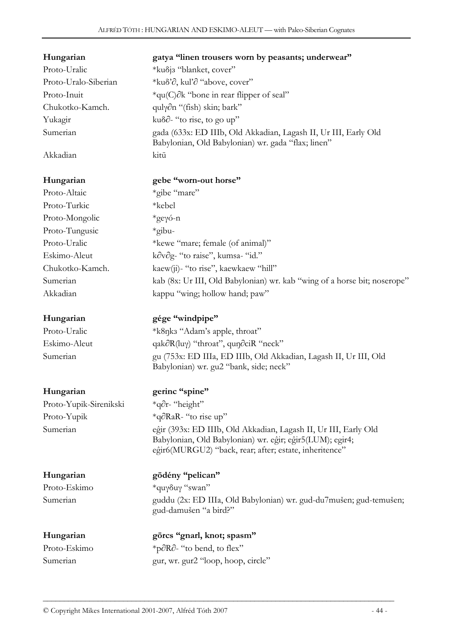Akkadian kitū

Proto-Altaic \*gibe "mare" Proto-Turkic \*kebel Proto-Mongolic \*geγó-n Proto-Tungusic \*gibu-

Proto-Yupik-Sirenikski \*q∂r- "height" Proto-Yupik \*q∂RaR- "to rise up"

### Hungarian gatya "linen trousers worn by peasants; underwear" Proto-Uralic \*kuδj<sub>3</sub> "blanket, cover" Proto-Uralo-Siberian \*kuδ'∂, kul'∂ "above, cover" Proto-Inuit \*qu(C)∂k "bone in rear flipper of seal" Chukotko-Kamch. qulγ∂n "(fish) skin; bark" Yukagir kuδ∂- "to rise, to go up" Sumerian gada (633x: ED IIIb, Old Akkadian, Lagash II, Ur III, Early Old Babylonian, Old Babylonian) wr. gada "flax; linen"

#### Hungarian gebe "worn-out horse"

Proto-Uralic \*kewe "mare; female (of animal)" Eskimo-Aleut k∂v∂g- "to raise", kumsa- "id." Chukotko-Kamch. kaew(ji)- "to rise", kaewkaew "hill" Sumerian kab (8x: Ur III, Old Babylonian) wr. kab "wing of a horse bit; noserope" Akkadian kappu "wing; hollow hand; paw"

### Hungarian gége "windpipe"

Proto-Uralic \*k8ŋk3 "Adam's apple, throat" Eskimo-Aleut qak∂R(luγ) "throat", quŋ∂ciR "neck" Sumerian gu (753x: ED IIIa, ED IIIb, Old Akkadian, Lagash II, Ur III, Old Babylonian) wr. gu2 "bank, side; neck"

### Hungarian gerinc "spine"

Sumerian eĝir (393x: ED IIIb, Old Akkadian, Lagash II, Ur III, Early Old Babylonian, Old Babylonian) wr. eĝir; eĝir5(LUM); egir4; eĝir6(MURGU2) "back, rear; after; estate, inheritence"

Hungarian gödény "pelican" Proto-Eskimo \*quγδuγ "swan" Sumerian guddu (2x: ED IIIa, Old Babylonian) wr. gud-du7mušen; gud-temušen; gud-damušen "a bird?"

Hungarian görcs "gnarl, knot; spasm" Proto-Eskimo \*p∂R∂- "to bend, to flex" Sumerian gur, wr. gur2 "loop, hoop, circle"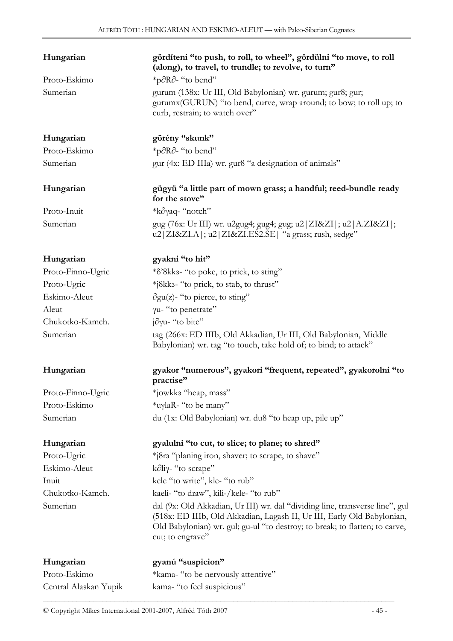| Hungarian         | gördíteni "to push, to roll, to wheel", gördülni "to move, to roll<br>(along), to travel, to trundle; to revolve, to turn"                                                                                                                                |
|-------------------|-----------------------------------------------------------------------------------------------------------------------------------------------------------------------------------------------------------------------------------------------------------|
| Proto-Eskimo      | * $p\partial R\partial$ - "to bend"                                                                                                                                                                                                                       |
| Sumerian          | gurum (138x: Ur III, Old Babylonian) wr. gurum; gur8; gur;<br>gurumx(GURUN) "to bend, curve, wrap around; to bow; to roll up; to<br>curb, restrain; to watch over"                                                                                        |
| Hungarian         | görény "skunk"                                                                                                                                                                                                                                            |
| Proto-Eskimo      | * $p\partial R\partial$ - "to bend"                                                                                                                                                                                                                       |
| Sumerian          | gur (4x: ED IIIa) wr. gur8 "a designation of animals"                                                                                                                                                                                                     |
| Hungarian         | gügyü "a little part of mown grass; a handful; reed-bundle ready<br>for the stove"                                                                                                                                                                        |
| Proto-Inuit       | *k∂γaq- "notch"                                                                                                                                                                                                                                           |
| Sumerian          | gug (76x: Ur III) wr. u2gug4; gug4; gug; u2 ZI&ZI ; u2 A.ZI&ZI ;<br>$u2 ZI\&ZI.A $ ; $u2 ZI\&ZI.E\&2.\&E $ "a grass; rush, sedge"                                                                                                                         |
| Hungarian         | gyakni "to hit"                                                                                                                                                                                                                                           |
| Proto-Finno-Ugric | <i>*</i> δ'8kk3- "to poke, to prick, to sting"                                                                                                                                                                                                            |
| Proto-Ugric       | *j8kk3- "to prick, to stab, to thrust"                                                                                                                                                                                                                    |
| Eskimo-Aleut      | $\partial$ gu(z)- "to pierce, to sting"                                                                                                                                                                                                                   |
| Aleut             | γu-"to penetrate"                                                                                                                                                                                                                                         |
| Chukotko-Kamch.   | $i\partial y$ u-"to bite"                                                                                                                                                                                                                                 |
| Sumerian          | tag (266x: ED IIIb, Old Akkadian, Ur III, Old Babylonian, Middle<br>Babylonian) wr. tag "to touch, take hold of; to bind; to attack"                                                                                                                      |
| Hungarian         | gyakor "numerous", gyakori "frequent, repeated", gyakorolni "to<br>practise"                                                                                                                                                                              |
| Proto-Finno-Ugric | *jowkks "heap, mass"                                                                                                                                                                                                                                      |
| Proto-Eskimo      | *uγlaR- "to be many"                                                                                                                                                                                                                                      |
| Sumerian          | du (1x: Old Babylonian) wr. du8 "to heap up, pile up"                                                                                                                                                                                                     |
| Hungarian         | gyalulni "to cut, to slice; to plane; to shred"                                                                                                                                                                                                           |
| Proto-Ugric       | *j8r3 "planing iron, shaver; to scrape, to shave"                                                                                                                                                                                                         |
| Eskimo-Aleut      | k∂liγ- "to scrape"                                                                                                                                                                                                                                        |
| Inuit             | kele "to write", kle- "to rub"                                                                                                                                                                                                                            |
| Chukotko-Kamch.   | kaeli- "to draw", kili-/kele- "to rub"                                                                                                                                                                                                                    |
| Sumerian          | dal (9x: Old Akkadian, Ur III) wr. dal "dividing line, transverse line", gul<br>(518x: ED IIIb, Old Akkadian, Lagash II, Ur III, Early Old Babylonian,<br>Old Babylonian) wr. gul; gu-ul "to destroy; to break; to flatten; to carve,<br>cut; to engrave" |
| Hungarian         | gyanú "suspicion"                                                                                                                                                                                                                                         |
| Proto-Eskimo      | *kama- "to be nervously attentive"                                                                                                                                                                                                                        |

Central Alaskan Yupik kama- "to feel suspicious"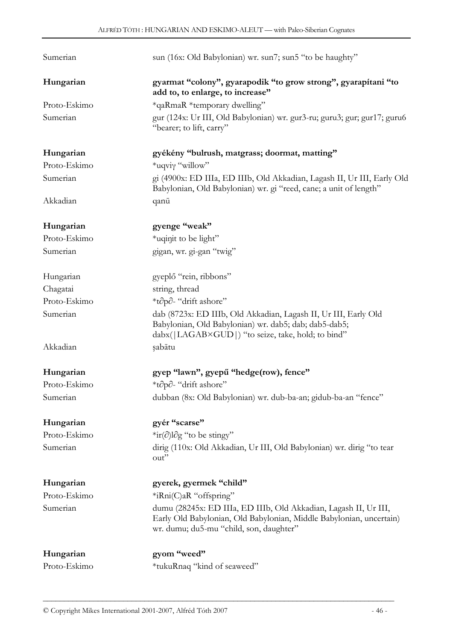| Sumerian     | sun (16x: Old Babylonian) wr. sun7; sun5 "to be haughty"                                                                                                                           |
|--------------|------------------------------------------------------------------------------------------------------------------------------------------------------------------------------------|
| Hungarian    | gyarmat "colony", gyarapodik "to grow strong", gyarapítani "to<br>add to, to enlarge, to increase"                                                                                 |
| Proto-Eskimo | *qaRmaR *temporary dwelling"                                                                                                                                                       |
| Sumerian     | gur (124x: Ur III, Old Babylonian) wr. gur3-ru; guru3; gur; gur17; guru6<br>"bearer; to lift, carry"                                                                               |
| Hungarian    | gyékény "bulrush, matgrass; doormat, matting"                                                                                                                                      |
| Proto-Eskimo | *uqviγ "willow"                                                                                                                                                                    |
| Sumerian     | gi (4900x: ED IIIa, ED IIIb, Old Akkadian, Lagash II, Ur III, Early Old<br>Babylonian, Old Babylonian) wr. gi "reed, cane; a unit of length"                                       |
| Akkadian     | qanū                                                                                                                                                                               |
| Hungarian    | gyenge "weak"                                                                                                                                                                      |
| Proto-Eskimo | *uqinit to be light"                                                                                                                                                               |
| Sumerian     | gigan, wr. gi-gan "twig"                                                                                                                                                           |
| Hungarian    | gyeplő "rein, ribbons"                                                                                                                                                             |
| Chagatai     | string, thread                                                                                                                                                                     |
| Proto-Eskimo | *tôpô- "drift ashore"                                                                                                                                                              |
| Sumerian     | dab (8723x: ED IIIb, Old Akkadian, Lagash II, Ur III, Early Old<br>Babylonian, Old Babylonian) wr. dab5; dab; dab5-dab5;<br>dabx( LAGAB×GUD ) "to seize, take, hold; to bind"      |
| Akkadian     | şabātu                                                                                                                                                                             |
| Hungarian    | gyep "lawn", gyepű "hedge(row), fence"                                                                                                                                             |
| Proto-Eskimo | *t∂p∂- "drift ashore"                                                                                                                                                              |
| Sumerian     | dubban (8x: Old Babylonian) wr. dub-ba-an; gidub-ba-an "fence"                                                                                                                     |
| Hungarian    | gyér "scarse"                                                                                                                                                                      |
| Proto-Eskimo | *ir( $\partial$ )l $\partial$ g "to be stingy"                                                                                                                                     |
| Sumerian     | dirig (110x: Old Akkadian, Ur III, Old Babylonian) wr. dirig "to tear<br>out"                                                                                                      |
| Hungarian    | gyerek, gyermek "child"                                                                                                                                                            |
| Proto-Eskimo | *iRni(C)aR "offspring"                                                                                                                                                             |
| Sumerian     | dumu (28245x: ED IIIa, ED IIIb, Old Akkadian, Lagash II, Ur III,<br>Early Old Babylonian, Old Babylonian, Middle Babylonian, uncertain)<br>wr. dumu; du5-mu "child, son, daughter" |
| Hungarian    | gyom "weed"                                                                                                                                                                        |
| Proto-Eskimo | *tukuRnaq "kind of seaweed"                                                                                                                                                        |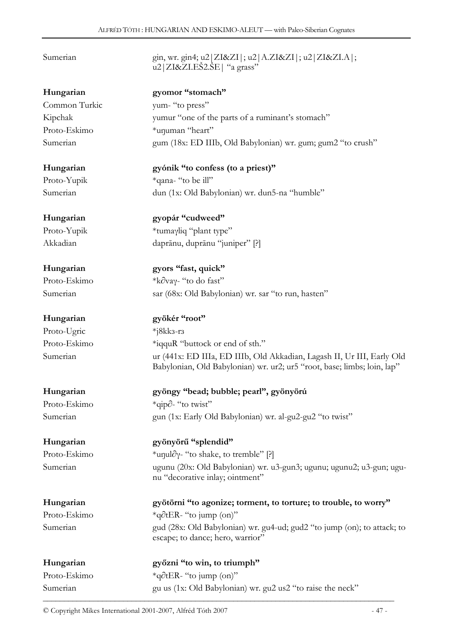Sumerian gin, wr. gin4; u2 | ZI&ZI | ; u2 | A.ZI&ZI | ; u2 | ZI&ZI.A | ;

|               | $u2$  ZI&ZI.ES2.SE  "a grass"                                                                                                                     |
|---------------|---------------------------------------------------------------------------------------------------------------------------------------------------|
| Hungarian     | gyomor "stomach"                                                                                                                                  |
| Common Turkic | yum-"to press"                                                                                                                                    |
| Kipchak       | yumur "one of the parts of a ruminant's stomach"                                                                                                  |
| Proto-Eskimo  | *unuman "heart"                                                                                                                                   |
| Sumerian      | gum (18x: ED IIIb, Old Babylonian) wr. gum; gum2 "to crush"                                                                                       |
| Hungarian     | gyónik "to confess (to a priest)"                                                                                                                 |
| Proto-Yupik   | *qana-"to be ill"                                                                                                                                 |
| Sumerian      | dun (1x: Old Babylonian) wr. dun5-na "humble"                                                                                                     |
| Hungarian     | gyopár "cudweed"                                                                                                                                  |
| Proto-Yupik   | *tumaγliq "plant type"                                                                                                                            |
| Akkadian      | daprānu, duprānu "juniper" [?]                                                                                                                    |
| Hungarian     | gyors "fast, quick"                                                                                                                               |
| Proto-Eskimo  | *k∂vaγ- "to do fast"                                                                                                                              |
| Sumerian      | sar (68x: Old Babylonian) wr. sar "to run, hasten"                                                                                                |
| Hungarian     | gyökér "root"                                                                                                                                     |
| Proto-Ugric   | *j8kk3-r3                                                                                                                                         |
| Proto-Eskimo  | *iqquR "buttock or end of sth."                                                                                                                   |
| Sumerian      | ur (441x: ED IIIa, ED IIIb, Old Akkadian, Lagash II, Ur III, Early Old<br>Babylonian, Old Babylonian) wr. ur2; ur5 "root, base; limbs; loin, lap" |
| Hungarian     | gyöngy "bead; bubble; pearl", gyönyörú                                                                                                            |
| Proto-Eskimo  | *qipô- "to twist"                                                                                                                                 |
| Sumerian      | gun (1x: Early Old Babylonian) wr. al-gu2-gu2 "to twist"                                                                                          |
| Hungarian     | gyönyörű "splendid"                                                                                                                               |
| Proto-Eskimo  | *uηul∂γ- "to shake, to tremble" [?]                                                                                                               |
| Sumerian      | ugunu (20x: Old Babylonian) wr. u3-gun3; ugunu; ugunu2; u3-gun; ugu-<br>nu "decorative inlay; ointment"                                           |
| Hungarian     | gyötörni "to agonize; torment, to torture; to trouble, to worry"                                                                                  |
| Proto-Eskimo  | *q∂tER- "to jump (on)"                                                                                                                            |
| Sumerian      | gud (28x: Old Babylonian) wr. gu4-ud; gud2 "to jump (on); to attack; to<br>escape; to dance; hero, warrior"                                       |
| Hungarian     | győzni "to win, to triumph"                                                                                                                       |
| Proto-Eskimo  | *q∂tER- "to jump (on)"                                                                                                                            |

Sumerian gu us (1x: Old Babylonian) wr. gu2 us2 "to raise the neck"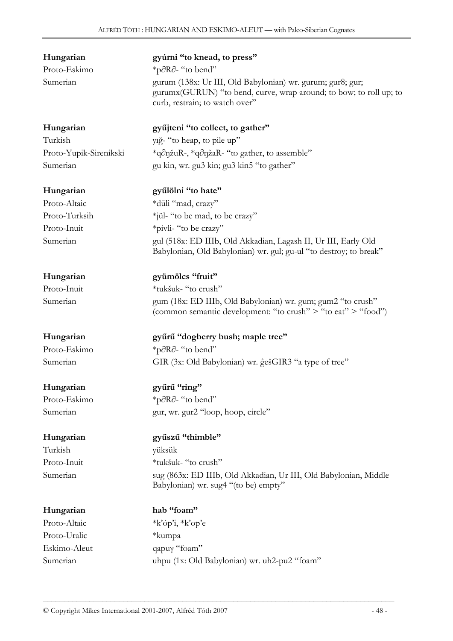| Hungarian                   | gyúrni "to knead, to press"                                                                                                                                        |
|-----------------------------|--------------------------------------------------------------------------------------------------------------------------------------------------------------------|
| Proto-Eskimo                | *p∂R∂- "to bend"                                                                                                                                                   |
| Sumerian                    | gurum (138x: Ur III, Old Babylonian) wr. gurum; gur8; gur;<br>gurumx(GURUN) "to bend, curve, wrap around; to bow; to roll up; to<br>curb, restrain; to watch over" |
| Hungarian                   | gyűjteni "to collect, to gather"                                                                                                                                   |
| Turkish                     | yığ- "to heap, to pile up"                                                                                                                                         |
| Proto-Yupik-Sirenikski      | *q∂ηžuR-, *q∂ηžaR- "to gather, to assemble"                                                                                                                        |
| Sumerian                    | gu kin, wr. gu3 kin; gu3 kin5 "to gather"                                                                                                                          |
| Hungarian                   | gyűlölni "to hate"                                                                                                                                                 |
| Proto-Altaic                | *dūli "mad, crazy"                                                                                                                                                 |
| Proto-Turksih               | *jül- "to be mad, to be crazy"                                                                                                                                     |
| Proto-Inuit                 | *pivli- "to be crazy"                                                                                                                                              |
| Sumerian                    | gul (518x: ED IIIb, Old Akkadian, Lagash II, Ur III, Early Old<br>Babylonian, Old Babylonian) wr. gul; gu-ul "to destroy; to break"                                |
| Hungarian                   | gyümölcs "fruit"                                                                                                                                                   |
| Proto-Inuit                 | *tukšuk- "to crush"                                                                                                                                                |
| Sumerian                    | gum (18x: ED IIIb, Old Babylonian) wr. gum; gum2 "to crush"<br>(common semantic development: "to crush" > "to eat" > "food")                                       |
| Hungarian                   | gyűrű "dogberry bush; maple tree"                                                                                                                                  |
| $\sim$ $\sim$ $\sim$ $\sim$ |                                                                                                                                                                    |

Proto-Eskimo \*p∂R∂- "to bend" Sumerian GIR (3x: Old Babylonian) wr. ĝešGIR3 "a type of tree"

### Hungarian gyűrű "ring" Proto-Eskimo \*p∂R∂- "to bend" Sumerian gur, wr. gur2 "loop, hoop, circle"

# Turkish yüksük

# Hungarian hab "foam" Proto-Uralic \*kumpa

Hungarian gyűszű "thimble" Proto-Inuit \*tukšuk- "to crush" Sumerian sug (863x: ED IIIb, Old Akkadian, Ur III, Old Babylonian, Middle Babylonian) wr. sug4 "(to be) empty"

## Proto-Altaic \*k'óp'i, \*k'op'e Eskimo-Aleut qapuγ "foam" Sumerian uhpu (1x: Old Babylonian) wr. uh2-pu2 "foam"

\_\_\_\_\_\_\_\_\_\_\_\_\_\_\_\_\_\_\_\_\_\_\_\_\_\_\_\_\_\_\_\_\_\_\_\_\_\_\_\_\_\_\_\_\_\_\_\_\_\_\_\_\_\_\_\_\_\_\_\_\_\_\_\_\_\_\_\_\_\_\_\_\_\_\_\_\_\_\_\_\_\_\_ © Copyright Mikes International 2001-2007, Alfréd Tóth 2007 - 48 -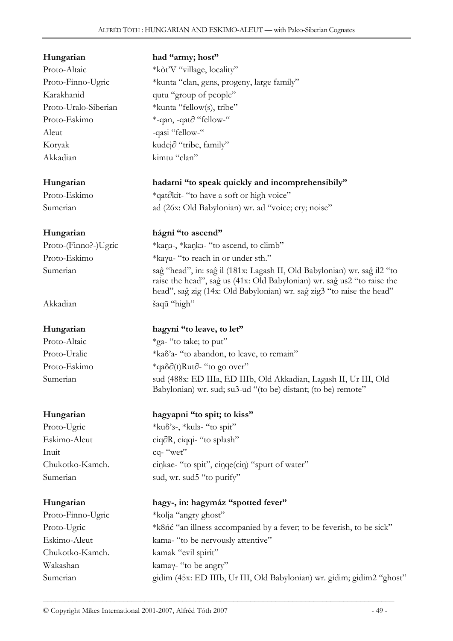Aleut -qasi "fellow-" Akkadian kimtu "clan"

Inuit cq- "wet"

Chukotko-Kamch. kamak "evil spirit"

#### Hungarian had "army; host"

Proto-Altaic \*kòt'V "village, locality" Proto-Finno-Ugric \*kunta "clan, gens, progeny, large family" Karakhanid qutu "group of people" Proto-Uralo-Siberian \*kunta "fellow(s), tribe" Proto-Eskimo \*-qan, -qat∂ "fellow-" Koryak kudej∂ "tribe, family"

### Hungarian hadarni "to speak quickly and incomprehensibily"

Proto-Eskimo \*qat∂kit- "to have a soft or high voice" Sumerian ad (26x: Old Babylonian) wr. ad "voice; cry; noise"

### Hungarian hágni "to ascend"

Proto-(Finno?-)Ugric \*kaŋз-, \*kaŋkз- "to ascend, to climb" Proto-Eskimo \*kaγu- "to reach in or under sth." Sumerian saĝ "head", in: saĝ il (181x: Lagash II, Old Babylonian) wr. saĝ il2 "to raise the head", saĝ us (41x: Old Babylonian) wr. saĝ us2 "to raise the head", saĝ zig (14x: Old Babylonian) wr. saĝ zig3 "to raise the head" Akkadian šaqū "high"

### Hungarian hagyni "to leave, to let" Proto-Altaic  $*_{\text{ga-}}$  "to take; to put" Proto-Uralic \*kaδ'a- "to abandon, to leave, to remain" Proto-Eskimo \*qaδ∂(t)Rut∂- "to go over"

Sumerian sud (488x: ED IIIa, ED IIIb, Old Akkadian, Lagash II, Ur III, Old Babylonian) wr. sud; su3-ud "(to be) distant; (to be) remote"

#### Hungarian hagyapni "to spit; to kiss"

Proto-Ugric \*kuδ'з-, \*kulз- "to spit" Eskimo-Aleut ciq∂R, ciqqi- "to splash" Chukotko-Kamch. ciŋkae- "to spit", ciŋqe(ciŋ) "spurt of water" Sumerian sud, wr. sud5 "to purify"

#### Hungarian hagy-, in: hagymáz "spotted fever"

Proto-Finno-Ugric \*kolja "angry ghost" Proto-Ugric \*k8ńć "an illness accompanied by a fever; to be feverish, to be sick" Eskimo-Aleut kama- "to be nervously attentive" Wakashan kamaγ- "to be angry" Sumerian gidim (45x: ED IIIb, Ur III, Old Babylonian) wr. gidim; gidim2 "ghost"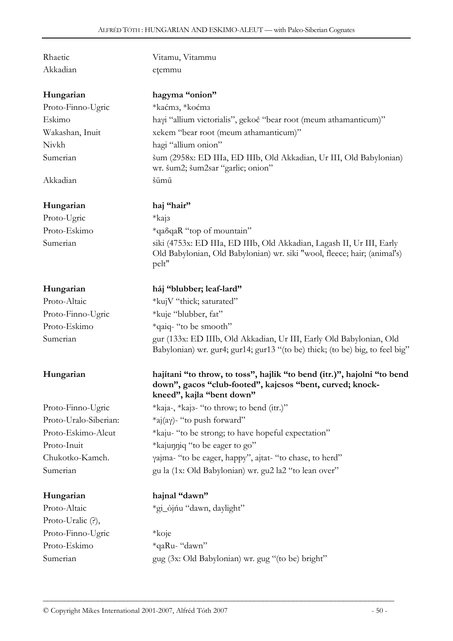| Rhaetic               | Vitamu, Vitammu                                                                                                                                                   |
|-----------------------|-------------------------------------------------------------------------------------------------------------------------------------------------------------------|
| Akkadian              | ețemmu                                                                                                                                                            |
|                       |                                                                                                                                                                   |
| Hungarian             | hagyma "onion"                                                                                                                                                    |
| Proto-Finno-Ugric     | *kaćms, *koćms                                                                                                                                                    |
| Eskimo                | hayi "allium victorialis", gekoč "bear root (meum athamanticum)"                                                                                                  |
| Wakashan, Inuit       | xekem "bear root (meum athamanticum)"                                                                                                                             |
| Nivkh                 | hagi "allium onion"                                                                                                                                               |
| Sumerian              | šum (2958x: ED IIIa, ED IIIb, Old Akkadian, Ur III, Old Babylonian)<br>wr. šum2; šum2sar "garlic; onion"                                                          |
| Akkadian              | šūmū                                                                                                                                                              |
| Hungarian             | haj "hair"                                                                                                                                                        |
| Proto-Ugric           | $*$ kaj3                                                                                                                                                          |
| Proto-Eskimo          | *qa8qaR "top of mountain"                                                                                                                                         |
| Sumerian              | siki (4753x: ED IIIa, ED IIIb, Old Akkadian, Lagash II, Ur III, Early                                                                                             |
|                       | Old Babylonian, Old Babylonian) wr. siki "wool, fleece; hair; (animal's)<br>pelt"                                                                                 |
| Hungarian             | háj "blubber; leaf-lard"                                                                                                                                          |
| Proto-Altaic          | *kujV "thick; saturated"                                                                                                                                          |
| Proto-Finno-Ugric     | *kuje "blubber, fat"                                                                                                                                              |
| Proto-Eskimo          | *qaiq- "to be smooth"                                                                                                                                             |
| Sumerian              | gur (133x: ED IIIb, Old Akkadian, Ur III, Early Old Babylonian, Old<br>Babylonian) wr. gur4; gur14; gur13 "(to be) thick; (to be) big, to feel big"               |
| Hungarian             | hajítani "to throw, to toss", hajlik "to bend (itr.)", hajolni "to bend<br>down", gacos "club-footed", kajcsos "bent, curved; knock-<br>kneed", kajla "bent down" |
| Proto-Finno-Ugric     | *kaja-, *kaja- "to throw; to bend (itr.)"                                                                                                                         |
| Proto-Uralo-Siberian: | *aj(ay)- "to push forward"                                                                                                                                        |
| Proto-Eskimo-Aleut    | *kaju- "to be strong; to have hopeful expectation"                                                                                                                |
| Proto-Inuit           | *kajunniq "to be eager to go"                                                                                                                                     |
| Chukotko-Kamch.       | yajma- "to be eager, happy", ajtat- "to chase, to herd"                                                                                                           |
| Sumerian              | gu la (1x: Old Babylonian) wr. gu2 la2 "to lean over"                                                                                                             |
| Hungarian             | hajnal "dawn"                                                                                                                                                     |
| Proto-Altaic          | *gi_òjńu "dawn, daylight"                                                                                                                                         |
| Proto-Uralic (?),     |                                                                                                                                                                   |
| Proto-Finno-Ugric     | *koje                                                                                                                                                             |
| Proto-Eskimo          | *qaRu- "dawn"                                                                                                                                                     |
| Sumerian              | gug (3x: Old Babylonian) wr. gug "(to be) bright"                                                                                                                 |
|                       |                                                                                                                                                                   |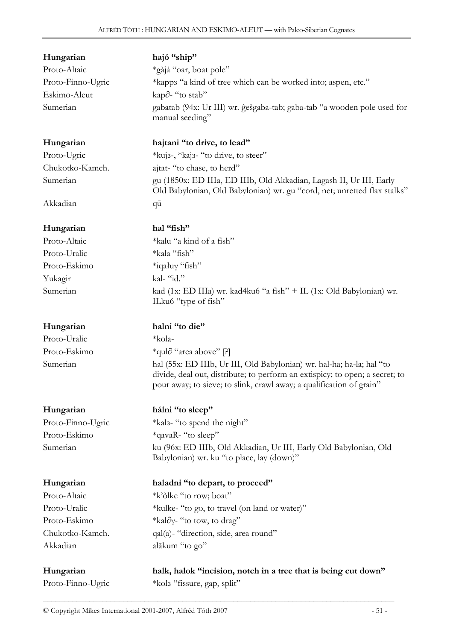| Hungarian         |  |
|-------------------|--|
| Proto-Altaic      |  |
| Proto-Finno-Ugric |  |
| Eskimo-Aleut      |  |
| Sumerian          |  |

### hajó "ship"

\*gàjá "oar, boat pole" \*kappa "a kind of tree which can be worked into; aspen, etc." kap∂- "to stab" gabatab (94x: Ur III) wr. ĝešgaba-tab; gaba-tab "a wooden pole used for manual seeding"

### Hungarian

Proto-Ugric Chukotko-Kamch. Sumerian

Akkadian

### Hungarian

Proto-Altaic Proto-Uralic Proto-Eskimo Yukagir Sumerian

### Hungarian

Proto-Uralic Proto-Eskimo Sumerian

### Hungarian

Proto-Finno-Ugric Proto-Eskimo Sumerian

### Hungarian

Proto-Altaic Proto-Uralic Proto-Eskimo Chukotko-Kamch. Akkadian

### Hungarian

Proto-Finno-Ugric

### hajtani "to drive, to lead"

\*kuj3-, \*kaj3- "to drive, to steer" ajtat- "to chase, to herd" gu (1850x: ED IIIa, ED IIIb, Old Akkadian, Lagash II, Ur III, Early Old Babylonian, Old Babylonian) wr. gu "cord, net; unretted flax stalks" qū

### hal "fish"

\*kalu "a kind of a fish" \*kala "fish" \*iqałuγ "fish" kal- $``id."$ kad (1x: ED IIIa) wr. kad4ku6 "a fish" + IL (1x: Old Babylonian) wr. ILku6 "type of fish"

### halni "to die"

\*kola-\*qul∂ "area above" [?] hal (55x: ED IIIb, Ur III, Old Babylonian) wr. hal-ha; ha-la; hal "to divide, deal out, distribute; to perform an extispicy; to open; a secret; to pour away; to sieve; to slink, crawl away; a qualification of grain"

### hálni "to sleep"

\*kala- "to spend the night" \*qavaR- "to sleep" ku (96x: ED IIIb, Old Akkadian, Ur III, Early Old Babylonian, Old Babylonian) wr. ku "to place, lay (down)"

### haladni "to depart, to proceed"

\*k'òlke "to row; boat" \*kulke- "to go, to travel (on land or water)" \*kal $\partial y$ - "to tow, to drag" qal(a)- "direction, side, area round" alākum "to go"

### halk, halok "incision, notch in a tree that is being cut down" \*kols "fissure, gap, split"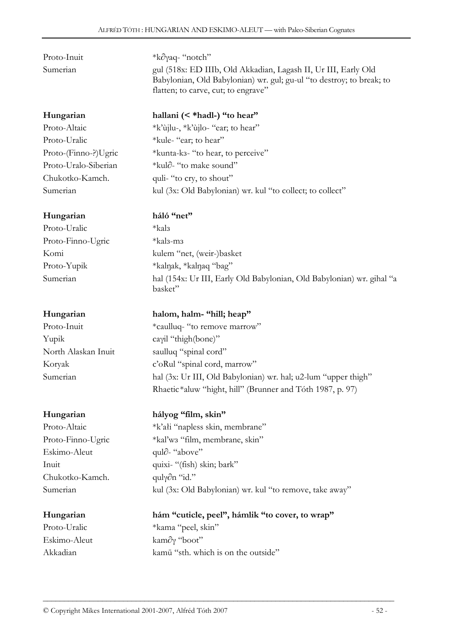Proto-Uralic \*kule- "ear; to hear"

#### Hungarian háló "net"

Proto-Uralic \*kal<sub>3</sub> Proto-Finno-Ugric \*kal<sub>3</sub>-m<sub>3</sub>

Yupik caγil "thigh(bone)"

Eskimo-Aleut qul∂- "above" Chukotko-Kamch. qulγ∂n "id."

Proto-Inuit \*k∂γaq- "notch"

Sumerian gul (518x: ED IIIb, Old Akkadian, Lagash II, Ur III, Early Old Babylonian, Old Babylonian) wr. gul; gu-ul "to destroy; to break; to flatten; to carve, cut; to engrave"

### Hungarian hallani (< \*hadl-) "to hear"

Proto-Altaic \*k'ùjlu-, \*k'ùjlo- "ear; to hear" Proto-(Finno-?)Ugric \*kunta-ks- "to hear, to perceive" Proto-Uralo-Siberian \*kul∂- "to make sound" Chukotko-Kamch. quli- "to cry, to shout" Sumerian kul (3x: Old Babylonian) wr. kul "to collect; to collect"

Komi kulem "net, (weir-)basket Proto-Yupik \*kalŋak, \*kalŋaq "bag" Sumerian hal (154x: Ur III, Early Old Babylonian, Old Babylonian) wr. gihal "a basket"

### Hungarian halom, halm- "hill; heap"

Proto-Inuit \*caulluq- "to remove marrow" North Alaskan Inuit saulluq "spinal cord" Koryak c'oRul "spinal cord, marrow" Sumerian hal (3x: Ur III, Old Babylonian) wr. hal; u2-lum "upper thigh" Rhaetic \*aluw "hight, hill" (Brunner and Tóth 1987, p. 97)

### Hungarian hályog "film, skin"

Proto-Altaic \*k'ałi "napless skin, membrane" Proto-Finno-Ugric \*kal'ws "film, membrane, skin" Inuit quixi- "(fish) skin; bark" Sumerian kul (3x: Old Babylonian) wr. kul "to remove, take away"

#### Hungarian hám "cuticle, peel", hámlik "to cover, to wrap"

Proto-Uralic \*kama "peel, skin" Eskimo-Aleut kam∂γ "boot" Akkadian kamū "sth. which is on the outside"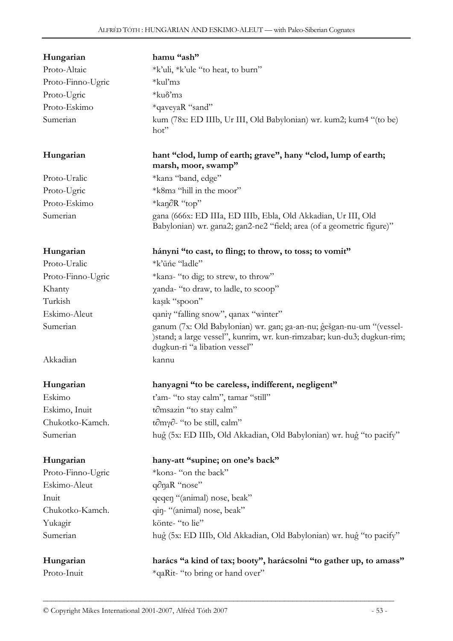| Hungarian         | hamu "ash"                                                                                                                                                                       |
|-------------------|----------------------------------------------------------------------------------------------------------------------------------------------------------------------------------|
| Proto-Altaic      | *k'uli, *k'ule "to heat, to burn"                                                                                                                                                |
| Proto-Finno-Ugric | *kul'm <sub>3</sub>                                                                                                                                                              |
| Proto-Ugric       | $*ku\delta'm3$                                                                                                                                                                   |
| Proto-Eskimo      | *qaveyaR "sand"                                                                                                                                                                  |
| Sumerian          | kum (78x: ED IIIb, Ur III, Old Babylonian) wr. kum2; kum4 "(to be)<br>hot"                                                                                                       |
| Hungarian         | hant "clod, lump of earth; grave", hany "clod, lump of earth;<br>marsh, moor, swamp"                                                                                             |
| Proto-Uralic      | *kans "band, edge"                                                                                                                                                               |
| Proto-Ugric       | *k8m3 "hill in the moor"                                                                                                                                                         |
| Proto-Eskimo      | <sup>*</sup> kaη∂R "top"                                                                                                                                                         |
| Sumerian          | gana (666x: ED IIIa, ED IIIb, Ebla, Old Akkadian, Ur III, Old<br>Babylonian) wr. gana2; gan2-ne2 "field; area (of a geometric figure)"                                           |
| Hungarian         | hányni "to cast, to fling; to throw, to toss; to vomit"                                                                                                                          |
| Proto-Uralic      | *k'ūne "ladle"                                                                                                                                                                   |
| Proto-Finno-Ugric | *kans- "to dig; to strew, to throw"                                                                                                                                              |
| Khanty            | χanda- "to draw, to ladle, to scoop"                                                                                                                                             |
| Turkish           | kaşık "spoon"                                                                                                                                                                    |
| Eskimo-Aleut      | qaniy "falling snow", qanax "winter"                                                                                                                                             |
| Sumerian          | ganum (7x: Old Babylonian) wr. gan; ga-an-nu; ĝešgan-nu-um "(vessel-<br>)stand; a large vessel", kunrim, wr. kun-rimzabar; kun-du3; dugkun-rim;<br>dugkun-ri "a libation vessel" |
| Akkadian          | kannu                                                                                                                                                                            |
| Hungarian         | hanyagni "to be careless, indifferent, negligent"                                                                                                                                |
| Eskimo            | t'am- "to stay calm", tamar "still"                                                                                                                                              |
| Eskimo, Inuit     | to stay calm"                                                                                                                                                                    |
| Chukotko-Kamch.   | t∂mγ $∂$ - "to be still, calm"                                                                                                                                                   |
| Sumerian          | huĝ (5x: ED IIIb, Old Akkadian, Old Babylonian) wr. huĝ "to pacify"                                                                                                              |
| Hungarian         | hany-att "supine; on one's back"                                                                                                                                                 |
| Proto-Finno-Ugric | *kons- "on the back"                                                                                                                                                             |
| Eskimo-Aleut      | $q\partial$ naR "nose"                                                                                                                                                           |
| Inuit             | qeqen "(animal) nose, beak"                                                                                                                                                      |
| Chukotko-Kamch.   | qin- "(animal) nose, beak"                                                                                                                                                       |
| Yukagir           | könte-"to lie"                                                                                                                                                                   |
| Sumerian          | huĝ (5x: ED IIIb, Old Akkadian, Old Babylonian) wr. huĝ "to pacify"                                                                                                              |
| Hungarian         | harács "a kind of tax; booty", harácsolni "to gather up, to amass"                                                                                                               |
| Proto-Inuit       | *qaRit- "to bring or hand over"                                                                                                                                                  |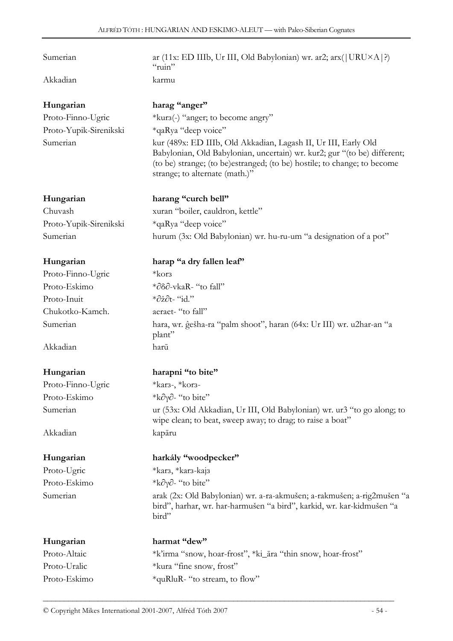| Sumerian               | ar (11x: ED IIIb, Ur III, Old Babylonian) wr. ar2; arx( URU×A ?)<br>"ruin"                                                                                                                                                                                |
|------------------------|-----------------------------------------------------------------------------------------------------------------------------------------------------------------------------------------------------------------------------------------------------------|
| Akkadian               | karmu                                                                                                                                                                                                                                                     |
| Hungarian              | harag "anger"                                                                                                                                                                                                                                             |
| Proto-Finno-Ugric      | *kurs(-) "anger; to become angry"                                                                                                                                                                                                                         |
| Proto-Yupik-Sirenikski | *qaRya "deep voice"                                                                                                                                                                                                                                       |
| Sumerian               | kur (489x: ED IIIb, Old Akkadian, Lagash II, Ur III, Early Old<br>Babylonian, Old Babylonian, uncertain) wr. kur2; gur "(to be) different;<br>(to be) strange; (to be) estranged; (to be) hostile; to change; to become<br>strange; to alternate (math.)" |
| Hungarian              | harang "curch bell"                                                                                                                                                                                                                                       |
| Chuvash                | xuran "boiler, cauldron, kettle"                                                                                                                                                                                                                          |
| Proto-Yupik-Sirenikski | *qaRya "deep voice"                                                                                                                                                                                                                                       |
| Sumerian               | hurum (3x: Old Babylonian) wr. hu-ru-um "a designation of a pot"                                                                                                                                                                                          |
| Hungarian              | harap "a dry fallen leaf"                                                                                                                                                                                                                                 |
| Proto-Finno-Ugric      | $*k$ or <sub>3</sub>                                                                                                                                                                                                                                      |
| Proto-Eskimo           | *∂8∂-vkaR- "to fall"                                                                                                                                                                                                                                      |
| Proto-Inuit            | *∂ž∂t- "id."                                                                                                                                                                                                                                              |
| Chukotko-Kamch.        | aeraet-"to fall"                                                                                                                                                                                                                                          |
| Sumerian               | hara, wr. ĝešha-ra "palm shoot", haran (64x: Ur III) wr. u2har-an "a<br>plant"                                                                                                                                                                            |
| Akkadian               | harū                                                                                                                                                                                                                                                      |
| Hungarian              | harapni "to bite"                                                                                                                                                                                                                                         |
| Proto-Finno-Ugric      | *kar3-, *kor3-                                                                                                                                                                                                                                            |
| Proto-Eskimo           | * $k\partial y\partial$ - "to bite"                                                                                                                                                                                                                       |
| Sumerian               | ur (53x: Old Akkadian, Ur III, Old Babylonian) wr. ur3 "to go along; to<br>wipe clean; to beat, sweep away; to drag; to raise a boat"                                                                                                                     |
| Akkadian               | kapāru                                                                                                                                                                                                                                                    |
| Hungarian              | harkály "woodpecker"                                                                                                                                                                                                                                      |
| Proto-Ugric            | *kars, *kars-kajs                                                                                                                                                                                                                                         |
| Proto-Eskimo           | * $k\partial y\partial$ - "to bite"                                                                                                                                                                                                                       |
| Sumerian               | arak (2x: Old Babylonian) wr. a-ra-akmušen; a-rakmušen; a-rig2mušen "a<br>bird", harhar, wr. har-harmušen "a bird", karkid, wr. kar-kidmušen "a<br>bird"                                                                                                  |
| Hungarian              | harmat "dew"                                                                                                                                                                                                                                              |
| Proto-Altaic           | *k'irma "snow, hoar-frost", *ki_āra "thin snow, hoar-frost"                                                                                                                                                                                               |
| Proto-Uralic           | *kura "fine snow, frost"                                                                                                                                                                                                                                  |
| Proto-Eskimo           | *quRluR- "to stream, to flow"                                                                                                                                                                                                                             |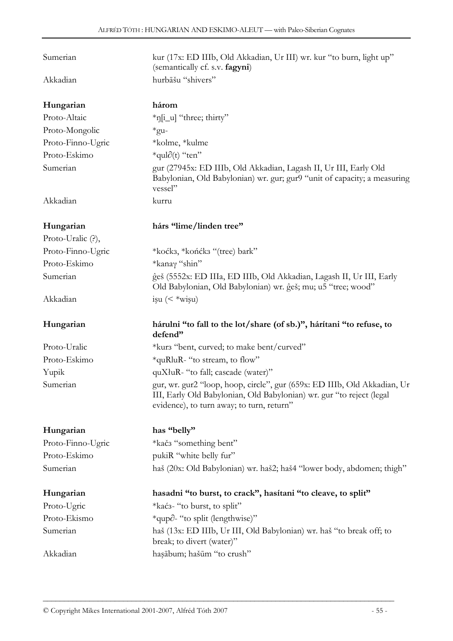| Sumerian                       | kur (17x: ED IIIb, Old Akkadian, Ur III) wr. kur "to burn, light up"<br>(semantically cf. s.v. fagyni)                                                                                        |
|--------------------------------|-----------------------------------------------------------------------------------------------------------------------------------------------------------------------------------------------|
| Akkadian                       | hurbāšu "shivers"                                                                                                                                                                             |
| Hungarian                      | három                                                                                                                                                                                         |
| Proto-Altaic                   | $*$ n[i_u] "three; thirty"                                                                                                                                                                    |
| Proto-Mongolic                 | *gu-                                                                                                                                                                                          |
| Proto-Finno-Ugric              | *kolme, *kulme                                                                                                                                                                                |
| Proto-Eskimo                   | *qul $\partial(t)$ "ten"                                                                                                                                                                      |
| Sumerian                       | gur (27945x: ED IIIb, Old Akkadian, Lagash II, Ur III, Early Old<br>Babylonian, Old Babylonian) wr. gur; gur9 "unit of capacity; a measuring<br>vessel"                                       |
| Akkadian                       | kurru                                                                                                                                                                                         |
| Hungarian<br>Proto-Uralic (?), | hárs "lime/linden tree"                                                                                                                                                                       |
| Proto-Finno-Ugric              | *koćka, *końćka "(tree) bark"                                                                                                                                                                 |
| Proto-Eskimo                   | *kanaγ "shin"                                                                                                                                                                                 |
| Sumerian                       | ĝeš (5552x: ED IIIa, ED IIIb, Old Akkadian, Lagash II, Ur III, Early<br>Old Babylonian, Old Babylonian) wr. ĝeš; mu; u5 "tree; wood"                                                          |
| Akkadian                       | işu $(\timeswisu)$                                                                                                                                                                            |
|                                |                                                                                                                                                                                               |
| Hungarian                      | hárulni "to fall to the lot/share (of sb.)", hárítani "to refuse, to<br>defend"                                                                                                               |
| Proto-Uralic                   | *kurs "bent, curved; to make bent/curved"                                                                                                                                                     |
| Proto-Eskimo                   | *quRluR- "to stream, to flow"                                                                                                                                                                 |
| Yupik                          | quXłuR- "to fall; cascade (water)"                                                                                                                                                            |
| Sumerian                       | gur, wr. gur2 "loop, hoop, circle", gur (659x: ED IIIb, Old Akkadian, Ur<br>III, Early Old Babylonian, Old Babylonian) wr. gur "to reject (legal<br>evidence), to turn away; to turn, return" |
| Hungarian                      | has "belly"                                                                                                                                                                                   |
| Proto-Finno-Ugric              | *kačs "something bent"                                                                                                                                                                        |
| Proto-Eskimo                   | pukiR "white belly fur"                                                                                                                                                                       |
| Sumerian                       | haš (20x: Old Babylonian) wr. haš2; haš4 "lower body, abdomen; thigh"                                                                                                                         |
| Hungarian                      | hasadni "to burst, to crack", hasitani "to cleave, to split"                                                                                                                                  |
| Proto-Ugric                    | *kaća- "to burst, to split"                                                                                                                                                                   |
| Proto-Ekismo                   | *qup∂- "to split (lengthwise)"                                                                                                                                                                |
| Sumerian                       | haš (13x: ED IIIb, Ur III, Old Babylonian) wr. haš "to break off; to<br>break; to divert (water)"                                                                                             |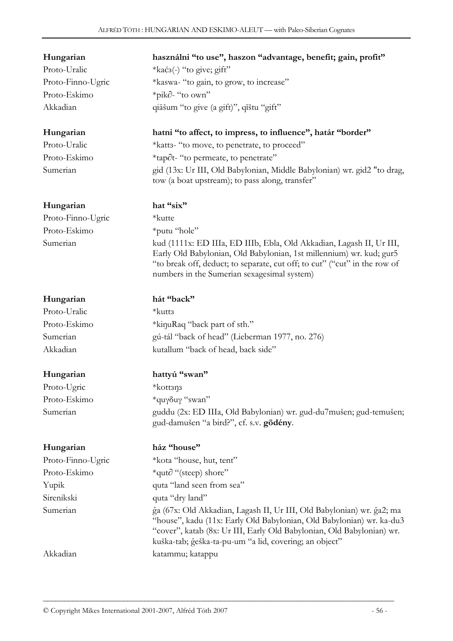| Hungarian         | használni "to use", haszon "advantage, benefit; gain, profit"                                                                                                                                                                                                           |
|-------------------|-------------------------------------------------------------------------------------------------------------------------------------------------------------------------------------------------------------------------------------------------------------------------|
| Proto-Uralic      | *kać3(-) "to give; gift"                                                                                                                                                                                                                                                |
| Proto-Finno-Ugric | *kaswa- "to gain, to grow, to increase"                                                                                                                                                                                                                                 |
| Proto-Eskimo      | *pik $\partial$ - "to own"                                                                                                                                                                                                                                              |
| Akkadian          | qiāšum "to give (a gift)", qīštu "gift"                                                                                                                                                                                                                                 |
| Hungarian         | hatni "to affect, to impress, to influence", határ "border"                                                                                                                                                                                                             |
| Proto-Uralic      | *katta- "to move, to penetrate, to proceed"                                                                                                                                                                                                                             |
| Proto-Eskimo      | *tap∂t- "to permeate, to penetrate"                                                                                                                                                                                                                                     |
| Sumerian          | gid (13x: Ur III, Old Babylonian, Middle Babylonian) wr. gid2 "to drag,<br>tow (a boat upstream); to pass along, transfer"                                                                                                                                              |
| Hungarian         | hat "six"                                                                                                                                                                                                                                                               |
| Proto-Finno-Ugric | *kutte                                                                                                                                                                                                                                                                  |
| Proto-Eskimo      | *putu "hole"                                                                                                                                                                                                                                                            |
| Sumerian          | kud (1111x: ED IIIa, ED IIIb, Ebla, Old Akkadian, Lagash II, Ur III,<br>Early Old Babylonian, Old Babylonian, 1st millennium) wr. kud; gur5<br>"to break off, deduct; to separate, cut off; to cut" ("cut" in the row of<br>numbers in the Sumerian sexagesimal system) |
| Hungarian         | hát "back"                                                                                                                                                                                                                                                              |
| Proto-Uralic      | *kutt3                                                                                                                                                                                                                                                                  |
| Proto-Eskimo      | *kinuRaq "back part of sth."                                                                                                                                                                                                                                            |
| Sumerian          | gú-tál "back of head" (Lieberman 1977, no. 276)                                                                                                                                                                                                                         |
| Akkadian          | kutallum "back of head, back side"                                                                                                                                                                                                                                      |
| Hungarian         | hattyú "swan"                                                                                                                                                                                                                                                           |
| Proto-Ugric       | $*$ kottana                                                                                                                                                                                                                                                             |
| Proto-Eskimo      | * quγδuγ "swan"                                                                                                                                                                                                                                                         |
| Sumerian          | guddu (2x: ED IIIa, Old Babylonian) wr. gud-du7mušen; gud-temušen;<br>gud-damušen "a bird?", cf. s.v. gödény.                                                                                                                                                           |
| Hungarian         | ház "house"                                                                                                                                                                                                                                                             |
| Proto-Finno-Ugric | *kota "house, hut, tent"                                                                                                                                                                                                                                                |
| Proto-Eskimo      | *qut $\partial$ "(steep) shore"                                                                                                                                                                                                                                         |
| Yupik             | quta "land seen from sea"                                                                                                                                                                                                                                               |
| Sirenikski        | quta "dry land"                                                                                                                                                                                                                                                         |
| Sumerian          | ĝa (67x: Old Akkadian, Lagash II, Ur III, Old Babylonian) wr. ĝa2; ma<br>"house", kadu (11x: Early Old Babylonian, Old Babylonian) wr. ka-du3<br>"cover", katab (8x: Ur III, Early Old Babylonian, Old Babylonian) wr.                                                  |

kuška-tab; ĝeška-ta-pu-um "a lid, covering; an object"

Akkadian katammu; katappu

\_\_\_\_\_\_\_\_\_\_\_\_\_\_\_\_\_\_\_\_\_\_\_\_\_\_\_\_\_\_\_\_\_\_\_\_\_\_\_\_\_\_\_\_\_\_\_\_\_\_\_\_\_\_\_\_\_\_\_\_\_\_\_\_\_\_\_\_\_\_\_\_\_\_\_\_\_\_\_\_\_\_\_ © Copyright Mikes International 2001-2007, Alfréd Tóth 2007 - 56 -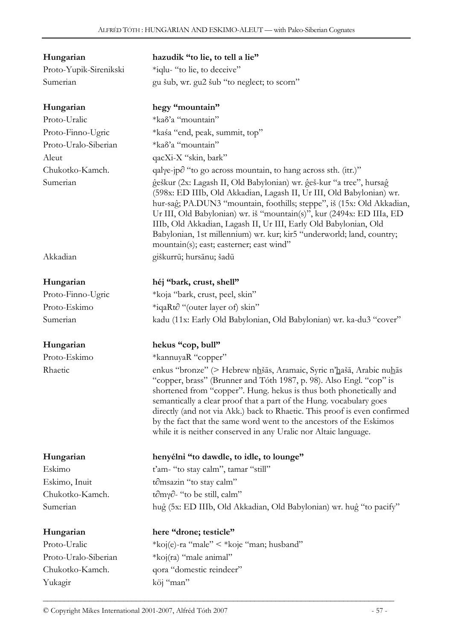| Hungarian              | hazudik "to lie, to tell a lie"                                                                                                                                                                                                                                                                                                                                                                                                                                                                                 |
|------------------------|-----------------------------------------------------------------------------------------------------------------------------------------------------------------------------------------------------------------------------------------------------------------------------------------------------------------------------------------------------------------------------------------------------------------------------------------------------------------------------------------------------------------|
| Proto-Yupik-Sirenikski | *iqlu- "to lie, to deceive"                                                                                                                                                                                                                                                                                                                                                                                                                                                                                     |
| Sumerian               | gu šub, wr. gu2 šub "to neglect; to scorn"                                                                                                                                                                                                                                                                                                                                                                                                                                                                      |
| Hungarian              | hegy "mountain"                                                                                                                                                                                                                                                                                                                                                                                                                                                                                                 |
| Proto-Uralic           | *ka8'a "mountain"                                                                                                                                                                                                                                                                                                                                                                                                                                                                                               |
| Proto-Finno-Ugric      | *kaśa "end, peak, summit, top"                                                                                                                                                                                                                                                                                                                                                                                                                                                                                  |
| Proto-Uralo-Siberian   | *ka8'a "mountain"                                                                                                                                                                                                                                                                                                                                                                                                                                                                                               |
| Aleut                  | qacXi-X "skin, bark"                                                                                                                                                                                                                                                                                                                                                                                                                                                                                            |
| Chukotko-Kamch.        | qalye-jp $\partial$ "to go across mountain, to hang across sth. (itr.)"                                                                                                                                                                                                                                                                                                                                                                                                                                         |
| Sumerian               | ĝeškur (2x: Lagash II, Old Babylonian) wr. ĝeš-kur "a tree", hursaĝ<br>(598x: ED IIIb, Old Akkadian, Lagash II, Ur III, Old Babylonian) wr.<br>hur-saĝ; PA.DUN3 "mountain, foothills; steppe", iš (15x: Old Akkadian,<br>Ur III, Old Babylonian) wr. iš "mountain(s)", kur (2494x: ED IIIa, ED<br>IIIb, Old Akkadian, Lagash II, Ur III, Early Old Babylonian, Old<br>Babylonian, 1st millennium) wr. kur; kir5 "underworld; land, country;<br>mountain(s); east; easterner; east wind"                         |
| Akkadian               | giškurrū; hursānu; šadū                                                                                                                                                                                                                                                                                                                                                                                                                                                                                         |
| Hungarian              | héj "bark, crust, shell"                                                                                                                                                                                                                                                                                                                                                                                                                                                                                        |
| Proto-Finno-Ugric      | *koja "bark, crust, peel, skin"                                                                                                                                                                                                                                                                                                                                                                                                                                                                                 |
| Proto-Eskimo           | *iqaRt $\partial$ "(outer layer of) skin"                                                                                                                                                                                                                                                                                                                                                                                                                                                                       |
| Sumerian               | kadu (11x: Early Old Babylonian, Old Babylonian) wr. ka-du3 "cover"                                                                                                                                                                                                                                                                                                                                                                                                                                             |
| Hungarian              | hekus "cop, bull"                                                                                                                                                                                                                                                                                                                                                                                                                                                                                               |
| Proto-Eskimo           | *kannuyaR "copper"                                                                                                                                                                                                                                                                                                                                                                                                                                                                                              |
| Rhaetic                | enkus "bronze" (> Hebrew nhšās, Aramaic, Syric n'hašā, Arabic nuhās<br>"copper, brass" (Brunner and Tóth 1987, p. 98). Also Engl. "cop" is<br>shortened from "copper". Hung. hekus is thus both phonetically and<br>semantically a clear proof that a part of the Hung. vocabulary goes<br>directly (and not via Akk.) back to Rhaetic. This proof is even confirmed<br>by the fact that the same word went to the ancestors of the Eskimos<br>while it is neither conserved in any Uralic nor Altaic language. |
| Hungarian              | henyélni "to dawdle, to idle, to lounge"                                                                                                                                                                                                                                                                                                                                                                                                                                                                        |
| Eskimo                 | t'am-"to stay calm", tamar "still"                                                                                                                                                                                                                                                                                                                                                                                                                                                                              |
| Eskimo, Inuit          | to stay calm"                                                                                                                                                                                                                                                                                                                                                                                                                                                                                                   |
| Chukotko-Kamch.        | t∂mγ $\partial$ - "to be still, calm"                                                                                                                                                                                                                                                                                                                                                                                                                                                                           |
| Sumerian               | huĝ (5x: ED IIIb, Old Akkadian, Old Babylonian) wr. huĝ "to pacify"                                                                                                                                                                                                                                                                                                                                                                                                                                             |
| Hungarian              | here "drone; testicle"                                                                                                                                                                                                                                                                                                                                                                                                                                                                                          |
| Proto-Uralic           | *koj(e)-ra "male" < *koje "man; husband"                                                                                                                                                                                                                                                                                                                                                                                                                                                                        |
| Proto-Uralo-Siberian   | *koj(ra) "male animal"                                                                                                                                                                                                                                                                                                                                                                                                                                                                                          |
| Chukotko-Kamch.        | qora "domestic reindeer"                                                                                                                                                                                                                                                                                                                                                                                                                                                                                        |

Yukagir

köj "man"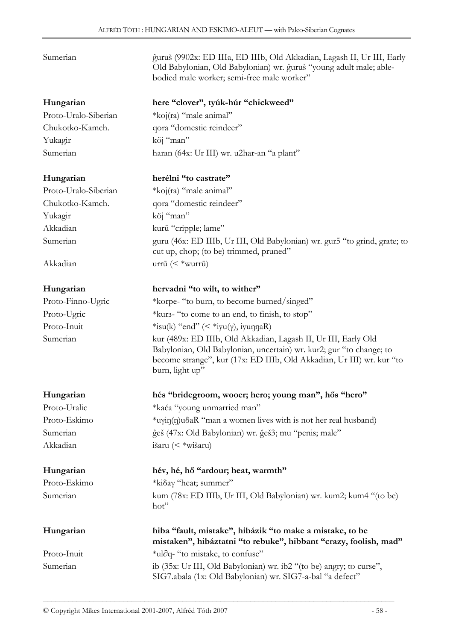Yukagir köj "man"

Yukagir köj "man" Akkadian kurū "cripple; lame"

Akkadian išaru (< \*wišaru)

Sumerian ĝuruš (9902x: ED IIIa, ED IIIb, Old Akkadian, Lagash II, Ur III, Early Old Babylonian, Old Babylonian) wr. ĝuruš "young adult male; ablebodied male worker; semi-free male worker"

#### Hungarian here "clover", tyúk-húr "chickweed"

Proto-Uralo-Siberian \*koj(ra) "male animal" Chukotko-Kamch. qora "domestic reindeer" Sumerian haran (64x: Ur III) wr. u2har-an "a plant"

#### Hungarian herélni "to castrate"

Proto-Uralo-Siberian \*koj(ra) "male animal" Chukotko-Kamch. qora "domestic reindeer" Sumerian guru (46x: ED IIIb, Ur III, Old Babylonian) wr. gur5 "to grind, grate; to cut up, chop; (to be) trimmed, pruned" Akkadian urrū (< \*wurrū)

#### Hungarian hervadni "to wilt, to wither"

Proto-Finno-Ugric \*korpe- "to burn, to become burned/singed" Proto-Ugric \*kurs- "to come to an end, to finish, to stop" Proto-Inuit  $*$ isu(k) "end" (<  $*$ iyu(γ), iyuŋŋaR) Sumerian kur (489x: ED IIIb, Old Akkadian, Lagash II, Ur III, Early Old Babylonian, Old Babylonian, uncertain) wr. kur2; gur "to change; to become strange", kur (17x: ED IIIb, Old Akkadian, Ur III) wr. kur "to burn, light up"

### Hungarian hés "bridegroom, wooer; hero; young man", hős "hero" Proto-Uralic \*kaća "young unmarried man" Proto-Eskimo  $*$ uγiŋ(ŋ)uδaR "man a women lives with is not her real husband) Sumerian  $\hat{g}e\check{s}$  (47x: Old Babylonian) wr. ĝeš3; mu "penis; male"

### Hungarian hév, hé, hő "ardour; heat, warmth"

Proto-Eskimo \*kiδaγ "heat; summer" Sumerian kum (78x: ED IIIb, Ur III, Old Babylonian) wr. kum2; kum4 "(to be) hot"

### Hungarian hiba "fault, mistake", hibázik "to make a mistake, to be mistaken", hibáztatni "to rebuke", hibbant "crazy, foolish, mad" Proto-Inuit \*ul∂q- "to mistake, to confuse" Sumerian ib (35x: Ur III, Old Babylonian) wr. ib2 "(to be) angry; to curse",

SIG7.abala (1x: Old Babylonian) wr. SIG7-a-bal "a defect"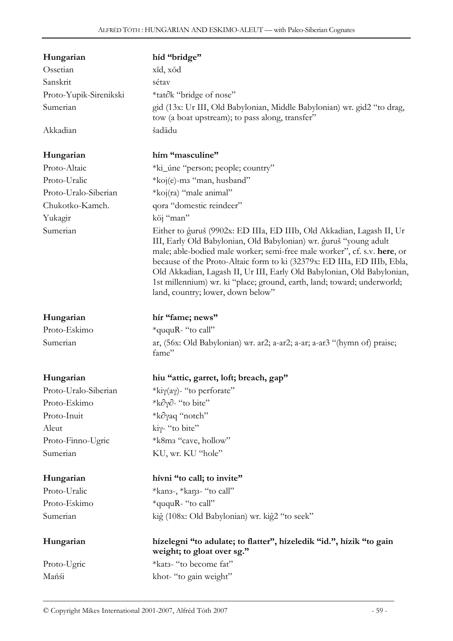| Hungarian              | hid "bridge"                                                                                                                                                                                                                                                                                                                                                                                                                                                                                |
|------------------------|---------------------------------------------------------------------------------------------------------------------------------------------------------------------------------------------------------------------------------------------------------------------------------------------------------------------------------------------------------------------------------------------------------------------------------------------------------------------------------------------|
| Ossetian               | xīd, xōd                                                                                                                                                                                                                                                                                                                                                                                                                                                                                    |
| Sanskrit               | sétav                                                                                                                                                                                                                                                                                                                                                                                                                                                                                       |
| Proto-Yupik-Sirenikski | *tatok "bridge of nose"                                                                                                                                                                                                                                                                                                                                                                                                                                                                     |
| Sumerian               | gid (13x: Ur III, Old Babylonian, Middle Babylonian) wr. gid2 "to drag,<br>tow (a boat upstream); to pass along, transfer"                                                                                                                                                                                                                                                                                                                                                                  |
| Akkadian               | šadādu                                                                                                                                                                                                                                                                                                                                                                                                                                                                                      |
| Hungarian              | him "masculine"                                                                                                                                                                                                                                                                                                                                                                                                                                                                             |
| Proto-Altaic           | *ki_úne "person; people; country"                                                                                                                                                                                                                                                                                                                                                                                                                                                           |
| Proto-Uralic           | *koj(e)-ma "man, husband"                                                                                                                                                                                                                                                                                                                                                                                                                                                                   |
| Proto-Uralo-Siberian   | *koj(ra) "male animal"                                                                                                                                                                                                                                                                                                                                                                                                                                                                      |
| Chukotko-Kamch.        | qora "domestic reindeer"                                                                                                                                                                                                                                                                                                                                                                                                                                                                    |
| Yukagir                | köj "man"                                                                                                                                                                                                                                                                                                                                                                                                                                                                                   |
| Sumerian               | Either to ĝuruš (9902x: ED IIIa, ED IIIb, Old Akkadian, Lagash II, Ur<br>III, Early Old Babylonian, Old Babylonian) wr. guruš "young adult<br>male; able-bodied male worker; semi-free male worker", cf. s.v. here, or<br>because of the Proto-Altaic form to ki (32379x: ED IIIa, ED IIIb, Ebla,<br>Old Akkadian, Lagash II, Ur III, Early Old Babylonian, Old Babylonian,<br>1st millennium) wr. ki "place; ground, earth, land; toward; underworld;<br>land, country; lower, down below" |
| Hungarian              | hír "fame; news"                                                                                                                                                                                                                                                                                                                                                                                                                                                                            |
| Proto-Eskimo           | *ququR- "to call"                                                                                                                                                                                                                                                                                                                                                                                                                                                                           |
| Sumerian               | ar, (56x: Old Babylonian) wr. ar2; a-ar2; a-ar; a-ar3 "(hymn of) praise;<br>fame"                                                                                                                                                                                                                                                                                                                                                                                                           |
| Hungarian              | hiu "attic, garret, loft; breach, gap"                                                                                                                                                                                                                                                                                                                                                                                                                                                      |
| Proto-Uralo-Siberian   | *kiγ(aγ)- "to perforate"                                                                                                                                                                                                                                                                                                                                                                                                                                                                    |
| Proto-Eskimo           | * $k\partial y\partial$ - "to bite"                                                                                                                                                                                                                                                                                                                                                                                                                                                         |
| Proto-Inuit            | *k∂γaq "notch"                                                                                                                                                                                                                                                                                                                                                                                                                                                                              |
| Aleut                  | kiγ- "to bite"                                                                                                                                                                                                                                                                                                                                                                                                                                                                              |
| Proto-Finno-Ugric      | *k8m3 "cave, hollow"                                                                                                                                                                                                                                                                                                                                                                                                                                                                        |
| Sumerian               | KU, wr. KU "hole"                                                                                                                                                                                                                                                                                                                                                                                                                                                                           |
| Hungarian              | hívni "to call; to invite"                                                                                                                                                                                                                                                                                                                                                                                                                                                                  |
| Proto-Uralic           | *kans-, *kans- "to call"                                                                                                                                                                                                                                                                                                                                                                                                                                                                    |
| Proto-Eskimo           | *ququR- "to call"                                                                                                                                                                                                                                                                                                                                                                                                                                                                           |
| Sumerian               | kiĝ (108x: Old Babylonian) wr. kiĝ2 "to seek"                                                                                                                                                                                                                                                                                                                                                                                                                                               |
| Hungarian              | hízelegni "to adulate; to flatter", hízeledik "id.", hízik "to gain<br>weight; to gloat over sg."                                                                                                                                                                                                                                                                                                                                                                                           |
| Proto-Ugric            | *kats-"to become fat"                                                                                                                                                                                                                                                                                                                                                                                                                                                                       |
| Mańśi                  | khot-"to gain weight"                                                                                                                                                                                                                                                                                                                                                                                                                                                                       |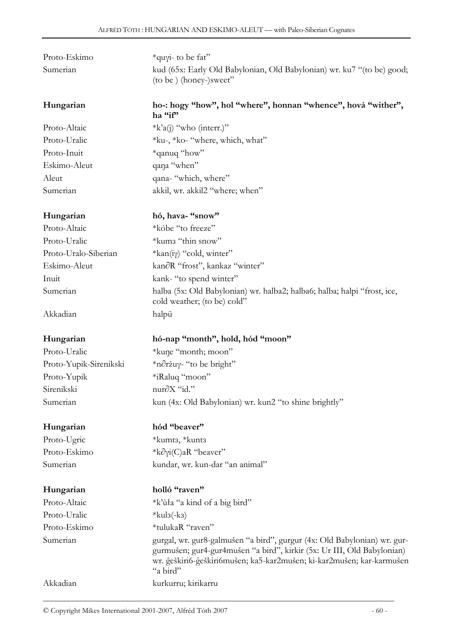| Proto-Eskimo           | *quγi- to be fat"                                                                                                                                                                                                                       |
|------------------------|-----------------------------------------------------------------------------------------------------------------------------------------------------------------------------------------------------------------------------------------|
| Sumerian               | kud (65x: Early Old Babylonian, Old Babylonian) wr. ku7 "(to be) good;<br>(to be) (honey-)sweet"                                                                                                                                        |
| Hungarian              | ho-: hogy "how", hol "where", honnan "whence", hová "wither",<br>ha "if"                                                                                                                                                                |
| Proto-Altaic           | $*$ k'a(j) "who (interr.)"                                                                                                                                                                                                              |
| Proto-Uralic           | *ku-, *ko- "where, which, what"                                                                                                                                                                                                         |
| Proto-Inuit            | *qanuq "how"                                                                                                                                                                                                                            |
| Eskimo-Aleut           | qana "when"                                                                                                                                                                                                                             |
| Aleut                  | qana- "which, where"                                                                                                                                                                                                                    |
| Sumerian               | akkil, wr. akkil2 "where; when"                                                                                                                                                                                                         |
| Hungarian              | hó, hava- "snow"                                                                                                                                                                                                                        |
| Proto-Altaic           | *kóbe "to freeze"                                                                                                                                                                                                                       |
| Proto-Uralic           | *kum <sub>3</sub> "thin snow"                                                                                                                                                                                                           |
| Proto-Uralo-Siberian   | *kan(iγ) "cold, winter"                                                                                                                                                                                                                 |
| Eskimo-Aleut           | kan $\partial$ R "frost", kankaz "winter"                                                                                                                                                                                               |
| Inuit                  | kank-"to spend winter"                                                                                                                                                                                                                  |
| Sumerian               | halba (5x: Old Babylonian) wr. halba2; halba6; halba; halpi "frost, ice,<br>cold weather; (to be) cold"                                                                                                                                 |
| Akkadian               | halpū                                                                                                                                                                                                                                   |
| Hungarian              | hó-nap "month", hold, hód "moon"                                                                                                                                                                                                        |
| Proto-Uralic           | *kune "month; moon"                                                                                                                                                                                                                     |
| Proto-Yupik-Sirenikski | <i>*n∂ržuγ-</i> "to be bright"                                                                                                                                                                                                          |
| Proto-Yupik            | *iRaluq "moon"                                                                                                                                                                                                                          |
| Sirenikski             | nur∂X "id."                                                                                                                                                                                                                             |
| Sumerian               | kun (4x: Old Babylonian) wr. kun2 "to shine brightly"                                                                                                                                                                                   |
| Hungarian              | hód "beaver"                                                                                                                                                                                                                            |
| Proto-Ugric            | *kumta, *kunta                                                                                                                                                                                                                          |
| Proto-Eskimo           | *k∂γi(C)aR "beaver"                                                                                                                                                                                                                     |
| Sumerian               | kundar, wr. kun-dar "an animal"                                                                                                                                                                                                         |
| Hungarian              | holló "raven"                                                                                                                                                                                                                           |
| Proto-Altaic           | *k'ùła "a kind of a big bird"                                                                                                                                                                                                           |
| Proto-Uralic           | $*$ kul $3(-k3)$                                                                                                                                                                                                                        |
| Proto-Eskimo           | *tulukaR "raven"                                                                                                                                                                                                                        |
| Sumerian               | gurgal, wr. gur8-galmušen "a bird", gurgur (4x: Old Babylonian) wr. gur-<br>gurmušen; gur4-gur4mušen "a bird", kirkir (5x: Ur III, Old Babylonian)<br>wr. ĝeškiri6-ĝeškiri6mušen; ka5-kar2mušen; ki-kar2mušen; kar-karmušen<br>"a bird" |
| Akkadian               | kurkurru; kirikarru                                                                                                                                                                                                                     |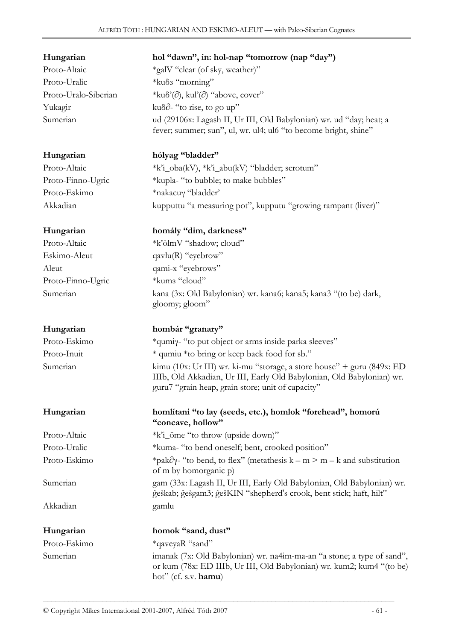Proto-Uralic \*kuδs "morning"

Proto-Finno-Ugric \*kums "cloud"

Akkadian gamlu

### Hungarian homok "sand, dust" Proto-Eskimo \*qaveyaR "sand" Sumerian imanak (7x: Old Babylonian) wr. na4im-ma-an "a stone; a type of sand", or kum (78x: ED IIIb, Ur III, Old Babylonian) wr. kum2; kum4 "(to be) hot" (cf. s.v. hamu)

Hungarian hol "dawn", in: hol-nap "tomorrow (nap "day") Proto-Altaic \*galV "clear (of sky, weather)" Proto-Uralo-Siberian \*kuδ'(∂), kul'(∂) "above, cover" Yukagir kuδ∂- "to rise, to go up" Sumerian ud (29106x: Lagash II, Ur III, Old Babylonian) wr. ud "day; heat; a fever; summer; sun", ul, wr. ul4; ul6 "to become bright, shine"

#### Hungarian hólyag "bladder"

Proto-Altaic \*k'i\_oba(kV), \*k'i\_abu(kV) "bladder; scrotum" Proto-Finno-Ugric \*kupla- "to bubble; to make bubbles" Proto-Eskimo \*nakacuγ "bladder" Akkadian kupputtu "a measuring pot", kupputu "growing rampant (liver)"

### Hungarian homály "dim, darkness"

Proto-Altaic \*k'òlmV "shadow; cloud" Eskimo-Aleut  $qavlu(R)$  "eyebrow" Aleut qami-x "eyebrows" Sumerian kana (3x: Old Babylonian) wr. kana6; kana5; kana3 "(to be) dark, gloomy; gloom"

#### Hungarian hombár "granary"

Proto-Eskimo \*qumiγ- "to put object or arms inside parka sleeves" Proto-Inuit \* qumiu \* to bring or keep back food for sb." Sumerian kimu (10x: Ur III) wr. ki-mu "storage, a store house" + guru (849x: ED IIIb, Old Akkadian, Ur III, Early Old Babylonian, Old Babylonian) wr. guru7 "grain heap, grain store; unit of capacity"

### Hungarian homlítani "to lay (seeds, etc.), homlok "forehead", homorú "concave, hollow"

Proto-Altaic \*k'<sup>i\_ome</sup> "to throw (upside down)" Proto-Uralic \*kuma- "to bend oneself; bent, crooked position" Proto-Eskimo \*pak∂γ- "to bend, to flex" (metathesis k – m > m – k and substitution of m by homorganic p) Sumerian gam (33x: Lagash II, Ur III, Early Old Babylonian, Old Babylonian) wr. ĝeškab; ĝešgam3; ĝešKIN "shepherd's crook, bent stick; haft, hilt"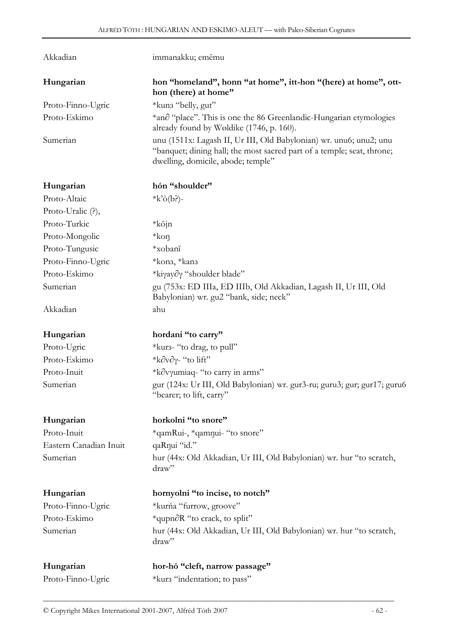| Akkadian               | immanakku; emēmu                                                                                                                                                                   |
|------------------------|------------------------------------------------------------------------------------------------------------------------------------------------------------------------------------|
| Hungarian              | hon "homeland", honn "at home", itt-hon "(here) at home", ott-<br>hon (there) at home"                                                                                             |
| Proto-Finno-Ugric      | *kuna "belly, gut"                                                                                                                                                                 |
| Proto-Eskimo           | *an∂ "place". This is one the 86 Greenlandic-Hungarian etymologies<br>already found by Wøldike (1746, p. 160).                                                                     |
| Sumerian               | unu (1511x: Lagash II, Ur III, Old Babylonian) wr. unu6; unu2; unu<br>"banquet; dining hall; the most sacred part of a temple; seat, throne;<br>dwelling, domicile, abode; temple" |
| Hungarian              | hón "shoulder"                                                                                                                                                                     |
| Proto-Altaic           | * $k$ 'ò(b?)-                                                                                                                                                                      |
| Proto-Uralic (?),      |                                                                                                                                                                                    |
| Proto-Turkic           | $*$ kōjn                                                                                                                                                                           |
| Proto-Mongolic         | $*_{\text{kon}}$                                                                                                                                                                   |
| Proto-Tungusic         | *xobanī                                                                                                                                                                            |
| Proto-Finno-Ugric      | *kons, *kans                                                                                                                                                                       |
| Proto-Eskimo           | *kiγay∂γ "shoulder blade"                                                                                                                                                          |
| Sumerian               | gu (753x: ED IIIa, ED IIIb, Old Akkadian, Lagash II, Ur III, Old<br>Babylonian) wr. gu2 "bank, side; neck"                                                                         |
| Akkadian               | ahu                                                                                                                                                                                |
| Hungarian              | hordani "to carry"                                                                                                                                                                 |
| Proto-Ugric            | *kurs- "to drag, to pull"                                                                                                                                                          |
| Proto-Eskimo           | *k∂v∂γ- "to lift"                                                                                                                                                                  |
| Proto-Inuit            | <i>*k∂vγumiaq-</i> "to carry in arms"                                                                                                                                              |
| Sumerian               | gur (124x: Ur III, Old Babylonian) wr. gur3-ru; guru3; gur; gur17; guru6<br>"bearer; to lift, carry"                                                                               |
| Hungarian              | horkolni "to snore"                                                                                                                                                                |
| Proto-Inuit            | *qamRui-, *qamnui- "to snore"                                                                                                                                                      |
| Eastern Canadian Inuit | qaRqui "id."                                                                                                                                                                       |
| Sumerian               | hur (44x: Old Akkadian, Ur III, Old Babylonian) wr. hur "to scratch,<br>draw"                                                                                                      |
| Hungarian              | hornyolni "to incise, to notch"                                                                                                                                                    |
| Proto-Finno-Ugric      | *kurńa "furrow, groove"                                                                                                                                                            |
| Proto-Eskimo           | *qupn∂R "to crack, to split"                                                                                                                                                       |
| Sumerian               | hur (44x: Old Akkadian, Ur III, Old Babylonian) wr. hur "to scratch,<br>draw"                                                                                                      |
| Hungarian              | hor-hó "cleft, narrow passage"                                                                                                                                                     |
| Proto-Finno-Ugric      | *kura "indentation; to pass"                                                                                                                                                       |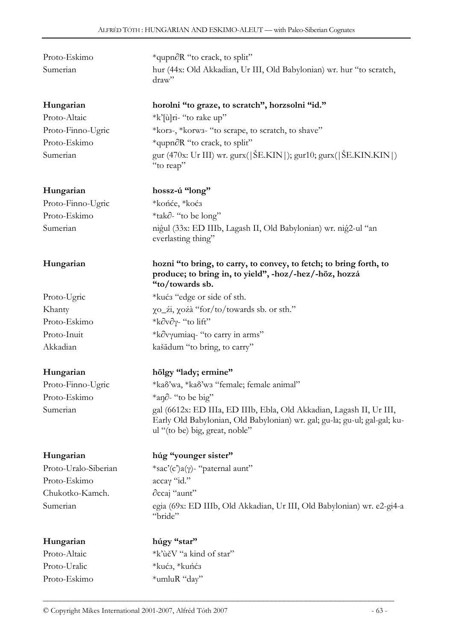| Proto-Eskimo<br>Sumerian | *qupn $\partial$ R "to crack, to split"<br>hur (44x: Old Akkadian, Ur III, Old Babylonian) wr. hur "to scratch,                                                                     |
|--------------------------|-------------------------------------------------------------------------------------------------------------------------------------------------------------------------------------|
|                          | draw"                                                                                                                                                                               |
| Hungarian                | horolni "to graze, to scratch", horzsolni "id."                                                                                                                                     |
| Proto-Altaic             | *k'[ù]ri- "to rake up"                                                                                                                                                              |
| Proto-Finno-Ugric        | *kors-, *korws- "to scrape, to scratch, to shave"                                                                                                                                   |
| Proto-Eskimo             | *qupn∂R "to crack, to split"                                                                                                                                                        |
| Sumerian                 | gur (470x: Ur III) wr. gurx( ŠE.KIN ); gur10; gurx( ŠE.KIN.KIN )<br>"to reap"                                                                                                       |
| Hungarian                | hossz-ú "long"                                                                                                                                                                      |
| Proto-Finno-Ugric        | *końće, *koć3                                                                                                                                                                       |
| Proto-Eskimo             | *tak∂- "to be long"                                                                                                                                                                 |
| Sumerian                 | niĝul (33x: ED IIIb, Lagash II, Old Babylonian) wr. niĝ2-ul "an<br>everlasting thing"                                                                                               |
| Hungarian                | hozni "to bring, to carry, to convey, to fetch; to bring forth, to<br>produce; to bring in, to yield", -hoz/-hez/-höz, hozzá<br>"to/towards sb.                                     |
| Proto-Ugric              | *kuća "edge or side of sth.                                                                                                                                                         |
| Khanty                   | χο_ <i>ži</i> , χο <i>žà</i> "for/to/towards sb. or sth."                                                                                                                           |
| Proto-Eskimo             | *k∂v∂γ- "to lift"                                                                                                                                                                   |
| Proto-Inuit              | <i>*k∂</i> νγumiaq- "to carry in arms"                                                                                                                                              |
| Akkadian                 | kašādum "to bring, to carry"                                                                                                                                                        |
| Hungarian                | hölgy "lady; ermine"                                                                                                                                                                |
| Proto-Finno-Ugric        | *kao'wa, *kao'wa "female; female animal"                                                                                                                                            |
| Proto-Eskimo             | *an∂- "to be big"                                                                                                                                                                   |
| Sumerian                 | gal (6612x: ED IIIa, ED IIIb, Ebla, Old Akkadian, Lagash II, Ur III,<br>Early Old Babylonian, Old Babylonian) wr. gal; gu-la; gu-ul; gal-gal; ku-<br>ul "(to be) big, great, noble" |
| Hungarian                | húg "younger sister"                                                                                                                                                                |
| Proto-Uralo-Siberian     | *sac'(c')a(y)- "paternal aunt"                                                                                                                                                      |
| Proto-Eskimo             | $\operatorname{accay}$ "id."                                                                                                                                                        |
| Chukotko-Kamch.          | $\partial$ ccaj "aunt"                                                                                                                                                              |
| Sumerian                 | egia (69x: ED IIIb, Old Akkadian, Ur III, Old Babylonian) wr. e2-gi4-a<br>"bride"                                                                                                   |
| Hungarian                | húgy "star"                                                                                                                                                                         |
| Proto-Altaic             | *k'ùčV "a kind of star"                                                                                                                                                             |
| Proto-Uralic             | *kućs, *kuńćs                                                                                                                                                                       |
| Proto-Eskimo             | *umluR "day"                                                                                                                                                                        |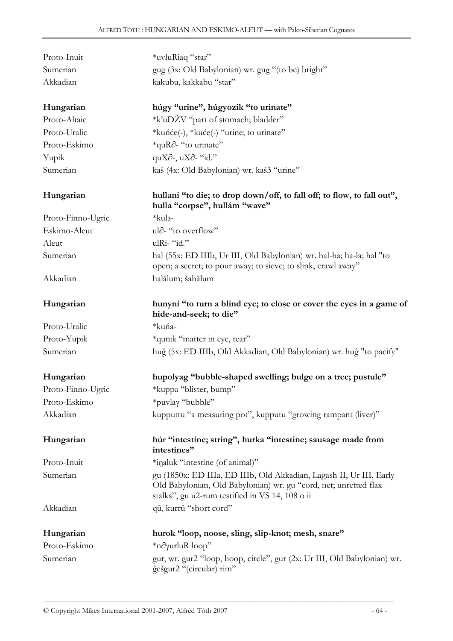| Proto-Inuit       | *uvluRiaq "star"                                                                                                                                                                           |
|-------------------|--------------------------------------------------------------------------------------------------------------------------------------------------------------------------------------------|
| Sumerian          | gug (3x: Old Babylonian) wr. gug "(to be) bright"                                                                                                                                          |
| Akkadian          | kakubu, kakkabu "star"                                                                                                                                                                     |
| Hungarian         | húgy "urine", húgyozik "to urinate"                                                                                                                                                        |
| Proto-Altaic      | *k'uDZV "part of stomach; bladder"                                                                                                                                                         |
| Proto-Uralic      | *kuńće(-), *kuće(-) "urine; to urinate"                                                                                                                                                    |
| Proto-Eskimo      | *quR∂- "to urinate"                                                                                                                                                                        |
| Yupik             | quX $\partial$ -, uX $\partial$ - "id."                                                                                                                                                    |
| Sumerian          | kaš (4x: Old Babylonian) wr. kaš3 "urine"                                                                                                                                                  |
| Hungarian         | hullani "to die; to drop down/off, to fall off; to flow, to fall out",<br>hulla "corpse", hullám "wave"                                                                                    |
| Proto-Finno-Ugric | $*$ kul <sub>3</sub> -                                                                                                                                                                     |
| Eskimo-Aleut      | ul∂- "to overflow"                                                                                                                                                                         |
| Aleut             | ulRi-"id."                                                                                                                                                                                 |
| Sumerian          | hal (55x: ED IIIb, Ur III, Old Babylonian) wr. hal-ha; ha-la; hal "to<br>open; a secret; to pour away; to sieve; to slink, crawl away"                                                     |
| Akkadian          | halālum; šahālum                                                                                                                                                                           |
| Hungarian         | hunyni "to turn a blind eye; to close or cover the eyes in a game of<br>hide-and-seek; to die"                                                                                             |
| Proto-Uralic      | *kuńa-                                                                                                                                                                                     |
| Proto-Yupik       | *qunik "matter in eye, tear"                                                                                                                                                               |
| Sumerian          | huĝ (5x: ED IIIb, Old Akkadian, Old Babylonian) wr. huĝ "to pacify"                                                                                                                        |
| Hungarian         | hupolyag "bubble-shaped swelling; bulge on a tree; pustule"                                                                                                                                |
| Proto-Finno-Ugric | *kuppa "blister, bump"                                                                                                                                                                     |
| Proto-Eskimo      | *puvlaγ "bubble"                                                                                                                                                                           |
| Akkadian          | kupputtu "a measuring pot", kupputu "growing rampant (liver)"                                                                                                                              |
| Hungarian         | húr "intestine; string", hurka "intestine; sausage made from<br>intestines"                                                                                                                |
| Proto-Inuit       | *inaluk "intestine (of animal)"                                                                                                                                                            |
| Sumerian          | gu (1850x: ED IIIa, ED IIIb, Old Akkadian, Lagash II, Ur III, Early<br>Old Babylonian, Old Babylonian) wr. gu "cord, net; unretted flax<br>stalks", gu u2-rum testified in VS 14, 108 o ii |
| Akkadian          | qū, kurrū "short cord"                                                                                                                                                                     |
| Hungarian         | hurok "loop, noose, sling, slip-knot; mesh, snare"                                                                                                                                         |
| Proto-Eskimo      | <i>*n∂γurluR</i> loop"                                                                                                                                                                     |
| Sumerian          | gur, wr. gur2 "loop, hoop, circle", gur (2x: Ur III, Old Babylonian) wr.<br>ĝešgur2 "(circular) rim"                                                                                       |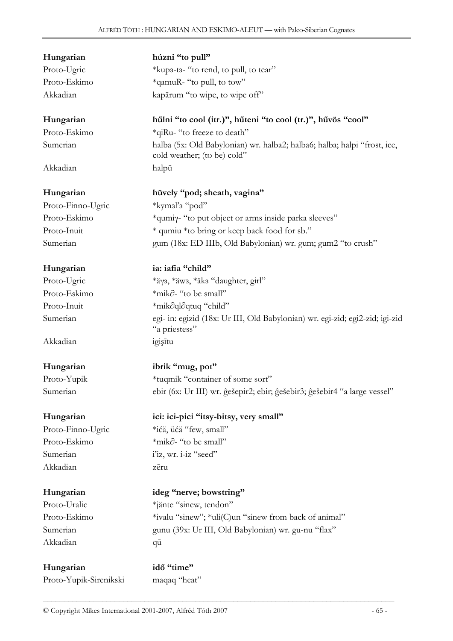Akkadian halpū

Proto-Finno-Ugric \*kymsl's "pod"

Akkadian igişītu

Proto-Finno-Ugric \*ićä, üćä "few, small" Sumerian i'iz, wr. i-iz "seed" Akkadian zēru

Akkadian qū

#### Hungarian idő "time"

Proto-Yupik-Sirenikski maqaq "heat"

Hungarian húzni "to pull"

Proto-Ugric \*kup3-t3- "to rend, to pull, to tear" Proto-Eskimo \*qamuR- "to pull, to tow" Akkadian kapārum "to wipe, to wipe off"

Hungarian hűlni "to cool (itr.)", hűteni "to cool (tr.)", hűvös "cool" Proto-Eskimo \*qiRu- "to freeze to death" Sumerian halba (5x: Old Babylonian) wr. halba2; halba6; halba; halpi "frost, ice, cold weather; (to be) cold"

Hungarian hüvely "pod; sheath, vagina" Proto-Eskimo \*qumiγ- "to put object or arms inside parka sleeves" Proto-Inuit \* qumiu \* to bring or keep back food for sb." Sumerian gum (18x: ED IIIb, Old Babylonian) wr. gum; gum2 "to crush"

#### Hungarian ia: iafia "child"

Proto-Ugric \*äγ<sub>3</sub>, \*äws, \*äks "daughter, girl" Proto-Eskimo \*mik∂- "to be small" Proto-Inuit \*mik∂ql∂qtuq "child" Sumerian egi- in: egizid (18x: Ur III, Old Babylonian) wr. egi-zid; egi2-zid; igi-zid "a priestess"

Hungarian ibrik "mug, pot" Proto-Yupik \*tuqmik "container of some sort" Sumerian ebir (6x: Ur III) wr. ĝešepir2; ebir; ĝešebir3; ĝešebir4 "a large vessel"

### Hungarian ici: ici-pici "itsy-bitsy, very small"

Proto-Eskimo \*mik∂- "to be small"

#### Hungarian ideg "nerve; bowstring"

Proto-Uralic \*jänte "sinew, tendon" Proto-Eskimo \*ivalu "sinew"; \*uli(C)un "sinew from back of animal" Sumerian gunu (39x: Ur III, Old Babylonian) wr. gu-nu "flax"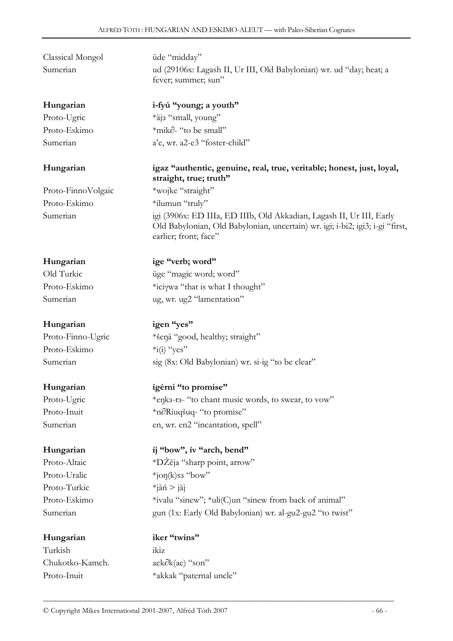| Classical Mongol   | üde "midday"                                                                                                                                                                   |
|--------------------|--------------------------------------------------------------------------------------------------------------------------------------------------------------------------------|
| Sumerian           | ud (29106x: Lagash II, Ur III, Old Babylonian) wr. ud "day; heat; a<br>fever; summer; sun"                                                                                     |
| Hungarian          | i-fyú "young; a youth"                                                                                                                                                         |
| Proto-Ugric        | *äjs "small, young"                                                                                                                                                            |
| Proto-Eskimo       | *mik∂- "to be small"                                                                                                                                                           |
| Sumerian           | a'e, wr. a2-e3 "foster-child"                                                                                                                                                  |
| Hungarian          | igaz "authentic, genuine, real, true, veritable; honest, just, loyal,<br>straight, true; truth"                                                                                |
| Proto-FinnoVolgaic | *wojke "straight"                                                                                                                                                              |
| Proto-Eskimo       | *ilumun "truly"                                                                                                                                                                |
| Sumerian           | igi (3906x: ED IIIa, ED IIIb, Old Akkadian, Lagash II, Ur III, Early<br>Old Babylonian, Old Babylonian, uncertain) wr. igi; i-bi2; igi3; i-gi "first,<br>earlier; front; face" |
| Hungarian          | ige "verb; word"                                                                                                                                                               |
| Old Turkic         | üge "magic word; word"                                                                                                                                                         |
| Proto-Eskimo       | *iciγwa "that is what I thought"                                                                                                                                               |
| Sumerian           | ug, wr. ug2 "lamentation"                                                                                                                                                      |
| Hungarian          | igen "yes"                                                                                                                                                                     |
| Proto-Finno-Ugric  | *šenä "good, healthy; straight"                                                                                                                                                |
| Proto-Eskimo       | $*_i(i)$ "yes"                                                                                                                                                                 |
| Sumerian           | sig (8x: Old Babylonian) wr. si-ig "to be clear"                                                                                                                               |
| Hungarian          | ígérni "to promise"                                                                                                                                                            |
| Proto-Ugric        | *enk3-r3- "to chant music words, to swear, to vow"                                                                                                                             |
| Proto-Inuit        | *n∂Riuqšuq- "to promise"                                                                                                                                                       |
| Sumerian           | en, wr. en2 "incantation, spell"                                                                                                                                               |
| Hungarian          | ij "bow", iv "arch, bend"                                                                                                                                                      |
| Proto-Altaic       | *DŻēja "sharp point, arrow"                                                                                                                                                    |
| Proto-Uralic       | *jon(k)ss "bow"                                                                                                                                                                |
| Proto-Turkic       | $*_{\bar{1}}\bar{a}$ n <sup><math>&gt;</math></sup> jāj                                                                                                                        |
| Proto-Eskimo       | *ivalu "sinew"; *uli(C)un "sinew from back of animal"                                                                                                                          |
| Sumerian           | gun (1x: Early Old Babylonian) wr. al-gu2-gu2 "to twist"                                                                                                                       |
| Hungarian          | iker "twins"                                                                                                                                                                   |
| Turkish            | ikiz                                                                                                                                                                           |
| Chukotko-Kamch.    | aek∂k(ae) "son"                                                                                                                                                                |
| Proto-Inuit        | *akkak "paternal uncle"                                                                                                                                                        |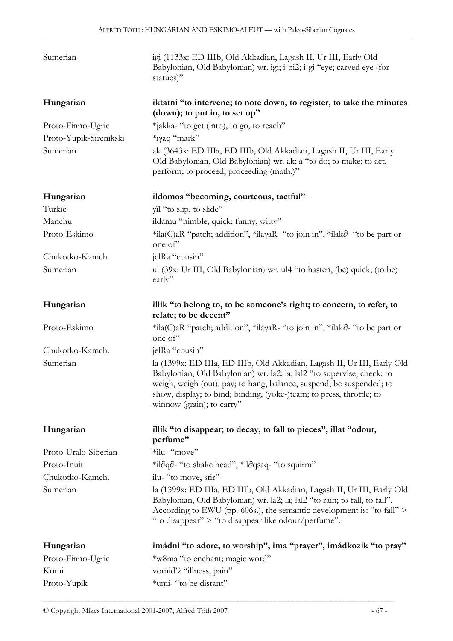| Sumerian               | igi (1133x: ED IIIb, Old Akkadian, Lagash II, Ur III, Early Old<br>Babylonian, Old Babylonian) wr. igi; i-bi2; i-gi "eye; carved eye (for<br>statues)"                                                                                                                                                                         |
|------------------------|--------------------------------------------------------------------------------------------------------------------------------------------------------------------------------------------------------------------------------------------------------------------------------------------------------------------------------|
| Hungarian              | iktatni "to intervene; to note down, to register, to take the minutes<br>(down); to put in, to set up"                                                                                                                                                                                                                         |
| Proto-Finno-Ugric      | *jakka- "to get (into), to go, to reach"                                                                                                                                                                                                                                                                                       |
| Proto-Yupik-Sirenikski | *iγaq "mark"                                                                                                                                                                                                                                                                                                                   |
| Sumerian               | ak (3643x: ED IIIa, ED IIIb, Old Akkadian, Lagash II, Ur III, Early<br>Old Babylonian, Old Babylonian) wr. ak; a "to do; to make; to act,<br>perform; to proceed, proceeding (math.)"                                                                                                                                          |
| Hungarian              | ildomos "becoming, courteous, tactful"                                                                                                                                                                                                                                                                                         |
| Turkic                 | yil "to slip, to slide"                                                                                                                                                                                                                                                                                                        |
| Manchu                 | ildamu "nimble, quick; funny, witty"                                                                                                                                                                                                                                                                                           |
| Proto-Eskimo           | *ila(C)aR "patch; addition", *ilayaR- "to join in", *ilak $\partial$ - "to be part or<br>one of"                                                                                                                                                                                                                               |
| Chukotko-Kamch.        | jelRa "cousin"                                                                                                                                                                                                                                                                                                                 |
| Sumerian               | ul (39x: Ur III, Old Babylonian) wr. ul4 "to hasten, (be) quick; (to be)<br>early"                                                                                                                                                                                                                                             |
| Hungarian              | illik "to belong to, to be someone's right; to concern, to refer, to<br>relate; to be decent"                                                                                                                                                                                                                                  |
| Proto-Eskimo           | *ila(C)aR "patch; addition", *ilayaR- "to join in", *ilak $\partial$ - "to be part or<br>one of'                                                                                                                                                                                                                               |
| Chukotko-Kamch.        | jelRa "cousin"                                                                                                                                                                                                                                                                                                                 |
| Sumerian               | la (1399x: ED IIIa, ED IIIb, Old Akkadian, Lagash II, Ur III, Early Old<br>Babylonian, Old Babylonian) wr. la2; la; lal2 "to supervise, check; to<br>weigh, weigh (out), pay; to hang, balance, suspend, be suspended; to<br>show, display; to bind; binding, (yoke-)team; to press, throttle; to<br>winnow (grain); to carry" |
| Hungarian              | illik "to disappear; to decay, to fall to pieces", illat "odour,<br>perfume"                                                                                                                                                                                                                                                   |
| Proto-Uralo-Siberian   | *ilu- "move"                                                                                                                                                                                                                                                                                                                   |
| Proto-Inuit            | *il $\partial q\partial$ - "to shake head", *il $\partial q$ šaq- "to squirm"                                                                                                                                                                                                                                                  |
| Chukotko-Kamch.        | ilu-"to move, stir"                                                                                                                                                                                                                                                                                                            |
| Sumerian               | la (1399x: ED IIIa, ED IIIb, Old Akkadian, Lagash II, Ur III, Early Old<br>Babylonian, Old Babylonian) wr. la2; la; lal2 "to rain; to fall, to fall".<br>According to EWU (pp. 606s.), the semantic development is: "to fall" ><br>"to disappear" > "to disappear like odour/perfume".                                         |
| Hungarian              | imádni "to adore, to worship", ima "prayer", imádkozik "to pray"                                                                                                                                                                                                                                                               |
| Proto-Finno-Ugric      | *w8m3 "to enchant; magic word"                                                                                                                                                                                                                                                                                                 |
| Komi                   | vomid'z "illness, pain"                                                                                                                                                                                                                                                                                                        |
| Proto-Yupik            | *umi- "to be distant"                                                                                                                                                                                                                                                                                                          |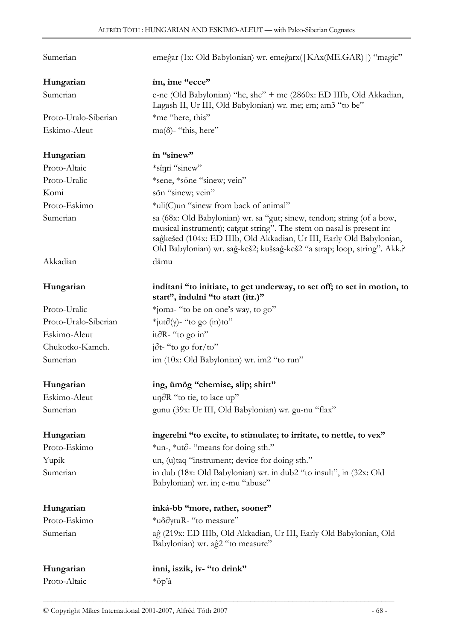| Sumerian             | emeĝar (1x: Old Babylonian) wr. emeĝarx( KAx(ME.GAR) ) "magic"                                                                                                                                                                                                                                      |
|----------------------|-----------------------------------------------------------------------------------------------------------------------------------------------------------------------------------------------------------------------------------------------------------------------------------------------------|
| Hungarian            | im, ime "ecce"                                                                                                                                                                                                                                                                                      |
| Sumerian             | e-ne (Old Babylonian) "he, she" + me (2860x: ED IIIb, Old Akkadian,<br>Lagash II, Ur III, Old Babylonian) wr. me; em; am3 "to be"                                                                                                                                                                   |
| Proto-Uralo-Siberian | *me "here, this"                                                                                                                                                                                                                                                                                    |
| Eskimo-Aleut         | $ma(\delta)$ - "this, here"                                                                                                                                                                                                                                                                         |
| Hungarian            | in "sinew"                                                                                                                                                                                                                                                                                          |
| Proto-Altaic         | *sínri "sinew"                                                                                                                                                                                                                                                                                      |
| Proto-Uralic         | *sene, *sōne "sinew; vein"                                                                                                                                                                                                                                                                          |
| Komi                 | sõn "sinew; vein"                                                                                                                                                                                                                                                                                   |
| Proto-Eskimo         | *uli(C)un "sinew from back of animal"                                                                                                                                                                                                                                                               |
| Sumerian             | sa (68x: Old Babylonian) wr. sa "gut; sinew, tendon; string (of a bow,<br>musical instrument); catgut string". The stem on nasal is present in:<br>saĝkešed (104x: ED IIIb, Old Akkadian, Ur III, Early Old Babylonian,<br>Old Babylonian) wr. saĝ-keš2; kušsaĝ-keš2 "a strap; loop, string". Akk.? |
| Akkadian             | dāmu                                                                                                                                                                                                                                                                                                |
| Hungarian            | indítani "to initiate, to get underway, to set off; to set in motion, to<br>start", indulni "to start (itr.)"                                                                                                                                                                                       |
| Proto-Uralic         | *jom <sub>3</sub> - "to be on one's way, to go"                                                                                                                                                                                                                                                     |
| Proto-Uralo-Siberian | *jut $\partial(\gamma)$ - "to go (in)to"                                                                                                                                                                                                                                                            |
| Eskimo-Aleut         | it $\partial$ R- "to go in"                                                                                                                                                                                                                                                                         |
| Chukotko-Kamch.      | $i\partial t$ - "to go for/to"                                                                                                                                                                                                                                                                      |
| Sumerian             | im (10x: Old Babylonian) wr. im2 "to run"                                                                                                                                                                                                                                                           |
| Hungarian            | ing, ümög "chemise, slip; shirt"                                                                                                                                                                                                                                                                    |
| Eskimo-Aleut         | un∂R "to tie, to lace up"                                                                                                                                                                                                                                                                           |
| Sumerian             | gunu (39x: Ur III, Old Babylonian) wr. gu-nu "flax"                                                                                                                                                                                                                                                 |
| Hungarian            | ingerelni "to excite, to stimulate; to irritate, to nettle, to vex"                                                                                                                                                                                                                                 |
| Proto-Eskimo         | *un-, *ut $\partial$ - "means for doing sth."                                                                                                                                                                                                                                                       |
| Yupik                | un, (u)taq "instrument; device for doing sth."                                                                                                                                                                                                                                                      |
| Sumerian             | in dub (18x: Old Babylonian) wr. in dub2 "to insult", in (32x: Old<br>Babylonian) wr. in; e-mu "abuse"                                                                                                                                                                                              |
| Hungarian            | inká-bb "more, rather, sooner"                                                                                                                                                                                                                                                                      |
| Proto-Eskimo         | *uδ∂γtuR- "to measure"                                                                                                                                                                                                                                                                              |
| Sumerian             | aĝ (219x: ED IIIb, Old Akkadian, Ur III, Early Old Babylonian, Old<br>Babylonian) wr. ag2 "to measure"                                                                                                                                                                                              |
| Hungarian            | inni, iszik, iv- "to drink"                                                                                                                                                                                                                                                                         |
| Proto-Altaic         | $*$ <sub>op</sub> 'à                                                                                                                                                                                                                                                                                |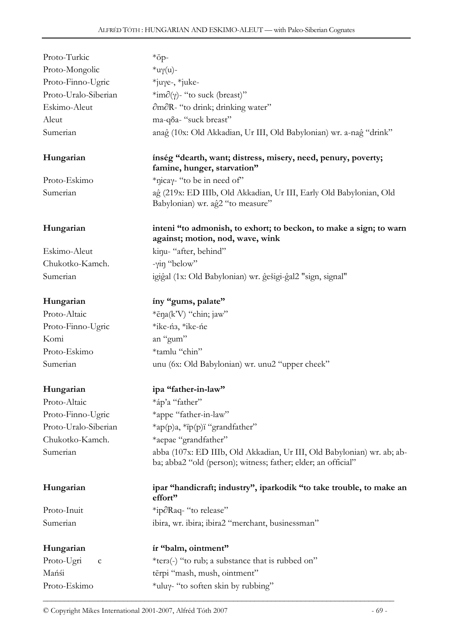| Proto-Turkic               | $*5p-$                                                                                                                                  |
|----------------------------|-----------------------------------------------------------------------------------------------------------------------------------------|
| Proto-Mongolic             | $*u\gamma(u)$ -                                                                                                                         |
| Proto-Finno-Ugric          | $*$ juye-, $*$ juke-                                                                                                                    |
| Proto-Uralo-Siberian       | *im $\partial(y)$ - "to suck (breast)"                                                                                                  |
| Eskimo-Aleut               | $\partial m \partial R$ - "to drink; drinking water"                                                                                    |
| Aleut                      | ma-qoa- "suck breast"                                                                                                                   |
| Sumerian                   | anaĝ (10x: Old Akkadian, Ur III, Old Babylonian) wr. a-naĝ "drink"                                                                      |
| Hungarian                  | inség "dearth, want; distress, misery, need, penury, poverty;<br>famine, hunger, starvation"                                            |
| Proto-Eskimo               | *ηίταγ- "to be in need of"                                                                                                              |
| Sumerian                   | aĝ (219x: ED IIIb, Old Akkadian, Ur III, Early Old Babylonian, Old<br>Babylonian) wr. ag2 "to measure"                                  |
| Hungarian                  | inteni "to admonish, to exhort; to beckon, to make a sign; to warn<br>against; motion, nod, wave, wink                                  |
| Eskimo-Aleut               | kinu- "after, behind"                                                                                                                   |
| Chukotko-Kamch.            | $-\gamma$ iη "below"                                                                                                                    |
| Sumerian                   | igiĝal (1x: Old Babylonian) wr. ĝešigi-ĝal2 "sign, signal"                                                                              |
| Hungarian                  | iny "gums, palate"                                                                                                                      |
| Proto-Altaic               | *ēna(k'V) "chin; jaw"                                                                                                                   |
| Proto-Finno-Ugric          | *ike-n <sup>3</sup> , *ike-ne                                                                                                           |
| Komi                       | an "gum"                                                                                                                                |
| Proto-Eskimo               | *tamlu "chin"                                                                                                                           |
| Sumerian                   | unu (6x: Old Babylonian) wr. unu2 "upper cheek"                                                                                         |
| Hungarian                  | ipa "father-in-law"                                                                                                                     |
| Proto-Altaic               | *áp'a "father"                                                                                                                          |
| Proto-Finno-Ugric          | *appe "father-in-law"                                                                                                                   |
| Proto-Uralo-Siberian       | *ap(p)a, *ip(p)i "grandfather"                                                                                                          |
| Chukotko-Kamch.            | *aepae "grandfather"                                                                                                                    |
| Sumerian                   | abba (107x: ED IIIb, Old Akkadian, Ur III, Old Babylonian) wr. ab; ab-<br>ba; abba2 "old (person); witness; father; elder; an official" |
| Hungarian                  | ipar "handicraft; industry", iparkodik "to take trouble, to make an<br>effort"                                                          |
| Proto-Inuit                | *ip∂Raq- "to release"                                                                                                                   |
| Sumerian                   | ibira, wr. ibira; ibira2 "merchant, businessman"                                                                                        |
| Hungarian                  | ir "balm, ointment"                                                                                                                     |
| Proto-Ugri<br>$\mathbf{C}$ | *ters(-) "to rub; a substance that is rubbed on"                                                                                        |
| Mańśi                      | tērpi "mash, mush, ointment"                                                                                                            |
| Proto-Eskimo               | *uluγ- "to soften skin by rubbing"                                                                                                      |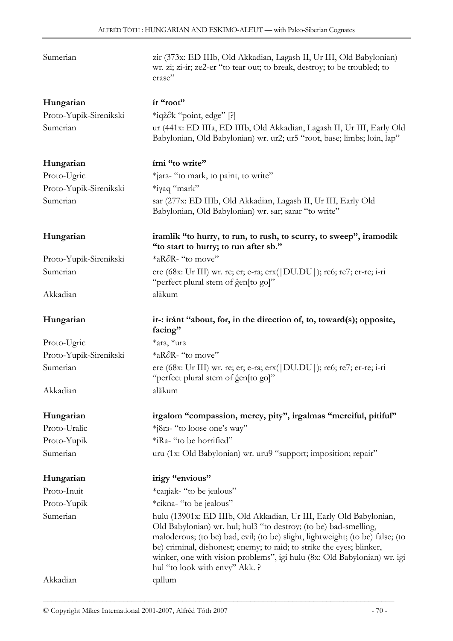| Sumerian                                        | zir (373x: ED IIIb, Old Akkadian, Lagash II, Ur III, Old Babylonian)<br>wr. zi; zi-ir; ze2-er "to tear out; to break, destroy; to be troubled; to<br>erase"                                                                                                                                                                                                                                                     |
|-------------------------------------------------|-----------------------------------------------------------------------------------------------------------------------------------------------------------------------------------------------------------------------------------------------------------------------------------------------------------------------------------------------------------------------------------------------------------------|
| Hungarian<br>Proto-Yupik-Sirenikski<br>Sumerian | ir "root"<br>*iqž∂k "point, edge" [?]<br>ur (441x: ED IIIa, ED IIIb, Old Akkadian, Lagash II, Ur III, Early Old<br>Babylonian, Old Babylonian) wr. ur2; ur5 "root, base; limbs; loin, lap"                                                                                                                                                                                                                      |
| Hungarian                                       | írni "to write"                                                                                                                                                                                                                                                                                                                                                                                                 |
| Proto-Ugric                                     | *jars- "to mark, to paint, to write"                                                                                                                                                                                                                                                                                                                                                                            |
| Proto-Yupik-Sirenikski                          | $*i$ γaq "mark"                                                                                                                                                                                                                                                                                                                                                                                                 |
| Sumerian                                        | sar (277x: ED IIIb, Old Akkadian, Lagash II, Ur III, Early Old<br>Babylonian, Old Babylonian) wr. sar; sarar "to write"                                                                                                                                                                                                                                                                                         |
| Hungarian                                       | iramlik "to hurry, to run, to rush, to scurry, to sweep", iramodik<br>"to start to hurry; to run after sb."                                                                                                                                                                                                                                                                                                     |
| Proto-Yupik-Sirenikski                          | *aR∂R- "to move"                                                                                                                                                                                                                                                                                                                                                                                                |
| Sumerian                                        | ere (68x: Ur III) wr. re; er; e-ra; erx( DU.DU ); re6; re7; er-re; i-ri<br>"perfect plural stem of gen[to go]"                                                                                                                                                                                                                                                                                                  |
| Akkadian                                        | alākum                                                                                                                                                                                                                                                                                                                                                                                                          |
| Hungarian                                       | ir-: iránt "about, for, in the direction of, to, toward(s); opposite,<br>facing"                                                                                                                                                                                                                                                                                                                                |
| Proto-Ugric                                     | *ars, *urs                                                                                                                                                                                                                                                                                                                                                                                                      |
| Proto-Yupik-Sirenikski                          | *aR∂R- "to move"                                                                                                                                                                                                                                                                                                                                                                                                |
| Sumerian                                        | ere (68x: Ur III) wr. re; er; e-ra; erx( DU.DU ); re6; re7; er-re; i-ri<br>"perfect plural stem of gen[to go]"                                                                                                                                                                                                                                                                                                  |
| Akkadian                                        | alākum                                                                                                                                                                                                                                                                                                                                                                                                          |
| Hungarian                                       | irgalom "compassion, mercy, pity", irgalmas "merciful, pitiful"                                                                                                                                                                                                                                                                                                                                                 |
| Proto-Uralic                                    | *j8r3- "to loose one's way"                                                                                                                                                                                                                                                                                                                                                                                     |
| Proto-Yupik                                     | *iRa- "to be horrified"                                                                                                                                                                                                                                                                                                                                                                                         |
| Sumerian                                        | uru (1x: Old Babylonian) wr. uru9 "support; imposition; repair"                                                                                                                                                                                                                                                                                                                                                 |
| Hungarian                                       | irigy "envious"                                                                                                                                                                                                                                                                                                                                                                                                 |
| Proto-Inuit                                     | *caniak- "to be jealous"                                                                                                                                                                                                                                                                                                                                                                                        |
| Proto-Yupik                                     | *cikna- "to be jealous"                                                                                                                                                                                                                                                                                                                                                                                         |
| Sumerian                                        | hulu (13901x: ED IIIb, Old Akkadian, Ur III, Early Old Babylonian,<br>Old Babylonian) wr. hul; hul3 "to destroy; (to be) bad-smelling,<br>maloderous; (to be) bad, evil; (to be) slight, lightweight; (to be) false; (to<br>be) criminal, dishonest; enemy; to raid; to strike the eyes; blinker,<br>winker, one with vision problems", igi hulu (8x: Old Babylonian) wr. igi<br>hul "to look with envy" Akk. ? |
| Akkadian                                        | qallum                                                                                                                                                                                                                                                                                                                                                                                                          |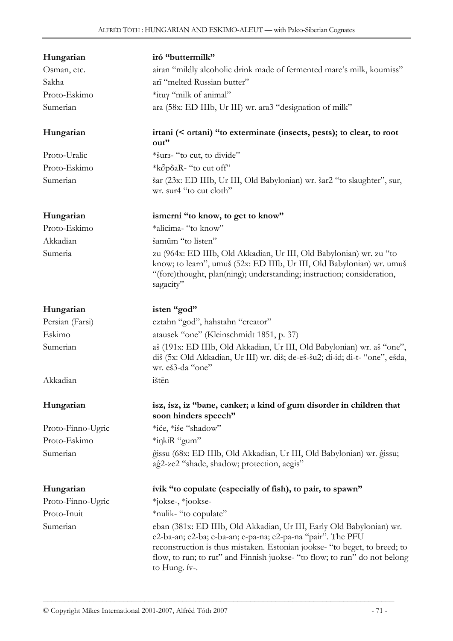| Hungarian<br>Osman, etc. | iró "buttermilk"<br>airan "mildly alcoholic drink made of fermented mare's milk, koumiss"                                                                                                                                                                                                                      |
|--------------------------|----------------------------------------------------------------------------------------------------------------------------------------------------------------------------------------------------------------------------------------------------------------------------------------------------------------|
| Sakha                    | arī "melted Russian butter"                                                                                                                                                                                                                                                                                    |
| Proto-Eskimo             | *ituγ "milk of animal"                                                                                                                                                                                                                                                                                         |
| Sumerian                 | ara (58x: ED IIIb, Ur III) wr. ara3 "designation of milk"                                                                                                                                                                                                                                                      |
| Hungarian                | irtani (< ortani) "to exterminate (insects, pests); to clear, to root<br>out"                                                                                                                                                                                                                                  |
| Proto-Uralic             | *sura- "to cut, to divide"                                                                                                                                                                                                                                                                                     |
| Proto-Eskimo             | *k∂pδaR- "to cut off"                                                                                                                                                                                                                                                                                          |
| Sumerian                 | šar (23x: ED IIIb, Ur III, Old Babylonian) wr. šar2 "to slaughter", sur,<br>wr. sur4 "to cut cloth"                                                                                                                                                                                                            |
| Hungarian                | ismerni "to know, to get to know"                                                                                                                                                                                                                                                                              |
| Proto-Eskimo             | *alicima- "to know"                                                                                                                                                                                                                                                                                            |
| Akkadian                 | šamūm "to listen"                                                                                                                                                                                                                                                                                              |
| Sumeria                  | zu (964x: ED IIIb, Old Akkadian, Ur III, Old Babylonian) wr. zu "to<br>know; to learn", umuš (52x: ED IIIb, Ur III, Old Babylonian) wr. umuš<br>"(fore)thought, plan(ning); understanding; instruction; consideration,<br>sagacity"                                                                            |
| Hungarian                | isten "god"                                                                                                                                                                                                                                                                                                    |
| Persian (Farsi)          | eztahn "god", hahstahn "creator"                                                                                                                                                                                                                                                                               |
| Eskimo                   | atausek "one" (Kleinschmidt 1851, p. 37)                                                                                                                                                                                                                                                                       |
| Sumerian                 | aš (191x: ED IIIb, Old Akkadian, Ur III, Old Babylonian) wr. aš "one",<br>diš (5x: Old Akkadian, Ur III) wr. diš; de-eš-šu2; di-id; di-t- "one", ešda,<br>wr. eš3-da "one"                                                                                                                                     |
| Akkadian                 | ištēn                                                                                                                                                                                                                                                                                                          |
| Hungarian                | isz, isz, iz "bane, canker; a kind of gum disorder in children that<br>soon hinders speech"                                                                                                                                                                                                                    |
| Proto-Finno-Ugric        | *iće, *iśe "shadow"                                                                                                                                                                                                                                                                                            |
| Proto-Eskimo             | *inkiR "gum"                                                                                                                                                                                                                                                                                                   |
| Sumerian                 | ĝissu (68x: ED IIIb, Old Akkadian, Ur III, Old Babylonian) wr. ĝissu;<br>aĝ2-ze2 "shade, shadow; protection, aegis"                                                                                                                                                                                            |
| Hungarian                | ivik "to copulate (especially of fish), to pair, to spawn"                                                                                                                                                                                                                                                     |
| Proto-Finno-Ugric        | *jokse-, *jookse-                                                                                                                                                                                                                                                                                              |
| Proto-Inuit              | *nulik- "to copulate"                                                                                                                                                                                                                                                                                          |
| Sumerian                 | eban (381x: ED IIIb, Old Akkadian, Ur III, Early Old Babylonian) wr.<br>e2-ba-an; e2-ba; e-ba-an; e-pa-na; e2-pa-na "pair". The PFU<br>reconstruction is thus mistaken. Estonian jookse- "to beget, to breed; to<br>flow, to run; to rut" and Finnish juokse- "to flow; to run" do not belong<br>to Hung. ív-. |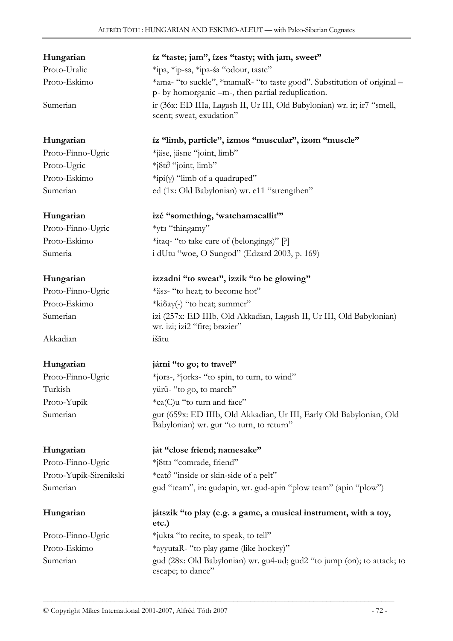### Hungarian

Proto-Uralic Proto-Eskimo

Sumerian

### Hungarian

Proto-Finno-Ugric Proto-Ugric Proto-Eskimo Sumerian

### Hungarian

Proto-Finno-Ugric Proto-Eskimo Sumeria

### Hungarian

Proto-Finno-Ugric Proto-Eskimo Sumerian

Akkadian

### Hungarian

Proto-Finno-Ugric Turkish Proto-Yupik Sumerian

### Hungarian

Proto-Finno-Ugric Proto-Yupik-Sirenikski Sumerian

### Hungarian

Proto-Finno-Ugric Proto-Eskimo Sumerian

### iz "taste; jam", izes "tasty; with jam, sweet"

 $*$ ips,  $*$ ip-ss,  $*$ ips-ss "odour, taste" \*ama- "to suckle", \*mamaR- "to taste good". Substitution of original p- by homorganic -m-, then partial reduplication. ir (36x: ED IIIa, Lagash II, Ur III, Old Babylonian) wr. ir; ir7 "smell, scent; sweat, exudation"

### iz "limb, particle", izmos "muscular", izom "muscle" \*jäse, jäsne "joint, limb"

\*j8t∂ "joint, limb" \*ipi( $\gamma$ ) "limb of a quadruped" ed (1x: Old Babylonian) wr. e11 "strengthen"

### izé "something, 'watchamacallit'"

\*yta "thingamy" \*itaq- "to take care of (belongings)" [?] i dUtu "woe, O Sungod" (Edzard 2003, p. 169)

### izzadni "to sweat", izzik "to be glowing"

\*äss- "to heat; to become hot" \*kiδaγ(-) "to heat; summer" izi (257x: ED IIIb, Old Akkadian, Lagash II, Ur III, Old Babylonian) wr. izi; izi2 "fire; brazier" išātu

### járni "to go; to travel"

\*jors-, \*jorks- "to spin, to turn, to wind" yürü-"to go, to march" \*ca(C)u "to turn and face" gur (659x: ED IIIb, Old Akkadian, Ur III, Early Old Babylonian, Old Babylonian) wr. gur "to turn, to return"

# ját "close friend; namesake" \*i8tta "comrade, friend" \*cat $\partial$  "inside or skin-side of a pelt" gud "team", in: gudapin, wr. gud-apin "plow team" (apin "plow")

# játszik "to play (e.g. a game, a musical instrument, with a toy, etc.)

\*jukta "to recite, to speak, to tell" \*ayyutaR- "to play game (like hockey)" gud (28x: Old Babylonian) wr. gu4-ud; gud2 "to jump (on); to attack; to escape; to dance"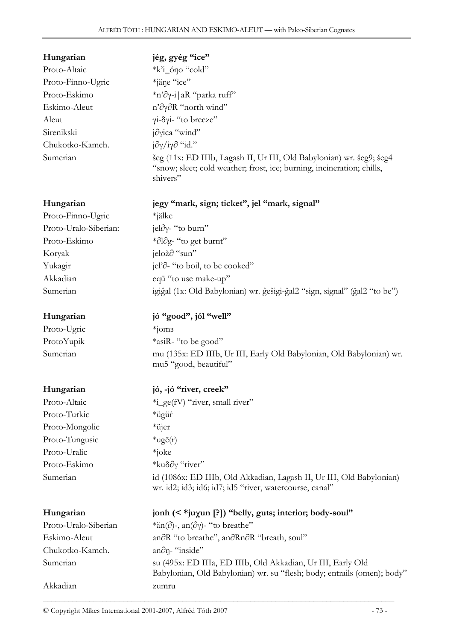| Hungarian             | jég, gyég "ice"                                                                                                                                            |
|-----------------------|------------------------------------------------------------------------------------------------------------------------------------------------------------|
| Proto-Altaic          | *k'i_óno "cold"                                                                                                                                            |
| Proto-Finno-Ugric     | *jäne "ice"                                                                                                                                                |
| Proto-Eskimo          | $*\n{\alpha}$ $\partial$ γ-i   aR "parka ruff"                                                                                                             |
| Eskimo-Aleut          | n'∂γ∂R "north wind"                                                                                                                                        |
| Aleut                 | γi-δγi- "to breeze"                                                                                                                                        |
| Sirenikski            | $j\partial y$ ica "wind"                                                                                                                                   |
| Chukotko-Kamch.       | $j\partial\gamma/ i\gamma\partial$ "id."                                                                                                                   |
| Sumerian              | šeg (11x: ED IIIb, Lagash II, Ur III, Old Babylonian) wr. šeg9; šeg4<br>"snow; sleet; cold weather; frost, ice; burning, incineration; chills,<br>shivers" |
| Hungarian             | jegy "mark, sign; ticket", jel "mark, signal"                                                                                                              |
| Proto-Finno-Ugric     | *jälke                                                                                                                                                     |
| Proto-Uralo-Siberian: | jel $\partial y$ - "to burn"                                                                                                                               |
| Proto-Eskimo          | *∂l∂g- "to get burnt"                                                                                                                                      |
| Koryak                | jelož $\partial$ "sun"                                                                                                                                     |
| Yukagir               | jel' $\partial$ - "to boil, to be cooked"                                                                                                                  |
| Akkadian              | eqū "to use make-up"                                                                                                                                       |
| Sumerian              | igiĝal (1x: Old Babylonian) wr. ĝešigi-ĝal2 "sign, signal" (ĝal2 "to be")                                                                                  |
| Hungarian             | jó "good", jól "well"                                                                                                                                      |
| Proto-Ugric           | $*jom3$                                                                                                                                                    |
| ProtoYupik            | *asiR- "to be good"                                                                                                                                        |
| Sumerian              | mu (135x: ED IIIb, Ur III, Early Old Babylonian, Old Babylonian) wr.<br>mu5 "good, beautiful"                                                              |
| Hungarian             | jó, -jó "river, creek"                                                                                                                                     |
| Proto-Altaic          | *i_ge(fV) "river, small river"                                                                                                                             |
| Proto-Turkic          | *ügüŕ                                                                                                                                                      |
| Proto-Mongolic        | *üjer                                                                                                                                                      |
| Proto-Tungusic        | $*$ ugē $(r)$                                                                                                                                              |
| Proto-Uralic          | *joke                                                                                                                                                      |
| Proto-Eskimo          | *kuδ∂γ "river"                                                                                                                                             |
| Sumerian              | id (1086x: ED IIIb, Old Akkadian, Lagash II, Ur III, Old Babylonian)<br>wr. id2; id3; id6; id7; id5 "river, watercourse, canal"                            |
| Hungarian             | jonh (< *juxun [?]) "belly, guts; interior; body-soul"                                                                                                     |
| Proto-Uralo-Siberian  | *än $(\partial)$ -, an $(\partial \gamma)$ - "to breathe"                                                                                                  |
| Eskimo-Aleut          | an∂R "to breathe", an∂Rn∂R "breath, soul"                                                                                                                  |
| Chukotko-Kamch.       | an $\partial$ n- "inside"                                                                                                                                  |
| Sumerian              | su (495x: ED IIIa, ED IIIb, Old Akkadian, Ur III, Early Old<br>Babylonian, Old Babylonian) wr. su "flesh; body; entrails (omen); body"                     |

Akkadian

zumru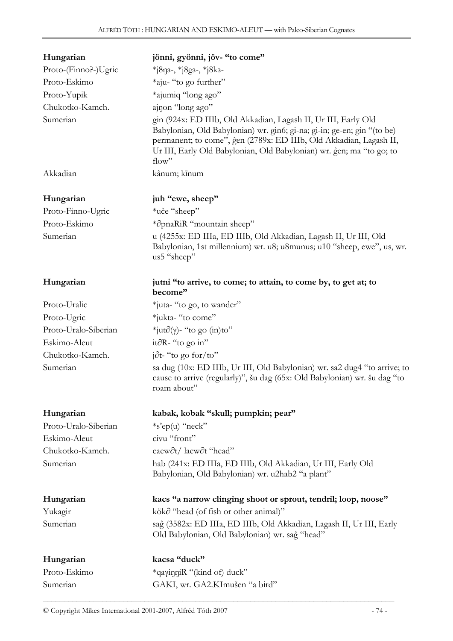| Hungarian            | jönni, gyönni, jöv- "to come"                                                                                                                                                                                                                                                                    |
|----------------------|--------------------------------------------------------------------------------------------------------------------------------------------------------------------------------------------------------------------------------------------------------------------------------------------------|
| Proto-(Finno?-)Ugric | $*$ j8n3-, $*$ j8g3-, $*$ j8k3-                                                                                                                                                                                                                                                                  |
| Proto-Eskimo         | *aju- "to go further"                                                                                                                                                                                                                                                                            |
| Proto-Yupik          | *ajumiq "long ago"                                                                                                                                                                                                                                                                               |
| Chukotko-Kamch.      | ajnon "long ago"                                                                                                                                                                                                                                                                                 |
| Sumerian             | gin (924x: ED IIIb, Old Akkadian, Lagash II, Ur III, Early Old<br>Babylonian, Old Babylonian) wr. gin6; gi-na; gi-in; ge-en; gin "(to be)<br>permanent; to come", ĝen (2789x: ED IIIb, Old Akkadian, Lagash II,<br>Ur III, Early Old Babylonian, Old Babylonian) wr. ĝen; ma "to go; to<br>flow" |
| Akkadian             | kânum; kīnum                                                                                                                                                                                                                                                                                     |
| Hungarian            | juh "ewe, sheep"                                                                                                                                                                                                                                                                                 |
| Proto-Finno-Ugric    | *uče "sheep"                                                                                                                                                                                                                                                                                     |
| Proto-Eskimo         | * $\partial$ pnaRiR "mountain sheep"                                                                                                                                                                                                                                                             |
| Sumerian             | u (4255x: ED IIIa, ED IIIb, Old Akkadian, Lagash II, Ur III, Old<br>Babylonian, 1st millennium) wr. u8; u8munus; u10 "sheep, ewe", us, wr.<br>us5 "sheep"                                                                                                                                        |
| Hungarian            | jutni "to arrive, to come; to attain, to come by, to get at; to<br>become"                                                                                                                                                                                                                       |
| Proto-Uralic         | *juta- "to go, to wander"                                                                                                                                                                                                                                                                        |
| Proto-Ugric          | *jukts- "to come"                                                                                                                                                                                                                                                                                |
| Proto-Uralo-Siberian | *jut $\partial(y)$ - "to go (in)to"                                                                                                                                                                                                                                                              |
| Eskimo-Aleut         | it∂R-"to go in"                                                                                                                                                                                                                                                                                  |
| Chukotko-Kamch.      | $i\partial t$ - "to go for/to"                                                                                                                                                                                                                                                                   |
| Sumerian             | sa dug (10x: ED IIIb, Ur III, Old Babylonian) wr. sa2 dug4 "to arrive; to<br>cause to arrive (regularly)", šu dag (65x: Old Babylonian) wr. šu dag "to<br>roam about"                                                                                                                            |
| Hungarian            | kabak, kobak "skull; pumpkin; pear"                                                                                                                                                                                                                                                              |
| Proto-Uralo-Siberian | $*$ s'ep $(u)$ "neck"                                                                                                                                                                                                                                                                            |
| Eskimo-Aleut         | civu "front"                                                                                                                                                                                                                                                                                     |
| Chukotko-Kamch.      | caewot/ laewot "head"                                                                                                                                                                                                                                                                            |
| Sumerian             | hab (241x: ED IIIa, ED IIIb, Old Akkadian, Ur III, Early Old<br>Babylonian, Old Babylonian) wr. u2hab2 "a plant"                                                                                                                                                                                 |
| Hungarian            | kacs "a narrow clinging shoot or sprout, tendril; loop, noose"                                                                                                                                                                                                                                   |
| Yukagir              | kök $\partial$ "head (of fish or other animal)"                                                                                                                                                                                                                                                  |
| Sumerian             | saĝ (3582x: ED IIIa, ED IIIb, Old Akkadian, Lagash II, Ur III, Early<br>Old Babylonian, Old Babylonian) wr. sag "head"                                                                                                                                                                           |
| Hungarian            | kacsa "duck"                                                                                                                                                                                                                                                                                     |
| Proto-Eskimo         | *qayinniR "(kind of) duck"                                                                                                                                                                                                                                                                       |
| Sumerian             | GAKI, wr. GA2.KImušen "a bird"                                                                                                                                                                                                                                                                   |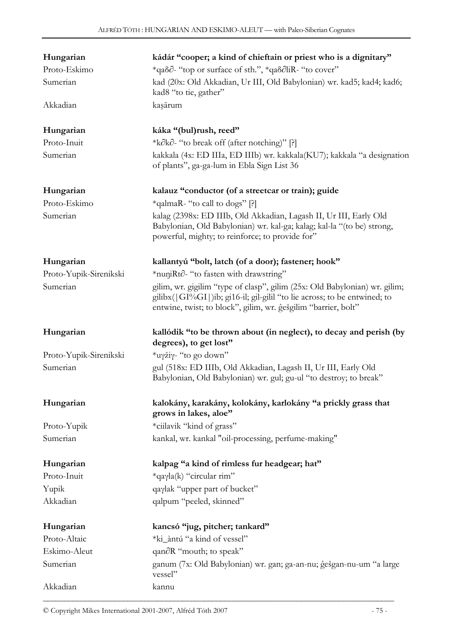| Hungarian              | kádár "cooper; a kind of chieftain or priest who is a dignitary"                                                                                                                                                         |
|------------------------|--------------------------------------------------------------------------------------------------------------------------------------------------------------------------------------------------------------------------|
| Proto-Eskimo           | *qaδ∂- "top or surface of sth.", *qaδ∂liR- "to cover"                                                                                                                                                                    |
| Sumerian               | kad (20x: Old Akkadian, Ur III, Old Babylonian) wr. kad5; kad4; kad6;<br>kad8 "to tie, gather"                                                                                                                           |
| Akkadian               | kaşārum                                                                                                                                                                                                                  |
| Hungarian              | káka "(bul)rush, reed"                                                                                                                                                                                                   |
| Proto-Inuit            | *k $\partial$ k $\partial$ - "to break off (after notching)" [?]                                                                                                                                                         |
| Sumerian               | kakkala (4x: ED IIIa, ED IIIb) wr. kakkala(KU7); kakkala "a designation<br>of plants", ga-ga-lum in Ebla Sign List 36                                                                                                    |
| Hungarian              | kalauz "conductor (of a streetcar or train); guide                                                                                                                                                                       |
| Proto-Eskimo           | *qalmaR- "to call to dogs" [?]                                                                                                                                                                                           |
| Sumerian               | kalag (2398x: ED IIIb, Old Akkadian, Lagash II, Ur III, Early Old<br>Babylonian, Old Babylonian) wr. kal-ga; kalag; kal-la "(to be) strong,<br>powerful, mighty; to reinforce; to provide for"                           |
| Hungarian              | kallantyú "bolt, latch (of a door); fastener; hook"                                                                                                                                                                      |
| Proto-Yupik-Sirenikski | *nuqiRt∂- "to fasten with drawstring"                                                                                                                                                                                    |
| Sumerian               | gilim, wr. gigilim "type of clasp", gilim (25x: Old Babylonian) wr. gilim;<br>gilibx( GI%GI )ib; gi16-il; gil-gilil "to lie across; to be entwined; to<br>entwine, twist; to block", gilim, wr. ĝešgilim "barrier, bolt" |
| Hungarian              | kallódik "to be thrown about (in neglect), to decay and perish (by<br>degrees), to get lost"                                                                                                                             |
| Proto-Yupik-Sirenikski | *uγžiγ- "to go down"                                                                                                                                                                                                     |
| Sumerian               | gul (518x: ED IIIb, Old Akkadian, Lagash II, Ur III, Early Old<br>Babylonian, Old Babylonian) wr. gul; gu-ul "to destroy; to break"                                                                                      |
|                        |                                                                                                                                                                                                                          |
| Hungarian              | kalokány, karakány, kolokány, karlokány "a prickly grass that<br>grows in lakes, aloe"                                                                                                                                   |
| Proto-Yupik            | *ciilavik "kind of grass"                                                                                                                                                                                                |
| Sumerian               | kankal, wr. kankal "oil-processing, perfume-making"                                                                                                                                                                      |
| Hungarian              | kalpag "a kind of rimless fur headgear; hat"                                                                                                                                                                             |
| Proto-Inuit            | *qaγla(k) "circular rim"                                                                                                                                                                                                 |
| Yupik                  | qaylak "upper part of bucket"                                                                                                                                                                                            |
| Akkadian               | qalpum "peeled, skinned"                                                                                                                                                                                                 |
| Hungarian              | kancsó "jug, pitcher; tankard"                                                                                                                                                                                           |
| Proto-Altaic           | *ki_àntú "a kind of vessel"                                                                                                                                                                                              |
| Eskimo-Aleut           | qan $\partial$ R "mouth; to speak"                                                                                                                                                                                       |
| Sumerian               | ganum (7x: Old Babylonian) wr. gan; ga-an-nu; ĝešgan-nu-um "a large<br>vessel"                                                                                                                                           |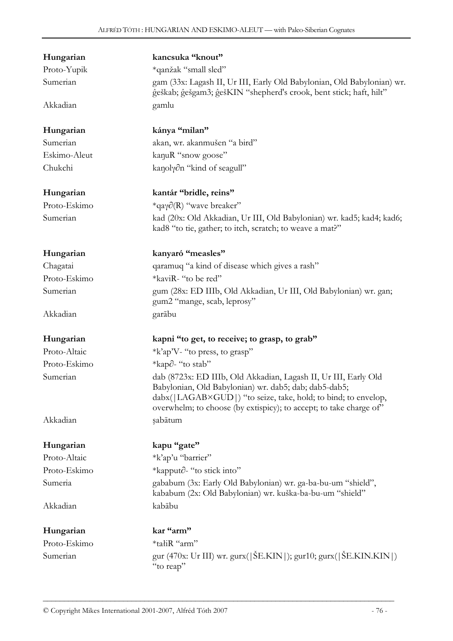| Hungarian    | kancsuka "knout"                                                                                                                                                                                                                                                |
|--------------|-----------------------------------------------------------------------------------------------------------------------------------------------------------------------------------------------------------------------------------------------------------------|
| Proto-Yupik  | *qanžak "small sled"                                                                                                                                                                                                                                            |
| Sumerian     | gam (33x: Lagash II, Ur III, Early Old Babylonian, Old Babylonian) wr.<br>ĝeškab; ĝešgam3; ĝešKIN "shepherd's crook, bent stick; haft, hilt"                                                                                                                    |
| Akkadian     | gamlu                                                                                                                                                                                                                                                           |
| Hungarian    | kánya "milan"                                                                                                                                                                                                                                                   |
| Sumerian     | akan, wr. akanmušen "a bird"                                                                                                                                                                                                                                    |
| Eskimo-Aleut | kanuR "snow goose"                                                                                                                                                                                                                                              |
| Chukchi      | kanoly∂n "kind of seagull"                                                                                                                                                                                                                                      |
| Hungarian    | kantár "bridle, reins"                                                                                                                                                                                                                                          |
| Proto-Eskimo | *qay $\partial(R)$ "wave breaker"                                                                                                                                                                                                                               |
| Sumerian     | kad (20x: Old Akkadian, Ur III, Old Babylonian) wr. kad5; kad4; kad6;<br>kad8 "to tie, gather; to itch, scratch; to weave a mat?"                                                                                                                               |
| Hungarian    | kanyaró "measles"                                                                                                                                                                                                                                               |
| Chagatai     | qaramuq "a kind of disease which gives a rash"                                                                                                                                                                                                                  |
| Proto-Eskimo | *kaviR- "to be red"                                                                                                                                                                                                                                             |
| Sumerian     | gum (28x: ED IIIb, Old Akkadian, Ur III, Old Babylonian) wr. gan;<br>gum2 "mange, scab, leprosy"                                                                                                                                                                |
| Akkadian     | garābu                                                                                                                                                                                                                                                          |
| Hungarian    | kapni "to get, to receive; to grasp, to grab"                                                                                                                                                                                                                   |
| Proto-Altaic | *k'ap'V- "to press, to grasp"                                                                                                                                                                                                                                   |
| Proto-Eskimo | *kap∂- "to stab"                                                                                                                                                                                                                                                |
| Sumerian     | dab (8723x: ED IIIb, Old Akkadian, Lagash II, Ur III, Early Old<br>Babylonian, Old Babylonian) wr. dab5; dab; dab5-dab5;<br>dabx( LAGAB×GUD ) "to seize, take, hold; to bind; to envelop,<br>overwhelm; to choose (by extispicy); to accept; to take charge of" |
| Akkadian     | şabātum                                                                                                                                                                                                                                                         |
| Hungarian    | kapu "gate"                                                                                                                                                                                                                                                     |
| Proto-Altaic | *k'ap'u "barrier"                                                                                                                                                                                                                                               |
| Proto-Eskimo | *kapput∂- "to stick into"                                                                                                                                                                                                                                       |
| Sumeria      | gababum (3x: Early Old Babylonian) wr. ga-ba-bu-um "shield",<br>kababum (2x: Old Babylonian) wr. kuška-ba-bu-um "shield"                                                                                                                                        |
| Akkadian     | kabābu                                                                                                                                                                                                                                                          |
| Hungarian    | kar "arm"                                                                                                                                                                                                                                                       |
| Proto-Eskimo | *taliR "arm"                                                                                                                                                                                                                                                    |
| Sumerian     | gur (470x: Ur III) wr. gurx( ŠE.KIN ); gur10; gurx( ŠE.KIN.KIN )<br>"to reap"                                                                                                                                                                                   |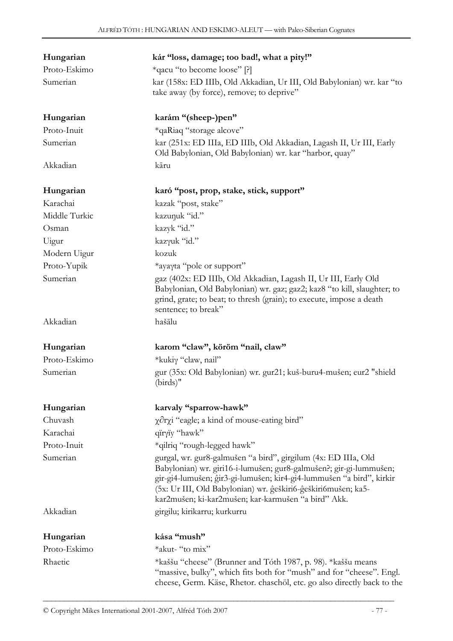| Hungarian     | kár "loss, damage; too bad!, what a pity!"                                                                                                                                                                                                                                                                                           |
|---------------|--------------------------------------------------------------------------------------------------------------------------------------------------------------------------------------------------------------------------------------------------------------------------------------------------------------------------------------|
| Proto-Eskimo  | *qacu "to become loose" [?]                                                                                                                                                                                                                                                                                                          |
| Sumerian      | kar (158x: ED IIIb, Old Akkadian, Ur III, Old Babylonian) wr. kar "to<br>take away (by force), remove; to deprive"                                                                                                                                                                                                                   |
| Hungarian     | karám "(sheep-)pen"                                                                                                                                                                                                                                                                                                                  |
| Proto-Inuit   | *qaRiaq "storage alcove"                                                                                                                                                                                                                                                                                                             |
| Sumerian      | kar (251x: ED IIIa, ED IIIb, Old Akkadian, Lagash II, Ur III, Early<br>Old Babylonian, Old Babylonian) wr. kar "harbor, quay"                                                                                                                                                                                                        |
| Akkadian      | kāru                                                                                                                                                                                                                                                                                                                                 |
| Hungarian     | karó "post, prop, stake, stick, support"                                                                                                                                                                                                                                                                                             |
| Karachai      | kazak "post, stake"                                                                                                                                                                                                                                                                                                                  |
| Middle Turkic | kazunuk "id."                                                                                                                                                                                                                                                                                                                        |
| Osman         | kazyk "id."                                                                                                                                                                                                                                                                                                                          |
| Uigur         | kazγuk "id."                                                                                                                                                                                                                                                                                                                         |
| Modern Uigur  | kozuk                                                                                                                                                                                                                                                                                                                                |
| Proto-Yupik   | <i>*ayaγta "pole or support"</i>                                                                                                                                                                                                                                                                                                     |
| Sumerian      | gaz (402x: ED IIIb, Old Akkadian, Lagash II, Ur III, Early Old<br>Babylonian, Old Babylonian) wr. gaz; gaz2; kaz8 "to kill, slaughter; to<br>grind, grate; to beat; to thresh (grain); to execute, impose a death<br>sentence; to break"                                                                                             |
| Akkadian      | hašālu                                                                                                                                                                                                                                                                                                                               |
| Hungarian     | karom "claw", köröm "nail, claw"                                                                                                                                                                                                                                                                                                     |
| Proto-Eskimo  | *kukiγ "claw, nail"                                                                                                                                                                                                                                                                                                                  |
| Sumerian      | gur (35x: Old Babylonian) wr. gur21; kuš-buru4-mušen; eur2 "shield<br>(birds)"                                                                                                                                                                                                                                                       |
| Hungarian     | karvaly "sparrow-hawk"                                                                                                                                                                                                                                                                                                               |
| Chuvash       | χ∂rχi "eagle; a kind of mouse-eating bird"                                                                                                                                                                                                                                                                                           |
| Karachai      | qïrγïy "hawk"                                                                                                                                                                                                                                                                                                                        |
| Proto-Inuit   | *qilriq "rough-legged hawk"                                                                                                                                                                                                                                                                                                          |
| Sumerian      | gurgal, wr. gur8-galmušen "a bird", girgilum (4x: ED IIIa, Old<br>Babylonian) wr. giri16-i-lumušen; gur8-galmušen?; gir-gi-lummušen;<br>gir-gi4-lumušen; ĝir3-gi-lumušen; kir4-gi4-lummušen "a bird", kirkir<br>(5x: Ur III, Old Babylonian) wr. ĝeškiri6-ĝeškiri6mušen; ka5-<br>kar2mušen; ki-kar2mušen; kar-karmušen "a bird" Akk. |
| Akkadian      | girgilu; kirikarru; kurkurru                                                                                                                                                                                                                                                                                                         |
| Hungarian     | kása "mush"                                                                                                                                                                                                                                                                                                                          |
| Proto-Eskimo  | *akut- "to mix"                                                                                                                                                                                                                                                                                                                      |
| Rhaetic       | *kaššu "cheese" (Brunner and Tóth 1987, p. 98). *kaššu means<br>"massive, bulky", which fits both for "mush" and for "cheese". Engl.<br>cheese, Germ. Käse, Rhetor. chaschöl, etc. go also directly back to the                                                                                                                      |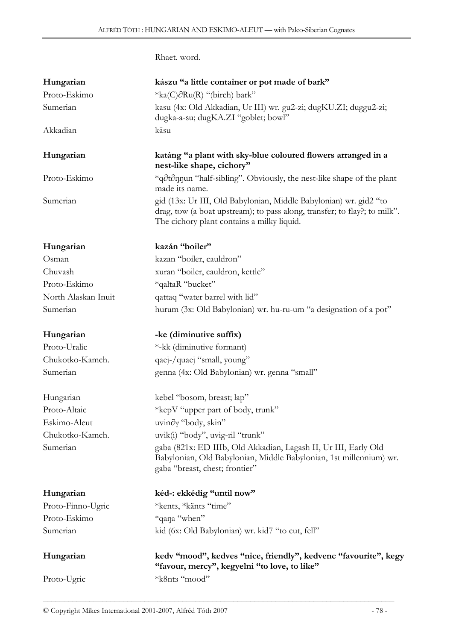Rhaet. word.

| Hungarian           | kászu "a little container or pot made of bark"                                                                                                                                               |
|---------------------|----------------------------------------------------------------------------------------------------------------------------------------------------------------------------------------------|
| Proto-Eskimo        | *ka(C) $\partial Ru(R)$ "(birch) bark"                                                                                                                                                       |
| Sumerian            | kasu (4x: Old Akkadian, Ur III) wr. gu2-zi; dugKU.ZI; duggu2-zi;<br>dugka-a-su; dugKA.ZI "goblet; bowl"                                                                                      |
| Akkadian            | kāsu                                                                                                                                                                                         |
| Hungarian           | katáng "a plant with sky-blue coloured flowers arranged in a<br>nest-like shape, cichory"                                                                                                    |
| Proto-Eskimo        | *q $\partial t \partial \eta$ qun "half-sibling". Obviously, the nest-like shape of the plant<br>made its name.                                                                              |
| Sumerian            | gid (13x: Ur III, Old Babylonian, Middle Babylonian) wr. gid2 "to<br>drag, tow (a boat upstream); to pass along, transfer; to flay?; to milk".<br>The cichory plant contains a milky liquid. |
| Hungarian           | kazán "boiler"                                                                                                                                                                               |
| Osman               | kazan "boiler, cauldron"                                                                                                                                                                     |
| Chuvash             | xuran "boiler, cauldron, kettle"                                                                                                                                                             |
| Proto-Eskimo        | *qaltaR "bucket"                                                                                                                                                                             |
| North Alaskan Inuit | qattaq "water barrel with lid"                                                                                                                                                               |
| Sumerian            | hurum (3x: Old Babylonian) wr. hu-ru-um "a designation of a pot"                                                                                                                             |
| Hungarian           | -ke (diminutive suffix)                                                                                                                                                                      |
| Proto-Uralic        | *-kk (diminutive formant)                                                                                                                                                                    |
| Chukotko-Kamch.     | qaej-/quaej "small, young"                                                                                                                                                                   |
| Sumerian            | genna (4x: Old Babylonian) wr. genna "small"                                                                                                                                                 |
| Hungarian           | kebel "bosom, breast; lap"                                                                                                                                                                   |
| Proto-Altaic        | *kepV "upper part of body, trunk"                                                                                                                                                            |
| Eskimo-Aleut        | $u\text{vin}\partial y$ "body, skin"                                                                                                                                                         |
| Chukotko-Kamch.     | uvik(i) "body", uvig-ril "trunk"                                                                                                                                                             |
| Sumerian            | gaba (821x: ED IIIb, Old Akkadian, Lagash II, Ur III, Early Old<br>Babylonian, Old Babylonian, Middle Babylonian, 1st millennium) wr.<br>gaba "breast, chest; frontier"                      |
| Hungarian           | kéd-: ekkédig "until now"                                                                                                                                                                    |
| Proto-Finno-Ugric   | *kenta, *känta "time"                                                                                                                                                                        |
| Proto-Eskimo        | *qana "when"                                                                                                                                                                                 |
| Sumerian            | kid (6x: Old Babylonian) wr. kid7 "to cut, fell"                                                                                                                                             |
| Hungarian           | kedv "mood", kedves "nice, friendly", kedvenc "favourite", kegy<br>"favour, mercy", kegyelni "to love, to like"                                                                              |
| Proto-Ugric         | *k8nts "mood"                                                                                                                                                                                |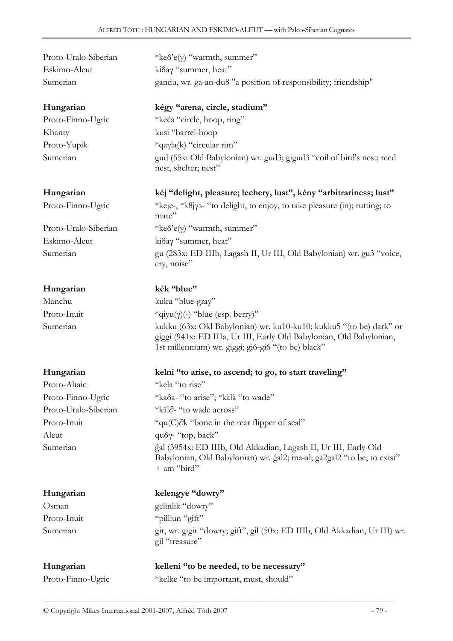Khanty kusi "barrel-hoop

Proto-Uralo-Siberian \*keδ'e(γ) "warmth, summer" Eskimo-Aleut kiδaγ "summer, heat"

### Hungarian kék "blue"

Proto-Altaic \*kela "to rise" Aleut  $\frac{qu\delta\gamma}$  "top, back"

Proto-Uralo-Siberian \*keδ'e(γ) "warmth, summer" Eskimo-Aleut kiδaγ "summer, heat" Sumerian gandu, wr. ga-an-du8 "a position of responsibility; friendship"

# Hungarian kégy "arena, circle, stadium"

Proto-Finno-Ugric \*kećs "circle, hoop, ring" Proto-Yupik \*qaγla(k) "circular rim" Sumerian gud (55x: Old Babylonian) wr. gud3; gigud3 "coil of bird's nest; reed nest, shelter; nest"

### Hungarian kéj "delight, pleasure; lechery, lust", kény "arbitrariness; lust"

Proto-Finno-Ugric \*keje-, \*k8jγз- "to delight, to enjoy, to take pleasure (in); rutting; to mate"

Sumerian gu (283x: ED IIIb, Lagash II, Ur III, Old Babylonian) wr. gu3 "voice, cry, noise"

Manchu kuku "blue-gray" Proto-Inuit  $*qivu(y)(-)$  "blue (esp. berry)" Sumerian kukku (63x: Old Babylonian) wr. ku10-ku10; kukku5 "(to be) dark" or giggi (941x: ED IIIa, Ur III, Early Old Babylonian, Old Babylonian, 1st millennium) wr. giggi; gi6-gi6 "(to be) black"

### Hungarian kelni "to arise, to ascend; to go, to start traveling"

Proto-Finno-Ugric \*kaδa- "to arise"; \*kälä "to wade" Proto-Uralo-Siberian \*käl∂- "to wade across" Proto-Inuit \*qu(C)∂k "bone in the rear flipper of seal" Sumerian ĝal (3954x: ED IIIb, Old Akkadian, Lagash II, Ur III, Early Old Babylonian, Old Babylonian) wr. ĝal2; ma-al; ga2gal2 "to be, to exist" + am "bird"

# Hungarian kelengye "dowry"

Osman gelinlik "dowry" Proto-Inuit \*pilliun "gift" Sumerian gir, wr. gigir "dowry; gift", gil (50x: ED IIIb, Old Akkadian, Ur III) wr. gil "treasure"

### Hungarian kelleni "to be needed, to be necessary"

Proto-Finno-Ugric \*kelke "to be important, must, should"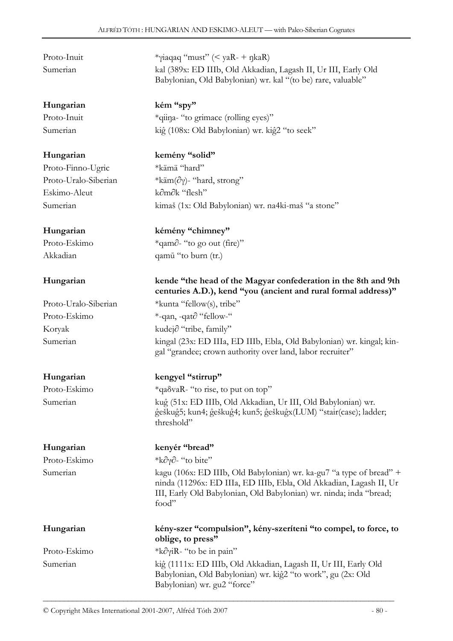\*yiaqaq "must"  $(<$  yaR- + nkaR)

\*qiina- "to grimace (rolling eyes)"

Proto-Inuit Sumerian

### Hungarian

Proto-Inuit Sumerian

### Hungarian

Proto-Finno-Ugric Proto-Uralo-Siberian Eskimo-Aleut Sumerian

### Hungarian

Proto-Eskimo Akkadian

### Hungarian

Proto-Uralo-Siberian Proto-Eskimo Koryak Sumerian

### Hungarian

Proto-Eskimo Sumerian

### Hungarian

Proto-Eskimo Sumerian

# kiĝ (108x: Old Babylonian) wr. kiĝ2 "to seek"

kemény "solid"

kém "spy"

\*kämä "hard" \*käm $(\partial \gamma)$ - "hard, strong" komok "flesh" kimaš (1x: Old Babylonian) wr. na4ki-maš "a stone"

kal (389x: ED IIIb, Old Akkadian, Lagash II, Ur III, Early Old Babylonian, Old Babylonian) wr. kal "(to be) rare, valuable"

kémény "chimney" \*qam $\partial$ - "to go out (fire)" qamū "to burn (tr.)

### kende "the head of the Magyar confederation in the 8th and 9th centuries A.D.), kend "you (ancient and rural formal address)"

\*kunta "fellow(s), tribe" \*-qan, -qat∂ "fellow-" kudej∂ "tribe, family" kingal (23x: ED IIIa, ED IIIb, Ebla, Old Babylonian) wr. kingal; kingal "grandee; crown authority over land, labor recruiter"

### kengyel "stirrup"

oblige, to press"

\*qaδvaR- "to rise, to put on top" kuĝ (51x: ED IIIb, Old Akkadian, Ur III, Old Babylonian) wr. ĝeškuĝ5; kun4; ĝeškuĝ4; kun5; ĝeškuĝx(LUM) "stair(case); ladder; threshold"

| kenyér "bread"                                                                                                                                                                                                           |
|--------------------------------------------------------------------------------------------------------------------------------------------------------------------------------------------------------------------------|
| * $k\partial y\partial$ - "to bite"                                                                                                                                                                                      |
| kagu (106x: ED IIIb, Old Babylonian) wr. ka-gu7 "a type of bread" +<br>ninda (11296x: ED IIIa, ED IIIb, Ebla, Old Akkadian, Lagash II, Ur<br>III, Early Old Babylonian, Old Babylonian) wr. ninda; inda "bread;<br>food" |
| kény-szer "compulsion", kény-szeríteni "to compel, to force, to                                                                                                                                                          |

Proto-Eskimo Sumerian

Hungarian

\*k $\partial y$ iR- "to be in pain" kiĝ (1111x: ED IIIb, Old Akkadian, Lagash II, Ur III, Early Old Babylonian, Old Babylonian) wr. kiĝ2 "to work", gu (2x: Old Babylonian) wr. gu2 "force"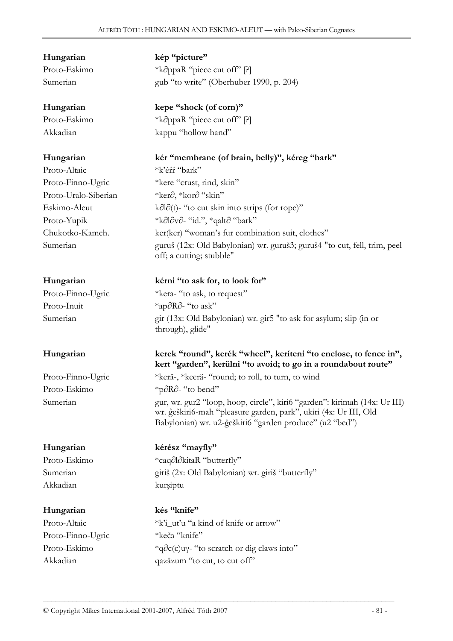Proto-Altaic \*k'éŕr "bark" Proto-Uralo-Siberian \*ker∂, \*kor∂ "skin"

Proto-Inuit \*ap∂R∂- "to ask"

Proto-Eskimo \*p∂R∂- "to bend"

Akkadian kurşiptu

### Hungarian kés "knife"

Proto-Finno-Ugric \*keč<sub>3</sub> "knife"

# Hungarian kép "picture" Proto-Eskimo \*k∂ppaR "piece cut off" [?] Sumerian gub "to write" (Oberhuber 1990, p. 204)

### Hungarian kepe "shock (of corn)" Proto-Eskimo \*k∂ppaR "piece cut off" [?]

Akkadian kappu "hollow hand"

### Hungarian kér "membrane (of brain, belly)", kéreg "bark"

Proto-Finno-Ugric \*kere "crust, rind, skin" Eskimo-Aleut k∂l∂(t)- "to cut skin into strips (for rope)" Proto-Yupik \*k∂l∂v∂- "id.", \*qalt∂ "bark" Chukotko-Kamch. ker(ker) "woman's fur combination suit, clothes" Sumerian guruš (12x: Old Babylonian) wr. guruš3; guruš4 "to cut, fell, trim, peel off; a cutting; stubble"

### Hungarian kérni "to ask for, to look for"

Proto-Finno-Ugric \*kers- "to ask, to request" Sumerian gir (13x: Old Babylonian) wr. gir5 "to ask for asylum; slip (in or through), glide"

### Hungarian kerek "round", kerék "wheel", keríteni "to enclose, to fence in", kert "garden", kerülni "to avoid; to go in a roundabout route"

Proto-Finno-Ugric \*kerä-, \*keerä- "round; to roll, to turn, to wind Sumerian gur, wr. gur2 "loop, hoop, circle", kiri6 "garden": kirimah (14x: Ur III) wr. ĝeškiri6-mah "pleasure garden, park", ukiri (4x: Ur III, Old Babylonian) wr. u2-ĝeškiri6 "garden produce" (u2 "bed")

Hungarian kérész "mayfly" Proto-Eskimo \*caq∂l∂kitaR "butterfly" Sumerian giriš (2x: Old Babylonian) wr. giriš "butterfly"

Proto-Altaic \*k'i ut'u "a kind of knife or arrow" Proto-Eskimo  $*q\partial c(c)uv$ - "to scratch or dig claws into" Akkadian qazāzum "to cut, to cut off"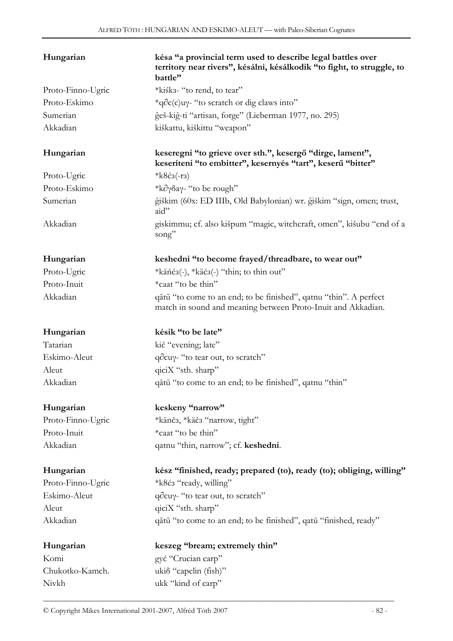| Hungarian         | késa "a provincial term used to describe legal battles over<br>territory near rivers", késálni, késálkodik "to fight, to struggle, to<br>battle" |
|-------------------|--------------------------------------------------------------------------------------------------------------------------------------------------|
| Proto-Finno-Ugric | *kiśk3- "to rend, to tear"                                                                                                                       |
| Proto-Eskimo      | * $q\partial c(c)$ uy- "to scratch or dig claws into"                                                                                            |
| Sumerian          | ĝeš-kiĝ-ti "artisan, forge" (Lieberman 1977, no. 295)                                                                                            |
| Akkadian          | kiškattu, kiškittu "weapon"                                                                                                                      |
| Hungarian         | keseregni "to grieve over sth.", kesergő "dirge, lament",<br>keseríteni "to embitter", kesernyés "tart", keserű "bitter"                         |
| Proto-Ugric       | * $k8c3(-r3)$                                                                                                                                    |
| Proto-Eskimo      | *k∂γδaγ- "to be rough"                                                                                                                           |
| Sumerian          | ĝiškim (60x: ED IIIb, Old Babylonian) wr. ĝiškim "sign, omen; trust,<br>aid"                                                                     |
| Akkadian          | giskimmu; cf. also kišpum "magic, witchcraft, omen", kišubu "end of a<br>song"                                                                   |
| Hungarian         | keshedni "to become frayed/threadbare, to wear out"                                                                                              |
| Proto-Ugric       | *käńćs(-), *käćs(-) "thin; to thin out"                                                                                                          |
| Proto-Inuit       | *caat "to be thin"                                                                                                                               |
| Akkadian          | qātū "to come to an end; to be finished", qatnu "thin". A perfect<br>match in sound and meaning between Proto-Inuit and Akkadian.                |
| Hungarian         | késik "to be late"                                                                                                                               |
| Tatarian          | kič "evening; late"                                                                                                                              |
| Eskimo-Aleut      | $q\partial cu\gamma$ - "to tear out, to scratch"                                                                                                 |
| Aleut             | qiciX "sth. sharp"                                                                                                                               |
| Akkadian          | qātū "to come to an end; to be finished", qatnu "thin"                                                                                           |
| Hungarian         | keskeny "narrow"                                                                                                                                 |
| Proto-Finno-Ugric | *känčs, *käčs "narrow, tight"                                                                                                                    |
| Proto-Inuit       | *caat "to be thin"                                                                                                                               |
| Akkadian          | qatnu "thin, narrow"; cf. keshedni.                                                                                                              |
| Hungarian         | kész "finished, ready; prepared (to), ready (to); obliging, willing"                                                                             |
| Proto-Finno-Ugric | *k8ć3 "ready, willing"                                                                                                                           |
| Eskimo-Aleut      | $q\partial cu\gamma$ - "to tear out, to scratch"                                                                                                 |
| Aleut             | qiciX "sth. sharp"                                                                                                                               |
| Akkadian          | qātū "to come to an end; to be finished", qatū "finished, ready"                                                                                 |
| Hungarian         | keszeg "bream; extremely thin"                                                                                                                   |
| Komi              | gyć "Crucian carp"                                                                                                                               |
| Chukotko-Kamch.   | ukiδ "capelin (fish)"                                                                                                                            |
| Nivkh             | ukk "kind of carp"                                                                                                                               |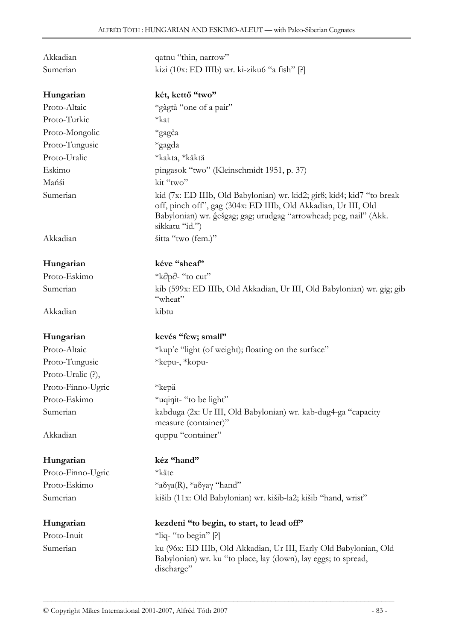| Akkadian          | qatnu "thin, narrow"                                                                                                                                                                                                            |
|-------------------|---------------------------------------------------------------------------------------------------------------------------------------------------------------------------------------------------------------------------------|
| Sumerian          | kizi (10x: ED IIIb) wr. ki-ziku6 "a fish" [?]                                                                                                                                                                                   |
|                   |                                                                                                                                                                                                                                 |
| Hungarian         | két, kettő "two"                                                                                                                                                                                                                |
| Proto-Altaic      | *gàgtà "one of a pair"                                                                                                                                                                                                          |
| Proto-Turkic      | $*kat$                                                                                                                                                                                                                          |
| Proto-Mongolic    | *gagča                                                                                                                                                                                                                          |
| Proto-Tungusic    | *gagda                                                                                                                                                                                                                          |
| Proto-Uralic      | *kakta, *käktä                                                                                                                                                                                                                  |
| Eskimo            | pingasok "two" (Kleinschmidt 1951, p. 37)                                                                                                                                                                                       |
| Mańśi             | kit "two"                                                                                                                                                                                                                       |
| Sumerian          | kid (7x: ED IIIb, Old Babylonian) wr. kid2; gir8; kid4; kid7 "to break<br>off, pinch off", gag (304x: ED IIIb, Old Akkadian, Ur III, Old<br>Babylonian) wr. ĝešgag; gag; urudgag "arrowhead; peg, nail" (Akk.<br>sikkatu "id.") |
| Akkadian          | šitta "two (fem.)"                                                                                                                                                                                                              |
| Hungarian         | kéve "sheaf"                                                                                                                                                                                                                    |
| Proto-Eskimo      | * $k\partial p\partial$ - "to cut"                                                                                                                                                                                              |
| Sumerian          | kib (599x: ED IIIb, Old Akkadian, Ur III, Old Babylonian) wr. gig; gib<br>"wheat"                                                                                                                                               |
| Akkadian          | kibtu                                                                                                                                                                                                                           |
| Hungarian         | kevés "few; small"                                                                                                                                                                                                              |
| Proto-Altaic      | *kup'e "light (of weight); floating on the surface"                                                                                                                                                                             |
| Proto-Tungusic    | *kepu-, *kopu-                                                                                                                                                                                                                  |
| Proto-Uralic (?), |                                                                                                                                                                                                                                 |
| Proto-Finno-Ugric | *kepä                                                                                                                                                                                                                           |
| Proto-Eskimo      | *uqinit- "to be light"                                                                                                                                                                                                          |
| Sumerian          | kabduga (2x: Ur III, Old Babylonian) wr. kab-dug4-ga "capacity<br>measure (container)"                                                                                                                                          |
| Akkadian          | quppu "container"                                                                                                                                                                                                               |
| Hungarian         | kéz "hand"                                                                                                                                                                                                                      |
| Proto-Finno-Ugric | *käte                                                                                                                                                                                                                           |
| Proto-Eskimo      | *aδγa(R), *aδγaγ "hand"                                                                                                                                                                                                         |
| Sumerian          |                                                                                                                                                                                                                                 |
|                   | kišib (11x: Old Babylonian) wr. kišib-la2; kišib "hand, wrist"                                                                                                                                                                  |
| Hungarian         | kezdeni "to begin, to start, to lead off"                                                                                                                                                                                       |
| Proto-Inuit       | *liq- "to begin" [?]                                                                                                                                                                                                            |
| Sumerian          | ku (96x: ED IIIb, Old Akkadian, Ur III, Early Old Babylonian, Old<br>Babylonian) wr. ku "to place, lay (down), lay eggs; to spread,<br>discharge"                                                                               |
|                   |                                                                                                                                                                                                                                 |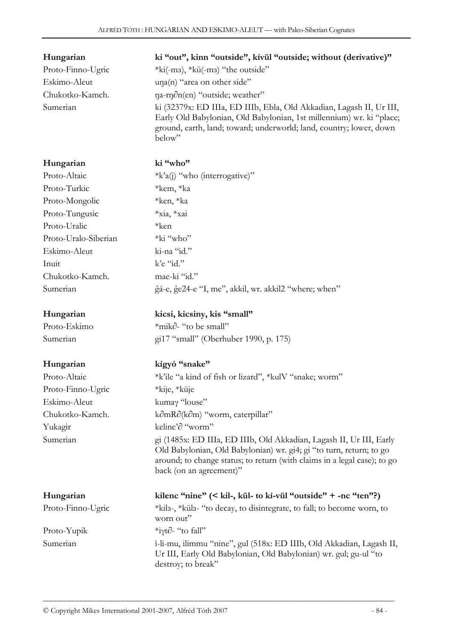### Hungarian ki "out", kinn "outside", kívül "outside; without (derivative)"

Proto-Finno-Ugric \*ki(-m<sub>3</sub>), \*kü(-m<sub>3</sub>) "the outside" Eskimo-Aleut una(n) "area on other side" Chukotko-Kamch. na-rŋ∂n(en) "outside; weather" Sumerian ki (32379x: ED IIIa, ED IIIb, Ebla, Old Akkadian, Lagash II, Ur III,

Early Old Babylonian, Old Babylonian, 1st millennium) wr. ki "place; ground, earth, land; toward; underworld; land, country; lower, down below"

### Hungarian ki "who"

Proto-Finno-Ugric \*kije, \*küje Eskimo-Aleut kumaγ "louse" Yukagir kelinc'∂ "worm"

| Hungarian            | KI "WHO"                                              |
|----------------------|-------------------------------------------------------|
| Proto-Altaic         | $*$ k'a(j) "who (interrogative)"                      |
| Proto-Turkic         | *kem, *ka                                             |
| Proto-Mongolic       | *ken, *ka                                             |
| Proto-Tungusic       | *xia, *xai                                            |
| Proto-Uralic         | *ken                                                  |
| Proto-Uralo-Siberian | $*ki$ "who"                                           |
| Eskimo-Aleut         | ki-na "id."                                           |
| Inuit                | $k$ 'e "id."                                          |
| Chukotko-Kamch.      | mae-ki "id."                                          |
| Sumerian             | ĝá-e, ĝe24-e "I, me", akkil, wr. akkil2 "where; when" |

### Hungarian kicsi, kicsiny, kis "small"

Proto-Eskimo \*mik∂- "to be small" Sumerian gi17 "small" (Oberhuber 1990, p. 175)

### Hungarian kígyó "snake"

Proto-Altaic \*k'ile "a kind of fish or lizard", \*kulV "snake; worm" Chukotko-Kamch. k∂mR∂(k∂m) "worm, caterpillar" Sumerian gi (1485x: ED IIIa, ED IIIb, Old Akkadian, Lagash II, Ur III, Early Old Babylonian, Old Babylonian) wr. gi4; gi "to turn, return; to go around; to change status; to return (with claims in a legal case); to go back (on an agreement)"

### Hungarian kilenc "nine" (< kil-, kül- to kí-vül "outside" + -nc "ten"?)

Proto-Finno-Ugric \*kils-, \*küls- "to decay, to disintegrate, to fall; to become worn, to worn out" Proto-Yupik \*iγt∂- "to fall" Sumerian *ì-li-mu, ilimmu "nine", gul (518x: ED IIIb, Old Akkadian, Lagash II,* Ur III, Early Old Babylonian, Old Babylonian) wr. gul; gu-ul "to destroy; to break"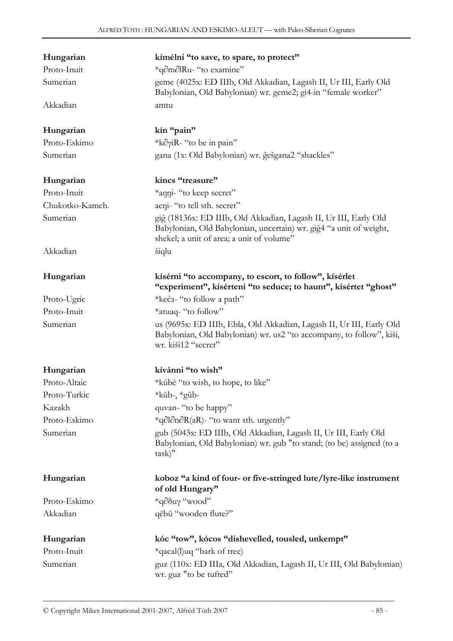| Hungarian       | kímélni "to save, to spare, to protect"                                                                                                                                             |
|-----------------|-------------------------------------------------------------------------------------------------------------------------------------------------------------------------------------|
| Proto-Inuit     | *q∂m∂lRu- "to examine"                                                                                                                                                              |
| Sumerian        | geme (4025x: ED IIIb, Old Akkadian, Lagash II, Ur III, Early Old<br>Babylonian, Old Babylonian) wr. geme2; gi4-in "female worker"                                                   |
| Akkadian        | amtu                                                                                                                                                                                |
| Hungarian       | kín "pain"                                                                                                                                                                          |
| Proto-Eskimo    | <i>*k∂γiR-</i> "to be in pain"                                                                                                                                                      |
| Sumerian        | gana (1x: Old Babylonian) wr. ĝešgana2 "shackles"                                                                                                                                   |
| Hungarian       | kincs "treasure"                                                                                                                                                                    |
| Proto-Inuit     | *anni-"to keep secret"                                                                                                                                                              |
| Chukotko-Kamch. | aeni-"to tell sth. secret"                                                                                                                                                          |
| Sumerian        | giĝ (18136x: ED IIIb, Old Akkadian, Lagash II, Ur III, Early Old<br>Babylonian, Old Babylonian, uncertain) wr. giĝ4 "a unit of weight,<br>shekel; a unit of area; a unit of volume" |
| Akkadian        | šiqlu                                                                                                                                                                               |
| Hungarian       | kísérni "to accompany, to escort, to follow", kísérlet<br>"experiment", kísérteni "to seduce; to haunt", kísértet "ghost"                                                           |
| Proto-Ugric     | *keća- "to follow a path"                                                                                                                                                           |
| Proto-Inuit     | *atuaq- "to follow"                                                                                                                                                                 |
| Sumerian        | us (9695x: ED IIIb, Ebla, Old Akkadian, Lagash II, Ur III, Early Old<br>Babylonian, Old Babylonian) wr. us2 "to accompany, to follow", kiši,<br>wr. kiši12 "secret"                 |
| Hungarian       | kívánni "to wish"                                                                                                                                                                   |
| Proto-Altaic    | *kúbé "to wish, to hope, to like"                                                                                                                                                   |
| Proto-Turkic    | *küb-, *güb-                                                                                                                                                                        |
| Kazakh          | quvan-"to be happy"                                                                                                                                                                 |
| Proto-Eskimo    | *q $\partial$ l $\partial$ n $\partial$ R(aR)- "to want sth. urgently"                                                                                                              |
| Sumerian        | gub (5043x: ED IIIb, Old Akkadian, Lagash II, Ur III, Early Old<br>Babylonian, Old Babylonian) wr. gub "to stand; (to be) assigned (to a<br>$task)$ "                               |
| Hungarian       | koboz "a kind of four- or five-stringed lute/lyre-like instrument<br>of old Hungary"                                                                                                |
| Proto-Eskimo    | *q∂δuγ "wood"                                                                                                                                                                       |
| Akkadian        | qēbū "wooden flute?"                                                                                                                                                                |
| Hungarian       | kóc "tow", kócos "dishevelled, tousled, unkempt"                                                                                                                                    |
| Proto-Inuit     | *qacal(l)uq "bark of tree)                                                                                                                                                          |
| Sumerian        | guz (110x: ED IIIa, Old Akkadian, Lagash II, Ur III, Old Babylonian)<br>wr. guz "to be tufted"                                                                                      |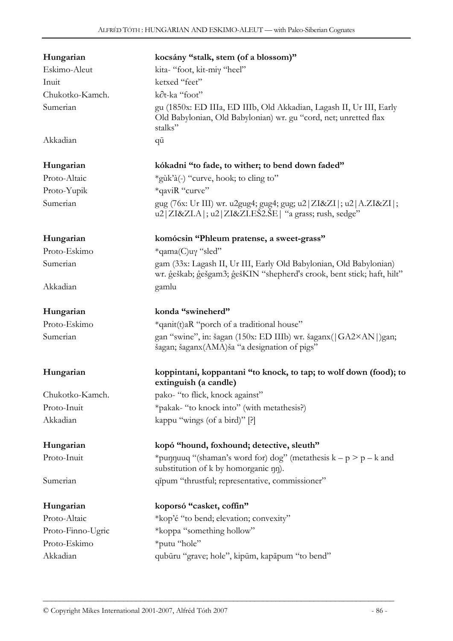| Hungarian         | kocsány "stalk, stem (of a blossom)"                                                                                                               |
|-------------------|----------------------------------------------------------------------------------------------------------------------------------------------------|
| Eskimo-Aleut      | kita- "foot, kit-miγ "heel"                                                                                                                        |
| Inuit             | ketxed "feet"                                                                                                                                      |
| Chukotko-Kamch.   | kot-ka "foot"                                                                                                                                      |
| Sumerian          | gu (1850x: ED IIIa, ED IIIb, Old Akkadian, Lagash II, Ur III, Early<br>Old Babylonian, Old Babylonian) wr. gu "cord, net; unretted flax<br>stalks" |
| Akkadian          | qū                                                                                                                                                 |
| Hungarian         | kókadni "to fade, to wither; to bend down faded"                                                                                                   |
| Proto-Altaic      | *gùk'à(-) "curve, hook; to cling to"                                                                                                               |
| Proto-Yupik       | *qaviR "curve"                                                                                                                                     |
| Sumerian          | gug (76x: Ur III) wr. u2gug4; gug4; gug; u2   ZI&ZI   ; u2   A.ZI&ZI   ;<br>u2   ZI&ZI.A   ; u2   ZI&ZI.EŠ2.ŠE   "a grass; rush, sedge"            |
| Hungarian         | komócsin "Phleum pratense, a sweet-grass"                                                                                                          |
| Proto-Eskimo      | *qama(C)uγ "sled"                                                                                                                                  |
| Sumerian          | gam (33x: Lagash II, Ur III, Early Old Babylonian, Old Babylonian)<br>wr. ĝeškab; ĝešgam3; ĝešKIN "shepherd's crook, bent stick; haft, hilt"       |
| Akkadian          | gamlu                                                                                                                                              |
| Hungarian         | konda "swineherd"                                                                                                                                  |
|                   |                                                                                                                                                    |
| Proto-Eskimo      | *qanit(t)aR "porch of a traditional house"                                                                                                         |
| Sumerian          | gan "swine", in: šagan (150x: ED IIIb) wr. šaganx( GA2×AN )gan;<br>šagan; šaganx(AMA)ša "a designation of pigs"                                    |
| Hungarian         | koppintani, koppantani "to knock, to tap; to wolf down (food); to<br>extinguish (a candle)                                                         |
| Chukotko-Kamch.   | pako- "to flick, knock against"                                                                                                                    |
| Proto-Inuit       | *pakak- "to knock into" (with metathesis?)                                                                                                         |
| Akkadian          | kappu "wings (of a bird)" [?]                                                                                                                      |
| Hungarian         | kopó "hound, foxhound; detective, sleuth"                                                                                                          |
| Proto-Inuit       | *punguuq "(shaman's word for) dog" (metathesis $k - p > p - k$ and<br>substitution of k by homorganic nn).                                         |
| Sumerian          | qīpum "thrustful; representative, commissioner"                                                                                                    |
| Hungarian         | koporsó "casket, coffin"                                                                                                                           |
| Proto-Altaic      | *kop'é "to bend; elevation; convexity"                                                                                                             |
| Proto-Finno-Ugric | *koppa "something hollow"                                                                                                                          |
| Proto-Eskimo      | *putu "hole"                                                                                                                                       |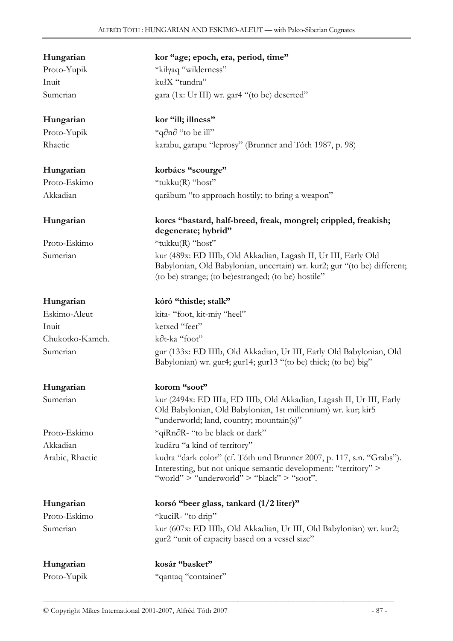| Hungarian       | kor "age; epoch, era, period, time"                                                                                                                                                                |
|-----------------|----------------------------------------------------------------------------------------------------------------------------------------------------------------------------------------------------|
| Proto-Yupik     | *kilyaq "wilderness"                                                                                                                                                                               |
| Inuit           | kułX "tundra"                                                                                                                                                                                      |
| Sumerian        | gara (1x: Ur III) wr. gar4 "(to be) deserted"                                                                                                                                                      |
| Hungarian       | kor "ill; illness"                                                                                                                                                                                 |
| Proto-Yupik     | *q∂n∂ "to be ill"                                                                                                                                                                                  |
| Rhaetic         | karabu, garapu "leprosy" (Brunner and Tóth 1987, p. 98)                                                                                                                                            |
| Hungarian       | korbács "scourge"                                                                                                                                                                                  |
| Proto-Eskimo    | *tukku(R) "host"                                                                                                                                                                                   |
| Akkadian        | qarābum "to approach hostily; to bring a weapon"                                                                                                                                                   |
| Hungarian       | korcs "bastard, half-breed, freak, mongrel; crippled, freakish;<br>degenerate; hybrid"                                                                                                             |
| Proto-Eskimo    | *tukku(R) "host"                                                                                                                                                                                   |
| Sumerian        | kur (489x: ED IIIb, Old Akkadian, Lagash II, Ur III, Early Old<br>Babylonian, Old Babylonian, uncertain) wr. kur2; gur "(to be) different;<br>(to be) strange; (to be) estranged; (to be) hostile" |
| Hungarian       | kóró "thistle; stalk"                                                                                                                                                                              |
| Eskimo-Aleut    | kita- "foot, kit-miγ "heel"                                                                                                                                                                        |
| Inuit           | ketxed "feet"                                                                                                                                                                                      |
| Chukotko-Kamch. | kot-ka "foot"                                                                                                                                                                                      |
| Sumerian        | gur (133x: ED IIIb, Old Akkadian, Ur III, Early Old Babylonian, Old<br>Babylonian) wr. gur4; gur14; gur13 "(to be) thick; (to be) big"                                                             |
| Hungarian       | korom "soot"                                                                                                                                                                                       |
| Sumerian        | kur (2494x: ED IIIa, ED IIIb, Old Akkadian, Lagash II, Ur III, Early<br>Old Babylonian, Old Babylonian, 1st millennium) wr. kur; kir5<br>"underworld; land, country; mountain(s)"                  |
| Proto-Eskimo    | *qiRn∂R- "to be black or dark"                                                                                                                                                                     |
| Akkadian        | kudāru "a kind of territory"                                                                                                                                                                       |
| Arabic, Rhaetic | kudra "dark color" (cf. Tóth und Brunner 2007, p. 117, s.n. "Grabs").<br>Interesting, but not unique semantic development: "territory" ><br>"world" > "underworld" > "black" > "soot".             |
| Hungarian       | korsó "beer glass, tankard (1/2 liter)"                                                                                                                                                            |
| Proto-Eskimo    | *kuciR- "to drip"                                                                                                                                                                                  |
| Sumerian        | kur (607x: ED IIIb, Old Akkadian, Ur III, Old Babylonian) wr. kur2;<br>gur2 "unit of capacity based on a vessel size"                                                                              |
| Hungarian       | kosár "basket"                                                                                                                                                                                     |
| Proto-Yupik     | *qantaq "container"                                                                                                                                                                                |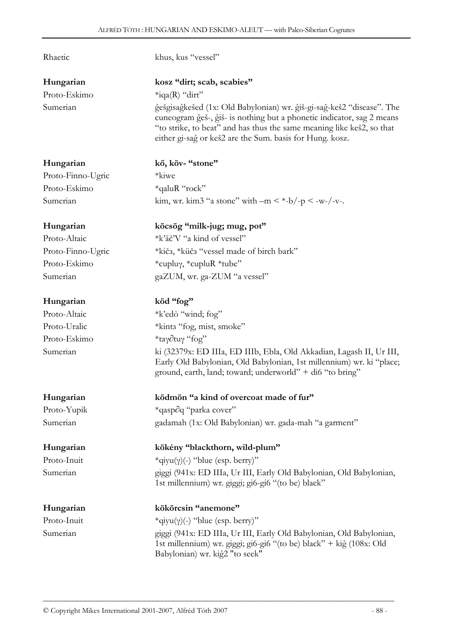Proto-Eskimo  $*_{iqa(R)}$  "dirt"

### Rhaetic khus, kus "vessel"

Hungarian kosz "dirt; scab, scabies" Sumerian ĝešgisaĝkešed (1x: Old Babylonian) wr. ĝiš-gi-saĝ-keš2 "disease". The cuneogram ĝeš-, ĝiš- is nothing but a phonetic indicator, sag 2 means "to strike, to beat" and has thus the same meaning like keš2, so that either gi-saĝ or keš2 are the Sum. basis for Hung. kosz.

Hungarian kő, köv- "stone" Proto-Finno-Ugric \*kiwe Proto-Eskimo \*qaluR "rock" Sumerian kim, wr. kim3 "a stone" with  $-m <$ \*-b/-p < -w-/-v-.

### Hungarian köd "fog"

Proto-Eskimo \*taγ∂tuγ "fog"

### Hungarian köcsög "milk-jug; mug, pot"

Proto-Altaic \*k'āč'V "a kind of vessel" Proto-Finno-Ugric \*kičs, \*küčs "vessel made of birch bark" Proto-Eskimo \*cupluγ, \*cupluR \*tube" Sumerian gaZUM, wr. ga-ZUM "a vessel"

Proto-Altaic \*k'edò "wind; fog" Proto-Uralic \*kints "fog, mist, smoke" Sumerian ki (32379x: ED IIIa, ED IIIb, Ebla, Old Akkadian, Lagash II, Ur III, Early Old Babylonian, Old Babylonian, 1st millennium) wr. ki "place; ground, earth, land; toward; underworld" + di6 "to bring"

### Hungarian ködmön "a kind of overcoat made of fur"

Proto-Yupik \*qasp∂q "parka cover" Sumerian gadamah (1x: Old Babylonian) wr. gada-mah "a garment"

Hungarian kökény "blackthorn, wild-plum" Proto-Inuit  $*qivu(\gamma)(-)$  "blue (esp. berry)" Sumerian giggi (941x: ED IIIa, Ur III, Early Old Babylonian, Old Babylonian, 1st millennium) wr. giggi; gi6-gi6 "(to be) black"

Hungarian kökörcsin "anemone" Proto-Inuit  $*$ qiyu(γ)(-) "blue (esp. berry)"

Sumerian giggi (941x: ED IIIa, Ur III, Early Old Babylonian, Old Babylonian, 1st millennium) wr. giggi; gi6-gi6 "(to be) black" + kiĝ (108x: Old Babylonian) wr. kiĝ2 "to seek"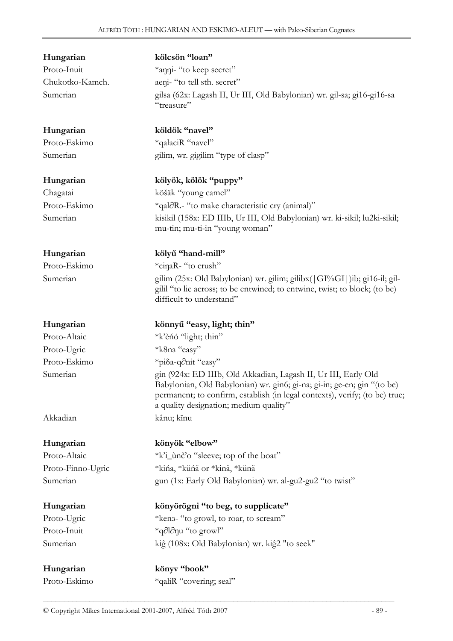# Hungarian 1

# Proto-Altaic \*k'èńó "light; thin" Proto-Ugric \*k8n3 "easy" Proto-Eskimo \*piδa-q∂nit "easy"

Akkadian kânu; kīnu

| Hungarian       | kölcsön "loan"                                                                        |
|-----------------|---------------------------------------------------------------------------------------|
| Proto-Inuit     | *anni- "to keep secret"                                                               |
| Chukotko-Kamch. | aeni- "to tell sth. secret"                                                           |
| Sumerian        | gilsa (62x: Lagash II, Ur III, Old Babylonian) wr. gil-sa; gi16-gi16-sa<br>"treasure" |

Hungarian köldök "navel" Proto-Eskimo \*qalaciR "navel" Sumerian gilim, wr. gigilim "type of clasp"

# Hungarian kölyök, kölök "puppy"

Chagatai köšäk "young camel" Proto-Eskimo \*qal∂R.- "to make characteristic cry (animal)" Sumerian kisikil (158x: ED IIIb, Ur III, Old Babylonian) wr. ki-sikil; lu2ki-sikil; mu-tin; mu-ti-in "young woman"

### Hungarian kölyű "hand-mill"

Proto-Eskimo \*cinaR- "to crush" Sumerian gilim (25x: Old Babylonian) wr. gilim; gilibx(|GI%GI|)ib; gi16-il; gilgilil "to lie across; to be entwined; to entwine, twist; to block; (to be) difficult to understand"

### Hungarian könnyű "easy, light; thin"

Sumerian gin (924x: ED IIIb, Old Akkadian, Lagash II, Ur III, Early Old Babylonian, Old Babylonian) wr. gin6; gi-na; gi-in; ge-en; gin "(to be) permanent; to confirm, establish (in legal contexts), verify; (to be) true; a quality designation; medium quality"

### Hungarian könyök "elbow"

Proto-Altaic \*k'i\_ùnč'o "sleeve; top of the boat" Proto-Finno-Ugric \*kińa, \*küńä or \*kinä, \*künä Sumerian gun (1x: Early Old Babylonian) wr. al-gu2-gu2 "to twist"

# Hungarian könyörögni "to beg, to supplicate"

Proto-Ugric \*kens- "to growl, to roar, to scream" Proto-Inuit \*q∂l∂ŋu "to growl" Sumerian kiĝ (108x: Old Babylonian) wr. kiĝ2 "to seek"

Hungarian könyv "book" Proto-Eskimo \*qaliR "covering; seal"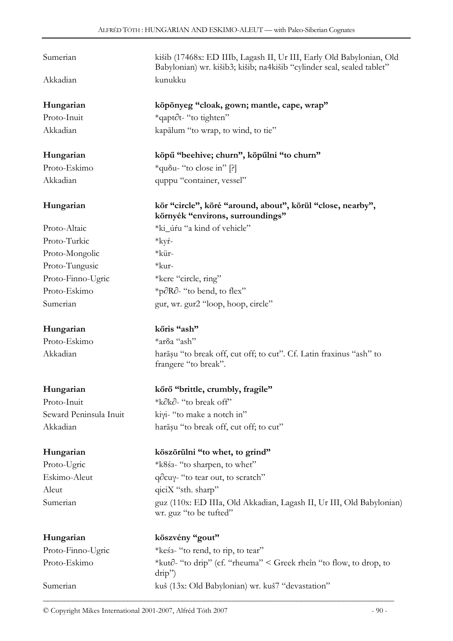Akkadian kunukku

Proto-Turkic \*kyŕ-Proto-Mongolic \*kür-Proto-Tungusic \*kur-

### Hungarian kőris "ash"

Proto-Eskimo \*arδa "ash"

Proto-Inuit \*k∂k∂- "to break off" Seward Peninsula Inuit kiγi- "to make a notch in"

Sumerian kišib (17468x: ED IIIb, Lagash II, Ur III, Early Old Babylonian, Old Babylonian) wr. kišib3; kišib; na4kišib "cylinder seal, sealed tablet"

# Hungarian köpönyeg "cloak, gown; mantle, cape, wrap" Proto-Inuit \*qapt∂t- "to tighten"

Akkadian kapālum "to wrap, to wind, to tie"

### Hungarian köpű "beehive; churn", köpűlni "to churn" Proto-Eskimo \* (φωδu- "to close in" [?] Akkadian quppu "container, vessel"

### Hungarian kör "circle", köré "around, about", körül "close, nearby", környék "environs, surroundings"

Proto-Altaic \*ki\_úŕu "a kind of vehicle" Proto-Finno-Ugric \*kere "circle, ring" Proto-Eskimo \*p∂R∂- "to bend, to flex" Sumerian gur, wr. gur2 "loop, hoop, circle"

Akkadian harāşu "to break off, cut off; to cut". Cf. Latin fraxinus "ash" to frangere "to break".

# Hungarian kőrő "brittle, crumbly, fragile"

Akkadian harāşu "to break off, cut off; to cut"

# Hungarian köszörülni "to whet, to grind" Proto-Ugric \*k8ś<sub>3</sub>- "to sharpen, to whet"

Eskimo-Aleut q∂cuγ- "to tear out, to scratch" Aleut qiciX "sth. sharp" Sumerian guz (110x: ED IIIa, Old Akkadian, Lagash II, Ur III, Old Babylonian) wr. guz "to be tufted"

# Hungarian köszvény "gout" Proto-Finno-Ugric \*keśs- "to rend, to rip, to tear" Proto-Eskimo \*kut∂- "to drip" (cf. "rheuma" < Greek rheîn "to flow, to drop, to drip") Sumerian kuš (13x: Old Babylonian) wr. kuš7 "devastation"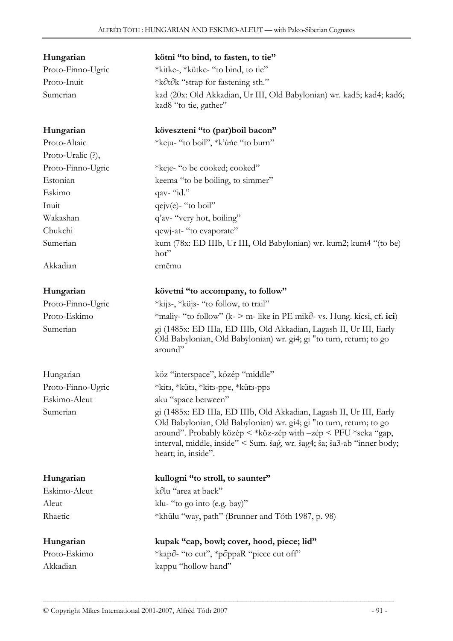Proto-Finno-Ugric Proto-Inuit Sumerian

### Hungarian

Proto-Altaic Proto-Uralic (?), Proto-Finno-Ugric Estonian Eskimo Inuit Wakashan Chukchi Sumerian

Akkadian

### Hungarian

Proto-Finno-Ugric Proto-Eskimo Sumerian

Hungarian Proto-Finno-Ugric Eskimo-Aleut Sumerian

# Hungarian

Eskimo-Aleut Aleut Rhaetic

### Hungarian

Proto-Eskimo Akkadian

kötni "to bind, to fasten, to tie" \*kitke-, \*kütke- "to bind, to tie" \*k∂t∂k "strap for fastening sth." kad (20x: Old Akkadian, Ur III, Old Babylonian) wr. kad5; kad4; kad6; kad8 "to tie, gather"

# köveszteni "to (par)boil bacon"

\*keju- "to boil", \*k'ùne "to burn"

\*keje- "o be cooked; cooked" keema "to be boiling, to simmer" qav-"id." qejv(e)- "to boil" q'av- "very hot, boiling" qewj-at-"to evaporate" kum (78x: ED IIIb, Ur III, Old Babylonian) wr. kum2; kum4 "(to be)  $hot"$ emēmu

### követni "to accompany, to follow"

\*kij3-, \*küj3- "to follow, to trail" \*maliy- "to follow" ( $k$ - > m- like in PE mik $\partial$ - vs. Hung. kicsi, cf. ici) gi (1485x: ED IIIa, ED IIIb, Old Akkadian, Lagash II, Ur III, Early Old Babylonian, Old Babylonian) wr. gi4; gi "to turn, return; to go around"

köz "interspace", közép "middle" \*kita, \*küta, \*kita-ppe, \*küta-ppa aku "space between" gi (1485x: ED IIIa, ED IIIb, Old Akkadian, Lagash II, Ur III, Early Old Babylonian, Old Babylonian) wr. gi4; gi "to turn, return; to go around". Probably közép < \*köz-zép with  $-z$ ép < PFU \*seka "gap, interval, middle, inside" < Sum. šaĝ, wr. šag4; ša; ša3-ab "inner body; heart; in, inside".

kullogni "to stroll, to saunter" kolu "area at back" klu-"to go into (e.g. bay)" \*khūlu "way, path" (Brunner and Tóth 1987, p. 98)

### kupak "cap, bowl; cover, hood, piece; lid" \*kapô- "to cut", \*pôppaR "piece cut off" kappu "hollow hand"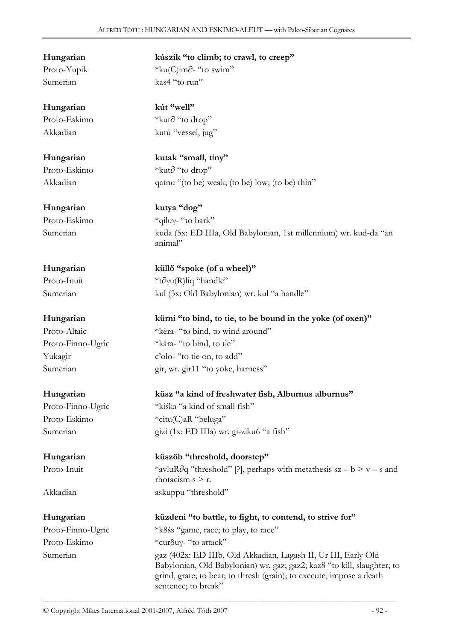### Hungarian kút "well"

Hungarian kúszik "to climb; to crawl, to creep" Proto-Yupik \*ku(C)im∂- "to swim" Sumerian kas4 "to run"

# Proto-Eskimo \*kut∂ "to drop" Akkadian kutū "vessel, jug"

Hungarian kutak "small, tiny" Proto-Eskimo \*kut∂ "to drop" Akkadian qatnu "(to be) weak; (to be) low; (to be) thin"

# Hungarian kutya "dog" Proto-Eskimo \*qiluγ- "to bark"

Sumerian kuda (5x: ED IIIa, Old Babylonian, 1st millennium) wr. kud-da "an animal"

# Hungarian küllő "spoke (of a wheel)" Proto-Inuit  $*$ t∂γu(R)liq "handle" Sumerian kul (3x: Old Babylonian) wr. kul "a handle"

# Hungarian kürni "to bind, to tie, to be bound in the yoke (of oxen)" Proto-Altaic \*kèra- "to bind, to wind around" Proto-Finno-Ugric \*kärs- "to bind, to tie" Yukagir c'olo- "to tie on, to add" Sumerian gir, wr. gir11 "to yoke, harness"

# Hungarian küsz "a kind of freshwater fish, Alburnus alburnus" Proto-Finno-Ugric \*kiśks "a kind of small fish" Proto-Eskimo \*citu(C)aR "beluga" Sumerian gizi (1x: ED IIIa) wr. gi-ziku6 "a fish"

Hungarian küszöb "threshold, doorstep" Proto-Inuit \*avluR∂q "threshold" [?], perhaps with metathesis sz – b > v – s and rhotacism  $s > r$ . Akkadian askuppu "threshold"

### Hungarian küzdeni "to battle, to fight, to contend, to strive for"

Proto-Finno-Ugric \*k8śs "game, race; to play, to race" Proto-Eskimo \*curδuγ- "to attack" Sumerian gaz (402x: ED IIIb, Old Akkadian, Lagash II, Ur III, Early Old Babylonian, Old Babylonian) wr. gaz; gaz2; kaz8 "to kill, slaughter; to grind, grate; to beat; to thresh (grain); to execute, impose a death sentence; to break"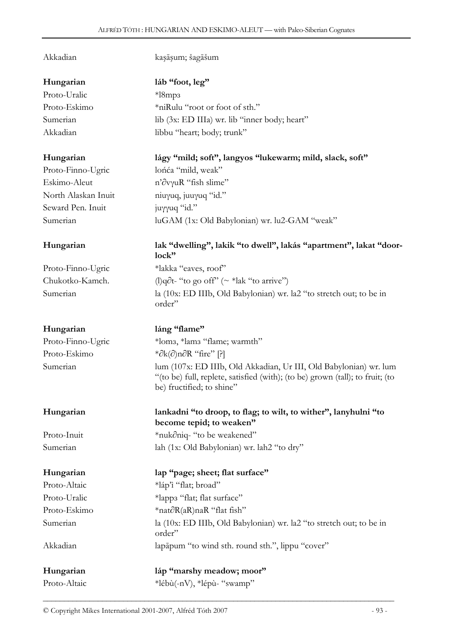### Hungarian láb "foot, leg"

Proto-Uralic \*l8mp<sub>3</sub>

Proto-Finno-Ugric lońća "mild, weak" Seward Pen. Inuit juγγuq "id."

### Akkadian kaşāşum; šagāšum

Proto-Eskimo \*niRulu "root or foot of sth." Sumerian lib (3x: ED IIIa) wr. lib "inner body; heart" Akkadian libbu "heart; body; trunk"

# Hungarian lágy "mild; soft", langyos "lukewarm; mild, slack, soft"

Eskimo-Aleut n'∂vγuR "fish slime" North Alaskan Inuit niuγuq, juuγuq "id." Sumerian luGAM (1x: Old Babylonian) wr. lu2-GAM "weak"

### Hungarian lak "dwelling", lakik "to dwell", lakás "apartment", lakat "doorlock"

Proto-Finno-Ugric \*lakka "eaves, roof" Chukotko-Kamch. (l)q∂t- "to go off" ( $\sim$  \*lak "to arrive") Sumerian la (10x: ED IIIb, Old Babylonian) wr. la2 "to stretch out; to be in order"

### Hungarian láng "flame"

Proto-Finno-Ugric \*loms, \*lams "flame; warmth" Proto-Eskimo \*∂k(∂)n∂R "fire" [?] Sumerian lum (107x: ED IIIb, Old Akkadian, Ur III, Old Babylonian) wr. lum "(to be) full, replete, satisfied (with); (to be) grown (tall); to fruit; (to be) fructified; to shine"

# Hungarian lankadni "to droop, to flag; to wilt, to wither", lanyhulni "to become tepid; to weaken"

Proto-Inuit \*nuk∂niq- "to be weakened" Sumerian lah (1x: Old Babylonian) wr. lah2 "to dry"

# Hungarian lap "page; sheet; flat surface"

Proto-Altaic \*láp'ì "flat; broad" Proto-Uralic \*lapps "flat; flat surface" Proto-Eskimo \*nat∂R(aR)naR "flat fish" Sumerian la (10x: ED IIIb, Old Babylonian) wr. la2 "to stretch out; to be in order" Akkadian lapāpum "to wind sth. round sth.", lippu "cover"

Hungarian láp "marshy meadow; moor" Proto-Altaic \*lébù(-nV), \*lépù- "swamp"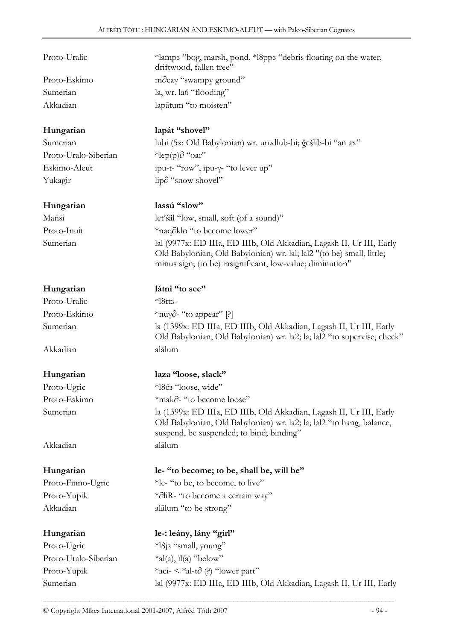| Proto-Uralic |
|--------------|
|--------------|

Proto-Eskimo Sumerian Akkadian

### Hungarian

Sumerian Proto-Uralo-Siberian Eskimo-Aleut Yukagir

### Hungarian

Mańśi Proto-Inuit Sumerian

### Hungarian

Proto-Uralic Proto-Eskimo Sumerian

Akkadian

### Hungarian

Proto-Ugric Proto-Eskimo Sumerian

Akkadian

### Hungarian

Proto-Finno-Ugric Proto-Yupik Akkadian

### Hungarian

Proto-Ugric Proto-Uralo-Siberian Proto-Yupik Sumerian

\*lamps "bog, marsh, pond, \*l8pps "debris floating on the water, driftwood, fallen tree"  $m\partial c$ ay "swampy ground" la, wr. la6 "flooding" lapātum "to moisten"

### lapát "shovel"

lubi (5x: Old Babylonian) wr. urudlub-bi; ĝešlib-bi "an ax" \*lep(p) $\partial$  "oar" ipu-t- "row", ipu- $\gamma$ - "to lever up" lip $\partial$  "snow shovel"

### lassú "slow"

let'šäl "low, small, soft (of a sound)" \*naq∂klo "to become lower" lal (9977x: ED IIIa, ED IIIb, Old Akkadian, Lagash II, Ur III, Early Old Babylonian, Old Babylonian) wr. lal; lal2 "(to be) small, little; minus sign; (to be) insignificant, low-value; diminution"

### látni "to see"

 $*18tts-$ \*nuγ $\partial$ - "to appear" [?] la (1399x: ED IIIa, ED IIIb, Old Akkadian, Lagash II, Ur III, Early Old Babylonian, Old Babylonian) wr. la2; la; lal2 "to supervise, check" alālum

# laza "loose, slack"

\*18ć3 "loose, wide" \*mak∂- "to become loose" la (1399x: ED IIIa, ED IIIb, Old Akkadian, Lagash II, Ur III, Early Old Babylonian, Old Babylonian) wr. la2; la; lal2 "to hang, balance, suspend, be suspended; to bind; binding" alālum

### le-"to become; to be, shall be, will be"

\*le- "to be, to become, to live" \*∂liR- "to become a certain way" alālum "to be strong"

# le-: leány, lány "girl" \*18j3 "small, young"  $*al(a), il(a)$  "below" \*aci- < \*al-t $\partial$  (?) "lower part" lal (9977x: ED IIIa, ED IIIb, Old Akkadian, Lagash II, Ur III, Early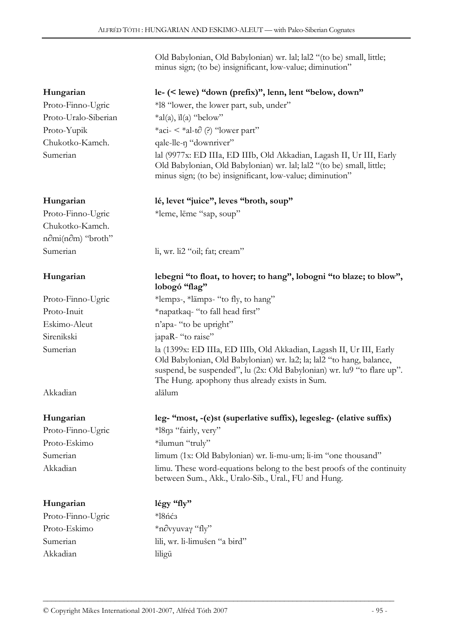Old Babylonian, Old Babylonian) wr. lal; lal2 "(to be) small, little; minus sign; (to be) insignificant, low-value; diminution"

### le- (< lewe) "down (prefix)", lenn, lent "below, down"

\*18 "lower, the lower part, sub, under"  $*al(a), il(a)$  "below" \*aci- < \*al-t $\partial$  (?) "lower part" qale-lle-n "downriver" lal (9977x: ED IIIa, ED IIIb, Old Akkadian, Lagash II, Ur III, Early Old Babylonian, Old Babylonian) wr. lal; lal2 "(to be) small, little; minus sign; (to be) insignificant, low-value; diminution"

### lé, levet "juice", leves "broth, soup"

\*leme, lēme "sap, soup"

li, wr. li2 "oil; fat; cream"

### lebegni "to float, to hover; to hang", lobogni "to blaze; to blow", lobogó "flag"

\*lemp3-, \*lämp3- "to fly, to hang" \*napatkaq- "to fall head first" n'apa-"to be upright" japaR-"to raise" la (1399x: ED IIIa, ED IIIb, Old Akkadian, Lagash II, Ur III, Early Old Babylonian, Old Babylonian) wr. la2; la; lal2 "to hang, balance, suspend, be suspended", lu (2x: Old Babylonian) wr. lu9 "to flare up". The Hung. apophony thus already exists in Sum. alālum

# leg- "most, -(e)st (superlative suffix), legesleg- (elative suffix) \*18n3 "fairly, very" \*ilumun "truly" limum (1x: Old Babylonian) wr. li-mu-um; li-im "one thousand" limu. These word-equations belong to the best proofs of the continuity between Sum., Akk., Uralo-Sib., Ural., FU and Hung.

### Hungarian

Proto-Finno-Ugric Proto-Eskimo Sumerian Akkadian

### légy "fly"

\*18ńć3 \*n∂vyuvaγ "fly" lili, wr. li-limušen "a bird" liligū

Chukotko-Kamch.  $n\partial \text{mi}(n\partial m)$  "broth" Sumerian Hungarian

Proto-Finno-Ugric Proto-Inuit Eskimo-Aleut Sirenikski Sumerian

Hungarian

Proto-Yupik

Sumerian

Hungarian

Proto-Finno-Ugric

Chukotko-Kamch.

Proto-Finno-Ugric

Proto-Uralo-Siberian

Akkadian

### Hungarian

Proto-Finno-Ugric Proto-Eskimo Sumerian Akkadian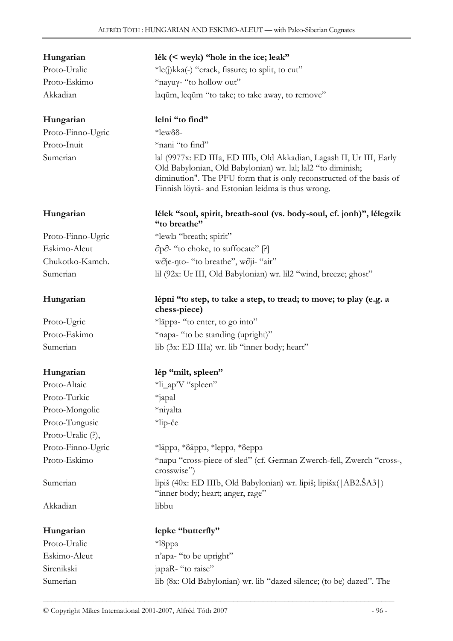| Hungarian         | lék (< weyk) "hole in the ice; leak"                                                                                                                                                                                                                             |
|-------------------|------------------------------------------------------------------------------------------------------------------------------------------------------------------------------------------------------------------------------------------------------------------|
| Proto-Uralic      | *le(j)kka(-) "crack, fissure; to split, to cut"                                                                                                                                                                                                                  |
| Proto-Eskimo      | *nayuγ- "to hollow out"                                                                                                                                                                                                                                          |
| Akkadian          | laqūm, leqūm "to take; to take away, to remove"                                                                                                                                                                                                                  |
| Hungarian         | lelni "to find"                                                                                                                                                                                                                                                  |
| Proto-Finno-Ugric | $*$ lew $\delta\delta$ -                                                                                                                                                                                                                                         |
| Proto-Inuit       | *nani "to find"                                                                                                                                                                                                                                                  |
| Sumerian          | lal (9977x: ED IIIa, ED IIIb, Old Akkadian, Lagash II, Ur III, Early<br>Old Babylonian, Old Babylonian) wr. lal; lal2 "to diminish;<br>diminution". The PFU form that is only reconstructed of the basis of<br>Finnish löytä- and Estonian leidma is thus wrong. |
| Hungarian         | lélek "soul, spirit, breath-soul (vs. body-soul, cf. jonh)", lélegzik<br>"to breathe"                                                                                                                                                                            |
| Proto-Finno-Ugric | *lewls "breath; spirit"                                                                                                                                                                                                                                          |
| Eskimo-Aleut      | $\partial p\partial$ - "to choke, to suffocate" [?]                                                                                                                                                                                                              |
| Chukotko-Kamch.   | w∂je-nto- "to breathe", w∂ji- "air"                                                                                                                                                                                                                              |
| Sumerian          | lil (92x: Ur III, Old Babylonian) wr. lil2 "wind, breeze; ghost"                                                                                                                                                                                                 |
| Hungarian         | lépni "to step, to take a step, to tread; to move; to play (e.g. a<br>chess-piece)                                                                                                                                                                               |
| Proto-Ugric       | *läppa- "to enter, to go into"                                                                                                                                                                                                                                   |
| Proto-Eskimo      | *napa- "to be standing (upright)"                                                                                                                                                                                                                                |
| Sumerian          | lib (3x: ED IIIa) wr. lib "inner body; heart"                                                                                                                                                                                                                    |
| Hungarian         | lép "milt, spleen"                                                                                                                                                                                                                                               |
| Proto-Altaic      | *li_ap'V "spleen"                                                                                                                                                                                                                                                |
| Proto-Turkic      | $*$ japal                                                                                                                                                                                                                                                        |
| Proto-Mongolic    | *niyalta                                                                                                                                                                                                                                                         |
| Proto-Tungusic    | $*lip$ -če                                                                                                                                                                                                                                                       |
| Proto-Uralic (?), |                                                                                                                                                                                                                                                                  |
| Proto-Finno-Ugric | $*$ läppз, $*$ $\delta$ äppз, $*$ leppз, $*$ $\delta$ eppз                                                                                                                                                                                                       |
| Proto-Eskimo      | *napu "cross-piece of sled" (cf. German Zwerch-fell, Zwerch "cross-,<br>crosswise")                                                                                                                                                                              |
| Sumerian          | lipiš (40x: ED IIIb, Old Babylonian) wr. lipiš; lipišx( AB2.ŠA3 )<br>"inner body; heart; anger, rage"                                                                                                                                                            |
| Akkadian          | libbu                                                                                                                                                                                                                                                            |
| Hungarian         | lepke "butterfly"                                                                                                                                                                                                                                                |
| Proto-Uralic      | $*$ 18pp3                                                                                                                                                                                                                                                        |
| Eskimo-Aleut      | n'apa-"to be upright"                                                                                                                                                                                                                                            |
| Sirenikski        | japaR-"to raise"                                                                                                                                                                                                                                                 |
| Sumerian          | lib (8x: Old Babylonian) wr. lib "dazed silence; (to be) dazed". The                                                                                                                                                                                             |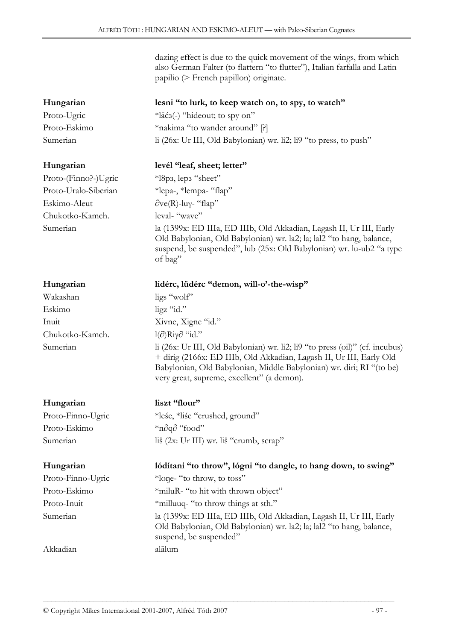dazing effect is due to the quick movement of the wings, from which also German Falter (to flattern "to flutter"), Italian farfalla and Latin papilio (> French papillon) originate.

### lesni "to lurk, to keep watch on, to spy, to watch"

\*läćs(-) "hideout; to spy on" \*nakima "to wander around" [?] li (26x: Ur III, Old Babylonian) wr. li2; li9 "to press, to push"

### levél "leaf, sheet; letter"

\*18p<sub>3</sub>, lep<sub>3</sub> "sheet" \*lepa-, \*lempa- "flap"  $\partial$ ve(R)-luy- "flap" leval- "wave" la (1399x: ED IIIa, ED IIIb, Old Akkadian, Lagash II, Ur III, Early Old Babylonian, Old Babylonian) wr. la2; la; lal2 "to hang, balance, suspend, be suspended", lub (25x: Old Babylonian) wr. lu-ub2 "a type of bag"

### lidérc, lüdérc "demon, will-o'-the-wisp" ligs "wolf"

ligz "id." Xivne, Xigne "id."  $l(\partial)$ Riy $\partial$  "id." li (26x: Ur III, Old Babylonian) wr. li2; li9 "to press (oil)" (cf. incubus) + dirig (2166x: ED IIIb, Old Akkadian, Lagash II, Ur III, Early Old Babylonian, Old Babylonian, Middle Babylonian) wr. diri; RI "(to be) very great, supreme, excellent" (a demon).

### liszt "flour"

\*leśe, \*liśe "crushed, ground" \*n∂q∂ "food" liš (2x: Ur III) wr. liš "crumb, scrap"

### lódítani "to throw", lógni "to dangle, to hang down, to swing"

\*lone- "to throw, to toss" \*miluR- "to hit with thrown object" \*milluuq- "to throw things at sth." la (1399x: ED IIIa, ED IIIb, Old Akkadian, Lagash II, Ur III, Early Old Babylonian, Old Babylonian) wr. la2; la; lal2 "to hang, balance, suspend, be suspended" alālum

### Hungarian

Proto-Ugric Proto-Eskimo Sumerian

### Hungarian

Proto-(Finno?-)Ugric Proto-Uralo-Siberian Eskimo-Aleut Chukotko-Kamch. Sumerian

### Hungarian

Wakashan Eskimo Inuit Chukotko-Kamch. Sumerian

### Hungarian

Proto-Finno-Ugric Proto-Eskimo Sumerian

### Hungarian

Proto-Finno-Ugric Proto-Eskimo Proto-Inuit Sumerian

Akkadian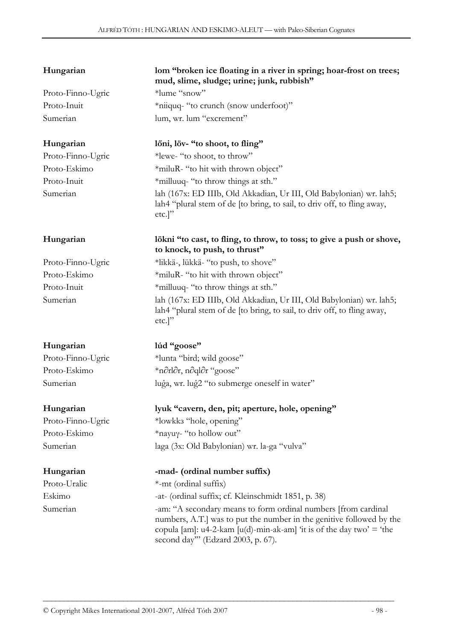Proto-Finno-Ugric \*lume "snow"

### Hungarian lom "broken ice floating in a river in spring; hoar-frost on trees; mud, slime, sludge; urine; junk, rubbish"

Proto-Inuit \*niiquq- "to crunch (snow underfoot)" Sumerian lum, wr. lum "excrement"

# Hungarian lőni, löv- "to shoot, to fling"

Proto-Finno-Ugric \*lewe- "to shoot, to throw" Proto-Eskimo \*miluR- "to hit with thrown object" Proto-Inuit \*milluuq- "to throw things at sth." Sumerian lah (167x: ED IIIb, Old Akkadian, Ur III, Old Babylonian) wr. lah5; lah4 "plural stem of de [to bring, to sail, to driv off, to fling away, etc.]"

### Hungarian lökni "to cast, to fling, to throw, to toss; to give a push or shove, to knock, to push, to thrust"

Proto-Finno-Ugric \*likkä-, lükkä- "to push, to shove" Proto-Eskimo \*miluR- "to hit with thrown object" Proto-Inuit \*milluuq- "to throw things at sth." Sumerian lah (167x: ED IIIb, Old Akkadian, Ur III, Old Babylonian) wr. lah5; lah4 "plural stem of de [to bring, to sail, to driv off, to fling away, etc.]"

### Hungarian lúd "goose"

Proto-Finno-Ugric \*lunta "bird; wild goose" Proto-Eskimo \*n∂rl∂r, n∂ql∂r "goose" Sumerian luĝa, wr. luĝ2 "to submerge oneself in water"

### Hungarian lyuk "cavern, den, pit; aperture, hole, opening"

Proto-Finno-Ugric \*lowkk<sub>3</sub> "hole, opening" Proto-Eskimo \*nayuγ- "to hollow out" Sumerian laga (3x: Old Babylonian) wr. la-ga "vulva"

### Hungarian -mad- (ordinal number suffix)

Proto-Uralic \*-mt (ordinal suffix) Eskimo -at- (ordinal suffix; cf. Kleinschmidt 1851, p. 38) Sumerian -am: "A secondary means to form ordinal numbers [from cardinal numbers, A.T.] was to put the number in the genitive followed by the copula [am]:  $u$ 4-2-kam [ $u$ (d)-min-ak-am] 'it is of the day two' = 'the second day'" (Edzard 2003, p. 67).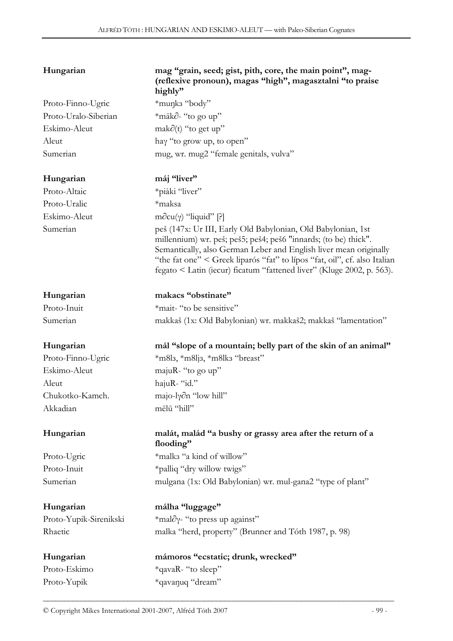### Hungarian mag "grain, seed; gist, pith, core, the main point", mag-

|                        | (reflexive pronoun), magas "high", magasztalni "to praise<br>highly"                                                                                                                                                                                                                                                                                       |
|------------------------|------------------------------------------------------------------------------------------------------------------------------------------------------------------------------------------------------------------------------------------------------------------------------------------------------------------------------------------------------------|
| Proto-Finno-Ugric      | *munks "body"                                                                                                                                                                                                                                                                                                                                              |
| Proto-Uralo-Siberian   | *mäk∂- "to go up"                                                                                                                                                                                                                                                                                                                                          |
| Eskimo-Aleut           | mak $\partial$ (t) "to get up"                                                                                                                                                                                                                                                                                                                             |
| Aleut                  | hay "to grow up, to open"                                                                                                                                                                                                                                                                                                                                  |
| Sumerian               | mug, wr. mug2 "female genitals, vulva"                                                                                                                                                                                                                                                                                                                     |
| Hungarian              | máj "liver"                                                                                                                                                                                                                                                                                                                                                |
| Proto-Altaic           | *piàki "liver"                                                                                                                                                                                                                                                                                                                                             |
| Proto-Uralic           | *maksa                                                                                                                                                                                                                                                                                                                                                     |
| Eskimo-Aleut           | $m\partial cu(\gamma)$ "liquid" [?]                                                                                                                                                                                                                                                                                                                        |
| Sumerian               | peš (147x: Ur III, Early Old Babylonian, Old Babylonian, 1st<br>millennium) wr. peš; peš5; peš4; peš6 "innards; (to be) thick".<br>Semantically, also German Leber and English liver mean originally<br>"the fat one" < Greek liparós "fat" to lípos "fat, oil", cf. also Italian<br>fegato < Latin (iecur) ficatum "fattened liver" (Kluge 2002, p. 563). |
| Hungarian              | makacs "obstinate"                                                                                                                                                                                                                                                                                                                                         |
| Proto-Inuit            | *mait- "to be sensitive"                                                                                                                                                                                                                                                                                                                                   |
| Sumerian               | makkaš (1x: Old Babylonian) wr. makkaš2; makkaš "lamentation"                                                                                                                                                                                                                                                                                              |
| Hungarian              | mál "slope of a mountain; belly part of the skin of an animal"                                                                                                                                                                                                                                                                                             |
| Proto-Finno-Ugric      | *m8l3, *m8lj3, *m8lk3 "breast"                                                                                                                                                                                                                                                                                                                             |
| Eskimo-Aleut           | majuR- "to go up"                                                                                                                                                                                                                                                                                                                                          |
| Aleut                  | hajuR-"id."                                                                                                                                                                                                                                                                                                                                                |
| Chukotko-Kamch.        | majo-ly $\partial$ n "low hill"                                                                                                                                                                                                                                                                                                                            |
| Akkadian               | mēlū "hill"                                                                                                                                                                                                                                                                                                                                                |
| Hungarian              | malát, malád "a bushy or grassy area after the return of a<br>flooding"                                                                                                                                                                                                                                                                                    |
| Proto-Ugric            | *malks "a kind of willow"                                                                                                                                                                                                                                                                                                                                  |
| Proto-Inuit            | *palliq "dry willow twigs"                                                                                                                                                                                                                                                                                                                                 |
| Sumerian               | mulgana (1x: Old Babylonian) wr. mul-gana2 "type of plant"                                                                                                                                                                                                                                                                                                 |
| Hungarian              | málha "luggage"                                                                                                                                                                                                                                                                                                                                            |
| Proto-Yupik-Sirenikski | *mal∂γ- "to press up against"                                                                                                                                                                                                                                                                                                                              |
| Rhaetic                | malka "herd, property" (Brunner and Tóth 1987, p. 98)                                                                                                                                                                                                                                                                                                      |
| Hungarian              | mámoros "ecstatic; drunk, wrecked"                                                                                                                                                                                                                                                                                                                         |
| Proto-Eskimo           | *qavaR- "to sleep"                                                                                                                                                                                                                                                                                                                                         |
| Proto-Yupik            | *qavanuq "dream"                                                                                                                                                                                                                                                                                                                                           |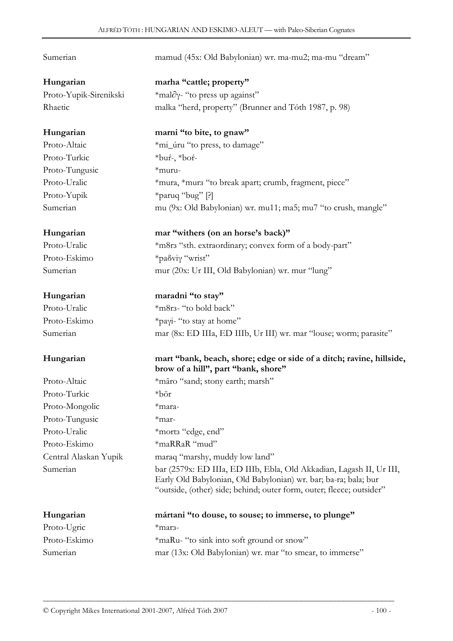Proto-Turkic \*buŕ-, \*boŕ-Proto-Tungusic \*muru-

Proto-Turkic \*bōr Proto-Mongolic \*mara-Proto-Tungusic \*mar-Proto-Uralic \*morts "edge, end" Proto-Eskimo \*maRRaR "mud"

# Sumerian mamud (45x: Old Babylonian) wr. ma-mu2; ma-mu "dream"

Hungarian marha "cattle; property" Proto-Yupik-Sirenikski \*mal∂γ- "to press up against" Rhaetic malka "herd, property" (Brunner and Tóth 1987, p. 98)

Hungarian marni "to bite, to gnaw" Proto-Altaic \*mi\_úru "to press, to damage" Proto-Uralic \*mura, \*mura, \*murs "to break apart; crumb, fragment, piece" Proto-Yupik \*paruq "bug" [?] Sumerian mu (9x: Old Babylonian) wr. mu11; ma5; mu7 "to crush, mangle"

# Hungarian mar "withers (on an horse's back)"

Proto-Uralic \*m8rs "sth. extraordinary; convex form of a body-part" Proto-Eskimo \*paδviγ "wrist" Sumerian mur (20x: Ur III, Old Babylonian) wr. mur "lung"

Hungarian maradni "to stay" Proto-Uralic  $*$ m8rs- "to bold back" Proto-Eskimo \*paγi- "to stay at home" Sumerian mar (8x: ED IIIa, ED IIIb, Ur III) wr. mar "louse; worm; parasite"

### Hungarian mart "bank, beach, shore; edge or side of a ditch; ravine, hillside, brow of a hill", part "bank, shore"

Proto-Altaic \*māro "sand; stony earth; marsh" Central Alaskan Yupik maraq "marshy, muddy low land" Sumerian bar (2579x: ED IIIa, ED IIIb, Ebla, Old Akkadian, Lagash II, Ur III, Early Old Babylonian, Old Babylonian) wr. bar; ba-ra; bala; bur "outside, (other) side; behind; outer form, outer; fleece; outsider"

| Hungarian    | mártani "to douse, to souse; to immerse, to plunge"      |
|--------------|----------------------------------------------------------|
| Proto-Ugric  | $*$ mars-                                                |
| Proto-Eskimo | *maRu- "to sink into soft ground or snow"                |
| Sumerian     | mar (13x: Old Babylonian) wr. mar "to smear, to immerse" |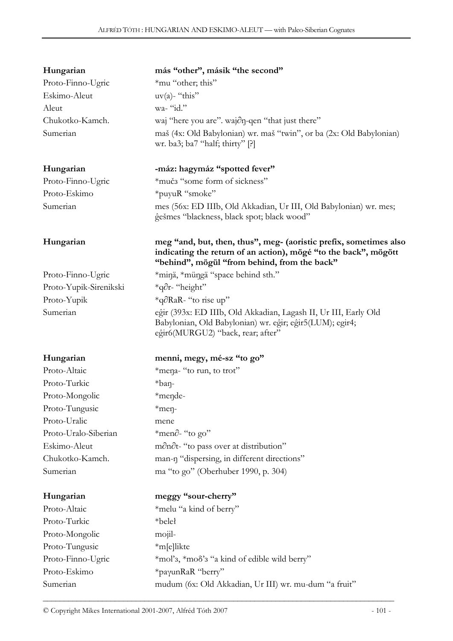| Hungarian              | más "other", másik "the second"                                                                                                                                                      |
|------------------------|--------------------------------------------------------------------------------------------------------------------------------------------------------------------------------------|
| Proto-Finno-Ugric      | *mu "other; this"                                                                                                                                                                    |
| Eskimo-Aleut           | $uv(a)$ - "this"                                                                                                                                                                     |
| Aleut                  | wa- "id."                                                                                                                                                                            |
| Chukotko-Kamch.        | waj "here you are". waj $\partial$ n-qen "that just there"                                                                                                                           |
| Sumerian               | maš (4x: Old Babylonian) wr. maš "twin", or ba (2x: Old Babylonian)<br>wr. ba3; ba7 "half; thirty" [?]                                                                               |
| Hungarian              | -máz: hagymáz "spotted fever"                                                                                                                                                        |
| Proto-Finno-Ugric      | *muča "some form of sickness"                                                                                                                                                        |
| Proto-Eskimo           | *puyuR "smoke"                                                                                                                                                                       |
| Sumerian               | mes (56x: ED IIIb, Old Akkadian, Ur III, Old Babylonian) wr. mes;<br>ĝešmes "blackness, black spot; black wood"                                                                      |
| Hungarian              | meg "and, but, then, thus", meg- (aoristic prefix, sometimes also<br>indicating the return of an action), mögé "to the back", mögött<br>"behind", mögül "from behind, from the back" |
| Proto-Finno-Ugric      | *minä, *müngä "space behind sth."                                                                                                                                                    |
| Proto-Yupik-Sirenikski | *q $\partial$ r- "height"                                                                                                                                                            |
| Proto-Yupik            | *q∂RaR- "to rise up"                                                                                                                                                                 |
| Sumerian               | eĝir (393x: ED IIIb, Old Akkadian, Lagash II, Ur III, Early Old<br>Babylonian, Old Babylonian) wr. egir; egir5(LUM); egir4;<br>egir6(MURGU2) "back, rear; after"                     |
| Hungarian              | menni, megy, mé-sz "to go"                                                                                                                                                           |
| Proto-Altaic           | *mena- "to run, to trot"                                                                                                                                                             |
| Proto-Turkic           | $*$ ban-                                                                                                                                                                             |
| Proto-Mongolic         | *mende-                                                                                                                                                                              |
| Proto-Tungusic         | $*$ men-                                                                                                                                                                             |
| Proto-Uralic           | mene                                                                                                                                                                                 |
| Proto-Uralo-Siberian   | *men $\partial$ - "to go"                                                                                                                                                            |
| Eskimo-Aleut           | $m\partial n\partial t$ - "to pass over at distribution"                                                                                                                             |
| Chukotko-Kamch.        | man-n "dispersing, in different directions"                                                                                                                                          |
| Sumerian               | ma "to go" (Oberhuber 1990, p. 304)                                                                                                                                                  |
| Hungarian              | meggy "sour-cherry"                                                                                                                                                                  |
| Proto-Altaic           | *melu "a kind of berry"                                                                                                                                                              |
| Proto-Turkic           | *beleł                                                                                                                                                                               |
| Proto-Mongolic         | mojil-                                                                                                                                                                               |
| Proto-Tungusic         | *m[e]likte                                                                                                                                                                           |
| Proto-Finno-Ugric      | *mol'3, *moδ's "a kind of edible wild berry"                                                                                                                                         |
| Proto-Eskimo           | *payunRaR "berry"                                                                                                                                                                    |
| Sumerian               | mudum (6x: Old Akkadian, Ur III) wr. mu-dum "a fruit"                                                                                                                                |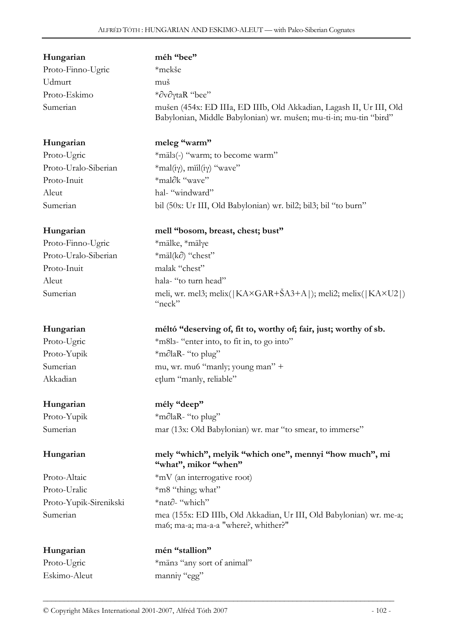Proto-Finno-Ugric Udmurt Proto-Eskimo Sumerian

### méh "bee"

\*mekše

 $min\$ 

\*∂ν∂γtaR "bee" mušen (454x: ED IIIa, ED IIIb, Old Akkadian, Lagash II, Ur III, Old Babylonian, Middle Babylonian) wr. mušen; mu-ti-in; mu-tin "bird"

### Hungarian

Proto-Ugric Proto-Uralo-Siberian Proto-Inuit Aleut Sumerian

### Hungarian

Proto-Finno-Ugric Proto-Uralo-Siberian Proto-Inuit Aleut Sumerian

### Hungarian

Proto-Ugric Proto-Yupik Sumerian Akkadian

### Hungarian

Proto-Yupik Sumerian

### Hungarian

Proto-Altaic Proto-Uralic Proto-Yupik-Sirenikski Sumerian

### Hungarian

Proto-Ugric Eskimo-Aleut meleg "warm" \*mäls(-) "warm; to become warm" \*mal(iy), miil(iy) "wave" \*mal∂k "wave" hal-"windward" bil (50x: Ur III, Old Babylonian) wr. bil2; bil3; bil "to burn"

### mell "bosom, breast, chest; bust"

\*mälke, \*mälγe \*mäl(k $\partial$ ) "chest" malak "chest" hala- "to turn head" meli, wr. mel3; melix( $|KAXGAR+\S A3+A|$ ); meli2; melix( $|KAXU2|$ ) " $neck$ "

### méltó "deserving of, fit to, worthy of; fair, just; worthy of sb.

\*m8l<sub>3</sub>- "enter into, to fit in, to go into" \*molaR- "to plug" mu, wr. mu6 "manly; young man" + etlum "manly, reliable"

### mély "deep"

\*molaR- "to plug" mar (13x: Old Babylonian) wr. mar "to smear, to immerse"

### mely "which", melyik "which one", mennyi "how much", mi "what", mikor "when"

\*mV (an interrogative root) \*m8 "thing; what" \*natô- "which" mea (155x: ED IIIb, Old Akkadian, Ur III, Old Babylonian) wr. me-a; ma6; ma-a; ma-a-a "where?, whither?"

mén "stallion" \*mäns "any sort of animal" manniy "egg"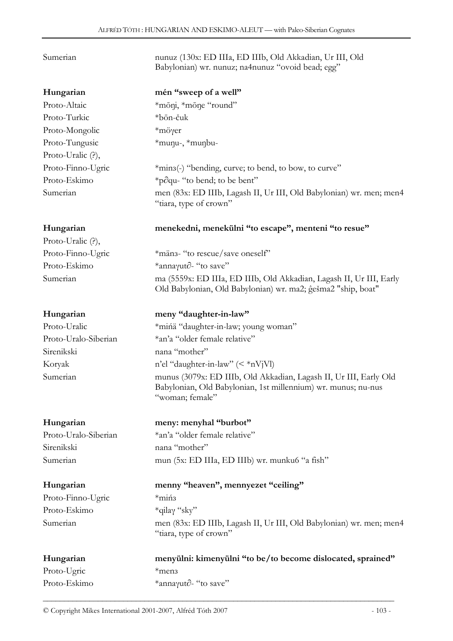Proto-Turkic \*bōn-čuk Proto-Mongolic \*möγer Proto-Uralic (?),

Proto-Uralic (?),

Sirenikski nana "mother"

Sirenikski nana "mother"

Proto-Finno-Ugric \*mińs Proto-Eskimo \*qilaγ "sky"

Proto-Ugric \*mens

Sumerian nunuz (130x: ED IIIa, ED IIIb, Old Akkadian, Ur III, Old Babylonian) wr. nunuz; na4nunuz "ovoid bead; egg"

Hungarian mén "sweep of a well" Proto-Altaic \*mōni, \*mōne "round" Proto-Tungusic \*muqu-, \*muqbu-Proto-Finno-Ugric \*mins(-) "bending, curve; to bend, to bow, to curve" Proto-Eskimo \*p∂qu- "to bend; to be bent" Sumerian men (83x: ED IIIb, Lagash II, Ur III, Old Babylonian) wr. men; men4 "tiara, type of crown" Hungarian menekedni, menekülni "to escape", menteni "to resue" Proto-Finno-Ugric \*mäns- "to rescue/save oneself" Proto-Eskimo \*annaγut∂- "to save" Sumerian ma (5559x: ED IIIa, ED IIIb, Old Akkadian, Lagash II, Ur III, Early Old Babylonian, Old Babylonian) wr. ma2; ĝešma2 "ship, boat" Hungarian meny "daughter-in-law" Proto-Uralic \*mińä "daughter-in-law; young woman" Proto-Uralo-Siberian \*an'a "older female relative" Koryak n'el "daughter-in-law" (< \*nVjVl) Sumerian munus (3079x: ED IIIb, Old Akkadian, Lagash II, Ur III, Early Old Babylonian, Old Babylonian, 1st millennium) wr. munus; nu-nus "woman; female" Hungarian meny: menyhal "burbot" Proto-Uralo-Siberian \*an'a "older female relative" Sumerian mun (5x: ED IIIa, ED IIIb) wr. munku6 "a fish" Hungarian menny "heaven", mennyezet "ceiling"

Sumerian men (83x: ED IIIb, Lagash II, Ur III, Old Babylonian) wr. men; men4 "tiara, type of crown"

Hungarian menyülni: kimenyülni "to be/to become dislocated, sprained" Proto-Eskimo \*annaγut∂- "to save"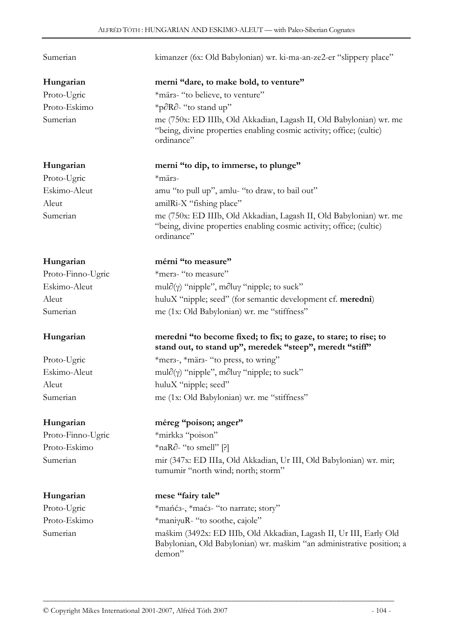| Sumerian          | kimanzer (6x: Old Babylonian) wr. ki-ma-an-ze2-er "slippery place"                                                                                       |
|-------------------|----------------------------------------------------------------------------------------------------------------------------------------------------------|
| Hungarian         | merni "dare, to make bold, to venture"                                                                                                                   |
| Proto-Ugric       | *märs- "to believe, to venture"                                                                                                                          |
| Proto-Eskimo      | *p∂R∂- "to stand up"                                                                                                                                     |
| Sumerian          | me (750x: ED IIIb, Old Akkadian, Lagash II, Old Babylonian) wr. me<br>"being, divine properties enabling cosmic activity; office; (cultic)<br>ordinance" |
| Hungarian         | merni "to dip, to immerse, to plunge"                                                                                                                    |
| Proto-Ugric       | *mär3-                                                                                                                                                   |
| Eskimo-Aleut      | amu "to pull up", amlu- "to draw, to bail out"                                                                                                           |
| Aleut             | amilRi-X "fishing place"                                                                                                                                 |
| Sumerian          | me (750x: ED IIIb, Old Akkadian, Lagash II, Old Babylonian) wr. me<br>"being, divine properties enabling cosmic activity; office; (cultic)<br>ordinance" |
| Hungarian         | mérni "to measure"                                                                                                                                       |
| Proto-Finno-Ugric | *mera- "to measure"                                                                                                                                      |
| Eskimo-Aleut      | mul $\partial(y)$ "nipple", m $\partial \ln y$ "nipple; to suck"                                                                                         |
| Aleut             | huluX "nipple; seed" (for semantic development cf. meredni)                                                                                              |
| Sumerian          | me (1x: Old Babylonian) wr. me "stiffness"                                                                                                               |
| Hungarian         | meredni "to become fixed; to fix; to gaze, to stare; to rise; to<br>stand out, to stand up", meredek "steep", meredt "stiff"                             |
| Proto-Ugric       | *mer <sub>3</sub> -, *mär <sub>3</sub> - "to press, to wring"                                                                                            |
| Eskimo-Aleut      | mul $\partial(y)$ "nipple", m $\partial \ln y$ "nipple; to suck"                                                                                         |
| Aleut             | huluX "nipple; seed"                                                                                                                                     |
| Sumerian          | me (1x: Old Babylonian) wr. me "stiffness"                                                                                                               |
| Hungarian         | méreg "poison; anger"                                                                                                                                    |
| Proto-Finno-Ugric | *mirkk3 "poison"                                                                                                                                         |
| Proto-Eskimo      | *naR $\partial$ - "to smell" [?]                                                                                                                         |
| Sumerian          | mir (347x: ED IIIa, Old Akkadian, Ur III, Old Babylonian) wr. mir;<br>tumumir "north wind; north; storm"                                                 |
| Hungarian         | mese "fairy tale"                                                                                                                                        |
| Proto-Ugric       | *mańća-, *maća- "to narrate; story"                                                                                                                      |
| Proto-Eskimo      | *maniyuR- "to soothe, cajole"                                                                                                                            |
| Sumerian          | maškim (3492x: ED IIIb, Old Akkadian, Lagash II, Ur III, Early Old<br>Babylonian, Old Babylonian) wr. maškim "an administrative position; a<br>demon"    |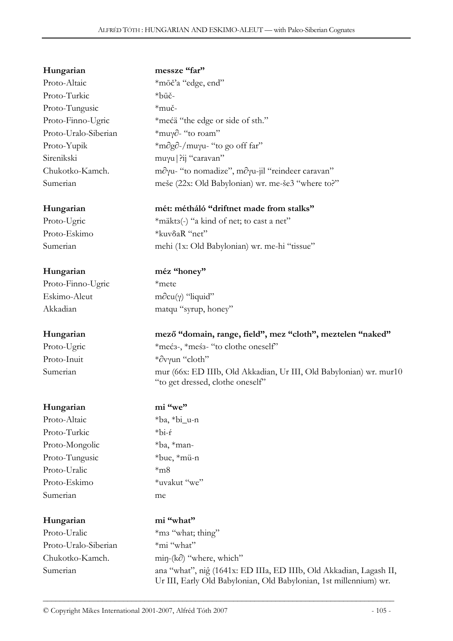### Hungarian

Proto-Altaic Proto-Turkic Proto-Tungusic Proto-Finno-Ugric Proto-Uralo-Siberian Proto-Yupik Sirenikski Chukotko-Kamch. Sumerian

### Hungarian

Proto-Ugric Proto-Eskimo Sumerian

# Hungarian

Proto-Finno-Ugric Eskimo-Aleut Akkadian

### Hungarian

Proto-Ugric Proto-Inuit Sumerian

### Hungarian

Proto-Altaic Proto-Turkic Proto-Mongolic Proto-Tungusic Proto-Uralic Proto-Eskimo Sumerian

# Hungarian

messze "far"

\*mōč'a "edge, end" \*būč- $*$ muč-\*mećä "the edge or side of sth." \*muγ∂- "to roam" \*m∂g∂-/muγu- "to go off far" muγu | ?ij "caravan" m∂γu- "to nomadize", m∂γu-jil "reindeer caravan" meše (22x: Old Babylonian) wr. me-še3 "where to?"

### mét: métháló "driftnet made from stalks"

\*mäkts(-) "a kind of net; to cast a net" \*kuvδaR "net" mehi (1x: Old Babylonian) wr. me-hi "tissue"

### méz "honey"

\*mete  $m\partial cu(\gamma)$  "liquid" matqu "syrup, honey"

# mező "domain, range, field", mez "cloth", meztelen "naked" \*meća-, \*meśa- "to clothe oneself" \*∂νγun "cloth" mur (66x: ED IIIb, Old Akkadian, Ur III, Old Babylonian) wr. mur10 "to get dressed, clothe oneself"

# mi "we"

\*ba, \*bi\_u-n  $*$ bi-ŕ \*ba, \*man-\*bue, \*mü-n  $*<sub>m8</sub>$ \*uvakut "we"  $me$ 

### mi "what"

Proto-Uralic \*m<sub>3</sub> "what; thing" \*mi "what" Proto-Uralo-Siberian Chukotko-Kamch.  $min-(k\partial)$  "where, which" Sumerian ana "what", niĝ (1641x: ED IIIa, ED IIIb, Old Akkadian, Lagash II, Ur III, Early Old Babylonian, Old Babylonian, 1st millennium) wr.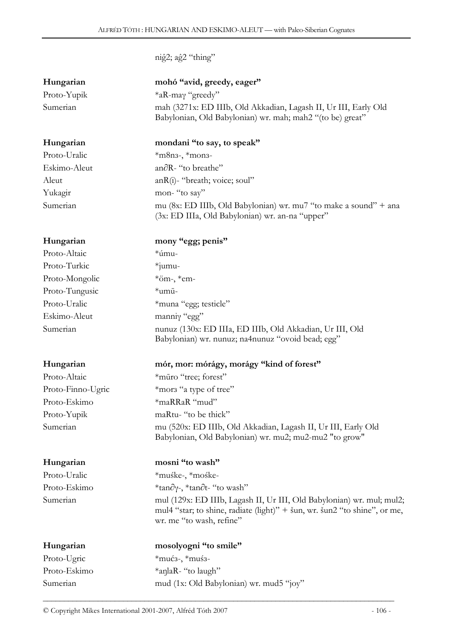niĝ2; aĝ2 "thing"

| Hungarian<br>Proto-Yupik | mohó "avid, greedy, eager"<br>*aR-maγ "greedy"                                                                                                                                 |
|--------------------------|--------------------------------------------------------------------------------------------------------------------------------------------------------------------------------|
| Sumerian                 | mah (3271x: ED IIIb, Old Akkadian, Lagash II, Ur III, Early Old<br>Babylonian, Old Babylonian) wr. mah; mah2 "(to be) great"                                                   |
| Hungarian                | mondani "to say, to speak"                                                                                                                                                     |
| Proto-Uralic             | $*$ m8n <sub>3</sub> -, $*$ mon <sub>3</sub> -                                                                                                                                 |
| Eskimo-Aleut             | an∂R- "to breathe"                                                                                                                                                             |
| Aleut                    | anR(i)- "breath; voice; soul"                                                                                                                                                  |
| Yukagir                  | mon-"to say"                                                                                                                                                                   |
| Sumerian                 | mu (8x: ED IIIb, Old Babylonian) wr. mu7 "to make a sound" + ana<br>(3x: ED IIIa, Old Babylonian) wr. an-na "upper"                                                            |
| Hungarian                | mony "egg; penis"                                                                                                                                                              |
| Proto-Altaic             | *úmu-                                                                                                                                                                          |
| Proto-Turkic             | $*j$ umu-                                                                                                                                                                      |
| Proto-Mongolic           | $*öm-, *em-$                                                                                                                                                                   |
| Proto-Tungusic           | $*$ umū-                                                                                                                                                                       |
| Proto-Uralic             | *muna "egg; testicle"                                                                                                                                                          |
| Eskimo-Aleut             | manniy "egg"                                                                                                                                                                   |
| Sumerian                 | nunuz (130x: ED IIIa, ED IIIb, Old Akkadian, Ur III, Old<br>Babylonian) wr. nunuz; na4nunuz "ovoid bead; egg"                                                                  |
| Hungarian                | mór, mor: mórágy, morágy "kind of forest"                                                                                                                                      |
| Proto-Altaic             | *mūro "tree; forest"                                                                                                                                                           |
| Proto-Finno-Ugric        | *mora "a type of tree"                                                                                                                                                         |
| Proto-Eskimo             | *maRRaR "mud"                                                                                                                                                                  |
| Proto-Yupik              | maRtu-"to be thick"                                                                                                                                                            |
| Sumerian                 | mu (520x: ED IIIb, Old Akkadian, Lagash II, Ur III, Early Old<br>Babylonian, Old Babylonian) wr. mu2; mu2-mu2 "to grow"                                                        |
| Hungarian                | mosni "to wash"                                                                                                                                                                |
| Proto-Uralic             | *muśke-, *mośke-                                                                                                                                                               |
| Proto-Eskimo             | <sup>*</sup> tan $\partial$ γ-, <sup>*</sup> tan $\partial$ t- "to wash"                                                                                                       |
| Sumerian                 | mul (129x: ED IIIb, Lagash II, Ur III, Old Babylonian) wr. mul; mul2;<br>mul4 "star; to shine, radiate (light)" + šun, wr. šun2 "to shine", or me,<br>wr. me "to wash, refine" |
| Hungarian                | mosolyogni "to smile"                                                                                                                                                          |
| Proto-Ugric              | $*$ muća-, $*$ muśa-                                                                                                                                                           |
| Proto-Eskimo             | *anlaR- "to laugh"                                                                                                                                                             |
| Sumerian                 | mud (1x: Old Babylonian) wr. mud5 "joy"                                                                                                                                        |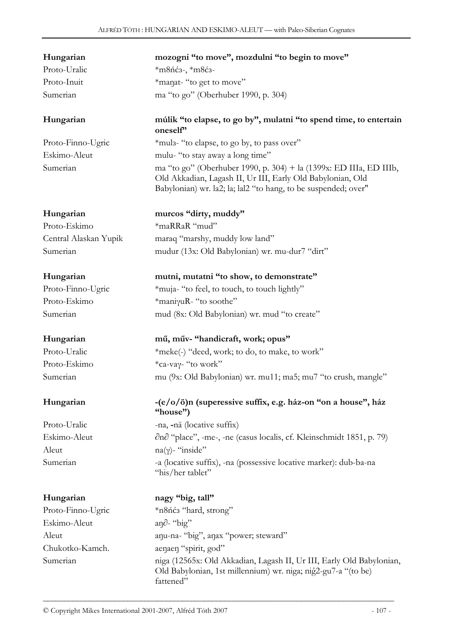| Hungarian             | mozogni "to move", mozdulni "to begin to move"                                                                                                                                                     |
|-----------------------|----------------------------------------------------------------------------------------------------------------------------------------------------------------------------------------------------|
| Proto-Uralic          | $*$ m8ńć3-, $*$ m8ć3-                                                                                                                                                                              |
| Proto-Inuit           | *manat- "to get to move"                                                                                                                                                                           |
| Sumerian              | ma "to go" (Oberhuber 1990, p. 304)                                                                                                                                                                |
| Hungarian             | múlik "to elapse, to go by", mulatni "to spend time, to entertain<br>oneself"                                                                                                                      |
| Proto-Finno-Ugric     | *muls- "to elapse, to go by, to pass over"                                                                                                                                                         |
| Eskimo-Aleut          | mulu- "to stay away a long time"                                                                                                                                                                   |
| Sumerian              | ma "to go" (Oberhuber 1990, p. 304) + la (1399x: ED IIIa, ED IIIb,<br>Old Akkadian, Lagash II, Ur III, Early Old Babylonian, Old<br>Babylonian) wr. la2; la; lal2 "to hang, to be suspended; over" |
| Hungarian             | murcos "dirty, muddy"                                                                                                                                                                              |
| Proto-Eskimo          | *maRRaR "mud"                                                                                                                                                                                      |
| Central Alaskan Yupik | maraq "marshy, muddy low land"                                                                                                                                                                     |
| Sumerian              | mudur (13x: Old Babylonian) wr. mu-dur7 "dirt"                                                                                                                                                     |
| Hungarian             | mutni, mutatni "to show, to demonstrate"                                                                                                                                                           |
| Proto-Finno-Ugric     | *muja- "to feel, to touch, to touch lightly"                                                                                                                                                       |
| Proto-Eskimo          | *maniγuR- "to soothe"                                                                                                                                                                              |
| Sumerian              | mud (8x: Old Babylonian) wr. mud "to create"                                                                                                                                                       |
| Hungarian             | mű, műv- "handicraft, work; opus"                                                                                                                                                                  |
| Proto-Uralic          | *meke(-) "deed, work; to do, to make, to work"                                                                                                                                                     |
| Proto-Eskimo          | *ca-vaγ- "to work"                                                                                                                                                                                 |
| Sumerian              | mu (9x: Old Babylonian) wr. mu11; ma5; mu7 "to crush, mangle"                                                                                                                                      |
| Hungarian             | -(e/o/ö)n (superessive suffix, e.g. ház-on "on a house", ház<br>"house")                                                                                                                           |
| Proto-Uralic          | -na, -nä (locative suffix)                                                                                                                                                                         |
| Eskimo-Aleut          | ∂n∂ "place", -me-, -ne (casus localis, cf. Kleinschmidt 1851, p. 79)                                                                                                                               |
| Aleut                 | $na(\gamma)$ - "inside"                                                                                                                                                                            |
| Sumerian              | -a (locative suffix), -na (possessive locative marker): dub-ba-na<br>"his/her tablet"                                                                                                              |
| Hungarian             | nagy "big, tall"                                                                                                                                                                                   |
| Proto-Finno-Ugric     | *n8ńćs "hard, strong"                                                                                                                                                                              |
| Eskimo-Aleut          | $an\partial$ - "big"                                                                                                                                                                               |
| Aleut                 | anu-na- "big", anax "power; steward"                                                                                                                                                               |
| Chukotko-Kamch.       | aenaen "spirit, god"                                                                                                                                                                               |
| Sumerian              | niga (12565x: Old Akkadian, Lagash II, Ur III, Early Old Babylonian,                                                                                                                               |

Old Babylonian, 1st millennium) wr. niga; niĝ2-gu7-a "(to be)

fattened"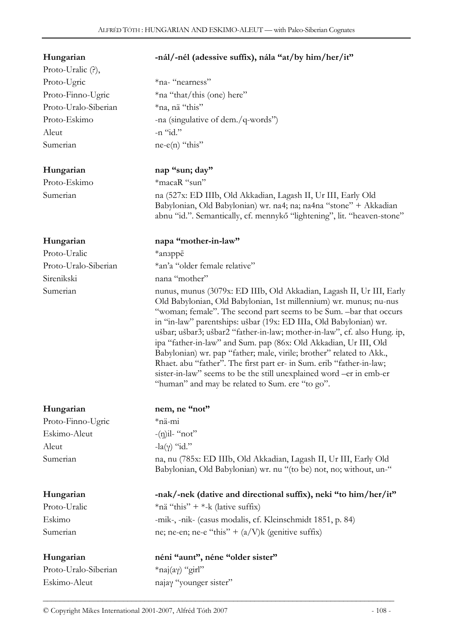| Hungarian            | -nál/-nél (adessive suffix), nála "at/by him/her/it"                                                                                                                                                                                                                                                                                                                                                                                                                                                                                                                                                                                                                                                           |
|----------------------|----------------------------------------------------------------------------------------------------------------------------------------------------------------------------------------------------------------------------------------------------------------------------------------------------------------------------------------------------------------------------------------------------------------------------------------------------------------------------------------------------------------------------------------------------------------------------------------------------------------------------------------------------------------------------------------------------------------|
| Proto-Uralic (?),    |                                                                                                                                                                                                                                                                                                                                                                                                                                                                                                                                                                                                                                                                                                                |
| Proto-Ugric          | *na- "nearness"                                                                                                                                                                                                                                                                                                                                                                                                                                                                                                                                                                                                                                                                                                |
| Proto-Finno-Ugric    | *na "that/this (one) here"                                                                                                                                                                                                                                                                                                                                                                                                                                                                                                                                                                                                                                                                                     |
| Proto-Uralo-Siberian | *na, nä "this"                                                                                                                                                                                                                                                                                                                                                                                                                                                                                                                                                                                                                                                                                                 |
| Proto-Eskimo         | -na (singulative of dem./q-words")                                                                                                                                                                                                                                                                                                                                                                                                                                                                                                                                                                                                                                                                             |
| Aleut                | $-n$ "id."                                                                                                                                                                                                                                                                                                                                                                                                                                                                                                                                                                                                                                                                                                     |
| Sumerian             | $ne-e(n)$ "this"                                                                                                                                                                                                                                                                                                                                                                                                                                                                                                                                                                                                                                                                                               |
| Hungarian            | nap "sun; day"                                                                                                                                                                                                                                                                                                                                                                                                                                                                                                                                                                                                                                                                                                 |
| Proto-Eskimo         | *macaR "sun"                                                                                                                                                                                                                                                                                                                                                                                                                                                                                                                                                                                                                                                                                                   |
| Sumerian             | na (527x: ED IIIb, Old Akkadian, Lagash II, Ur III, Early Old<br>Babylonian, Old Babylonian) wr. na4; na; na4na "stone" + Akkadian<br>abnu "id.". Semantically, cf. mennykő "lightening", lit. "heaven-stone"                                                                                                                                                                                                                                                                                                                                                                                                                                                                                                  |
| Hungarian            | napa "mother-in-law"                                                                                                                                                                                                                                                                                                                                                                                                                                                                                                                                                                                                                                                                                           |
| Proto-Uralic         | *anappē                                                                                                                                                                                                                                                                                                                                                                                                                                                                                                                                                                                                                                                                                                        |
| Proto-Uralo-Siberian | *an'a "older female relative"                                                                                                                                                                                                                                                                                                                                                                                                                                                                                                                                                                                                                                                                                  |
| Sirenikski           | nana "mother"                                                                                                                                                                                                                                                                                                                                                                                                                                                                                                                                                                                                                                                                                                  |
| Sumerian             | nunus, munus (3079x: ED IIIb, Old Akkadian, Lagash II, Ur III, Early<br>Old Babylonian, Old Babylonian, 1st millennium) wr. munus; nu-nus<br>"woman; female". The second part seems to be Sum. -bar that occurs<br>in "in-law" parentships: ušbar (19x: ED IIIa, Old Babylonian) wr.<br>ušbar; ušbar3; ušbar2 "father-in-law; mother-in-law", cf. also Hung. ip,<br>ipa "father-in-law" and Sum. pap (86x: Old Akkadian, Ur III, Old<br>Babylonian) wr. pap "father; male, virile; brother" related to Akk.,<br>Rhaet. abu "father". The first part er- in Sum. erib "father-in-law;<br>sister-in-law" seems to be the still unexplained word -er in emb-er<br>"human" and may be related to Sum. ere "to go". |
| Hungarian            | nem, ne "not"                                                                                                                                                                                                                                                                                                                                                                                                                                                                                                                                                                                                                                                                                                  |
| Proto-Finno-Ugric    | *nä-mi                                                                                                                                                                                                                                                                                                                                                                                                                                                                                                                                                                                                                                                                                                         |
| Eskimo-Aleut         | $-(\eta)$ il-"not"                                                                                                                                                                                                                                                                                                                                                                                                                                                                                                                                                                                                                                                                                             |
| Aleut                | $-la(\gamma)$ "id."                                                                                                                                                                                                                                                                                                                                                                                                                                                                                                                                                                                                                                                                                            |
| Sumerian             | na, nu (785x: ED IIIb, Old Akkadian, Lagash II, Ur III, Early Old<br>Babylonian, Old Babylonian) wr. nu "(to be) not, no; without, un-"                                                                                                                                                                                                                                                                                                                                                                                                                                                                                                                                                                        |
| Hungarian            | -nak/-nek (dative and directional suffix), neki "to him/her/it"                                                                                                                                                                                                                                                                                                                                                                                                                                                                                                                                                                                                                                                |
| Proto-Uralic         | *nä "this" + *- $k$ (lative suffix)                                                                                                                                                                                                                                                                                                                                                                                                                                                                                                                                                                                                                                                                            |
| Eskimo               | -mik-, -nik- (casus modalis, cf. Kleinschmidt 1851, p. 84)                                                                                                                                                                                                                                                                                                                                                                                                                                                                                                                                                                                                                                                     |
| Sumerian             | ne; ne-en; ne-e "this" + $(a/V)$ k (genitive suffix)                                                                                                                                                                                                                                                                                                                                                                                                                                                                                                                                                                                                                                                           |
| Hungarian            | néni "aunt", néne "older sister"                                                                                                                                                                                                                                                                                                                                                                                                                                                                                                                                                                                                                                                                               |
| Proto-Uralo-Siberian | *naj(aγ) "girl"                                                                                                                                                                                                                                                                                                                                                                                                                                                                                                                                                                                                                                                                                                |

# -nál/-nél (adessive suffix), nála "at/by him/her/it"

najay "younger sister"

Eskimo-Aleut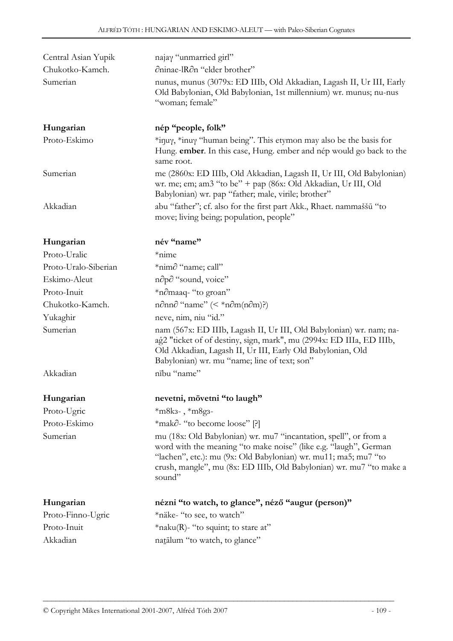| Central Asian Yupik  | najay "unmarried girl"                                                                                                                                                                                                                                                                   |
|----------------------|------------------------------------------------------------------------------------------------------------------------------------------------------------------------------------------------------------------------------------------------------------------------------------------|
| Chukotko-Kamch.      | ∂ninae-lR∂n "elder brother"                                                                                                                                                                                                                                                              |
| Sumerian             | nunus, munus (3079x: ED IIIb, Old Akkadian, Lagash II, Ur III, Early<br>Old Babylonian, Old Babylonian, 1st millennium) wr. munus; nu-nus<br>"woman; female"                                                                                                                             |
| Hungarian            | nép "people, folk"                                                                                                                                                                                                                                                                       |
| Proto-Eskimo         | *inuγ, *inuγ "human being". This etymon may also be the basis for<br>Hung. ember. In this case, Hung. ember and nép would go back to the<br>same root.                                                                                                                                   |
| Sumerian             | me (2860x: ED IIIb, Old Akkadian, Lagash II, Ur III, Old Babylonian)<br>wr. me; em; am3 "to be" + pap (86x: Old Akkadian, Ur III, Old<br>Babylonian) wr. pap "father; male, virile; brother"                                                                                             |
| Akkadian             | abu "father"; cf. also for the first part Akk., Rhaet. nammaššū "to<br>move; living being; population, people"                                                                                                                                                                           |
| Hungarian            | név "name"                                                                                                                                                                                                                                                                               |
| Proto-Uralic         | *nime                                                                                                                                                                                                                                                                                    |
| Proto-Uralo-Siberian | *nim∂ "name; call"                                                                                                                                                                                                                                                                       |
| Eskimo-Aleut         | nopo "sound, voice"                                                                                                                                                                                                                                                                      |
| Proto-Inuit          | *n∂maaq- "to groan"                                                                                                                                                                                                                                                                      |
| Chukotko-Kamch.      | $n\partial$ nn $\partial$ "name" (< *n $\partial$ m(n $\partial$ m)?)                                                                                                                                                                                                                    |
| Yukaghir             | neve, nim, niu "id."                                                                                                                                                                                                                                                                     |
| Sumerian             | nam (567x: ED IIIb, Lagash II, Ur III, Old Babylonian) wr. nam; na-<br>aĝ2 "ticket of of destiny, sign, mark", mu (2994x: ED IIIa, ED IIIb,<br>Old Akkadian, Lagash II, Ur III, Early Old Babylonian, Old<br>Babylonian) wr. mu "name; line of text; son"                                |
| Akkadian             | nību "name"                                                                                                                                                                                                                                                                              |
| Hungarian            | nevetni, mövetni "to laugh"                                                                                                                                                                                                                                                              |
| Proto-Ugric          | $*$ m8k3-, $*$ m8g3-                                                                                                                                                                                                                                                                     |
| Proto-Eskimo         | *mak∂- "to become loose" [?]                                                                                                                                                                                                                                                             |
| Sumerian             | mu (18x: Old Babylonian) wr. mu7 "incantation, spell", or from a<br>word with the meaning "to make noise" (like e.g. "laugh", German<br>"lachen", etc.): mu (9x: Old Babylonian) wr. mu11; ma5; mu7 "to<br>crush, mangle", mu (8x: ED IIIb, Old Babylonian) wr. mu7 "to make a<br>sound" |
| Hungarian            | nézni "to watch, to glance", néző "augur (person)"                                                                                                                                                                                                                                       |
| Proto-Finno-Ugric    | *näke- "to see, to watch"                                                                                                                                                                                                                                                                |
| Proto-Inuit          | *naku(R)- "to squint; to stare at"                                                                                                                                                                                                                                                       |
| Akkadian             | natālum "to watch, to glance"                                                                                                                                                                                                                                                            |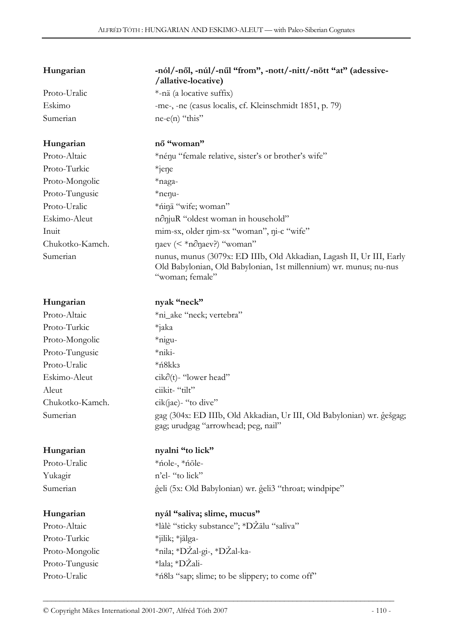| Hungarian       | -nól/-nől, -núl/-nűl "from", -nott/-nitt/-nött "at" (adessive-<br>/allative-locative)                                                                        |
|-----------------|--------------------------------------------------------------------------------------------------------------------------------------------------------------|
| Proto-Uralic    | *-nä (a locative suffix)                                                                                                                                     |
| Eskimo          | -me-, -ne (casus localis, cf. Kleinschmidt 1851, p. 79)                                                                                                      |
| Sumerian        | $ne-e(n)$ "this"                                                                                                                                             |
| Hungarian       | nő "woman"                                                                                                                                                   |
| Proto-Altaic    | *néqu "female relative, sister's or brother's wife"                                                                                                          |
| Proto-Turkic    | *jene                                                                                                                                                        |
| Proto-Mongolic  | *naga-                                                                                                                                                       |
| Proto-Tungusic  | *nequ-                                                                                                                                                       |
| Proto-Uralic    | *ńinä "wife; woman"                                                                                                                                          |
| Eskimo-Aleut    | $n\partial$ njuR "oldest woman in household"                                                                                                                 |
| Inuit           | mim-sx, older nim-sx "woman", ni-c "wife"                                                                                                                    |
| Chukotko-Kamch. | naev ( $\lt$ *n $\partial$ naev?) "woman"                                                                                                                    |
| Sumerian        | nunus, munus (3079x: ED IIIb, Old Akkadian, Lagash II, Ur III, Early<br>Old Babylonian, Old Babylonian, 1st millennium) wr. munus; nu-nus<br>"woman; female" |
| Hungarian       | nyak "neck"                                                                                                                                                  |
| Proto-Altaic    | *ni_ake "neck; vertebra"                                                                                                                                     |
| Proto-Turkic    | *jaka                                                                                                                                                        |
| Proto-Mongolic  | *nigu-                                                                                                                                                       |
| Proto-Tungusic  | *niki-                                                                                                                                                       |
| Proto-Uralic    | *ń8kk3                                                                                                                                                       |
| Eskimo-Aleut    | $cik\partial(t)$ - "lower head"                                                                                                                              |
| Aleut           | ciikit-"tilt"                                                                                                                                                |
| Chukotko-Kamch. | cik(jae)- "to dive"                                                                                                                                          |
| Sumerian        | gag (304x: ED IIIb, Old Akkadian, Ur III, Old Babylonian) wr. ĝešgag;<br>gag; urudgag "arrowhead; peg, nail"                                                 |
| Hungarian       | nyalni "to lick"                                                                                                                                             |
| Proto-Uralic    | *nole-, *nole-                                                                                                                                               |
| Yukagir         | n'el-"to lick"                                                                                                                                               |
| Sumerian        | ĝeli (5x: Old Babylonian) wr. ĝeli3 "throat; windpipe"                                                                                                       |
| Hungarian       | nyál "saliva; slime, mucus"                                                                                                                                  |
| Proto-Altaic    | *làlè "sticky substance"; *DŽālu "saliva"                                                                                                                    |
| Proto-Turkic    | *jilik; *jālga-                                                                                                                                              |
| Proto-Mongolic  | *nila; *DŽal-gi-, *DŽal-ka-                                                                                                                                  |
| Proto-Tungusic  | *lala; *DŽali-                                                                                                                                               |
| Proto-Uralic    | *n8la "sap; slime; to be slippery; to come off"                                                                                                              |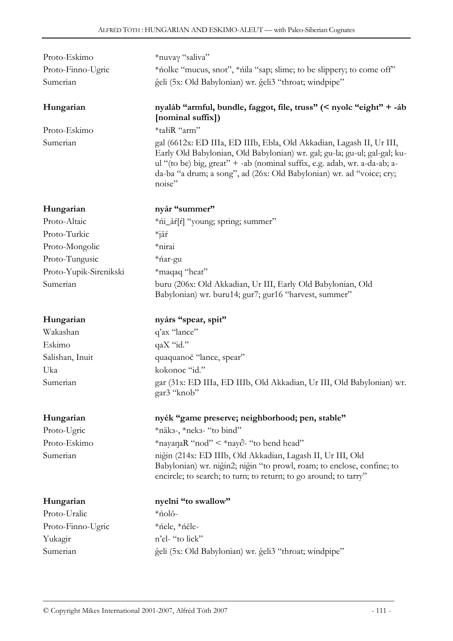| Proto-Eskimo           | *nuvaγ "saliva"                                                                                                                                                                                                                                                                                                  |
|------------------------|------------------------------------------------------------------------------------------------------------------------------------------------------------------------------------------------------------------------------------------------------------------------------------------------------------------|
| Proto-Finno-Ugric      | *nolke "mucus, snot", *nila "sap; slime; to be slippery; to come off"                                                                                                                                                                                                                                            |
| Sumerian               | ĝeli (5x: Old Babylonian) wr. ĝeli3 "throat; windpipe"                                                                                                                                                                                                                                                           |
| Hungarian              | nyaláb "armful, bundle, faggot, file, truss" (< nyolc "eight" + -áb<br>[nominal suffix])                                                                                                                                                                                                                         |
| Proto-Eskimo           | *taliR "arm"                                                                                                                                                                                                                                                                                                     |
| Sumerian               | gal (6612x: ED IIIa, ED IIIb, Ebla, Old Akkadian, Lagash II, Ur III,<br>Early Old Babylonian, Old Babylonian) wr. gal; gu-la; gu-ul; gal-gal; ku-<br>ul "(to be) big, great" + -ab (nominal suffix, e.g. adab, wr. a-da-ab; a-<br>da-ba "a drum; a song", ad (26x: Old Babylonian) wr. ad "voice; cry;<br>noise" |
| Hungarian              | nyár "summer"                                                                                                                                                                                                                                                                                                    |
| Proto-Altaic           | *ni_ar[r] "young; spring; summer"                                                                                                                                                                                                                                                                                |
| Proto-Turkic           | $*$ jāŕ                                                                                                                                                                                                                                                                                                          |
| Proto-Mongolic         | *nirai                                                                                                                                                                                                                                                                                                           |
| Proto-Tungusic         | *ńar-gu                                                                                                                                                                                                                                                                                                          |
| Proto-Yupik-Sirenikski | *maqaq "heat"                                                                                                                                                                                                                                                                                                    |
| Sumerian               | buru (206x: Old Akkadian, Ur III, Early Old Babylonian, Old<br>Babylonian) wr. buru14; gur7; gur16 "harvest, summer"                                                                                                                                                                                             |
| Hungarian              | nyárs "spear, spit"                                                                                                                                                                                                                                                                                              |
| Wakashan               | q'ax "lance"                                                                                                                                                                                                                                                                                                     |
| Eskimo                 | qaX "id."                                                                                                                                                                                                                                                                                                        |
| Salishan, Inuit        | quaquanoč "lance, spear"                                                                                                                                                                                                                                                                                         |
| Uka                    | kokonoc "id."                                                                                                                                                                                                                                                                                                    |
| Sumerian               | gar (31x: ED IIIa, ED IIIb, Old Akkadian, Ur III, Old Babylonian) wr.<br>gar3 "knob"                                                                                                                                                                                                                             |
| Hungarian              | nyék "game preserve; neighborhood; pen, stable"                                                                                                                                                                                                                                                                  |
| Proto-Ugric            | *näk3-, *nek3- "to bind"                                                                                                                                                                                                                                                                                         |
| Proto-Eskimo           | *nayanaR "nod" $\lt$ *nay $\partial$ - "to bend head"                                                                                                                                                                                                                                                            |
| Sumerian               | niĝin (214x: ED IIIb, Old Akkadian, Lagash II, Ur III, Old<br>Babylonian) wr. niĝin2; niĝin "to prowl, roam; to enclose, confine; to<br>encircle; to search; to turn; to return; to go around; to tarry"                                                                                                         |
| Hungarian              | nyelni "to swallow"                                                                                                                                                                                                                                                                                              |
| Proto-Uralic           | $*$ nolō-                                                                                                                                                                                                                                                                                                        |
| Proto-Finno-Ugric      | *nele, *nele-                                                                                                                                                                                                                                                                                                    |
| Yukagir                | n'el-"to lick"                                                                                                                                                                                                                                                                                                   |
| Sumerian               | ĝeli (5x: Old Babylonian) wr. ĝeli3 "throat; windpipe"                                                                                                                                                                                                                                                           |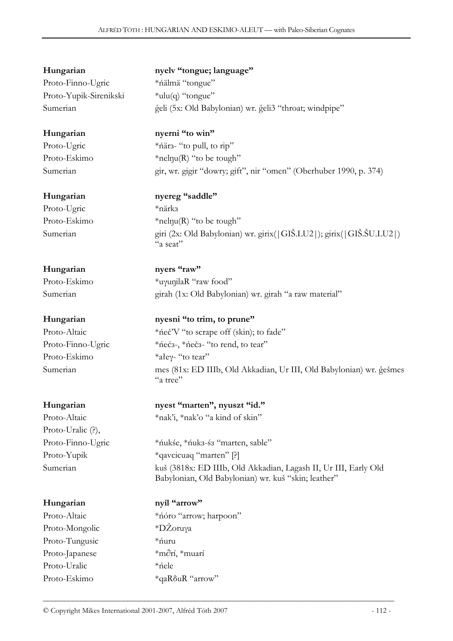Proto-Finno-Ugric \*ńälmä "tongue" Proto-Yupik-Sirenikski \*ulu(q) "tongue"

Proto-Ugric \*närk3

Proto-Eskimo \*ałeγ- "to tear"

Proto-Uralic (?),

Proto-Mongolic \*DŽoruγa Proto-Tungusic \* *i* \* *i* \* *i* \* *i* \* *i* \* *i* \* *i* \* *i* \* *i* \* *i* \* *i* \* *i* \* *i* \* *i* \* *i* \* *i* \* *i* \* *i* \* *i* \* *i* \* *i* \* *i* \* *i* \* *i* \* *i* \* *i* \* *i* \* *i* \* *i* \* *i* \* *i* \* *i* \* *i* \* *i* \* Proto-Japanese \*m∂rí, \*muarí Proto-Uralic \*ńele Proto-Eskimo \*qaRδuR "arrow"

Hungarian nyelv "tongue; language" Sumerian ĝeli (5x: Old Babylonian) wr. ĝeli3 "throat; windpipe"

# Hungarian nyerni "to win"

Proto-Ugric  $*$ ńärs- "to pull, to rip" Proto-Eskimo \*nelnu(R) "to be tough" Sumerian gir, wr. gigir "dowry; gift", nir "omen" (Oberhuber 1990, p. 374)

Hungarian nyereg "saddle" Proto-Eskimo  $*nelnu(R)$  "to be tough" Sumerian giri (2x: Old Babylonian) wr. girix(|GIŠ.LU2|); girix(|GIŠ.ŠU.LU2|) "a seat"

Hungarian nyers "raw" Proto-Eskimo \*uγuŋilaR "raw food" Sumerian girah (1x: Old Babylonian) wr. girah "a raw material"

# Hungarian nyesni "to trim, to prune"

Proto-Altaic  $*$  *n*eč<sup>'</sup>V "to scrape off (skin); to fade" Proto-Finno-Ugric \* neć<sub>3</sub>-, \*neč<sub>3</sub>- "to rend, to tear" Sumerian mes (81x: ED IIIb, Old Akkadian, Ur III, Old Babylonian) wr. ĝešmes "a tree"

# Hungarian nyest "marten", nyuszt "id."

Proto-Altaic \*nak'i, \*nak'o "a kind of skin"

Proto-Finno-Ugric \*ńukśe, \*ńukз-śз "marten, sable" Proto-Yupik \*qavcicuaq "marten" [?] Sumerian kuš (3818x: ED IIIb, Old Akkadian, Lagash II, Ur III, Early Old Babylonian, Old Babylonian) wr. kuš "skin; leather"

# Hungarian nyíl "arrow"

Proto-Altaic  $*ñóro "arrow; harpoon"$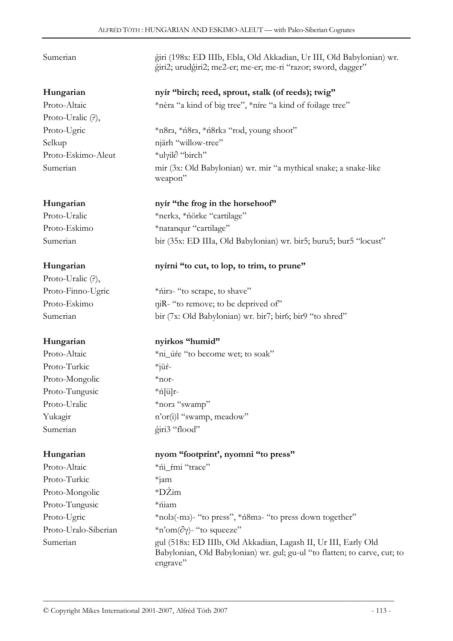\*n8r<sub>3</sub>, \*n8r<sub>3</sub>, \*n8rk<sub>3</sub> "rod, young shoot"

nyír "the frog in the horsehoof"

nyírni "to cut, to lop, to trim, to prune"

\*nerka, \*nörke "cartilage"

\*natanqur "cartilage"

ĝiri (198x: ED IIIb, Ebla, Old Akkadian, Ur III, Old Babylonian) wr.

ĝiri2; urudĝiri2; me2-er; me-er; me-ri "razor; sword, dagger"

mir (3x: Old Babylonian) wr. mir "a mythical snake; a snake-like

bir (35x: ED IIIa, Old Babylonian) wr. bir5; buru5; bur5 "locust"

nyír "birch; reed, sprout, stalk (of reeds); twig"

\*nèra "a kind of big tree", \*níre "a kind of foilage tree"

Sumerian

### Hungarian

Proto-Altaic Proto-Uralic (?), Proto-Ugric Selkup Proto-Eskimo-Aleut Sumerian

### Hungarian

Proto-Uralic Proto-Eskimo Sumerian

### Hungarian

| Proto-Uralic (?), |                                                          |
|-------------------|----------------------------------------------------------|
| Proto-Finno-Ugric | *nir <sub>3</sub> - "to scrape, to shave"                |
| Proto-Eskimo      | niR- "to remove; to be deprived of"                      |
| Sumerian          | bir (7x: Old Babylonian) wr. bir7; bir6; bir9 "to shred" |

nyirkos "humid"

njärh "willow-tree"

\*ulvil∂ "birch"

weapon"

### Hungarian

Proto-Altaic Proto-Turkic Proto-Mongolic Proto-Tungusic Proto-Uralic Yukagir Sumerian

### Hungarian

Proto-Altaic Proto-Turkic Proto-Mongolic Proto-Tungusic Proto-Ugric Proto-Uralo-Siberian Sumerian

\*ni\_úŕe "to become wet; to soak" \*jüŕ- $*_{\text{nor-}}$  $*\n *n*$ [ü]r-\*nors "swamp" n'or(i)l "swamp, meadow" êiri3 "flood"

### nyom "footprint", nyomni "to press"

\*ni\_ŕmi "trace"  $*<sub>iam</sub>$  $*D\check{Z}$ im \*ńiam \*nols(-m<sub>3</sub>)- "to press", \*n<sup>8</sup>m<sub>3</sub>- "to press down together" \*n'om( $\partial y$ )- "to squeeze" gul (518x: ED IIIb, Old Akkadian, Lagash II, Ur III, Early Old Babylonian, Old Babylonian) wr. gul; gu-ul "to flatten; to carve, cut; to engrave"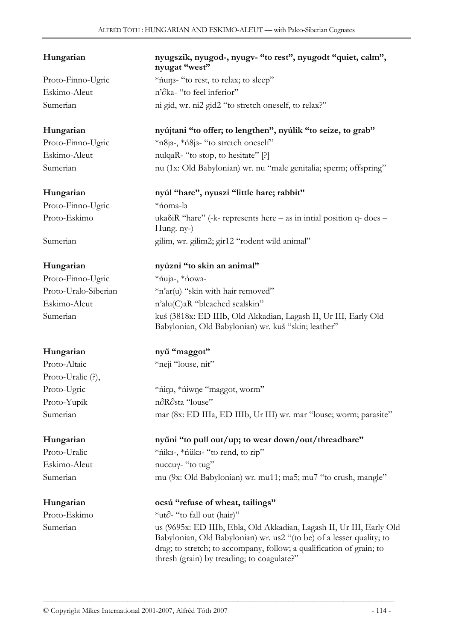Proto-Finno-Ugric \*ńoma-ls

Proto-Finno-Ugric \*ńuj<sub>3-</sub>, \*ńow<sub>3</sub>-

Proto-Uralic (?),

### Hungarian nyugszik, nyugod-, nyugv- "to rest", nyugodt "quiet, calm", nyugat "west"

Proto-Finno-Ugric \* muna- "to rest, to relax; to sleep" Eskimo-Aleut n'∂ka- "to feel inferior" Sumerian ni gid, wr. ni2 gid2 "to stretch oneself, to relax?"

Hungarian nyújtani "to offer; to lengthen", nyúlik "to seize, to grab" Proto-Finno-Ugric \*n8j<sub>3</sub>-, \*n8j<sub>3</sub>- "to stretch oneself" Eskimo-Aleut nulqaR- "to stop, to hesitate" [?] Sumerian nu (1x: Old Babylonian) wr. nu "male genitalia; sperm; offspring"

# Hungarian nyúl "hare", nyuszi "little hare; rabbit" Proto-Eskimo ukaδiR "hare" (-k- represents here – as in intial position q- does – Hung. ny-) Sumerian gilim, wr. gilim2; gir12 "rodent wild animal"

# Hungarian nyúzni "to skin an animal"

Proto-Uralo-Siberian  $a_n^*$ n'ar(u) "skin with hair removed" Eskimo-Aleut n'alu(C)aR "bleached sealskin" Sumerian kuš (3818x: ED IIIb, Old Akkadian, Lagash II, Ur III, Early Old Babylonian, Old Babylonian) wr. kuš "skin; leather"

# Hungarian nyű "maggot"

Proto-Altaic \*neji "louse, nit"

Proto-Ugric \**i*ng, \**i*ng, \**ing* maggot, worm" Proto-Yupik n∂R∂sta "louse" Sumerian mar (8x: ED IIIa, ED IIIb, Ur III) wr. mar "louse; worm; parasite"

# Hungarian nyűni "to pull out/up; to wear down/out/threadbare" Proto-Uralic \*ńik3-, \*ńük3- "to rend, to rip" Eskimo-Aleut nuccuγ- "to tug" Sumerian mu (9x: Old Babylonian) wr. mu11; ma5; mu7 "to crush, mangle"

Hungarian ocsú "refuse of wheat, tailings" Proto-Eskimo \*ut∂- "to fall out (hair)" Sumerian us (9695x: ED IIIb, Ebla, Old Akkadian, Lagash II, Ur III, Early Old Babylonian, Old Babylonian) wr. us2 "(to be) of a lesser quality; to drag; to stretch; to accompany, follow; a qualification of grain; to thresh (grain) by treading; to coagulate?"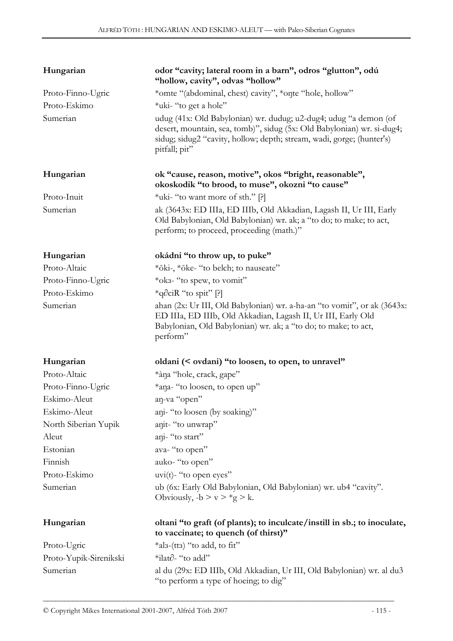| Hungarian              | odor "cavity; lateral room in a barn", odros "glutton", odú<br>"hollow, cavity", odvas "hollow"                                                                                                                                      |
|------------------------|--------------------------------------------------------------------------------------------------------------------------------------------------------------------------------------------------------------------------------------|
| Proto-Finno-Ugric      | *omte "(abdominal, chest) cavity", *onte "hole, hollow"                                                                                                                                                                              |
| Proto-Eskimo           | *uki- "to get a hole"                                                                                                                                                                                                                |
| Sumerian               | udug (41x: Old Babylonian) wr. dudug; u2-dug4; udug "a demon (of<br>desert, mountain, sea, tomb)", sidug (5x: Old Babylonian) wr. si-dug4;<br>sidug; sidug2 "cavity, hollow; depth; stream, wadi, gorge; (hunter's)<br>pitfall; pit" |
| Hungarian              | ok "cause, reason, motive", okos "bright, reasonable",<br>okoskodik "to brood, to muse", okozni "to cause"                                                                                                                           |
| Proto-Inuit            | *uki- "to want more of sth." [?]                                                                                                                                                                                                     |
| Sumerian               | ak (3643x: ED IIIa, ED IIIb, Old Akkadian, Lagash II, Ur III, Early<br>Old Babylonian, Old Babylonian) wr. ak; a "to do; to make; to act,<br>perform; to proceed, proceeding (math.)"                                                |
| Hungarian              | okádni "to throw up, to puke"                                                                                                                                                                                                        |
| Proto-Altaic           | *ōki-, *ōke- "to belch; to nauseate"                                                                                                                                                                                                 |
| Proto-Finno-Ugric      | *ok3- "to spew, to vomit"                                                                                                                                                                                                            |
| Proto-Eskimo           | *q $\partial$ ciR "to spit" [?]                                                                                                                                                                                                      |
| Sumerian               | ahan (2x: Ur III, Old Babylonian) wr. a-ha-an "to vomit", or ak (3643x:<br>ED IIIa, ED IIIb, Old Akkadian, Lagash II, Ur III, Early Old<br>Babylonian, Old Babylonian) wr. ak; a "to do; to make; to act,<br>perform"                |
| Hungarian              | oldani (< ovdani) "to loosen, to open, to unravel"                                                                                                                                                                                   |
| Proto-Altaic           | *àna "hole, crack, gape"                                                                                                                                                                                                             |
| Proto-Finno-Ugric      | *ana- "to loosen, to open up"                                                                                                                                                                                                        |
| Eskimo-Aleut           | an-va "open"                                                                                                                                                                                                                         |
| Eskimo-Aleut           | ani- "to loosen (by soaking)"                                                                                                                                                                                                        |
| North Siberian Yupik   | anit-"to unwrap"                                                                                                                                                                                                                     |
| Aleut                  | ani-"to start"                                                                                                                                                                                                                       |
| Estonian               | ava-"to open"                                                                                                                                                                                                                        |
| Finnish                | auko-"to open"                                                                                                                                                                                                                       |
| Proto-Eskimo           | $uvi(t)$ - "to open eyes"                                                                                                                                                                                                            |
| Sumerian               | ub (6x: Early Old Babylonian, Old Babylonian) wr. ub4 "cavity".<br>Obviously, $-b > v > *g > k$ .                                                                                                                                    |
| Hungarian              | oltani "to graft (of plants); to inculcate/instill in sb.; to inoculate,<br>to vaccinate; to quench (of thirst)"                                                                                                                     |
| Proto-Ugric            | $*$ als-(tts) "to add, to fit"                                                                                                                                                                                                       |
| Proto-Yupik-Sirenikski | *ilatô- "to add"                                                                                                                                                                                                                     |
| Sumerian               | al du (29x: ED IIIb, Old Akkadian, Ur III, Old Babylonian) wr. al du3<br>"to perform a type of hoeing; to dig"                                                                                                                       |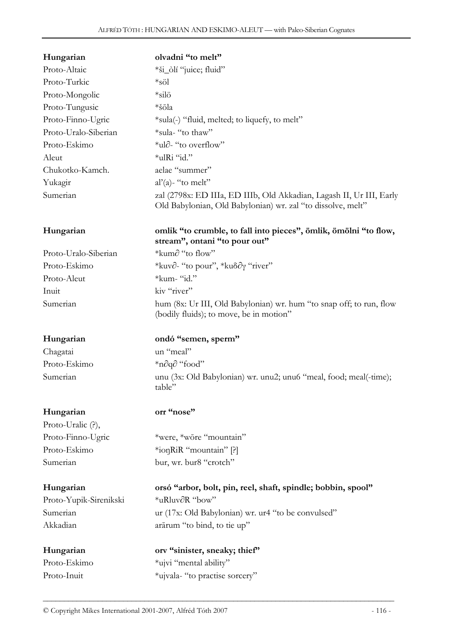| Hungarian                      | olvadni "to melt"                                                                                                                   |
|--------------------------------|-------------------------------------------------------------------------------------------------------------------------------------|
| Proto-Altaic                   | *ši_òlí "juice; fluid"                                                                                                              |
| Proto-Turkic                   | $*$ söl                                                                                                                             |
| Proto-Mongolic                 | $*$ silö                                                                                                                            |
| Proto-Tungusic                 | $*_{\text{sola}}$                                                                                                                   |
| Proto-Finno-Ugric              | *sula(-) "fluid, melted; to liquefy, to melt"                                                                                       |
| Proto-Uralo-Siberian           | *sula- "to thaw"                                                                                                                    |
| Proto-Eskimo                   | *ul $\partial$ - "to overflow"                                                                                                      |
| Aleut                          | *ulRi "id."                                                                                                                         |
| Chukotko-Kamch.                | aelae "summer"                                                                                                                      |
| Yukagir                        | $al'(a)$ - "to melt"                                                                                                                |
| Sumerian                       | zal (2798x: ED IIIa, ED IIIb, Old Akkadian, Lagash II, Ur III, Early<br>Old Babylonian, Old Babylonian) wr. zal "to dissolve, melt" |
| Hungarian                      | omlik "to crumble, to fall into pieces", ömlik, ömölni "to flow,<br>stream", ontani "to pour out"                                   |
| Proto-Uralo-Siberian           | *kum $\partial$ "to flow"                                                                                                           |
| Proto-Eskimo                   | *kuv $\partial$ - "to pour", *kuδ $\partial$ γ "river"                                                                              |
| Proto-Aleut                    | *kum- "id."                                                                                                                         |
| Inuit                          | kiv "river"                                                                                                                         |
| Sumerian                       | hum (8x: Ur III, Old Babylonian) wr. hum "to snap off; to run, flow<br>(bodily fluids); to move, be in motion"                      |
| Hungarian                      | ondó "semen, sperm"                                                                                                                 |
| Chagatai                       | un "meal"                                                                                                                           |
| Proto-Eskimo                   | *n $\partial q \partial$ "food"                                                                                                     |
| Sumerian                       | unu (3x: Old Babylonian) wr. unu2; unu6 "meal, food; meal(-time);<br>table"                                                         |
| Hungarian<br>Proto-Uralic (?), | orr "nose"                                                                                                                          |
| Proto-Finno-Ugric              | *were, *wōre "mountain"                                                                                                             |
| Proto-Eskimo                   | *ionRiR "mountain" [?]                                                                                                              |
| Sumerian                       | bur, wr. bur8 "crotch"                                                                                                              |
| Hungarian                      | orsó "arbor, bolt, pin, reel, shaft, spindle; bobbin, spool"                                                                        |
| Proto-Yupik-Sirenikski         | *uRluv∂R "bow"                                                                                                                      |
| Sumerian                       | ur (17x: Old Babylonian) wr. ur4 "to be convulsed"                                                                                  |
| Akkadian                       | arārum "to bind, to tie up"                                                                                                         |
| Hungarian                      | orv "sinister, sneaky; thief"                                                                                                       |
| Proto-Eskimo                   | *ujvi "mental ability"                                                                                                              |
| Proto-Inuit                    | *ujvala- "to practise sorcery"                                                                                                      |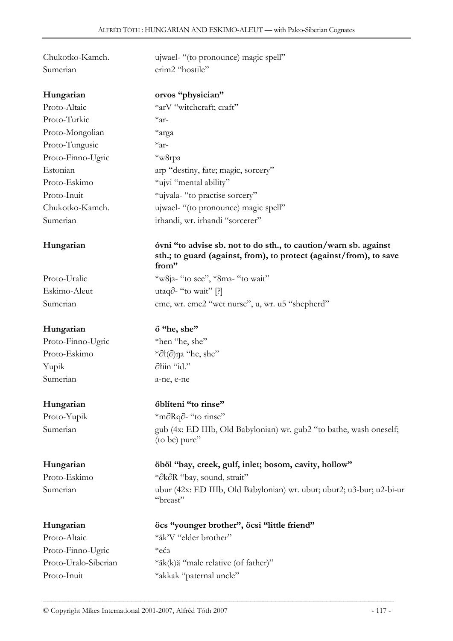| Chukotko-Kamch.      | ujwael- "(to pronounce) magic spell"                                                                                                           |
|----------------------|------------------------------------------------------------------------------------------------------------------------------------------------|
| Sumerian             | erim2 "hostile"                                                                                                                                |
|                      |                                                                                                                                                |
| Hungarian            | orvos "physician"                                                                                                                              |
| Proto-Altaic         | *arV "witchcraft; craft"                                                                                                                       |
| Proto-Turkic         | $*ar-$                                                                                                                                         |
| Proto-Mongolian      | *arga                                                                                                                                          |
| Proto-Tungusic       | $*ar-$                                                                                                                                         |
| Proto-Finno-Ugric    | *w8rp3                                                                                                                                         |
| Estonian             | arp "destiny, fate; magic, sorcery"                                                                                                            |
| Proto-Eskimo         | *ujvi "mental ability"                                                                                                                         |
| Proto-Inuit          | *ujvala- "to practise sorcery"                                                                                                                 |
| Chukotko-Kamch.      | ujwael- "(to pronounce) magic spell"                                                                                                           |
| Sumerian             | irhandi, wr. irhandi "sorcerer"                                                                                                                |
| Hungarian            | óvni "to advise sb. not to do sth., to caution/warn sb. against<br>sth.; to guard (against, from), to protect (against/from), to save<br>from" |
| Proto-Uralic         | *w8j3- "to see", *8m3- "to wait"                                                                                                               |
| Eskimo-Aleut         | utaq $\partial$ - "to wait" [?]                                                                                                                |
| Sumerian             | eme, wr. eme2 "wet nurse", u, wr. u5 "shepherd"                                                                                                |
| Hungarian            | ő "he, she"                                                                                                                                    |
| Proto-Finno-Ugric    | *hen "he, she"                                                                                                                                 |
| Proto-Eskimo         | $*\partial f(\partial)$ na "he, she"                                                                                                           |
| Yupik                | ∂liin "id."                                                                                                                                    |
| Sumerian             | a-ne, e-ne                                                                                                                                     |
| Hungarian            | őblíteni "to rinse"                                                                                                                            |
| Proto-Yupik          | *m∂Rq∂- "to rinse"                                                                                                                             |
| Sumerian             | gub (4x: ED IIIb, Old Babylonian) wr. gub2 "to bathe, wash oneself;<br>(to be) pure"                                                           |
| Hungarian            | öböl "bay, creek, gulf, inlet; bosom, cavity, hollow"                                                                                          |
| Proto-Eskimo         | *∂k∂R "bay, sound, strait"                                                                                                                     |
| Sumerian             | ubur (42x: ED IIIb, Old Babylonian) wr. ubur, ubur2; u3-bur; u2-bi-ur<br>"breast"                                                              |
| Hungarian            | öcs "younger brother", öcsi "little friend"                                                                                                    |
| Proto-Altaic         | *āk'V "elder brother"                                                                                                                          |
| Proto-Finno-Ugric    | $*$ eć <sub>3</sub>                                                                                                                            |
| Proto-Uralo-Siberian | $*$ äk(k)ä "male relative (of father)"                                                                                                         |
| Proto-Inuit          | *akkak "paternal uncle"                                                                                                                        |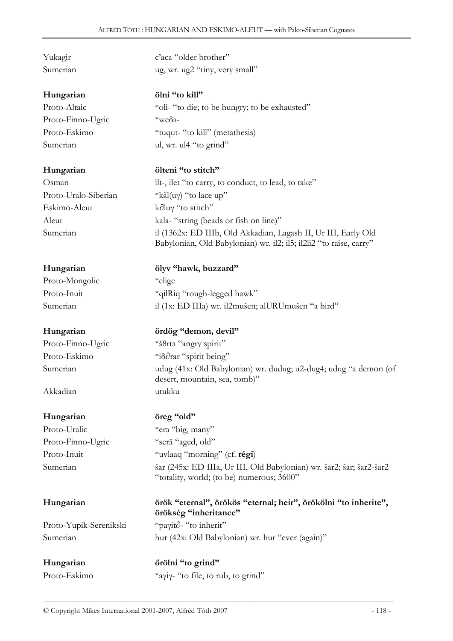| Yukagir                | c'aca "older brother"                                                                                                                |
|------------------------|--------------------------------------------------------------------------------------------------------------------------------------|
| Sumerian               | ug, wr. ug2 "tiny, very small"                                                                                                       |
|                        |                                                                                                                                      |
| Hungarian              | ölni "to kill"                                                                                                                       |
| Proto-Altaic           | *oli- "to die; to be hungry; to be exhausted"                                                                                        |
| Proto-Finno-Ugric      | $*_{\text{we}\delta_3}$ -                                                                                                            |
| Proto-Eskimo           | *tuqut- "to kill" (metathesis)                                                                                                       |
| Sumerian               | ul, wr. ul4 "to grind"                                                                                                               |
| Hungarian              | ölteni "to stitch"                                                                                                                   |
| Osman                  | ilt-, ilet "to carry, to conduct, to lead, to take"                                                                                  |
| Proto-Uralo-Siberian   | *käl $(u\gamma)$ "to lace up"                                                                                                        |
| Eskimo-Aleut           | k∂luγ "to stitch"                                                                                                                    |
| Aleut                  | kala-"string (beads or fish on line)"                                                                                                |
| Sumerian               | il (1362x: ED IIIb, Old Akkadian, Lagash II, Ur III, Early Old<br>Babylonian, Old Babylonian) wr. il2; il5; il2li2 "to raise, carry" |
| Hungarian              | ölyv "hawk, buzzard"                                                                                                                 |
| Proto-Mongolic         | *elige                                                                                                                               |
| Proto-Inuit            | *qilRiq "rough-legged hawk"                                                                                                          |
| Sumerian               | il (1x: ED IIIa) wr. il2mušen; alURUmušen "a bird"                                                                                   |
| Hungarian              | ördög "demon, devil"                                                                                                                 |
| Proto-Finno-Ugric      | *š8rts "angry spirit"                                                                                                                |
| Proto-Eskimo           | *iδ∂rar "spirit being"                                                                                                               |
| Sumerian               | udug (41x: Old Babylonian) wr. dudug; u2-dug4; udug "a demon (of<br>desert, mountain, sea, tomb)"                                    |
| Akkadian               | utukku                                                                                                                               |
| Hungarian              | öreg "old"                                                                                                                           |
| Proto-Uralic           | *era "big, many"                                                                                                                     |
| Proto-Finno-Ugric      | *serä "aged, old"                                                                                                                    |
| Proto-Inuit            | *uvlaaq "morning" (cf. régi)                                                                                                         |
| Sumerian               | šar (245x: ED IIIa, Ur III, Old Babylonian) wr. šar2; šar; šar2-šar2<br>"totality, world; (to be) numerous; 3600"                    |
| Hungarian              | örök "eternal", örökös "eternal; heir", örökölni "to inherite",<br>örökség "inheritance"                                             |
| Proto-Yupik-Serenikski | *paγit∂- "to inherit"                                                                                                                |
| Sumerian               | hur (42x: Old Babylonian) wr. hur "ever (again)"                                                                                     |
| Hungarian              | őrölni "to grind"                                                                                                                    |
| Proto-Eskimo           | *aγiγ- "to file, to rub, to grind"                                                                                                   |
|                        |                                                                                                                                      |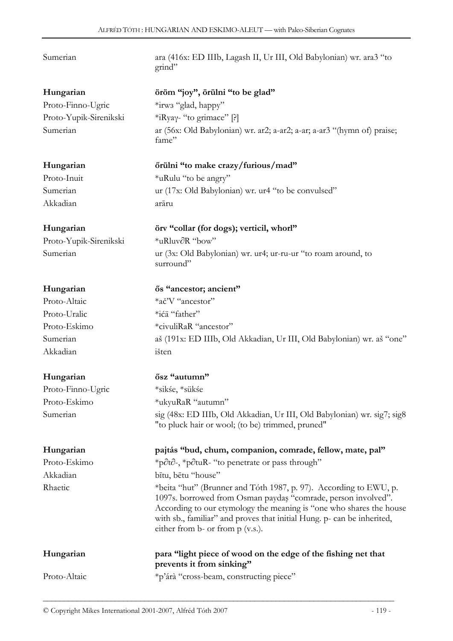Proto-Finno-Ugric \*irws "glad, happy"

Akkadian arāru

Proto-Yupik-Sirenikski \*uRluv∂R "bow"

Proto-Uralic \*ićä "father" Akkadian išten

Proto-Finno-Ugric \*sikśe, \*sükśe

Sumerian ara (416x: ED IIIb, Lagash II, Ur III, Old Babylonian) wr. ara3 "to grind"

Hungarian öröm "joy", örülni "to be glad" Proto-Yupik-Sirenikski \*iRyaγ- "to grimace" [?] Sumerian ar (56x: Old Babylonian) wr. ar2; a-ar2; a-ar; a-ar3 "(hymn of) praise; fame"

# Hungarian őrülni "to make crazy/furious/mad" Proto-Inuit \*uRulu "to be angry" Sumerian ur (17x: Old Babylonian) wr. ur4 "to be convulsed"

# Hungarian örv "collar (for dogs); verticil, whorl"

Sumerian ur (3x: Old Babylonian) wr. ur4; ur-ru-ur "to roam around, to surround"

### Hungarian ős "ancestor; ancient"

Proto-Altaic  $*a\text{e}^{\gamma}V$  "ancestor" Proto-Eskimo \*civuliRaR "ancestor" Sumerian aš (191x: ED IIIb, Old Akkadian, Ur III, Old Babylonian) wr. aš "one"

### Hungarian ősz "autumn"

Proto-Eskimo \*ukyuRaR "autumn" Sumerian sig (48x: ED IIIb, Old Akkadian, Ur III, Old Babylonian) wr. sig7; sig8 "to pluck hair or wool; (to be) trimmed, pruned"

# Hungarian pajtás "bud, chum, companion, comrade, fellow, mate, pal"

Proto-Eskimo \*p∂t∂-, \*p∂tuR- "to penetrate or pass through" Akkadian bītu, bētu "house" Rhaetic \*beita "hut" (Brunner and Tóth 1987, p. 97). According to EWU, p. 1097s. borrowed from Osman paydaş "comrade, person involved". According to our etymology the meaning is "one who shares the house with sb., familiar" and proves that initial Hung. p- can be inherited, either from b- or from p (v.s.).

### Hungarian para "light piece of wood on the edge of the fishing net that prevents it from sinking"

Proto-Altaic \*p'árà "cross-beam, constructing piece"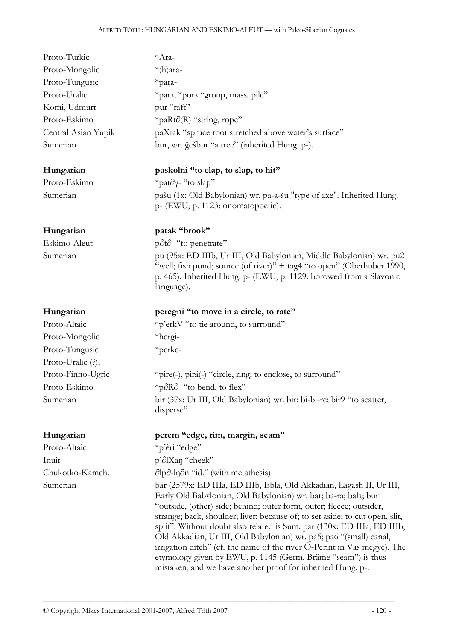$\text{Proto-Turkic}$  \*Ara-Proto-Mongolic \*(h)ara-Proto-Tungusic \*para-Proto-Uralic \*pars, \*pors "group, mass, pile" Komi, Udmurt pur "raft" Proto-Eskimo \*paRt∂(R) "string, rope" Central Asian Yupik paXtak "spruce root stretched above water's surface" Sumerian bur, wr. ĝešbur "a tree" (inherited Hung. p-). Hungarian paskolni "to clap, to slap, to hit" Proto-Eskimo \*pat∂γ- "to slap" Sumerian pašu (1x: Old Babylonian) wr. pa-a-šu "type of axe". Inherited Hung. p- (EWU, p. 1123: onomatopoetic). Hungarian patak "brook" Eskimo-Aleut p∂t∂- "to penetrate" Sumerian pu (95x: ED IIIb, Ur III, Old Babylonian, Middle Babylonian) wr. pu2 "well; fish pond; source (of river)" + tag4 "to open" (Oberhuber 1990, p. 465). Inherited Hung. p- (EWU, p. 1129: borowed from a Slavonic language). Hungarian peregni "to move in a circle, to rate" Proto-Altaic  $*_{p'erk}V$  "to tie around, to surround" Proto-Mongolic \*hergi-Proto-Tungusic \*perke-Proto-Uralic (?), Proto-Finno-Ugric \*pire(-), pirä(-) "circle, ring; to enclose, to surround" Proto-Eskimo \*p∂R∂- "to bend, to flex" Sumerian bir (37x: Ur III, Old Babylonian) wr. bir; bi-bi-re; bir9 "to scatter, disperse" Hungarian perem "edge, rim, margin, seam" Proto-Altaic \*p'èrì "edge" Inuit p'∂lXaŋ "cheek" Chukotko-Kamch. ∂lp∂-lŋ∂n "id." (with metathesis) Sumerian bar (2579x: ED IIIa, ED IIIb, Ebla, Old Akkadian, Lagash II, Ur III, Early Old Babylonian, Old Babylonian) wr. bar; ba-ra; bala; bur "outside, (other) side; behind; outer form, outer; fleece; outsider, strange; back, shoulder; liver; because of; to set aside; to cut open, slit, split". Without doubt also related is Sum. par (130x: ED IIIa, ED IIIb, Old Akkadian, Ur III, Old Babylonian) wr. pa5; pa6 "(small) canal, irrigation ditch" (cf. the name of the river Ó-Perint in Vas megye). The etymology given by EWU, p. 1145 (Germ. Bräme "seam") is thus mistaken, and we have another proof for inherited Hung. p-.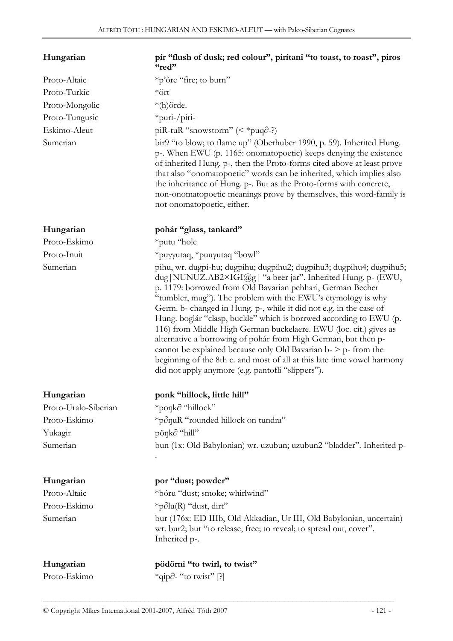| Hungarian            | pir "flush of dusk; red colour", piritani "to toast, to roast", piros<br>"red"                                                                                                                                                                                                                                                                                                                                                                                                                                                                                                                                                                                                                                                                                  |
|----------------------|-----------------------------------------------------------------------------------------------------------------------------------------------------------------------------------------------------------------------------------------------------------------------------------------------------------------------------------------------------------------------------------------------------------------------------------------------------------------------------------------------------------------------------------------------------------------------------------------------------------------------------------------------------------------------------------------------------------------------------------------------------------------|
| Proto-Altaic         | *p'òre "fire; to burn"                                                                                                                                                                                                                                                                                                                                                                                                                                                                                                                                                                                                                                                                                                                                          |
| Proto-Turkic         | $*$ ört                                                                                                                                                                                                                                                                                                                                                                                                                                                                                                                                                                                                                                                                                                                                                         |
| Proto-Mongolic       | *(h)örde.                                                                                                                                                                                                                                                                                                                                                                                                                                                                                                                                                                                                                                                                                                                                                       |
| Proto-Tungusic       | *puri-/piri-                                                                                                                                                                                                                                                                                                                                                                                                                                                                                                                                                                                                                                                                                                                                                    |
| Eskimo-Aleut         | piR-tuR "snowstorm" ( $\lt$ *puq $\partial$ -?)                                                                                                                                                                                                                                                                                                                                                                                                                                                                                                                                                                                                                                                                                                                 |
| Sumerian             | bir9 "to blow; to flame up" (Oberhuber 1990, p. 59). Inherited Hung.<br>p-. When EWU (p. 1165: onomatopoetic) keeps denying the existence<br>of inherited Hung. p-, then the Proto-forms cited above at least prove<br>that also "onomatopoetic" words can be inherited, which implies also<br>the inheritance of Hung. p-. But as the Proto-forms with concrete,<br>non-onomatopoetic meanings prove by themselves, this word-family is<br>not onomatopoetic, either.                                                                                                                                                                                                                                                                                          |
| Hungarian            | pohár "glass, tankard"                                                                                                                                                                                                                                                                                                                                                                                                                                                                                                                                                                                                                                                                                                                                          |
| Proto-Eskimo         | *putu "hole                                                                                                                                                                                                                                                                                                                                                                                                                                                                                                                                                                                                                                                                                                                                                     |
| Proto-Inuit          | *puγγutaq, *puuγutaq "bowl"                                                                                                                                                                                                                                                                                                                                                                                                                                                                                                                                                                                                                                                                                                                                     |
| Sumerian             | pihu, wr. dugpi-hu; dugpihu; dugpihu2; dugpihu3; dugpihu4; dugpihu5;<br>dug   NUNUZ.AB2×IGI@g   "a beer jar". Inherited Hung. p- (EWU,<br>p. 1179: borrowed from Old Bavarian pehhari, German Becher<br>"tumbler, mug"). The problem with the EWU's etymology is why<br>Germ. b- changed in Hung. p-, while it did not e.g. in the case of<br>Hung. boglár "clasp, buckle" which is borrwed according to EWU (p.<br>116) from Middle High German buckelaere. EWU (loc. cit.) gives as<br>alternative a borrowing of pohár from High German, but then p-<br>cannot be explained because only Old Bavarian $b$ - $> p$ - from the<br>beginning of the 8th c. and most of all at this late time vowel harmony<br>did not apply anymore (e.g. pantofli "slippers"). |
| Hungarian            | ponk "hillock, little hill"                                                                                                                                                                                                                                                                                                                                                                                                                                                                                                                                                                                                                                                                                                                                     |
| Proto-Uralo-Siberian | *ponk∂ "hillock"                                                                                                                                                                                                                                                                                                                                                                                                                                                                                                                                                                                                                                                                                                                                                |
| Proto-Eskimo         | *p∂ηuR "rounded hillock on tundra"                                                                                                                                                                                                                                                                                                                                                                                                                                                                                                                                                                                                                                                                                                                              |
| Yukagir              | pönk $\partial$ "hill"                                                                                                                                                                                                                                                                                                                                                                                                                                                                                                                                                                                                                                                                                                                                          |
| Sumerian             | bun (1x: Old Babylonian) wr. uzubun; uzubun2 "bladder". Inherited p-                                                                                                                                                                                                                                                                                                                                                                                                                                                                                                                                                                                                                                                                                            |
| Hungarian            | por "dust; powder"                                                                                                                                                                                                                                                                                                                                                                                                                                                                                                                                                                                                                                                                                                                                              |
| Proto-Altaic         | *bóru "dust; smoke; whirlwind"                                                                                                                                                                                                                                                                                                                                                                                                                                                                                                                                                                                                                                                                                                                                  |
| Proto-Eskimo         | $*_{\mathcal{D}}$ Olu(R) "dust, dirt"                                                                                                                                                                                                                                                                                                                                                                                                                                                                                                                                                                                                                                                                                                                           |
| Sumerian             | bur (176x: ED IIIb, Old Akkadian, Ur III, Old Babylonian, uncertain)<br>wr. bur2; bur "to release, free; to reveal; to spread out, cover".<br>Inherited p-.                                                                                                                                                                                                                                                                                                                                                                                                                                                                                                                                                                                                     |
| Hungarian            | pödörni "to twirl, to twist"                                                                                                                                                                                                                                                                                                                                                                                                                                                                                                                                                                                                                                                                                                                                    |
| Proto-Eskimo         | *qip $\partial$ - "to twist" [?]                                                                                                                                                                                                                                                                                                                                                                                                                                                                                                                                                                                                                                                                                                                                |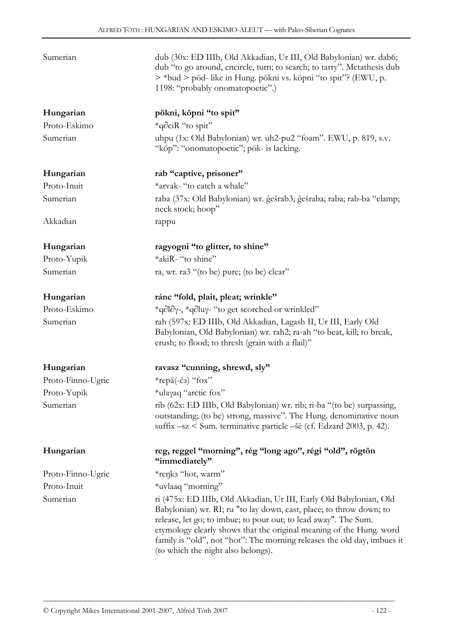| Sumerian          | dub (30x: ED IIIb, Old Akkadian, Ur III, Old Babylonian) wr. dab6;<br>dub "to go around, encircle, turn; to search; to tarry". Metathesis dub<br>> *bud > pöd- like in Hung. pökni vs. köpni "to spit"? (EWU, p.<br>1198: "probably onomatopoetic".)                                                                                                                                                 |
|-------------------|------------------------------------------------------------------------------------------------------------------------------------------------------------------------------------------------------------------------------------------------------------------------------------------------------------------------------------------------------------------------------------------------------|
| Hungarian         | pökni, köpni "to spit"                                                                                                                                                                                                                                                                                                                                                                               |
| Proto-Eskimo      | *q∂ciR "to spit"                                                                                                                                                                                                                                                                                                                                                                                     |
| Sumerian          | uhpu (1x: Old Babylonian) wr. uh2-pu2 "foam". EWU, p. 819, s.v.<br>"köp": "onomatopoetic"; pök- is lacking.                                                                                                                                                                                                                                                                                          |
| Hungarian         | rab "captive, prisoner"                                                                                                                                                                                                                                                                                                                                                                              |
| Proto-Inuit       | *arvak- "to catch a whale"                                                                                                                                                                                                                                                                                                                                                                           |
| Sumerian          | raba (37x: Old Babylonian) wr. ĝešrab3; ĝešraba; raba; rab-ba "clamp;<br>neck stock; hoop"                                                                                                                                                                                                                                                                                                           |
| Akkadian          | rappu                                                                                                                                                                                                                                                                                                                                                                                                |
| Hungarian         | ragyogni "to glitter, to shine"                                                                                                                                                                                                                                                                                                                                                                      |
| Proto-Yupik       | *akiR- "to shine"                                                                                                                                                                                                                                                                                                                                                                                    |
| Sumerian          | ra, wr. ra3 "(to be) pure; (to be) clear"                                                                                                                                                                                                                                                                                                                                                            |
| Hungarian         | ránc "fold, plait, pleat; wrinkle"                                                                                                                                                                                                                                                                                                                                                                   |
| Proto-Eskimo      | *q∂l∂γ-, *q∂luγ- "to get scorched or wrinkled"                                                                                                                                                                                                                                                                                                                                                       |
| Sumerian          | rah (597x: ED IIIb, Old Akkadian, Lagash II, Ur III, Early Old<br>Babylonian, Old Babylonian) wr. rah2; ra-ah "to beat, kill; to break,<br>crush; to flood; to thresh (grain with a flail)"                                                                                                                                                                                                          |
| Hungarian         | ravasz "cunning, shrewd, sly"                                                                                                                                                                                                                                                                                                                                                                        |
| Proto-Finno-Ugric | *repä(-ć3) "fox"                                                                                                                                                                                                                                                                                                                                                                                     |
| Proto-Yupik       | *ulaγaq "arctic fox"                                                                                                                                                                                                                                                                                                                                                                                 |
| Sumerian          | rib (62x: ED IIIb, Old Babylonian) wr. rib; ri-ba "(to be) surpassing,<br>outstanding; (to be) strong, massive". The Hung. denominative noun<br>suffix -sz < Sum. terminative particle -šè (cf. Edzard 2003, p. 42).                                                                                                                                                                                 |
| Hungarian         | reg, reggel "morning", rég "long ago", régi "old", rögtön<br>"immediately"                                                                                                                                                                                                                                                                                                                           |
| Proto-Finno-Ugric | *renks "hot, warm"                                                                                                                                                                                                                                                                                                                                                                                   |
| Proto-Inuit       | *uvlaaq "morning"                                                                                                                                                                                                                                                                                                                                                                                    |
| Sumerian          | ri (475x: ED IIIb, Old Akkadian, Ur III, Early Old Babylonian, Old<br>Babylonian) wr. RI; ru "to lay down, cast, place; to throw down; to<br>release, let go; to imbue; to pour out; to lead away". The Sum.<br>etymology clearly shows that the original meaning of the Hung. word<br>family is "old", not "hot": The morning releases the old day, imbues it<br>(to which the night also belongs). |

\_\_\_\_\_\_\_\_\_\_\_\_\_\_\_\_\_\_\_\_\_\_\_\_\_\_\_\_\_\_\_\_\_\_\_\_\_\_\_\_\_\_\_\_\_\_\_\_\_\_\_\_\_\_\_\_\_\_\_\_\_\_\_\_\_\_\_\_\_\_\_\_\_\_\_\_\_\_\_\_\_\_\_ © Copyright Mikes International 2001-2007, Alfréd Tóth 2007 - 122 -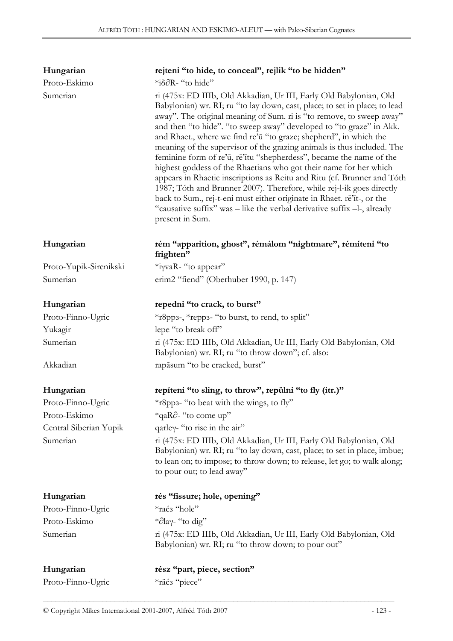# Hungarian rejteni "to hide, to conceal", rejlik "to be hidden" Proto-Eskimo \*iδ∂R- "to hide" Sumerian ri (475x: ED IIIb, Old Akkadian, Ur III, Early Old Babylonian, Old Babylonian) wr. RI; ru "to lay down, cast, place; to set in place; to lead away". The original meaning of Sum. ri is "to remove, to sweep away" and then "to hide". "to sweep away" developed to "to graze" in Akk. and Rhaet., where we find re'ū "to graze; shepherd", in which the meaning of the supervisor of the grazing animals is thus included. The feminine form of re'ū, rē'ītu "shepherdess", became the name of the highest goddess of the Rhaetians who got their name for her which appears in Rhaetic inscriptions as Reitu and Ritu (cf. Brunner and Tóth 1987; Tóth and Brunner 2007). Therefore, while rej-l-ik goes directly back to Sum., rej-t-eni must either originate in Rhaet. rē'īt-, or the "causative suffix" was – like the verbal derivative suffix –l-, already present in Sum. Hungarian rém "apparition, ghost", rémálom "nightmare", rémíteni "to frighten" Proto-Yupik-Sirenikski \*iγvaR- "to appear" Sumerian erim2 "fiend" (Oberhuber 1990, p. 147) Hungarian repedni "to crack, to burst" Proto-Finno-Ugric \*r8pp3-, \*repp3- "to burst, to rend, to split" Yukagir lepe "to break off" Sumerian ri (475x: ED IIIb, Old Akkadian, Ur III, Early Old Babylonian, Old Babylonian) wr. RI; ru "to throw down"; cf. also: Akkadian rapāsum "to be cracked, burst" Hungarian repíteni "to sling, to throw", repülni "to fly (itr.)" Proto-Finno-Ugric \*r8pp3- "to beat with the wings, to fly" Proto-Eskimo \*qaR∂- "to come up" Central Siberian Yupik qarleγ- "to rise in the air" Sumerian ri (475x: ED IIIb, Old Akkadian, Ur III, Early Old Babylonian, Old Babylonian) wr. RI; ru "to lay down, cast, place; to set in place, imbue; to lean on; to impose; to throw down; to release, let go; to walk along; to pour out; to lead away" Hungarian rés "fissure; hole, opening" Proto-Finno-Ugric \*raćs "hole" Proto-Eskimo \*∂laγ- "to dig" Sumerian ri (475x: ED IIIb, Old Akkadian, Ur III, Early Old Babylonian, Old Babylonian) wr. RI; ru "to throw down; to pour out"

Hungarian rész "part, piece, section" Proto-Finno-Ugric \*räćs "piece"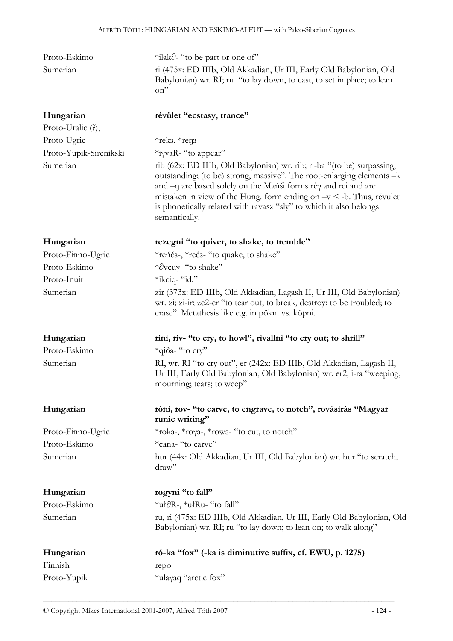| Proto-Eskimo<br>Sumerian       | *ilak∂- "to be part or one of"<br>ri (475x: ED IIIb, Old Akkadian, Ur III, Early Old Babylonian, Old<br>Babylonian) wr. RI; ru "to lay down, to cast, to set in place; to lean                                                                                                                                                                                                    |
|--------------------------------|-----------------------------------------------------------------------------------------------------------------------------------------------------------------------------------------------------------------------------------------------------------------------------------------------------------------------------------------------------------------------------------|
|                                | on"                                                                                                                                                                                                                                                                                                                                                                               |
| Hungarian<br>Proto-Uralic (?), | révület "ecstasy, trance"                                                                                                                                                                                                                                                                                                                                                         |
| Proto-Ugric                    | $*$ reka, $*$ rena                                                                                                                                                                                                                                                                                                                                                                |
| Proto-Yupik-Sirenikski         | *iγvaR- "to appear"                                                                                                                                                                                                                                                                                                                                                               |
| Sumerian                       | rib (62x: ED IIIb, Old Babylonian) wr. rib; ri-ba "(to be) surpassing,<br>outstanding; (to be) strong, massive". The root-enlarging elements -k<br>and -q are based solely on the Mańśi forms rèy and rei and are<br>mistaken in view of the Hung. form ending on $-v <$ -b. Thus, révület<br>is phonetically related with ravasz "sly" to which it also belongs<br>semantically. |
| Hungarian                      | rezegni "to quiver, to shake, to tremble"                                                                                                                                                                                                                                                                                                                                         |
| Proto-Finno-Ugric              | *rencs-, *recs- "to quake, to shake"                                                                                                                                                                                                                                                                                                                                              |
| Proto-Eskimo                   | *∂νcuγ- "to shake"                                                                                                                                                                                                                                                                                                                                                                |
| Proto-Inuit                    | *ikciq- "id."                                                                                                                                                                                                                                                                                                                                                                     |
| Sumerian                       | zir (373x: ED IIIb, Old Akkadian, Lagash II, Ur III, Old Babylonian)<br>wr. zi; zi-ir; ze2-er "to tear out; to break, destroy; to be troubled; to<br>erase". Metathesis like e.g. in pökni vs. köpni.                                                                                                                                                                             |
| Hungarian                      | ríni, rív- "to cry, to howl", rivallni "to cry out; to shrill"                                                                                                                                                                                                                                                                                                                    |
| Proto-Eskimo                   | *qiδa- "to cry"                                                                                                                                                                                                                                                                                                                                                                   |
| Sumerian                       | RI, wr. RI "to cry out", er (242x: ED IIIb, Old Akkadian, Lagash II,<br>Ur III, Early Old Babylonian, Old Babylonian) wr. er2; i-ra "weeping,<br>mourning; tears; to weep"                                                                                                                                                                                                        |
| Hungarian                      | róni, rov- "to carve, to engrave, to notch", rovásírás "Magyar<br>runic writing"                                                                                                                                                                                                                                                                                                  |
| Proto-Finno-Ugric              | $*$ roka-, $*$ roya-, $*$ rowa- "to cut, to notch"                                                                                                                                                                                                                                                                                                                                |
| Proto-Eskimo                   | *cana- "to carve"                                                                                                                                                                                                                                                                                                                                                                 |
| Sumerian                       | hur (44x: Old Akkadian, Ur III, Old Babylonian) wr. hur "to scratch,<br>draw"                                                                                                                                                                                                                                                                                                     |
| Hungarian                      | rogyni "to fall"                                                                                                                                                                                                                                                                                                                                                                  |
| Proto-Eskimo                   | *uł∂R-, *ułRu- "to fall"                                                                                                                                                                                                                                                                                                                                                          |
| Sumerian                       | ru, ri (475x: ED IIIb, Old Akkadian, Ur III, Early Old Babylonian, Old<br>Babylonian) wr. RI; ru "to lay down; to lean on; to walk along"                                                                                                                                                                                                                                         |
| Hungarian                      | ró-ka "fox" (-ka is diminutive suffix, cf. EWU, p. 1275)                                                                                                                                                                                                                                                                                                                          |
| Finnish                        | repo                                                                                                                                                                                                                                                                                                                                                                              |
| Proto-Yupik                    | *ulaγaq "arctic fox"                                                                                                                                                                                                                                                                                                                                                              |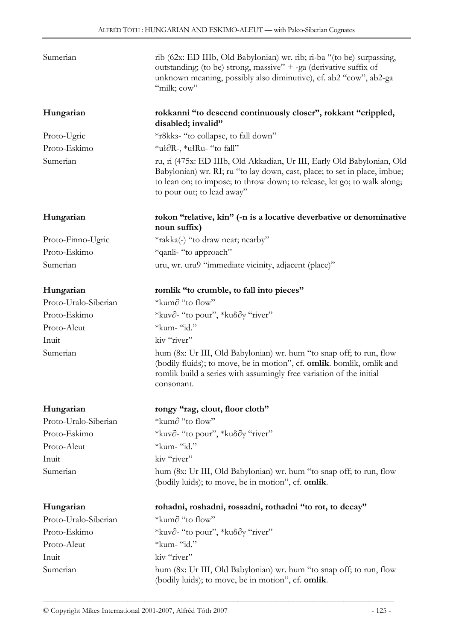| Sumerian             | rib (62x: ED IIIb, Old Babylonian) wr. rib; ri-ba "(to be) surpassing,<br>outstanding; (to be) strong, massive" + -ga (derivative suffix of<br>unknown meaning, possibly also diminutive), cf. ab2 "cow", ab2-ga<br>"milk; cow"                               |
|----------------------|---------------------------------------------------------------------------------------------------------------------------------------------------------------------------------------------------------------------------------------------------------------|
| Hungarian            | rokkanni "to descend continuously closer", rokkant "crippled,<br>disabled; invalid"                                                                                                                                                                           |
| Proto-Ugric          | *r8kk3- "to collapse, to fall down"                                                                                                                                                                                                                           |
| Proto-Eskimo         | *uł∂R-, *ułRu- "to fall"                                                                                                                                                                                                                                      |
| Sumerian             | ru, ri (475x: ED IIIb, Old Akkadian, Ur III, Early Old Babylonian, Old<br>Babylonian) wr. RI; ru "to lay down, cast, place; to set in place, imbue;<br>to lean on; to impose; to throw down; to release, let go; to walk along;<br>to pour out; to lead away" |
| Hungarian            | rokon "relative, kin" (-n is a locative deverbative or denominative<br>noun suffix)                                                                                                                                                                           |
| Proto-Finno-Ugric    | *rakka(-) "to draw near; nearby"                                                                                                                                                                                                                              |
| Proto-Eskimo         | *qanli-"to approach"                                                                                                                                                                                                                                          |
| Sumerian             | uru, wr. uru9 "immediate vicinity, adjacent (place)"                                                                                                                                                                                                          |
| Hungarian            | romlik "to crumble, to fall into pieces"                                                                                                                                                                                                                      |
| Proto-Uralo-Siberian | *kum $\partial$ "to flow"                                                                                                                                                                                                                                     |
| Proto-Eskimo         | *kuv $\partial$ - "to pour", *kuδ $\partial$ γ "river"                                                                                                                                                                                                        |
| Proto-Aleut          | *kum- "id."                                                                                                                                                                                                                                                   |
| Inuit                | kiv "river"                                                                                                                                                                                                                                                   |
| Sumerian             | hum (8x: Ur III, Old Babylonian) wr. hum "to snap off; to run, flow<br>(bodily fluids); to move, be in motion", cf. omlik. bomlik, omlik and<br>romlik build a series with assumingly free variation of the initial<br>consonant.                             |
| Hungarian            | rongy "rag, clout, floor cloth"                                                                                                                                                                                                                               |
| Proto-Uralo-Siberian | *kum $\partial$ "to flow"                                                                                                                                                                                                                                     |
| Proto-Eskimo         | *kuv $\partial$ - "to pour", *kuδ $\partial$ γ "river"                                                                                                                                                                                                        |
| Proto-Aleut          | *kum- "id."                                                                                                                                                                                                                                                   |
| Inuit                | kiv "river"                                                                                                                                                                                                                                                   |
| Sumerian             | hum (8x: Ur III, Old Babylonian) wr. hum "to snap off; to run, flow<br>(bodily luids); to move, be in motion", cf. omlik.                                                                                                                                     |
| Hungarian            | rohadni, roshadni, rossadni, rothadni "to rot, to decay"                                                                                                                                                                                                      |
| Proto-Uralo-Siberian | *kum $\partial$ "to flow"                                                                                                                                                                                                                                     |
| Proto-Eskimo         | *kuv $\partial$ - "to pour", *kuδ $\partial$ γ "river"                                                                                                                                                                                                        |
| Proto-Aleut          | *kum- "id."                                                                                                                                                                                                                                                   |
| Inuit                | kiv "river"                                                                                                                                                                                                                                                   |
| Sumerian             | hum (8x: Ur III, Old Babylonian) wr. hum "to snap off; to run, flow<br>(bodily luids); to move, be in motion", cf. omlik.                                                                                                                                     |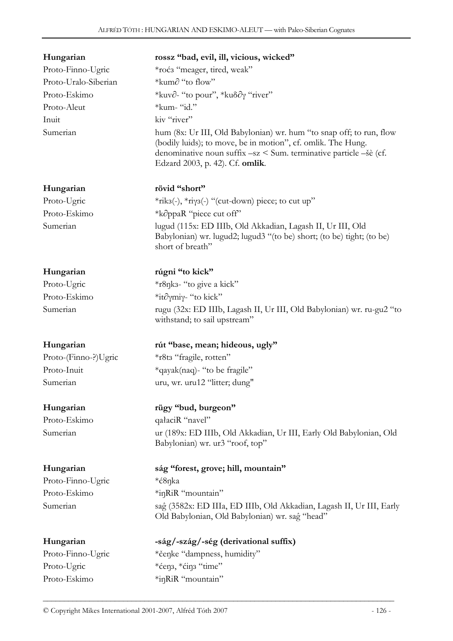| Hungarian            | rossz "bad, evil, ill, vicious, wicked"                                                                                                                                                                                                     |
|----------------------|---------------------------------------------------------------------------------------------------------------------------------------------------------------------------------------------------------------------------------------------|
| Proto-Finno-Ugric    | *roćs "meager, tired, weak"                                                                                                                                                                                                                 |
| Proto-Uralo-Siberian | *kum $\partial$ "to flow"                                                                                                                                                                                                                   |
| Proto-Eskimo         | *kuv $\partial$ - "to pour", *kuδ $\partial$ γ "river"                                                                                                                                                                                      |
| Proto-Aleut          | *kum- "id."                                                                                                                                                                                                                                 |
| Inuit                | kiv "river"                                                                                                                                                                                                                                 |
| Sumerian             | hum (8x: Ur III, Old Babylonian) wr. hum "to snap off; to run, flow<br>(bodily luids); to move, be in motion", cf. omlik. The Hung.<br>denominative noun suffix -sz < Sum. terminative particle -sè (cf.<br>Edzard 2003, p. 42). Cf. omlik. |
| Hungarian            | rövid "short"                                                                                                                                                                                                                               |
| Proto-Ugric          | *rik3(-), *riγ3(-) "(cut-down) piece; to cut up"                                                                                                                                                                                            |
| Proto-Eskimo         | *k∂ppaR "piece cut off"                                                                                                                                                                                                                     |
| Sumerian             | lugud (115x: ED IIIb, Old Akkadian, Lagash II, Ur III, Old<br>Babylonian) wr. lugud2; lugud3 "(to be) short; (to be) tight; (to be)<br>short of breath"                                                                                     |
| Hungarian            | rúgni "to kick"                                                                                                                                                                                                                             |
| Proto-Ugric          | <i>*</i> r8ηk <sub>3</sub> - "to give a kick"                                                                                                                                                                                               |
| Proto-Eskimo         | *it∂γmiγ- "to kick"                                                                                                                                                                                                                         |
| Sumerian             | rugu (32x: ED IIIb, Lagash II, Ur III, Old Babylonian) wr. ru-gu2 "to<br>withstand; to sail upstream"                                                                                                                                       |
| Hungarian            | rút "base, mean; hideous, ugly"                                                                                                                                                                                                             |
| Proto-(Finno-?)Ugric | *r8ts "fragile, rotten"                                                                                                                                                                                                                     |
| Proto-Inuit          | *qayak(naq)- "to be fragile"                                                                                                                                                                                                                |
| Sumerian             | uru, wr. uru12 "litter; dung"                                                                                                                                                                                                               |
| Hungarian            | rügy "bud, burgeon"                                                                                                                                                                                                                         |
| Proto-Eskimo         | qałaciR "navel"                                                                                                                                                                                                                             |
| Sumerian             | ur (189x: ED IIIb, Old Akkadian, Ur III, Early Old Babylonian, Old<br>Babylonian) wr. ur3 "roof, top"                                                                                                                                       |
| Hungarian            | ság "forest, grove; hill, mountain"                                                                                                                                                                                                         |
| Proto-Finno-Ugric    | *έ8ηka                                                                                                                                                                                                                                      |
| Proto-Eskimo         | *inRiR "mountain"                                                                                                                                                                                                                           |
| Sumerian             | saĝ (3582x: ED IIIa, ED IIIb, Old Akkadian, Lagash II, Ur III, Early<br>Old Babylonian, Old Babylonian) wr. sag "head"                                                                                                                      |
| Hungarian            | -ság/-szág/-ség (derivational suffix)                                                                                                                                                                                                       |
| Proto-Finno-Ugric    | *čenke "dampness, humidity"                                                                                                                                                                                                                 |
| Proto-Ugric          | *cen3, *cin3 "time"                                                                                                                                                                                                                         |

Proto-Eskimo \*iŋRiR "mountain"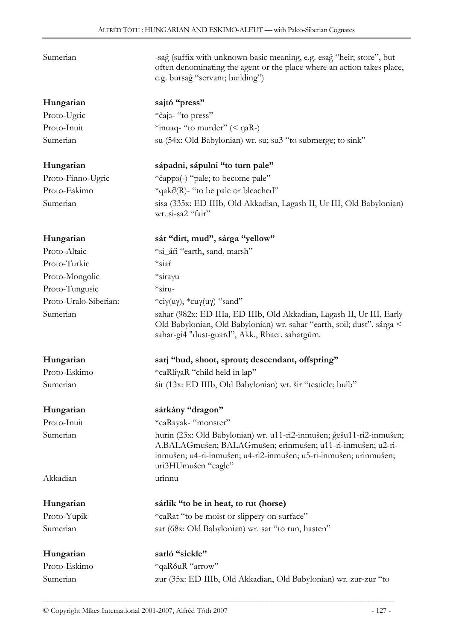| Sumerian |  |
|----------|--|
|          |  |

Proto-Turkic \*siaŕ Proto-Mongolic \*siraγu Proto-Tungusic \*siru-

Akkadian urinnu

-saĝ (suffix with unknown basic meaning, e.g. esaĝ "heir; store", but often denominating the agent or the place where an action takes place, e.g. bursaĝ "servant; building")

Hungarian sajtó "press" Proto-Ugric \*čaj<sub>3</sub>- "to press" Proto-Inuit \*inuaq- "to murder" (<  $\eta$ aR-) Sumerian su (54x: Old Babylonian) wr. su; su3 "to submerge; to sink"

# Hungarian sápadni, sápulni "to turn pale"

Proto-Finno-Ugric \*čapps(-) "pale; to become pale" Proto-Eskimo \*qak∂(R)- "to be pale or bleached" Sumerian sisa (335x: ED IIIb, Old Akkadian, Lagash II, Ur III, Old Babylonian) wr. si-sa2 "fair"

### Hungarian sár "dirt, mud", sárga "yellow"

Proto-Altaic  $*si_i$ <sub>2</sub>ári "earth, sand, marsh" Proto-Uralo-Siberian: \* \* \* είγ(uγ), \* cuγ(uγ) "sand"

Sumerian sahar (982x: ED IIIa, ED IIIb, Old Akkadian, Lagash II, Ur III, Early Old Babylonian, Old Babylonian) wr. sahar "earth, soil; dust". sárga < sahar-gi4 "dust-guard", Akk., Rhaet. sahargūm.

# Hungarian sarj "bud, shoot, sprout; descendant, offspring"

Proto-Eskimo \*caRliγaR "child held in lap" Sumerian šir (13x: ED IIIb, Old Babylonian) wr. šir "testicle; bulb"

# Hungarian sárkány "dragon"

Proto-Inuit \*caRayak- "monster" Sumerian hurin (23x: Old Babylonian) wr. u11-ri2-inmušen; ĝešu11-ri2-inmušen; A.BALAGmušen; BALAGmušen; erinmušen; u11-ri-inmušen; u2-riinmušen; u4-ri-inmušen; u4-ri2-inmušen; u5-ri-inmušen; urinmušen; uri3HUmušen "eagle"

# Hungarian sárlik "to be in heat, to rut (horse) Proto-Yupik \*caRat "to be moist or slippery on surface" Sumerian sar (68x: Old Babylonian) wr. sar "to run, hasten"

Hungarian sarló "sickle" Proto-Eskimo \*qaRδuR "arrow" Sumerian zur (35x: ED IIIb, Old Akkadian, Old Babylonian) wr. zur-zur "to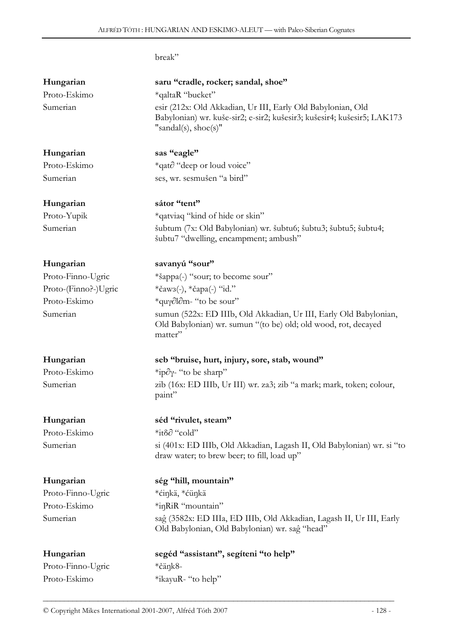# break" Hungarian saru "cradle, rocker; sandal, shoe" Proto-Eskimo \*qaltaR "bucket" Sumerian esir (212x: Old Akkadian, Ur III, Early Old Babylonian, Old Babylonian) wr. kuše-sir2; e-sir2; kušesir3; kušesir4; kušesir5; LAK173 "sandal(s), shoe(s)" Hungarian sas "eagle" Proto-Eskimo \*qat∂ "deep or loud voice" Sumerian ses, wr. sesmušen "a bird" Hungarian sátor "tent" Proto-Yupik \*qatviaq "kind of hide or skin" Sumerian šubtum (7x: Old Babylonian) wr. šubtu6; šubtu3; šubtu5; šubtu4; šubtu7 "dwelling, encampment; ambush" Hungarian savanyú "sour" Proto-Finno-Ugric \*šappa(-) "sour; to become sour" Proto-(Finno?-)Ugric \*čaws(-), \*čapa(-) "id." Proto-Eskimo \*quγ∂l∂m- "to be sour" Sumerian sumun (522x: ED IIIb, Old Akkadian, Ur III, Early Old Babylonian, Old Babylonian) wr. sumun "(to be) old; old wood, rot, decayed matter" Hungarian seb "bruise, hurt, injury, sore, stab, wound" Proto-Eskimo \*ip∂γ- "to be sharp" Sumerian zib (16x: ED IIIb, Ur III) wr. za3; zib "a mark; mark, token; colour, paint" Hungarian séd "rivulet, steam" Proto-Eskimo \*itδ∂ "cold" Sumerian si (401x: ED IIIb, Old Akkadian, Lagash II, Old Babylonian) wr. si "to draw water; to brew beer; to fill, load up" Hungarian ség "hill, mountain" Proto-Finno-Ugric \*ćinkä, \*ćünkä Proto-Eskimo \*inRiR "mountain" Sumerian saĝ (3582x: ED IIIa, ED IIIb, Old Akkadian, Lagash II, Ur III, Early Old Babylonian, Old Babylonian) wr. saĝ "head" Hungarian segéd "assistant", segíteni "to help" Proto-Finno-Ugric \*čänk8-

\_\_\_\_\_\_\_\_\_\_\_\_\_\_\_\_\_\_\_\_\_\_\_\_\_\_\_\_\_\_\_\_\_\_\_\_\_\_\_\_\_\_\_\_\_\_\_\_\_\_\_\_\_\_\_\_\_\_\_\_\_\_\_\_\_\_\_\_\_\_\_\_\_\_\_\_\_\_\_\_\_\_\_

Proto-Eskimo \*ikayuR- "to help"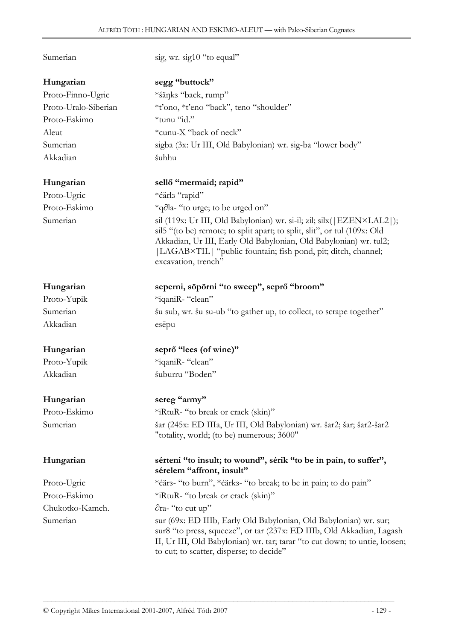| Sumerian             | sig, wr. sig10 "to equal"                                                                                                                                                                                                                                                                                      |
|----------------------|----------------------------------------------------------------------------------------------------------------------------------------------------------------------------------------------------------------------------------------------------------------------------------------------------------------|
| Hungarian            | segg "buttock"                                                                                                                                                                                                                                                                                                 |
| Proto-Finno-Ugric    | *śänka "back, rump"                                                                                                                                                                                                                                                                                            |
| Proto-Uralo-Siberian | *t'ono, *t'eno "back", teno "shoulder"                                                                                                                                                                                                                                                                         |
| Proto-Eskimo         | *tunu "id."                                                                                                                                                                                                                                                                                                    |
| Aleut                | *cunu-X "back of neck"                                                                                                                                                                                                                                                                                         |
| Sumerian             | sigba (3x: Ur III, Old Babylonian) wr. sig-ba "lower body"                                                                                                                                                                                                                                                     |
| Akkadian             | šuhhu                                                                                                                                                                                                                                                                                                          |
| Hungarian            | sellő "mermaid; rapid"                                                                                                                                                                                                                                                                                         |
| Proto-Ugric          | *ćärls "rapid"                                                                                                                                                                                                                                                                                                 |
| Proto-Eskimo         | *q∂la- "to urge; to be urged on"                                                                                                                                                                                                                                                                               |
| Sumerian             | sil (119x: Ur III, Old Babylonian) wr. si-il; zil; silx( EZEN×LAL2 );<br>sil5 "(to be) remote; to split apart; to split, slit", or tul (109x: Old<br>Akkadian, Ur III, Early Old Babylonian, Old Babylonian) wr. tul2;<br>[LAGAB×TIL] "public fountain; fish pond, pit; ditch, channel;<br>excavation, trench" |
| Hungarian            | seperni, söpörni "to sweep", seprő "broom"                                                                                                                                                                                                                                                                     |
| Proto-Yupik          | *iqaniR- "clean"                                                                                                                                                                                                                                                                                               |
| Sumerian             | šu sub, wr. šu su-ub "to gather up, to collect, to scrape together"                                                                                                                                                                                                                                            |
| Akkadian             | esēpu                                                                                                                                                                                                                                                                                                          |
| Hungarian            | seprő "lees (of wine)"                                                                                                                                                                                                                                                                                         |
| Proto-Yupik          | *iqaniR- "clean"                                                                                                                                                                                                                                                                                               |
| Akkadian             | šuburru "Boden"                                                                                                                                                                                                                                                                                                |
| Hungarian            | sereg "army"                                                                                                                                                                                                                                                                                                   |
| Proto-Eskimo         | *iRtuR- "to break or crack (skin)"                                                                                                                                                                                                                                                                             |
| Sumerian             | šar (245x: ED IIIa, Ur III, Old Babylonian) wr. šar2; šar; šar2-šar2<br>"totality, world; (to be) numerous; 3600"                                                                                                                                                                                              |
| Hungarian            | sérteni "to insult; to wound", sérik "to be in pain, to suffer",<br>sérelem "affront, insult"                                                                                                                                                                                                                  |
| Proto-Ugric          | *ćärs- "to burn", *ćärks- "to break; to be in pain; to do pain"                                                                                                                                                                                                                                                |
| Proto-Eskimo         | *iRtuR- "to break or crack (skin)"                                                                                                                                                                                                                                                                             |
| Chukotko-Kamch.      | $\partial$ ra- "to cut up"                                                                                                                                                                                                                                                                                     |
| Sumerian             | sur (69x: ED IIIb, Early Old Babylonian, Old Babylonian) wr. sur;<br>sur8 "to press, squeeze", or tar (237x: ED IIIb, Old Akkadian, Lagash<br>II, Ur III, Old Babylonian) wr. tar; tarar "to cut down; to untie, loosen;<br>to cut; to scatter, disperse; to decide"                                           |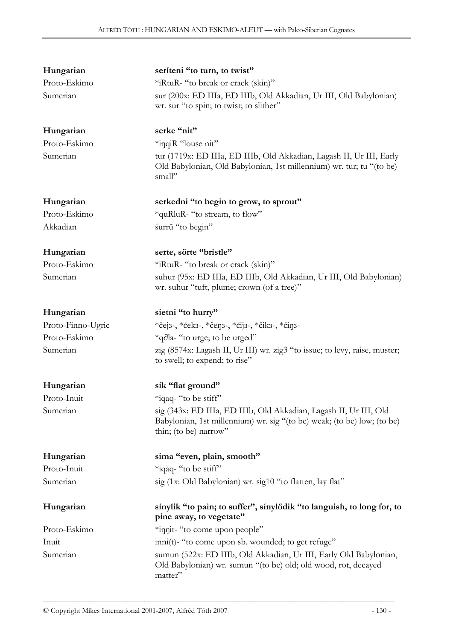| Hungarian         | seriteni "to turn, to twist"                                                                                                                                          |
|-------------------|-----------------------------------------------------------------------------------------------------------------------------------------------------------------------|
| Proto-Eskimo      | *iRtuR- "to break or crack (skin)"                                                                                                                                    |
| Sumerian          | sur (200x: ED IIIa, ED IIIb, Old Akkadian, Ur III, Old Babylonian)<br>wr. sur "to spin; to twist; to slither"                                                         |
| Hungarian         | serke "nit"                                                                                                                                                           |
| Proto-Eskimo      | *inqiR "louse nit"                                                                                                                                                    |
| Sumerian          | tur (1719x: ED IIIa, ED IIIb, Old Akkadian, Lagash II, Ur III, Early<br>Old Babylonian, Old Babylonian, 1st millennium) wr. tur; tu "(to be)<br>small"                |
| Hungarian         | serkedni "to begin to grow, to sprout"                                                                                                                                |
| Proto-Eskimo      | *quRluR- "to stream, to flow"                                                                                                                                         |
| Akkadian          | śurrū "to begin"                                                                                                                                                      |
| Hungarian         | serte, sörte "bristle"                                                                                                                                                |
| Proto-Eskimo      | *iRtuR- "to break or crack (skin)"                                                                                                                                    |
| Sumerian          | suhur (95x: ED IIIa, ED IIIb, Old Akkadian, Ur III, Old Babylonian)<br>wr. suhur "tuft, plume; crown (of a tree)"                                                     |
| Hungarian         | sietni "to hurry"                                                                                                                                                     |
| Proto-Finno-Ugric | *čej3-, *ček3-, *čeŋ3-, *čij3-, *čik3-, *čiŋ3-                                                                                                                        |
| Proto-Eskimo      | *q∂la- "to urge; to be urged"                                                                                                                                         |
| Sumerian          | zig (8574x: Lagash II, Ur III) wr. zig3 "to issue; to levy, raise, muster;<br>to swell; to expend; to rise"                                                           |
| Hungarian         | sik "flat ground"                                                                                                                                                     |
| Proto-Inuit       | *iqaq- "to be stiff"                                                                                                                                                  |
| Sumerian          | sig (343x: ED IIIa, ED IIIb, Old Akkadian, Lagash II, Ur III, Old<br>Babylonian, 1st millennium) wr. sig "(to be) weak; (to be) low; (to be)<br>thin; (to be) narrow" |
| Hungarian         | sima "even, plain, smooth"                                                                                                                                            |
| Proto-Inuit       | *iqaq- "to be stiff"                                                                                                                                                  |
| Sumerian          | sig (1x: Old Babylonian) wr. sig10 "to flatten, lay flat"                                                                                                             |
| Hungarian         | sínylik "to pain; to suffer", sínylődik "to languish, to long for, to<br>pine away, to vegetate"                                                                      |
| Proto-Eskimo      | *innit- "to come upon people"                                                                                                                                         |
| Inuit             | inni(t)- "to come upon sb. wounded; to get refuge"                                                                                                                    |
| Sumerian          | sumun (522x: ED IIIb, Old Akkadian, Ur III, Early Old Babylonian,<br>Old Babylonian) wr. sumun "(to be) old; old wood, rot, decayed<br>matter"                        |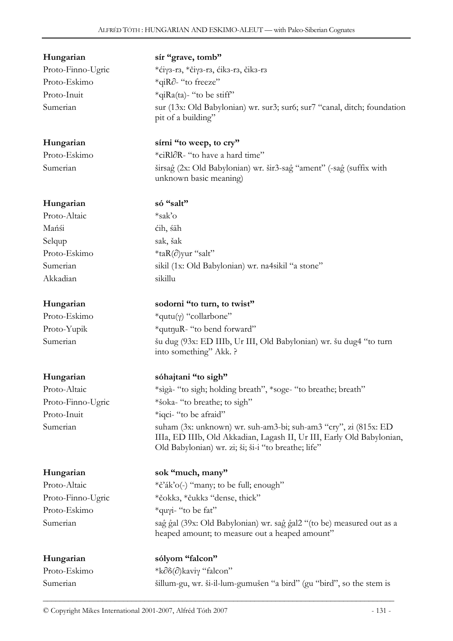### Hungarian só "salt"

Proto-Altaic \*sak'o Mańśi ćih, śäh Selqup sak, šak Akkadian sikillu

### Hungarian sír "grave, tomb"

Proto-Finno-Ugric \*ćiγз-rз, \*čiγз-rз, ćikз-rз, čikз-rз Proto-Eskimo \*qiR∂- "to freeze" Proto-Inuit  $*qiRa(ta)$ - "to be stiff" Sumerian sur (13x: Old Babylonian) wr. sur3; sur6; sur7 "canal, ditch; foundation pit of a building"

# Hungarian sírni "to weep, to cry" Proto-Eskimo \*ciRl∂R- "to have a hard time"

Sumerian širsaĝ (2x: Old Babylonian) wr. šir3-saĝ "ament" (-saĝ (suffix with unknown basic meaning)

Proto-Eskimo  $*$ taR(∂)yur "salt" Sumerian sikil (1x: Old Babylonian) wr. na4sikil "a stone"

# Hungarian sodorni "to turn, to twist"

Proto-Eskimo  $*$ qutu $(γ)$  "collarbone" Proto-Yupik \*qutŋuR- "to bend forward" Sumerian šu dug (93x: ED IIIb, Ur III, Old Babylonian) wr. šu dug4 "to turn into something" Akk. ?

# Hungarian sóhajtani "to sigh"

Proto-Altaic \*sigà- "to sigh; holding breath", \*soge- "to breathe; breath" Proto-Finno-Ugric \*šoka- "to breathe; to sigh" Proto-Inuit  $*_{iqci}$ - "to be afraid" Sumerian suham (3x: unknown) wr. suh-am3-bi; suh-am3 "cry", zi (815x: ED IIIa, ED IIIb, Old Akkadian, Lagash II, Ur III, Early Old Babylonian, Old Babylonian) wr. zi; ši; ši-i "to breathe; life"

# Hungarian sok "much, many" Proto-Altaic \*č'ák'o(-) "many; to be full; enough"

Proto-Finno-Ugric \*čokks, \*čukks "dense, thick" Proto-Eskimo \*quγi- "to be fat" Sumerian saĝ ĝal (39x: Old Babylonian) wr. saĝ ĝal2 "(to be) measured out as a heaped amount; to measure out a heaped amount"

# Hungarian sólyom "falcon" Proto-Eskimo \*k∂δ(∂)kaviγ "falcon" Sumerian šillum-gu, wr. ši-il-lum-gumušen "a bird" (gu "bird", so the stem is

\_\_\_\_\_\_\_\_\_\_\_\_\_\_\_\_\_\_\_\_\_\_\_\_\_\_\_\_\_\_\_\_\_\_\_\_\_\_\_\_\_\_\_\_\_\_\_\_\_\_\_\_\_\_\_\_\_\_\_\_\_\_\_\_\_\_\_\_\_\_\_\_\_\_\_\_\_\_\_\_\_\_\_ © Copyright Mikes International 2001-2007, Alfréd Tóth 2007 - 131 -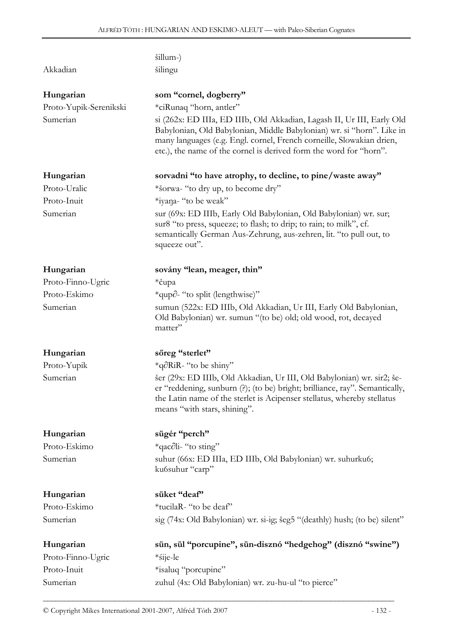|                        | šillum-)                                                                                                                                                                                                                                                                                       |
|------------------------|------------------------------------------------------------------------------------------------------------------------------------------------------------------------------------------------------------------------------------------------------------------------------------------------|
| Akkadian               | šilingu                                                                                                                                                                                                                                                                                        |
|                        |                                                                                                                                                                                                                                                                                                |
| Hungarian              | som "cornel, dogberry"                                                                                                                                                                                                                                                                         |
| Proto-Yupik-Serenikski | *ciRunaq "horn, antler"                                                                                                                                                                                                                                                                        |
| Sumerian               | si (262x: ED IIIa, ED IIIb, Old Akkadian, Lagash II, Ur III, Early Old<br>Babylonian, Old Babylonian, Middle Babylonian) wr. si "horn". Like in<br>many languages (e.g. Engl. cornel, French corneille, Slowakian drien,<br>etc.), the name of the cornel is derived form the word for "horn". |
| Hungarian              | sorvadni "to have atrophy, to decline, to pine/waste away"                                                                                                                                                                                                                                     |
| Proto-Uralic           | *Sorwa- "to dry up, to become dry"                                                                                                                                                                                                                                                             |
| Proto-Inuit            | *iyana- "to be weak"                                                                                                                                                                                                                                                                           |
| Sumerian               | sur (69x: ED IIIb, Early Old Babylonian, Old Babylonian) wr. sur;<br>sur8 "to press, squeeze; to flash; to drip; to rain; to milk", cf.<br>semantically German Aus-Zehrung, aus-zehren, lit. "to pull out, to<br>squeeze out".                                                                 |
| Hungarian              | sovány "lean, meager, thin"                                                                                                                                                                                                                                                                    |
| Proto-Finno-Ugric      | *čupa                                                                                                                                                                                                                                                                                          |
| Proto-Eskimo           | *qup∂- "to split (lengthwise)"                                                                                                                                                                                                                                                                 |
| Sumerian               | sumun (522x: ED IIIb, Old Akkadian, Ur III, Early Old Babylonian,<br>Old Babylonian) wr. sumun "(to be) old; old wood, rot, decayed<br>matter"                                                                                                                                                 |
| Hungarian              | sőreg "sterlet"                                                                                                                                                                                                                                                                                |
| Proto-Yupik            | *q∂RiR- "to be shiny"                                                                                                                                                                                                                                                                          |
| Sumerian               | šer (29x: ED IIIb, Old Akkadian, Ur III, Old Babylonian) wr. sir2; še-<br>er "reddening, sunburn (?); (to be) bright; brilliance, ray". Semantically,<br>the Latin name of the sterlet is Acipenser stellatus, whereby stellatus<br>means "with stars, shining".                               |
| Hungarian              | sügér "perch"                                                                                                                                                                                                                                                                                  |
| Proto-Eskimo           | *qac∂li- "to sting"                                                                                                                                                                                                                                                                            |
| Sumerian               | suhur (66x: ED IIIa, ED IIIb, Old Babylonian) wr. suhurku6;<br>ku6suhur "carp"                                                                                                                                                                                                                 |
| Hungarian              | süket "deaf"                                                                                                                                                                                                                                                                                   |
| Proto-Eskimo           | *tucilaR- "to be deaf"                                                                                                                                                                                                                                                                         |
| Sumerian               | sig (74x: Old Babylonian) wr. si-ig; šeg5 "(deathly) hush; (to be) silent"                                                                                                                                                                                                                     |
| Hungarian              | sün, sül "porcupine", sün-disznó "hedgehog" (disznó "swine")                                                                                                                                                                                                                                   |
| Proto-Finno-Ugric      | $*$ sije-le                                                                                                                                                                                                                                                                                    |
| Proto-Inuit            | *isaluq "porcupine"                                                                                                                                                                                                                                                                            |
| Sumerian               | zuhul (4x: Old Babylonian) wr. zu-hu-ul "to pierce"                                                                                                                                                                                                                                            |
|                        |                                                                                                                                                                                                                                                                                                |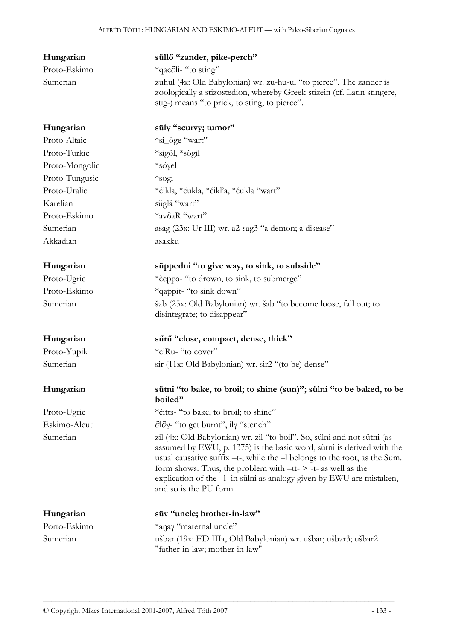| Hungarian      | süllő "zander, pike-perch"                                                                                                                                                                                                                                                                                                                                                                      |
|----------------|-------------------------------------------------------------------------------------------------------------------------------------------------------------------------------------------------------------------------------------------------------------------------------------------------------------------------------------------------------------------------------------------------|
| Proto-Eskimo   | *qacoli- "to sting"                                                                                                                                                                                                                                                                                                                                                                             |
| Sumerian       | zuhul (4x: Old Babylonian) wr. zu-hu-ul "to pierce". The zander is<br>zoologically a stizostedion, whereby Greek stizein (cf. Latin stingere,<br>stig-) means "to prick, to sting, to pierce".                                                                                                                                                                                                  |
|                |                                                                                                                                                                                                                                                                                                                                                                                                 |
| Hungarian      | süly "scurvy; tumor"                                                                                                                                                                                                                                                                                                                                                                            |
| Proto-Altaic   | *si_òge "wart"                                                                                                                                                                                                                                                                                                                                                                                  |
| Proto-Turkic   | *sigöl, *sögil                                                                                                                                                                                                                                                                                                                                                                                  |
| Proto-Mongolic | $*$ söγel                                                                                                                                                                                                                                                                                                                                                                                       |
| Proto-Tungusic | $*sogi-$                                                                                                                                                                                                                                                                                                                                                                                        |
| Proto-Uralic   | *ćiklä, *ćüklä, *ćikl'ä, *ćüklä "wart"                                                                                                                                                                                                                                                                                                                                                          |
| Karelian       | süglä "wart"                                                                                                                                                                                                                                                                                                                                                                                    |
| Proto-Eskimo   | *avδaR "wart"                                                                                                                                                                                                                                                                                                                                                                                   |
| Sumerian       | asag (23x: Ur III) wr. a2-sag3 "a demon; a disease"                                                                                                                                                                                                                                                                                                                                             |
| Akkadian       | asakku                                                                                                                                                                                                                                                                                                                                                                                          |
| Hungarian      | süppedni "to give way, to sink, to subside"                                                                                                                                                                                                                                                                                                                                                     |
| Proto-Ugric    | *čepp3- "to drown, to sink, to submerge"                                                                                                                                                                                                                                                                                                                                                        |
| Proto-Eskimo   | *qappit- "to sink down"                                                                                                                                                                                                                                                                                                                                                                         |
| Sumerian       | šab (25x: Old Babylonian) wr. šab "to become loose, fall out; to<br>disintegrate; to disappear"                                                                                                                                                                                                                                                                                                 |
| Hungarian      | sűrű "close, compact, dense, thick"                                                                                                                                                                                                                                                                                                                                                             |
| Proto-Yupik    | *ciRu- "to cover"                                                                                                                                                                                                                                                                                                                                                                               |
| Sumerian       | sir (11x: Old Babylonian) wr. sir2 "(to be) dense"                                                                                                                                                                                                                                                                                                                                              |
| Hungarian      | sütni "to bake, to broil; to shine (sun)"; sülni "to be baked, to be<br>boiled"                                                                                                                                                                                                                                                                                                                 |
| Proto-Ugric    | *čitta- "to bake, to broil; to shine"                                                                                                                                                                                                                                                                                                                                                           |
| Eskimo-Aleut   | $\partial$ l $\partial$ $\gamma$ - "to get burnt", il $\gamma$ "stench"                                                                                                                                                                                                                                                                                                                         |
| Sumerian       | zil (4x: Old Babylonian) wr. zil "to boil". So, sülni and not sütni (as<br>assumed by EWU, p. 1375) is the basic word, sütni is derived with the<br>usual causative suffix -t-, while the -l belongs to the root, as the Sum.<br>form shows. Thus, the problem with $-tt$ -t- as well as the<br>explication of the -l- in sulni as analogy given by EWU are mistaken,<br>and so is the PU form. |
| Hungarian      | süv "uncle; brother-in-law"                                                                                                                                                                                                                                                                                                                                                                     |
| Porto-Eskimo   | *aηaγ "maternal uncle"                                                                                                                                                                                                                                                                                                                                                                          |
| Sumerian       | ušbar (19x: ED IIIa, Old Babylonian) wr. ušbar; ušbar3; ušbar2<br>"father-in-law; mother-in-law"                                                                                                                                                                                                                                                                                                |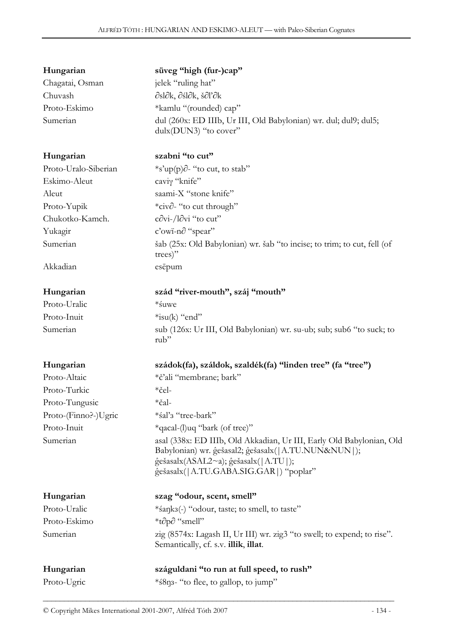### Hungarian

Chagatai, Osman Chuvash Proto-Eskimo Sumerian

### süveg "high (fur-)cap"

jelek "ruling hat"  $\partial$ sl $\partial$ k,  $\partial$ śl $\partial$ k, š $\partial$ l' $\partial$ k \*kamlu "(rounded) cap" dul (260x: ED IIIb, Ur III, Old Babylonian) wr. dul; dul9; dul5; dulx(DUN3) "to cover"

### Hungarian

Proto-Uralo-Siberian Eskimo-Aleut Aleut Proto-Yupik Chukotko-Kamch. Yukagir Sumerian

Akkadian

# Hungarian

Proto-Uralic Proto-Inuit Sumerian

### Hungarian

Proto-Altaic Proto-Turkic Proto-Tungusic Proto-(Finno?-)Ugric Proto-Inuit Sumerian

### Hungarian

Proto-Uralic Proto-Eskimo Sumerian

### Hungarian

Proto-Ugric

szabni "to cut" \*s'up(p) $\partial$ - "to cut, to stab" caviv "knife" saami-X "stone knife" \*civ $\partial$ - "to cut through"  $c\partial vi$ -/l $\partial vi$  "to cut" c'owï-n∂ "spear" šab (25x: Old Babylonian) wr. šab "to incise; to trim; to cut, fell (of trees)" esēpum

### szád "river-mouth", száj "mouth"

\*śuwe  $*$ isu(k) "end" sub (126x: Ur III, Old Babylonian) wr. su-ub; sub; sub6 "to suck; to  $\text{mb}$ "

### szádok(fa), száldok, szaldék(fa) "linden tree" (fa "tree")

\*č'ali "membrane; bark"  $*\check{c}$ el- $*\check{c}$ al-\*śal's "tree-bark" \*qacal-(l)uq "bark (of tree)" asal (338x: ED IIIb, Old Akkadian, Ur III, Early Old Babylonian, Old Babylonian) wr. ĝešasal2; ĝešasalx(|A.TU.NUN&NUN|);  $\hat{g}$ ešasalx(ASAL2~a);  $\hat{g}$ ešasalx(|A.TU|); ĝešasalx(|A.TU.GABA.SIG.GAR|) "poplar"

# szag "odour, scent, smell" \*sanks(-) "odour, taste; to smell, to taste" \*t∂p∂ "smell" zig (8574x: Lagash II, Ur III) wr. zig3 "to swell; to expend; to rise". Semantically, cf. s.v. illik, illat.

# száguldani "to run at full speed, to rush"

\*s8n3- "to flee, to gallop, to jump"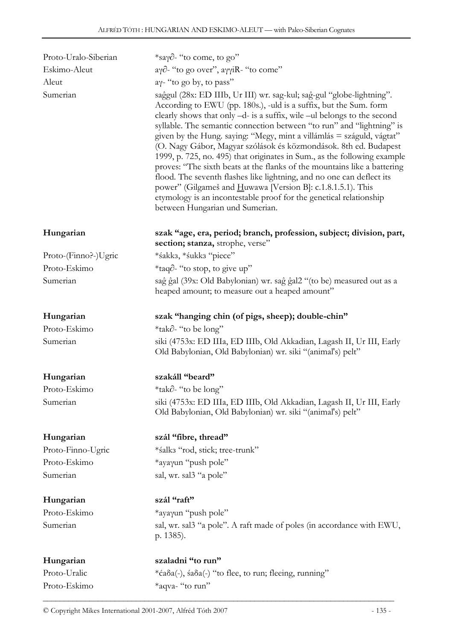| Proto-Uralo-Siberian<br>Eskimo-Aleut<br>Aleut<br>Sumerian | $*$ saγ $\partial$ - "to come, to go"<br>$a\gamma\partial$ - "to go over", $a\gamma\gamma$ iR- "to come"<br>$a\gamma$ - "to go by, to pass"<br>saĝgul (28x: ED IIIb, Ur III) wr. sag-kul; saĝ-gul "globe-lightning".<br>According to EWU (pp. 180s.), -uld is a suffix, but the Sum. form<br>clearly shows that only -d- is a suffix, wile -ul belongs to the second<br>syllable. The semantic connection between "to run" and "lightning" is<br>given by the Hung. saying: "Megy, mint a villámlás = száguld, vágtat"<br>(O. Nagy Gábor, Magyar szólások és közmondások. 8th ed. Budapest<br>1999, p. 725, no. 495) that originates in Sum., as the following example<br>proves: "The sixth beats at the flanks of the mountains like a battering |
|-----------------------------------------------------------|----------------------------------------------------------------------------------------------------------------------------------------------------------------------------------------------------------------------------------------------------------------------------------------------------------------------------------------------------------------------------------------------------------------------------------------------------------------------------------------------------------------------------------------------------------------------------------------------------------------------------------------------------------------------------------------------------------------------------------------------------|
|                                                           | flood. The seventh flashes like lightning, and no one can deflect its<br>power" (Gilgameš and Huwawa [Version B]: c.1.8.1.5.1). This<br>etymology is an incontestable proof for the genetical relationship<br>between Hungarian und Sumerian.                                                                                                                                                                                                                                                                                                                                                                                                                                                                                                      |
| Hungarian                                                 | szak "age, era, period; branch, profession, subject; division, part,<br>section; stanza, strophe, verse"                                                                                                                                                                                                                                                                                                                                                                                                                                                                                                                                                                                                                                           |
| Proto-(Finno?-)Ugric                                      | *śakk3, *śukk3 "piece"                                                                                                                                                                                                                                                                                                                                                                                                                                                                                                                                                                                                                                                                                                                             |
| Proto-Eskimo                                              | *taq $\partial$ - "to stop, to give up"                                                                                                                                                                                                                                                                                                                                                                                                                                                                                                                                                                                                                                                                                                            |
| Sumerian                                                  | saĝ ĝal (39x: Old Babylonian) wr. saĝ ĝal2 "(to be) measured out as a<br>heaped amount; to measure out a heaped amount"                                                                                                                                                                                                                                                                                                                                                                                                                                                                                                                                                                                                                            |
| Hungarian                                                 | szak "hanging chin (of pigs, sheep); double-chin"                                                                                                                                                                                                                                                                                                                                                                                                                                                                                                                                                                                                                                                                                                  |
| Proto-Eskimo                                              | *tak∂- "to be long"                                                                                                                                                                                                                                                                                                                                                                                                                                                                                                                                                                                                                                                                                                                                |
| Sumerian                                                  | siki (4753x: ED IIIa, ED IIIb, Old Akkadian, Lagash II, Ur III, Early<br>Old Babylonian, Old Babylonian) wr. siki "(animal's) pelt"                                                                                                                                                                                                                                                                                                                                                                                                                                                                                                                                                                                                                |
| Hungarian                                                 | szakáll "beard"                                                                                                                                                                                                                                                                                                                                                                                                                                                                                                                                                                                                                                                                                                                                    |
| Proto-Eskimo                                              | *tak∂- "to be long"                                                                                                                                                                                                                                                                                                                                                                                                                                                                                                                                                                                                                                                                                                                                |
| Sumerian                                                  | siki (4753x: ED IIIa, ED IIIb, Old Akkadian, Lagash II, Ur III, Early<br>Old Babylonian, Old Babylonian) wr. siki "(animal's) pelt"                                                                                                                                                                                                                                                                                                                                                                                                                                                                                                                                                                                                                |
| Hungarian                                                 | szál "fibre, thread"                                                                                                                                                                                                                                                                                                                                                                                                                                                                                                                                                                                                                                                                                                                               |
| Proto-Finno-Ugric                                         | *śalka "rod, stick; tree-trunk"                                                                                                                                                                                                                                                                                                                                                                                                                                                                                                                                                                                                                                                                                                                    |
| Proto-Eskimo                                              | <i>*ayaγun</i> "push pole"                                                                                                                                                                                                                                                                                                                                                                                                                                                                                                                                                                                                                                                                                                                         |
| Sumerian                                                  | sal, wr. sal3 "a pole"                                                                                                                                                                                                                                                                                                                                                                                                                                                                                                                                                                                                                                                                                                                             |
| Hungarian                                                 | szál "raft"                                                                                                                                                                                                                                                                                                                                                                                                                                                                                                                                                                                                                                                                                                                                        |
| Proto-Eskimo                                              | *ayayun "push pole"                                                                                                                                                                                                                                                                                                                                                                                                                                                                                                                                                                                                                                                                                                                                |
| Sumerian                                                  | sal, wr. sal3 "a pole". A raft made of poles (in accordance with EWU,<br>p. 1385).                                                                                                                                                                                                                                                                                                                                                                                                                                                                                                                                                                                                                                                                 |
| Hungarian                                                 | szaladni "to run"                                                                                                                                                                                                                                                                                                                                                                                                                                                                                                                                                                                                                                                                                                                                  |
| Proto-Uralic                                              | * ćaδa(-), śaδa(-) "to flee, to run; fleeing, running"                                                                                                                                                                                                                                                                                                                                                                                                                                                                                                                                                                                                                                                                                             |
| Proto-Eskimo                                              | *aqva- "to run"                                                                                                                                                                                                                                                                                                                                                                                                                                                                                                                                                                                                                                                                                                                                    |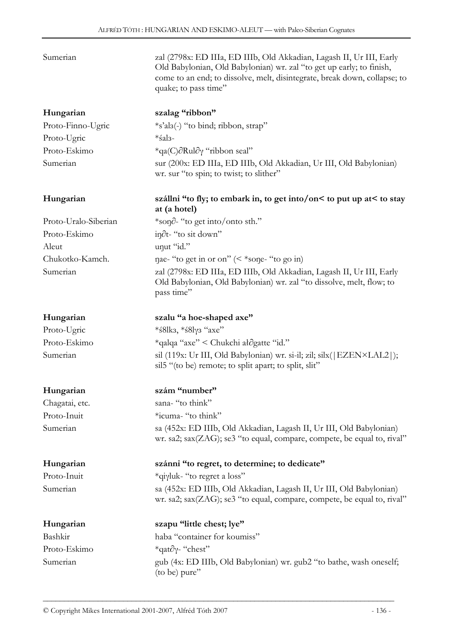| Sumerian             | zal (2798x: ED IIIa, ED IIIb, Old Akkadian, Lagash II, Ur III, Early<br>Old Babylonian, Old Babylonian) wr. zal "to get up early; to finish,<br>come to an end; to dissolve, melt, disintegrate, break down, collapse; to<br>quake; to pass time" |
|----------------------|---------------------------------------------------------------------------------------------------------------------------------------------------------------------------------------------------------------------------------------------------|
| Hungarian            | szalag "ribbon"                                                                                                                                                                                                                                   |
| Proto-Finno-Ugric    | *s'als(-) "to bind; ribbon, strap"                                                                                                                                                                                                                |
| Proto-Ugric          | $*_{\text{sal3-}}$                                                                                                                                                                                                                                |
| Proto-Eskimo         | *qa(C) $\partial \text{Rul}\partial \gamma$ "ribbon seal"                                                                                                                                                                                         |
| Sumerian             | sur (200x: ED IIIa, ED IIIb, Old Akkadian, Ur III, Old Babylonian)<br>wr. sur "to spin; to twist; to slither"                                                                                                                                     |
| Hungarian            | szállni "to fly; to embark in, to get into/on< to put up at< to stay<br>at (a hotel)                                                                                                                                                              |
| Proto-Uralo-Siberian | *son∂- "to get into/onto sth."                                                                                                                                                                                                                    |
| Proto-Eskimo         | inot-"to sit down"                                                                                                                                                                                                                                |
| Aleut                | unut "id."                                                                                                                                                                                                                                        |
| Chukotko-Kamch.      | nae- "to get in or on" (< *sone- "to go in)                                                                                                                                                                                                       |
| Sumerian             | zal (2798x: ED IIIa, ED IIIb, Old Akkadian, Lagash II, Ur III, Early<br>Old Babylonian, Old Babylonian) wr. zal "to dissolve, melt, flow; to<br>pass time"                                                                                        |
| Hungarian            | szalu "a hoe-shaped axe"                                                                                                                                                                                                                          |
| Proto-Ugric          | *έ8lk3, *έ8lγ3 "axe"                                                                                                                                                                                                                              |
| Proto-Eskimo         | *qalqa "axe" < Chukchi al∂gatte "id."                                                                                                                                                                                                             |
| Sumerian             | sil (119x: Ur III, Old Babylonian) wr. si-il; zil; silx( EZEN×LAL2 );<br>sil5 "(to be) remote; to split apart; to split, slit"                                                                                                                    |
| Hungarian            | szám "number"                                                                                                                                                                                                                                     |
| Chagatai, etc.       | sana-"to think"                                                                                                                                                                                                                                   |
| Proto-Inuit          | *icuma- "to think"                                                                                                                                                                                                                                |
| Sumerian             | sa (452x: ED IIIb, Old Akkadian, Lagash II, Ur III, Old Babylonian)<br>wr. sa2; sax(ZAG); se3 "to equal, compare, compete, be equal to, rival"                                                                                                    |
| Hungarian            | szánni "to regret, to determine; to dedicate"                                                                                                                                                                                                     |
| Proto-Inuit          | *qiγluk- "to regret a loss"                                                                                                                                                                                                                       |
| Sumerian             | sa (452x: ED IIIb, Old Akkadian, Lagash II, Ur III, Old Babylonian)<br>wr. sa2; sax(ZAG); se3 "to equal, compare, compete, be equal to, rival"                                                                                                    |
| Hungarian            | szapu "little chest; lye"                                                                                                                                                                                                                         |
| Bashkir              | haba "container for koumiss"                                                                                                                                                                                                                      |
| Proto-Eskimo         | *qat∂γ- "chest"                                                                                                                                                                                                                                   |
| Sumerian             | gub (4x: ED IIIb, Old Babylonian) wr. gub2 "to bathe, wash oneself;<br>(to be) pure"                                                                                                                                                              |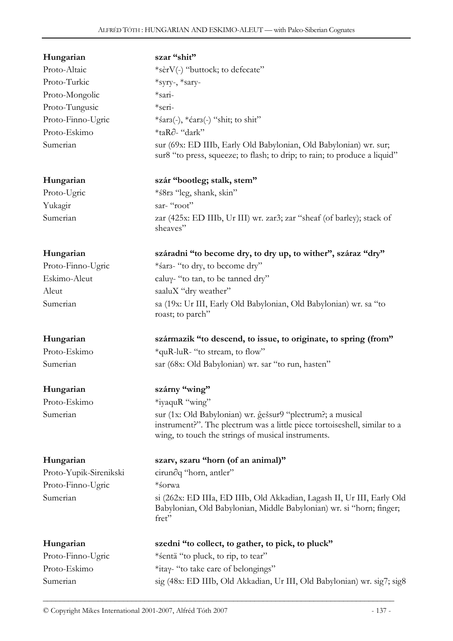| Hungarian              | szar "shit"                                                                                                                                                                                   |
|------------------------|-----------------------------------------------------------------------------------------------------------------------------------------------------------------------------------------------|
| Proto-Altaic           | *sèrV(-) "buttock; to defecate"                                                                                                                                                               |
| Proto-Turkic           | $*$ syry-, $*$ sary-                                                                                                                                                                          |
| Proto-Mongolic         | $*sari-$                                                                                                                                                                                      |
| Proto-Tungusic         | $*seri-$                                                                                                                                                                                      |
| Proto-Finno-Ugric      | $*arcs(-), *carcs(-) "shift; to shift"$                                                                                                                                                       |
| Proto-Eskimo           | *taR∂- "dark"                                                                                                                                                                                 |
| Sumerian               | sur (69x: ED IIIb, Early Old Babylonian, Old Babylonian) wr. sur;<br>sur8 "to press, squeeze; to flash; to drip; to rain; to produce a liquid"                                                |
| Hungarian              | szár "bootleg; stalk, stem"                                                                                                                                                                   |
| Proto-Ugric            | *ś8r3 "leg, shank, skin"                                                                                                                                                                      |
| Yukagir                | sar-"root"                                                                                                                                                                                    |
| Sumerian               | zar (425x: ED IIIb, Ur III) wr. zar3; zar "sheaf (of barley); stack of<br>sheaves"                                                                                                            |
| Hungarian              | száradni "to become dry, to dry up, to wither", száraz "dry"                                                                                                                                  |
| Proto-Finno-Ugric      | *sars- "to dry, to become dry"                                                                                                                                                                |
| Eskimo-Aleut           | caluγ- "to tan, to be tanned dry"                                                                                                                                                             |
| Aleut                  | saaluX "dry weather"                                                                                                                                                                          |
| Sumerian               | sa (19x: Ur III, Early Old Babylonian, Old Babylonian) wr. sa "to<br>roast; to parch"                                                                                                         |
| Hungarian              | származik "to descend, to issue, to originate, to spring (from"                                                                                                                               |
| Proto-Eskimo           | *quR-luR- "to stream, to flow"                                                                                                                                                                |
| Sumerian               | sar (68x: Old Babylonian) wr. sar "to run, hasten"                                                                                                                                            |
| Hungarian              | szárny "wing"                                                                                                                                                                                 |
| Proto-Eskimo           | *iyaquR "wing"                                                                                                                                                                                |
| Sumerian               | sur (1x: Old Babylonian) wr. gessur9 "plectrum?; a musical<br>instrument?". The plectrum was a little piece tortoiseshell, similar to a<br>wing, to touch the strings of musical instruments. |
| Hungarian              | szarv, szaru "horn (of an animal)"                                                                                                                                                            |
| Proto-Yupik-Sirenikski | cirun∂q "horn, antler"                                                                                                                                                                        |
| Proto-Finno-Ugric      | *śorwa                                                                                                                                                                                        |
| Sumerian               | si (262x: ED IIIa, ED IIIb, Old Akkadian, Lagash II, Ur III, Early Old<br>Babylonian, Old Babylonian, Middle Babylonian) wr. si "horn; finger;<br>fret"                                       |
| Hungarian              | szedni "to collect, to gather, to pick, to pluck"                                                                                                                                             |
| Proto-Finno-Ugric      | *sentä "to pluck, to rip, to tear"                                                                                                                                                            |
| Proto-Eskimo           | *itaγ- "to take care of belongings"                                                                                                                                                           |
| Sumerian               | sig (48x: ED IIIb, Old Akkadian, Ur III, Old Babylonian) wr. sig7; sig8                                                                                                                       |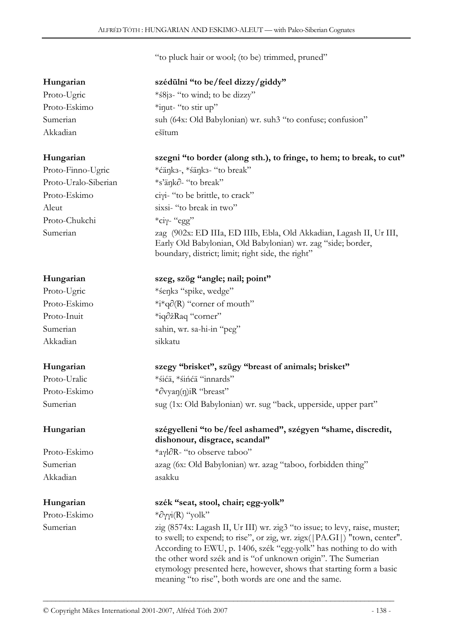"to pluck hair or wool; (to be) trimmed, pruned"

Akkadian ešītum

Proto-Uralo-Siberian \*s'äŋk∂- "to break" Proto-Chukchi \*ciγ- "egg"

Akkadian sikkatu

Akkadian asakku

Proto-Eskimo  $*∂γγi(R)$  "yolk"

# Hungarian szédülni "to be/feel dizzy/giddy" Proto-Ugric \*ś8j3- "to wind; to be dizzy" Proto-Eskimo \*inut- "to stir up" Sumerian suh (64x: Old Babylonian) wr. suh3 "to confuse; confusion"

# Hungarian szegni "to border (along sth.), to fringe, to hem; to break, to cut"

Proto-Finno-Ugric \*ćäŋkз-, \*śäŋkɜ- "to break" Proto-Eskimo ciγi- "to be brittle, to crack" Aleut sixsi- "to break in two" Sumerian zag (902x: ED IIIa, ED IIIb, Ebla, Old Akkadian, Lagash II, Ur III, Early Old Babylonian, Old Babylonian) wr. zag "side; border, boundary, district; limit; right side, the right"

# Hungarian szeg, szög "angle; nail; point"

Proto-Ugric \*śeŋkз "spike, wedge" Proto-Eskimo \*i\*q∂(R) "corner of mouth" Proto-Inuit \*iq∂žRaq "corner" Sumerian sahin, wr. sa-hi-in "peg"

# Hungarian szegy "brisket", szügy "breast of animals; brisket"

Proto-Uralic \*śićä, \*śińćä "innards" Proto-Eskimo \*∂vyaŋ(ŋ)iR "breast" Sumerian sug (1x: Old Babylonian) wr. sug "back, upperside, upper part"

# Hungarian szégyelleni "to be/feel ashamed", szégyen "shame, discredit, dishonour, disgrace, scandal"

Proto-Eskimo \*aγl∂R- "to observe taboo" Sumerian azag (6x: Old Babylonian) wr. azag "taboo, forbidden thing"

# Hungarian szék "seat, stool, chair; egg-yolk"

Sumerian zig (8574x: Lagash II, Ur III) wr. zig3 "to issue; to levy, raise, muster; to swell; to expend; to rise", or zig, wr. zigx(|PA.GI|) "town, center". According to EWU, p. 1406, szék "egg-yolk" has nothing to do with the other word szék and is "of unknown origin". The Sumerian etymology presented here, however, shows that starting form a basic meaning "to rise", both words are one and the same.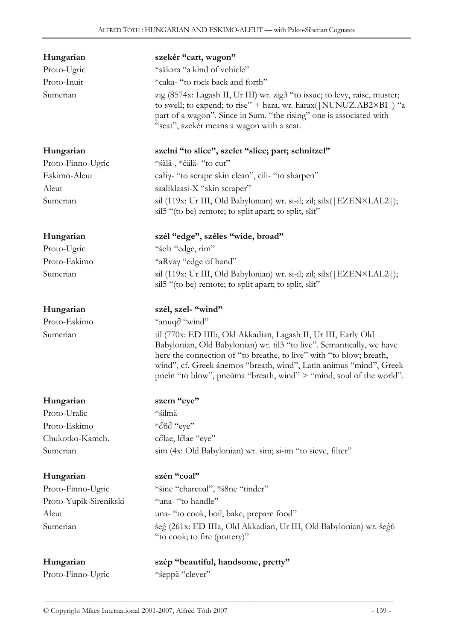| Hungarian              | szekér "cart, wagon"                                                                                                                                                                                                                                                                                                                                        |
|------------------------|-------------------------------------------------------------------------------------------------------------------------------------------------------------------------------------------------------------------------------------------------------------------------------------------------------------------------------------------------------------|
| Proto-Ugric            | *säkara "a kind of vehicle"                                                                                                                                                                                                                                                                                                                                 |
| Proto-Inuit            | *caka- "to rock back and forth"                                                                                                                                                                                                                                                                                                                             |
| Sumerian               | zig (8574x: Lagash II, Ur III) wr. zig3 "to issue; to levy, raise, muster;<br>to swell; to expend; to rise" + hara, wr. harax( $ NUNUZ.AB2\times BI $ ) "a<br>part of a wagon". Since in Sum. "the rising" one is associated with<br>"seat", szekér means a wagon with a seat.                                                                              |
| Hungarian              | szelni "to slice", szelet "slice; part; schnitzel"                                                                                                                                                                                                                                                                                                          |
| Proto-Finno-Ugric      | *śälä-, *čälä- "to cut"                                                                                                                                                                                                                                                                                                                                     |
| Eskimo-Aleut           | caliy- "to scrape skin clean", cili- "to sharpen"                                                                                                                                                                                                                                                                                                           |
| Aleut                  | saaliklaasi-X "skin scraper"                                                                                                                                                                                                                                                                                                                                |
| Sumerian               | sil (119x: Ur III, Old Babylonian) wr. si-il; zil; silx( EZEN×LAL2 );<br>sil5 "(to be) remote; to split apart; to split, slit"                                                                                                                                                                                                                              |
| Hungarian              | szél "edge", széles "wide, broad"                                                                                                                                                                                                                                                                                                                           |
| Proto-Ugric            | *śels "edge, rim"                                                                                                                                                                                                                                                                                                                                           |
| Proto-Eskimo           | <i>*aRvay</i> "edge of hand"                                                                                                                                                                                                                                                                                                                                |
| Sumerian               | sil (119x: Ur III, Old Babylonian) wr. si-il; zil; silx( EZEN×LAL2 );<br>sil5 "(to be) remote; to split apart; to split, slit"                                                                                                                                                                                                                              |
| Hungarian              | szél, szel- "wind"                                                                                                                                                                                                                                                                                                                                          |
| Proto-Eskimo           | *anuq $\partial$ "wind"                                                                                                                                                                                                                                                                                                                                     |
| Sumerian               | til (770x: ED IIIb, Old Akkadian, Lagash II, Ur III, Early Old<br>Babylonian, Old Babylonian) wr. til3 "to live". Semantically, we have<br>here the connection of "to breathe, to live" with "to blow; breath,<br>wind", cf. Greek ánemos "breath, wind", Latin animus "mind", Greek<br>pneîn "to blow", pneūma "breath, wind" > "mind, soul of the world". |
| Hungarian              | szem "eye"                                                                                                                                                                                                                                                                                                                                                  |
| Proto-Uralic           | *śilmä                                                                                                                                                                                                                                                                                                                                                      |
| Proto-Eskimo           | $* \partial \delta \partial$ "eye"                                                                                                                                                                                                                                                                                                                          |
| Chukotko-Kamch.        | côlae, lôlae "eye"                                                                                                                                                                                                                                                                                                                                          |
| Sumerian               | sim (4x: Old Babylonian) wr. sim; si-im "to sieve, filter"                                                                                                                                                                                                                                                                                                  |
| Hungarian              | szén "coal"                                                                                                                                                                                                                                                                                                                                                 |
| Proto-Finno-Ugric      | *sine "charcoal", *s8ne "tinder"                                                                                                                                                                                                                                                                                                                            |
| Proto-Yupik-Sirenikski | *una- "to handle"                                                                                                                                                                                                                                                                                                                                           |
| Aleut                  | una- "to cook, boil, bake, prepare food"                                                                                                                                                                                                                                                                                                                    |
| Sumerian               | šeĝ (261x: ED IIIa, Old Akkadian, Ur III, Old Babylonian) wr. šeĝ6<br>"to cook; to fire (pottery)"                                                                                                                                                                                                                                                          |
| Hungarian              | szép "beautiful, handsome, pretty"                                                                                                                                                                                                                                                                                                                          |
| Proto-Finno-Ugric      | *śeppä "clever"                                                                                                                                                                                                                                                                                                                                             |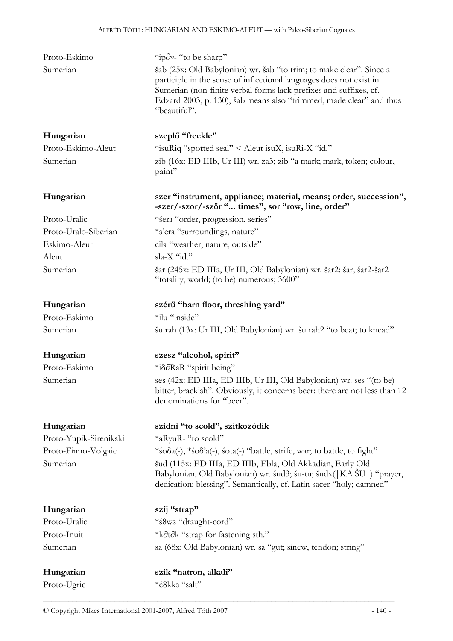| Proto-Eskimo<br>Sumerian | *ip $\partial y$ - "to be sharp"<br>šab (25x: Old Babylonian) wr. šab "to trim; to make clear". Since a<br>participle in the sense of inflectional languages does not exist in<br>Sumerian (non-finite verbal forms lack prefixes and suffixes, cf.<br>Edzard 2003, p. 130), šab means also "trimmed, made clear" and thus<br>"beautiful". |
|--------------------------|--------------------------------------------------------------------------------------------------------------------------------------------------------------------------------------------------------------------------------------------------------------------------------------------------------------------------------------------|
| Hungarian                | szeplő "freckle"                                                                                                                                                                                                                                                                                                                           |
| Proto-Eskimo-Aleut       | *isuRiq "spotted seal" < Aleut isuX, isuRi-X "id."                                                                                                                                                                                                                                                                                         |
| Sumerian                 | zib (16x: ED IIIb, Ur III) wr. za3; zib "a mark; mark, token; colour,<br>paint"                                                                                                                                                                                                                                                            |
| Hungarian                | szer "instrument, appliance; material, means; order, succession",<br>-szer/-szor/-ször " times", sor "row, line, order"                                                                                                                                                                                                                    |
| Proto-Uralic             | *sera "order, progression, series"                                                                                                                                                                                                                                                                                                         |
| Proto-Uralo-Siberian     | *s'erä "surroundings, nature"                                                                                                                                                                                                                                                                                                              |
| Eskimo-Aleut             | cila "weather, nature, outside"                                                                                                                                                                                                                                                                                                            |
| Aleut                    | sla-X "id."                                                                                                                                                                                                                                                                                                                                |
| Sumerian                 | šar (245x: ED IIIa, Ur III, Old Babylonian) wr. šar2; šar; šar2-šar2<br>"totality, world; (to be) numerous; 3600"                                                                                                                                                                                                                          |
| Hungarian                | szérű "barn floor, threshing yard"                                                                                                                                                                                                                                                                                                         |
| Proto-Eskimo             | *ilu "inside"                                                                                                                                                                                                                                                                                                                              |
| Sumerian                 | šu rah (13x: Ur III, Old Babylonian) wr. šu rah2 "to beat; to knead"                                                                                                                                                                                                                                                                       |
| Hungarian                | szesz "alcohol, spirit"                                                                                                                                                                                                                                                                                                                    |
| Proto-Eskimo             | *io <sub>ORaR</sub> "spirit being"                                                                                                                                                                                                                                                                                                         |
| Sumerian                 | ses (42x: ED IIIa, ED IIIb, Ur III, Old Babylonian) wr. ses "(to be)<br>bitter, brackish". Obviously, it concerns beer; there are not less than 12<br>denominations for "beer".                                                                                                                                                            |
| Hungarian                | szidni "to scold", szitkozódik                                                                                                                                                                                                                                                                                                             |
| Proto-Yupik-Sirenikski   | *aRyuR- "to scold"                                                                                                                                                                                                                                                                                                                         |
| Proto-Finno-Volgaic      | * śoδa(-), * śoδ'a(-), śota(-) "battle, strife, war; to battle, to fight"                                                                                                                                                                                                                                                                  |
| Sumerian                 | šud (115x: ED IIIa, ED IIIb, Ebla, Old Akkadian, Early Old<br>Babylonian, Old Babylonian) wr. šud3; šu-tu; šudx( KA.ŠU ) "prayer,<br>dedication; blessing". Semantically, cf. Latin sacer "holy; damned"                                                                                                                                   |
| Hungarian                | szíj "strap"                                                                                                                                                                                                                                                                                                                               |
| Proto-Uralic             | *ś8w3 "draught-cord"                                                                                                                                                                                                                                                                                                                       |
| Proto-Inuit              | *k∂t∂k "strap for fastening sth."                                                                                                                                                                                                                                                                                                          |
| Sumerian                 | sa (68x: Old Babylonian) wr. sa "gut; sinew, tendon; string"                                                                                                                                                                                                                                                                               |
| Hungarian                | szik "natron, alkali"                                                                                                                                                                                                                                                                                                                      |
| Proto-Ugric              | *ć8kk3 "salt"                                                                                                                                                                                                                                                                                                                              |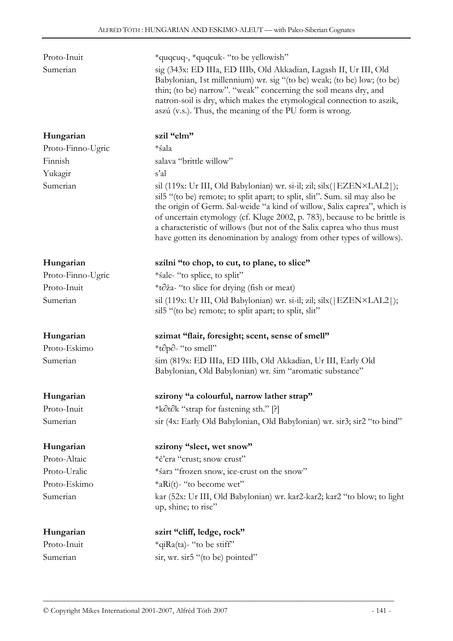| Proto-Inuit<br>Sumerian | *quqcuq-, *quqcuk- "to be yellowish"<br>sig (343x: ED IIIa, ED IIIb, Old Akkadian, Lagash II, Ur III, Old<br>Babylonian, 1st millennium) wr. sig "(to be) weak; (to be) low; (to be)<br>thin; (to be) narrow". "weak" concerning the soil means dry, and<br>natron-soil is dry, which makes the etymological connection to aszik,<br>aszú (v.s.). Thus, the meaning of the PU form is wrong.                                                                     |
|-------------------------|------------------------------------------------------------------------------------------------------------------------------------------------------------------------------------------------------------------------------------------------------------------------------------------------------------------------------------------------------------------------------------------------------------------------------------------------------------------|
|                         |                                                                                                                                                                                                                                                                                                                                                                                                                                                                  |
| Hungarian               | szil "elm"                                                                                                                                                                                                                                                                                                                                                                                                                                                       |
| Proto-Finno-Ugric       | *śala                                                                                                                                                                                                                                                                                                                                                                                                                                                            |
| Finnish                 | salava "brittle willow"                                                                                                                                                                                                                                                                                                                                                                                                                                          |
| Yukagir                 | s'al                                                                                                                                                                                                                                                                                                                                                                                                                                                             |
| Sumerian                | sil (119x: Ur III, Old Babylonian) wr. si-il; zil; silx( EZEN×LAL2 );<br>sil5 "(to be) remote; to split apart; to split, slit". Sum. sil may also be<br>the origin of Germ. Sal-weide "a kind of willow, Salix caprea", which is<br>of uncertain etymology (cf. Kluge 2002, p. 783), because to be brittle is<br>a characteristic of willows (but not of the Salix caprea who thus must<br>have gotten its denomination by analogy from other types of willows). |
| Hungarian               | szilni "to chop, to cut, to plane, to slice"                                                                                                                                                                                                                                                                                                                                                                                                                     |
| Proto-Finno-Ugric       | *sale- "to splice, to split"                                                                                                                                                                                                                                                                                                                                                                                                                                     |
| Proto-Inuit             | *t∂ža- "to slice for drying (fish or meat)                                                                                                                                                                                                                                                                                                                                                                                                                       |
| Sumerian                | sil (119x: Ur III, Old Babylonian) wr. si-il; zil; silx( EZEN×LAL2 );<br>sil5 "(to be) remote; to split apart; to split, slit"                                                                                                                                                                                                                                                                                                                                   |
| Hungarian               | szimat "flair, foresight; scent, sense of smell"                                                                                                                                                                                                                                                                                                                                                                                                                 |
| Proto-Eskimo            | *t $\partial p\partial$ - "to smell"                                                                                                                                                                                                                                                                                                                                                                                                                             |
| Sumerian                | šim (819x: ED IIIa, ED IIIb, Old Akkadian, Ur III, Early Old<br>Babylonian, Old Babylonian) wr. šim "aromatic substance"                                                                                                                                                                                                                                                                                                                                         |
| Hungarian               | szirony "a colourful, narrow lather strap"                                                                                                                                                                                                                                                                                                                                                                                                                       |
| Proto-Inuit             | *k∂t∂k "strap for fastening sth." [?]                                                                                                                                                                                                                                                                                                                                                                                                                            |
| Sumerian                | sir (4x: Early Old Babylonian, Old Babylonian) wr. sir3; sir2 "to bind"                                                                                                                                                                                                                                                                                                                                                                                          |
| Hungarian               | szirony "sleet, wet snow"                                                                                                                                                                                                                                                                                                                                                                                                                                        |
| Proto-Altaic            | *č'era "crust; snow crust"                                                                                                                                                                                                                                                                                                                                                                                                                                       |
| Proto-Uralic            | *sars "frozen snow, ice-crust on the snow"                                                                                                                                                                                                                                                                                                                                                                                                                       |
| Proto-Eskimo            | *aRi(t)- "to become wet"                                                                                                                                                                                                                                                                                                                                                                                                                                         |
| Sumerian                | kar (52x: Ur III, Old Babylonian) wr. kar2-kar2; kar2 "to blow; to light<br>up, shine; to rise"                                                                                                                                                                                                                                                                                                                                                                  |
| Hungarian               | szirt "cliff, ledge, rock"                                                                                                                                                                                                                                                                                                                                                                                                                                       |
| Proto-Inuit             | $*q$ <sub>i</sub> R <sub>a</sub> $(ta)$ - "to be stiff"                                                                                                                                                                                                                                                                                                                                                                                                          |
| Sumerian                | sir, wr. sir5 "(to be) pointed"                                                                                                                                                                                                                                                                                                                                                                                                                                  |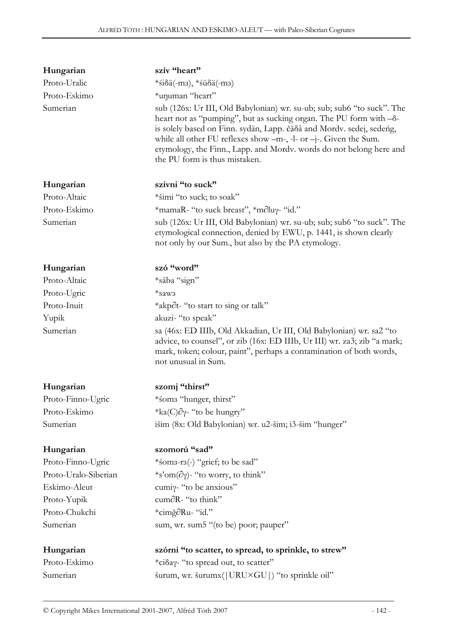|                           | szív "heart"                                                                                                                                                                                                                                                                                                                                                                                                   |
|---------------------------|----------------------------------------------------------------------------------------------------------------------------------------------------------------------------------------------------------------------------------------------------------------------------------------------------------------------------------------------------------------------------------------------------------------|
| Hungarian<br>Proto-Uralic | $*si\delta \ddot{a}(-m3), *si\delta \ddot{a}(-m3)$                                                                                                                                                                                                                                                                                                                                                             |
| Proto-Eskimo              | *unuman "heart"                                                                                                                                                                                                                                                                                                                                                                                                |
| Sumerian                  |                                                                                                                                                                                                                                                                                                                                                                                                                |
|                           | sub (126x: Ur III, Old Babylonian) wr. su-ub; sub; sub6 "to suck". The<br>heart not as "pumping", but as sucking organ. The PU form with $-\delta$ -<br>is solely based on Finn. sydän, Lapp. čādâ and Mordv. sedej, sedeńg,<br>while all other FU reflexes show $-m$ -, -l- or $-j$ -. Given the Sum.<br>etymology, the Finn., Lapp. and Mordv. words do not belong here and<br>the PU form is thus mistaken. |
| Hungarian                 | szívni "to suck"                                                                                                                                                                                                                                                                                                                                                                                               |
| Proto-Altaic              | *šimi "to suck; to soak"                                                                                                                                                                                                                                                                                                                                                                                       |
| Proto-Eskimo              | *mamaR- "to suck breast", *m∂luγ- "id."                                                                                                                                                                                                                                                                                                                                                                        |
| Sumerian                  | sub (126x: Ur III, Old Babylonian) wr. su-ub; sub; sub6 "to suck". The                                                                                                                                                                                                                                                                                                                                         |
|                           | etymological connection, denied by EWU, p. 1441, is shown clearly<br>not only by our Sum., but also by the PA etymology.                                                                                                                                                                                                                                                                                       |
| Hungarian                 | szó "word"                                                                                                                                                                                                                                                                                                                                                                                                     |
| Proto-Altaic              | *sāba "sign"                                                                                                                                                                                                                                                                                                                                                                                                   |
| Proto-Ugric               | $*$ saw <sub>3</sub>                                                                                                                                                                                                                                                                                                                                                                                           |
| Proto-Inuit               | *akp $\partial t$ - "to start to sing or talk"                                                                                                                                                                                                                                                                                                                                                                 |
| Yupik                     | akuzi-"to speak"                                                                                                                                                                                                                                                                                                                                                                                               |
| Sumerian                  | sa (46x: ED IIIb, Old Akkadian, Ur III, Old Babylonian) wr. sa2 "to<br>advice, to counsel", or zib (16x: ED IIIb, Ur III) wr. za3; zib "a mark;<br>mark, token; colour, paint", perhaps a contamination of both words,<br>not unusual in Sum.                                                                                                                                                                  |
| Hungarian                 | szomj "thirst"                                                                                                                                                                                                                                                                                                                                                                                                 |
| Proto-Finno-Ugric         | *soms "hunger, thirst"                                                                                                                                                                                                                                                                                                                                                                                         |
| Proto-Eskimo              | *ka(C)∂γ- "to be hungry"                                                                                                                                                                                                                                                                                                                                                                                       |
| Sumerian                  | išim (8x: Old Babylonian) wr. u2-šim; i3-šim "hunger"                                                                                                                                                                                                                                                                                                                                                          |
| Hungarian                 | szomorú "sad"                                                                                                                                                                                                                                                                                                                                                                                                  |
| Proto-Finno-Ugric         | *som <sub>3</sub> -r <sub>3</sub> (-) "grief; to be sad"                                                                                                                                                                                                                                                                                                                                                       |
| Proto-Uralo-Siberian      | *s'om( $\partial y$ )- "to worry, to think"                                                                                                                                                                                                                                                                                                                                                                    |
| Eskimo-Aleut              | cumiγ- "to be anxious"                                                                                                                                                                                                                                                                                                                                                                                         |
| Proto-Yupik               | cum∂R- "to think"                                                                                                                                                                                                                                                                                                                                                                                              |
| Proto-Chukchi             | *cimğ∂Ru- "id."                                                                                                                                                                                                                                                                                                                                                                                                |

# Hungarian

Sumerian

Proto-Eskimo Sumerian

szórni "to scatter, to spread, to sprinkle, to strew"

\*ciδaγ- "to spread out, to scatter" šurum, wr. šurumx(|URU×GU|) "to sprinkle oil"

sum, wr. sum5 "(to be) poor; pauper"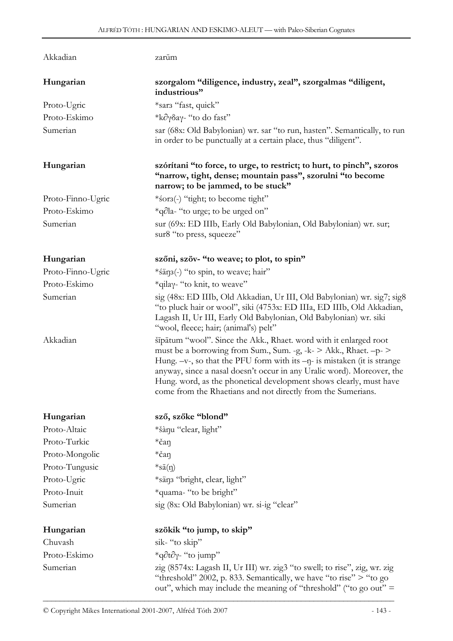| Akkadian          | zarūm                                                                                                                                                                                                                                                                                                                                                                                                                                 |
|-------------------|---------------------------------------------------------------------------------------------------------------------------------------------------------------------------------------------------------------------------------------------------------------------------------------------------------------------------------------------------------------------------------------------------------------------------------------|
| Hungarian         | szorgalom "diligence, industry, zeal", szorgalmas "diligent,<br>industrious"                                                                                                                                                                                                                                                                                                                                                          |
| Proto-Ugric       | *sars "fast, quick"                                                                                                                                                                                                                                                                                                                                                                                                                   |
| Proto-Eskimo      | *k∂γδaγ- "to do fast"                                                                                                                                                                                                                                                                                                                                                                                                                 |
| Sumerian          | sar (68x: Old Babylonian) wr. sar "to run, hasten". Semantically, to run<br>in order to be punctually at a certain place, thus "diligent".                                                                                                                                                                                                                                                                                            |
| Hungarian         | szórítani "to force, to urge, to restrict; to hurt, to pinch", szoros<br>"narrow, tight, dense; mountain pass", szorulni "to become<br>narrow; to be jammed, to be stuck"                                                                                                                                                                                                                                                             |
| Proto-Finno-Ugric | *sor <sub>3</sub> (-) "tight; to become tight"                                                                                                                                                                                                                                                                                                                                                                                        |
| Proto-Eskimo      | *q∂la- "to urge; to be urged on"                                                                                                                                                                                                                                                                                                                                                                                                      |
| Sumerian          | sur (69x: ED IIIb, Early Old Babylonian, Old Babylonian) wr. sur;<br>sur8 "to press, squeeze"                                                                                                                                                                                                                                                                                                                                         |
| Hungarian         | szőni, szöv- "to weave; to plot, to spin"                                                                                                                                                                                                                                                                                                                                                                                             |
| Proto-Finno-Ugric | *śäns(-) "to spin, to weave; hair"                                                                                                                                                                                                                                                                                                                                                                                                    |
| Proto-Eskimo      | *qilaγ- "to knit, to weave"                                                                                                                                                                                                                                                                                                                                                                                                           |
| Sumerian          | sig (48x: ED IIIb, Old Akkadian, Ur III, Old Babylonian) wr. sig7; sig8<br>"to pluck hair or wool", siki (4753x: ED IIIa, ED IIIb, Old Akkadian,<br>Lagash II, Ur III, Early Old Babylonian, Old Babylonian) wr. siki<br>"wool, fleece; hair; (animal's) pelt"                                                                                                                                                                        |
| Akkadian          | šīpātum "wool". Since the Akk., Rhaet. word with it enlarged root<br>must be a borrowing from Sum., Sum. -g, -k- > Akk., Rhaet. -p- ><br>Hung. $-v$ , so that the PFU form with its $-p$ - is mistaken (it is strange<br>anyway, since a nasal doesn't occur in any Uralic word). Moreover, the<br>Hung. word, as the phonetical development shows clearly, must have<br>come from the Rhaetians and not directly from the Sumerians. |
| Hungarian         | sző, szőke "blond"                                                                                                                                                                                                                                                                                                                                                                                                                    |
| Proto-Altaic      | *šànu "clear, light"                                                                                                                                                                                                                                                                                                                                                                                                                  |
| Proto-Turkic      | $*\check{c}$ an                                                                                                                                                                                                                                                                                                                                                                                                                       |
| Proto-Mongolic    | $*\check{c}$ an                                                                                                                                                                                                                                                                                                                                                                                                                       |
| Proto-Tungusic    | $*_{\rm s\bar{a}(\eta)}$                                                                                                                                                                                                                                                                                                                                                                                                              |
| Proto-Ugric       | *säns "bright, clear, light"                                                                                                                                                                                                                                                                                                                                                                                                          |
| Proto-Inuit       | *quama- "to be bright"                                                                                                                                                                                                                                                                                                                                                                                                                |
| Sumerian          | sig (8x: Old Babylonian) wr. si-ig "clear"                                                                                                                                                                                                                                                                                                                                                                                            |
| Hungarian         | szökik "to jump, to skip"                                                                                                                                                                                                                                                                                                                                                                                                             |
| Chuvash           | sik-"to skip"                                                                                                                                                                                                                                                                                                                                                                                                                         |
| Proto-Eskimo      | *q∂t∂γ- "to jump"                                                                                                                                                                                                                                                                                                                                                                                                                     |
| Sumerian          | zig (8574x: Lagash II, Ur III) wr. zig3 "to swell; to rise", zig, wr. zig<br>"threshold" 2002, p. 833. Semantically, we have "to rise" $>$ "to go<br>out", which may include the meaning of "threshold" ("to go out" $=$                                                                                                                                                                                                              |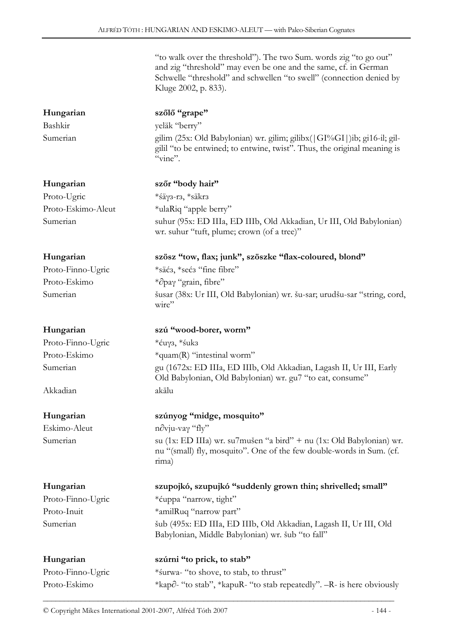"to walk over the threshold"). The two Sum. words zig "to go out" and zig "threshold" may even be one and the same, cf. in German Schwelle "threshold" and schwellen "to swell" (connection denied by Kluge 2002, p. 833).

| Hungarian          | szőlő "grape"                                                                                                                                                               |
|--------------------|-----------------------------------------------------------------------------------------------------------------------------------------------------------------------------|
| Bashkir            | yeläk "berry"                                                                                                                                                               |
| Sumerian           | gilim (25x: Old Babylonian) wr. gilim; gilibx( GI%GI )ib; gi16-il; gil-<br>gilil "to be entwined; to entwine, twist". Thus, the original meaning is<br>" $\mathbf{v}$ ine". |
| Hungarian          | szőr "body hair"                                                                                                                                                            |
| Proto-Ugric        | *śäγ3-r3, *säkr3                                                                                                                                                            |
| Proto-Eskimo-Aleut | *ulaRiq "apple berry"                                                                                                                                                       |
| Sumerian           | suhur (95x: ED IIIa, ED IIIb, Old Akkadian, Ur III, Old Babylonian)<br>wr. suhur "tuft, plume; crown (of a tree)"                                                           |
| Hungarian          | szösz "tow, flax; junk", szöszke "flax-coloured, blond"                                                                                                                     |
| Proto-Finno-Ugric  | *säćs, *sećs "fine fibre"                                                                                                                                                   |
| Proto-Eskimo       | *∂paγ "grain, fibre"                                                                                                                                                        |
| Sumerian           | šusar (38x: Ur III, Old Babylonian) wr. šu-sar; urudšu-sar "string, cord,<br>wire"                                                                                          |
| Hungarian          | szú "wood-borer, worm"                                                                                                                                                      |
| Proto-Finno-Ugric  | $*$ έαγ3, $*$ śuk3                                                                                                                                                          |
| Proto-Eskimo       | *quam(R) "intestinal worm"                                                                                                                                                  |
| Sumerian           | gu (1672x: ED IIIa, ED IIIb, Old Akkadian, Lagash II, Ur III, Early<br>Old Babylonian, Old Babylonian) wr. gu7 "to eat, consume"                                            |
| Akkadian           | akālu                                                                                                                                                                       |
| Hungarian          | szúnyog "midge, mosquito"                                                                                                                                                   |
| Eskimo-Aleut       | $n\partial$ vju-vay "fly"                                                                                                                                                   |
| Sumerian           | su (1x: ED IIIa) wr. su7mušen "a bird" + nu (1x: Old Babylonian) wr.<br>nu "(small) fly, mosquito". One of the few double-words in Sum. (cf.<br>rima)                       |
| Hungarian          | szupojkó, szupujkó "suddenly grown thin; shrivelled; small"                                                                                                                 |
| Proto-Finno-Ugric  | *cuppa "narrow, tight"                                                                                                                                                      |
| Proto-Inuit        | *amilRuq "narrow part"                                                                                                                                                      |
| Sumerian           | šub (495x: ED IIIa, ED IIIb, Old Akkadian, Lagash II, Ur III, Old<br>Babylonian, Middle Babylonian) wr. šub "to fall"                                                       |
| Hungarian          | szúrni "to prick, to stab"                                                                                                                                                  |
| Proto-Finno-Ugric  | *surwa- "to shove, to stab, to thrust"                                                                                                                                      |
| Proto-Eskimo       | *kap∂- "to stab", *kapuR- "to stab repeatedly". -R- is here obviously                                                                                                       |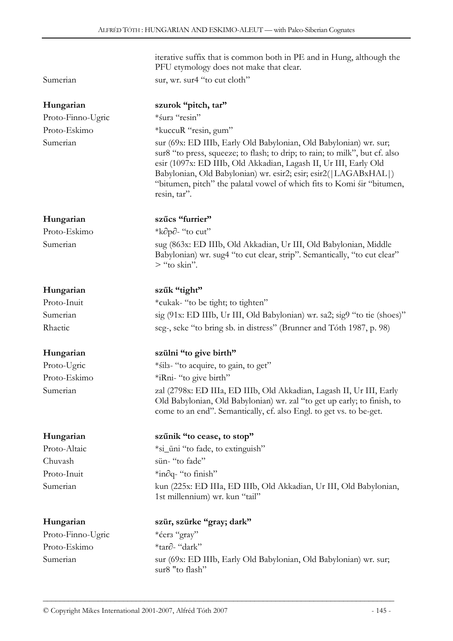|                   | iterative suffix that is common both in PE and in Hung, although the<br>PFU etymology does not make that clear.                                                                                                                                                                                                                                                                   |
|-------------------|-----------------------------------------------------------------------------------------------------------------------------------------------------------------------------------------------------------------------------------------------------------------------------------------------------------------------------------------------------------------------------------|
| Sumerian          | sur, wr. sur4 "to cut cloth"                                                                                                                                                                                                                                                                                                                                                      |
| Hungarian         | szurok "pitch, tar"                                                                                                                                                                                                                                                                                                                                                               |
| Proto-Finno-Ugric | *sura "resin"                                                                                                                                                                                                                                                                                                                                                                     |
| Proto-Eskimo      | *kuccuR "resin, gum"                                                                                                                                                                                                                                                                                                                                                              |
| Sumerian          | sur (69x: ED IIIb, Early Old Babylonian, Old Babylonian) wr. sur;<br>sur8 "to press, squeeze; to flash; to drip; to rain; to milk", but cf. also<br>esir (1097x: ED IIIb, Old Akkadian, Lagash II, Ur III, Early Old<br>Babylonian, Old Babylonian) wr. esir2; esir; esir2( LAGABxHAL )<br>"bitumen, pitch" the palatal vowel of which fits to Komi sir "bitumen,<br>resin, tar". |
| Hungarian         | szűcs "furrier"                                                                                                                                                                                                                                                                                                                                                                   |
| Proto-Eskimo      | * $k\partial p\partial$ - "to cut"                                                                                                                                                                                                                                                                                                                                                |
| Sumerian          | sug (863x: ED IIIb, Old Akkadian, Ur III, Old Babylonian, Middle<br>Babylonian) wr. sug4 "to cut clear, strip". Semantically, "to cut clear"<br>$>$ "to skin".                                                                                                                                                                                                                    |
| Hungarian         | szűk "tight"                                                                                                                                                                                                                                                                                                                                                                      |
| Proto-Inuit       | *cukak- "to be tight; to tighten"                                                                                                                                                                                                                                                                                                                                                 |
| Sumerian          | sig (91x: ED IIIb, Ur III, Old Babylonian) wr. sa2; sig9 "to tie (shoes)"                                                                                                                                                                                                                                                                                                         |
| Rhaetic           | seg-, seke "to bring sb. in distress" (Brunner and Tóth 1987, p. 98)                                                                                                                                                                                                                                                                                                              |
| Hungarian         | szülni "to give birth"                                                                                                                                                                                                                                                                                                                                                            |
| Proto-Ugric       | *sila- "to acquire, to gain, to get"                                                                                                                                                                                                                                                                                                                                              |
| Proto-Eskimo      | *iRni- "to give birth"                                                                                                                                                                                                                                                                                                                                                            |
| Sumerian          | zal (2798x: ED IIIa, ED IIIb, Old Akkadian, Lagash II, Ur III, Early<br>Old Babylonian, Old Babylonian) wr. zal "to get up early; to finish, to<br>come to an end". Semantically, cf. also Engl. to get vs. to be-get.                                                                                                                                                            |
| Hungarian         | szűnik "to cease, to stop"                                                                                                                                                                                                                                                                                                                                                        |
| Proto-Altaic      | *si_ūni "to fade, to extinguish"                                                                                                                                                                                                                                                                                                                                                  |
| Chuvash           | sün-"to fade"                                                                                                                                                                                                                                                                                                                                                                     |
| Proto-Inuit       | $*in\partial q$ - "to finish"                                                                                                                                                                                                                                                                                                                                                     |
| Sumerian          | kun (225x: ED IIIa, ED IIIb, Old Akkadian, Ur III, Old Babylonian,<br>1st millennium) wr. kun "tail"                                                                                                                                                                                                                                                                              |
| Hungarian         | szür, szürke "gray; dark"                                                                                                                                                                                                                                                                                                                                                         |
| Proto-Finno-Ugric | *cers "gray"                                                                                                                                                                                                                                                                                                                                                                      |
| Proto-Eskimo      | *tar∂- "dark"                                                                                                                                                                                                                                                                                                                                                                     |
| Sumerian          | sur (69x: ED IIIb, Early Old Babylonian, Old Babylonian) wr. sur;<br>sur8 "to flash"                                                                                                                                                                                                                                                                                              |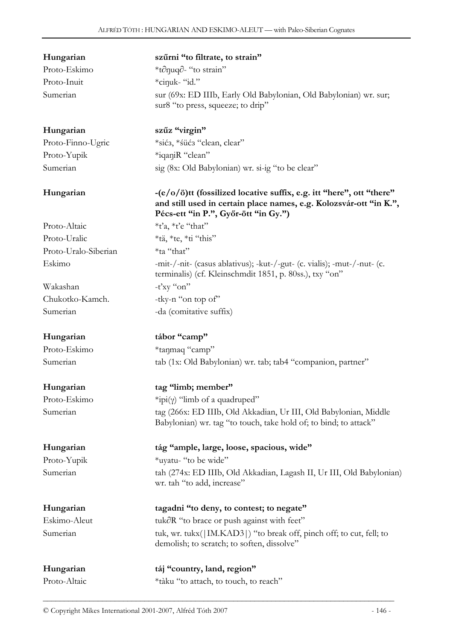| Hungarian            | szűrni "to filtrate, to strain"                                                                                                                                                              |
|----------------------|----------------------------------------------------------------------------------------------------------------------------------------------------------------------------------------------|
| Proto-Eskimo         | *t∂quq∂- "to strain"                                                                                                                                                                         |
| Proto-Inuit          | *cinuk- "id."                                                                                                                                                                                |
| Sumerian             | sur (69x: ED IIIb, Early Old Babylonian, Old Babylonian) wr. sur;<br>sur8 "to press, squeeze; to drip"                                                                                       |
| Hungarian            | szűz "virgin"                                                                                                                                                                                |
| Proto-Finno-Ugric    | *sića, *śüća "clean, clear"                                                                                                                                                                  |
| Proto-Yupik          | *iqaniR "clean"                                                                                                                                                                              |
| Sumerian             | sig (8x: Old Babylonian) wr. si-ig "to be clear"                                                                                                                                             |
| Hungarian            | $-(e/o/\ddot{o})$ tt (fossilized locative suffix, e.g. itt "here", ott "there"<br>and still used in certain place names, e.g. Kolozsvár-ott "in K.",<br>Pécs-ett "in P.", Győr-ött "in Gy.") |
| Proto-Altaic         | *t'a, *t'e "that"                                                                                                                                                                            |
| Proto-Uralic         | *tä, *te, *ti "this"                                                                                                                                                                         |
| Proto-Uralo-Siberian | *ta "that"                                                                                                                                                                                   |
| Eskimo               | -mit-/-nit- (casus ablativus); -kut-/-gut- (c. vialis); -mut-/-nut- (c.<br>terminalis) (cf. Kleinschmdit 1851, p. 80ss.), txy "on"                                                           |
| Wakashan             | $-t'xy''on''$                                                                                                                                                                                |
| Chukotko-Kamch.      | -tky-n "on top of"                                                                                                                                                                           |
| Sumerian             | -da (comitative suffix)                                                                                                                                                                      |
| Hungarian            | tábor "camp"                                                                                                                                                                                 |
| Proto-Eskimo         | *tanmaq "camp"                                                                                                                                                                               |
| Sumerian             | tab (1x: Old Babylonian) wr. tab; tab4 "companion, partner"                                                                                                                                  |
| Hungarian            | tag "limb; member"                                                                                                                                                                           |
| Proto-Eskimo         | *ipi(y) "limb of a quadruped"                                                                                                                                                                |
| Sumerian             | tag (266x: ED IIIb, Old Akkadian, Ur III, Old Babylonian, Middle<br>Babylonian) wr. tag "to touch, take hold of; to bind; to attack"                                                         |
| Hungarian            | tág "ample, large, loose, spacious, wide"                                                                                                                                                    |
| Proto-Yupik          | *uyatu- "to be wide"                                                                                                                                                                         |
| Sumerian             | tah (274x: ED IIIb, Old Akkadian, Lagash II, Ur III, Old Babylonian)<br>wr. tah "to add, increase"                                                                                           |
| Hungarian            | tagadni "to deny, to contest; to negate"                                                                                                                                                     |
| Eskimo-Aleut         | tuk∂R "to brace or push against with feet"                                                                                                                                                   |
| Sumerian             | tuk, wr. tukx( IM.KAD3 ) "to break off, pinch off; to cut, fell; to<br>demolish; to scratch; to soften, dissolve"                                                                            |
| Hungarian            | táj "country, land, region"                                                                                                                                                                  |

táj "country, land, region" \*tàku "to attach, to touch, to reach"

Proto-Altaic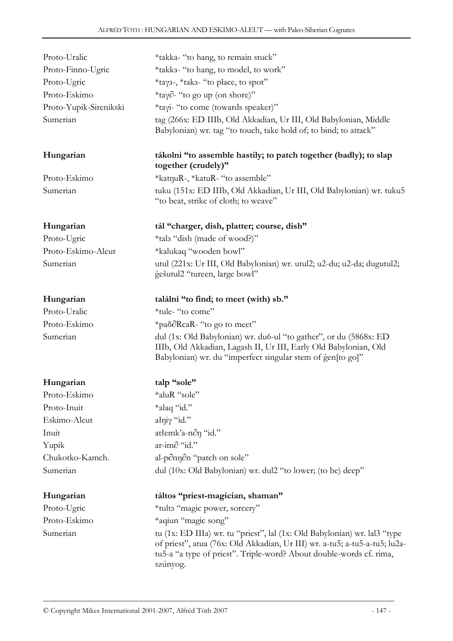# Hungarian talp "sole"

Proto-Eskimo \*aluR "sole" Proto-Inuit \*alaq "id." Eskimo-Aleut ałniγ "id." Inuit atłemk'a-n∂ŋ "id." Yupik ar-im∂ "id."

Proto-Uralic \*takka- "to hang, to remain stuck" Proto-Finno-Ugric \*takks- "to hang, to model, to work" Proto-Ugric \*taγ<sub>3</sub>-, \*tak<sub>3</sub>- "to place, to spot" Proto-Eskimo \*taγ∂- "to go up (on shore)" Proto-Yupik-Sirenikski \*taγi- "to come (towards speaker)" Sumerian tag (266x: ED IIIb, Old Akkadian, Ur III, Old Babylonian, Middle Babylonian) wr. tag "to touch, take hold of; to bind; to attack"

# Hungarian tákolni "to assemble hastily; to patch together (badly); to slap together (crudely)"

Proto-Eskimo \*katŋuR-, \*katuR- "to assemble" Sumerian tuku (151x: ED IIIb, Old Akkadian, Ur III, Old Babylonian) wr. tuku5 "to beat, strike of cloth; to weave"

# Hungarian tál "charger, dish, platter; course, dish"

Proto-Ugric \*tals "dish (made of wood?)" Proto-Eskimo-Aleut \*kalukaq "wooden bowl" Sumerian utul (221x: Ur III, Old Babylonian) wr. utul2; u2-du; u2-da; dugutul2; ĝešutul2 "tureen, large bowl"

# Hungarian találni "to find; to meet (with) sb."

Proto-Uralic  $*$ tule- "to come" Proto-Eskimo \*paδ∂RcaR- "to go to meet" Sumerian dul (1x: Old Babylonian) wr. du6-ul "to gather", or du (5868x: ED IIIb, Old Akkadian, Lagash II, Ur III, Early Old Babylonian, Old Babylonian) wr. du "imperfect singular stem of ĝen[to go]"

Chukotko-Kamch. al-p∂nŋ∂n "patch on sole" Sumerian dul (10x: Old Babylonian) wr. dul2 "to lower; (to be) deep"

# Hungarian táltos "priest-magician, shaman"

Proto-Ugric \*tults "magic power, sorcery" Proto-Eskimo \*aqiun "magic song" Sumerian tu (1x: ED IIIa) wr. tu "priest", lal (1x: Old Babylonian) wr. lal3 "type of priest", atua (76x: Old Akkadian, Ur III) wr. a-tu5; a-tu5-a-tu5; lu2atu5-a "a type of priest". Triple-word? About double-words cf. rima, szúnyog.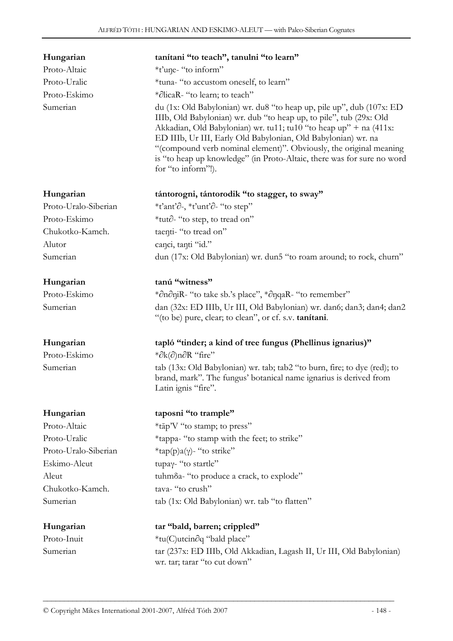| Hungarian            | tanítani "to teach", tanulni "to learn"                                                                                                                                                                                                                                                                                                                                                                                                                |
|----------------------|--------------------------------------------------------------------------------------------------------------------------------------------------------------------------------------------------------------------------------------------------------------------------------------------------------------------------------------------------------------------------------------------------------------------------------------------------------|
| Proto-Altaic         | *t'une- "to inform"                                                                                                                                                                                                                                                                                                                                                                                                                                    |
| Proto-Uralic         | *tuna- "to accustom oneself, to learn"                                                                                                                                                                                                                                                                                                                                                                                                                 |
| Proto-Eskimo         | *∂licaR- "to learn; to teach"                                                                                                                                                                                                                                                                                                                                                                                                                          |
| Sumerian             | du (1x: Old Babylonian) wr. du8 "to heap up, pile up", dub (107x: ED<br>IIIb, Old Babylonian) wr. dub "to heap up, to pile", tub (29x: Old<br>Akkadian, Old Babylonian) wr. tu11; tu10 "to heap up" + na (411x:<br>ED IIIb, Ur III, Early Old Babylonian, Old Babylonian) wr. na<br>"(compound verb nominal element)". Obviously, the original meaning<br>is "to heap up knowledge" (in Proto-Altaic, there was for sure no word<br>for "to inform"!). |
| Hungarian            | tántorogni, tántorodik "to stagger, to sway"                                                                                                                                                                                                                                                                                                                                                                                                           |
| Proto-Uralo-Siberian | *t'ant' $\partial$ -, *t'unt' $\partial$ - "to step"                                                                                                                                                                                                                                                                                                                                                                                                   |
| Proto-Eskimo         | *tut∂- "to step, to tread on"                                                                                                                                                                                                                                                                                                                                                                                                                          |
| Chukotko-Kamch.      | taenti-"to tread on"                                                                                                                                                                                                                                                                                                                                                                                                                                   |
| Alutor               | canci, tanti "id."                                                                                                                                                                                                                                                                                                                                                                                                                                     |
| Sumerian             | dun (17x: Old Babylonian) wr. dun5 "to roam around; to rock, churn"                                                                                                                                                                                                                                                                                                                                                                                    |
| Hungarian            | tanú "witness"                                                                                                                                                                                                                                                                                                                                                                                                                                         |
| Proto-Eskimo         | *∂n∂ηiR- "to take sb.'s place", *∂ηqaR- "to remember"                                                                                                                                                                                                                                                                                                                                                                                                  |
| Sumerian             | dan (32x: ED IIIb, Ur III, Old Babylonian) wr. dan6; dan3; dan4; dan2<br>"(to be) pure, clear; to clean", or cf. s.v. tanitani.                                                                                                                                                                                                                                                                                                                        |
| Hungarian            | tapló "tinder; a kind of tree fungus (Phellinus ignarius)"                                                                                                                                                                                                                                                                                                                                                                                             |
| Proto-Eskimo         | * $\partial k(\partial)$ n $\partial R$ "fire"                                                                                                                                                                                                                                                                                                                                                                                                         |
| Sumerian             | tab (13x: Old Babylonian) wr. tab; tab2 "to burn, fire; to dye (red); to<br>brand, mark". The fungus' botanical name ignarius is derived from<br>Latin ignis "fire".                                                                                                                                                                                                                                                                                   |
| Hungarian            | taposni "to trample"                                                                                                                                                                                                                                                                                                                                                                                                                                   |
| Proto-Altaic         | *tāp'V "to stamp; to press"                                                                                                                                                                                                                                                                                                                                                                                                                            |
| Proto-Uralic         | *tappa- "to stamp with the feet; to strike"                                                                                                                                                                                                                                                                                                                                                                                                            |
| Proto-Uralo-Siberian | *tap(p)a( $\gamma$ )- "to strike"                                                                                                                                                                                                                                                                                                                                                                                                                      |
| Eskimo-Aleut         | tupaγ- "to startle"                                                                                                                                                                                                                                                                                                                                                                                                                                    |
| Aleut                | tuhmδa- "to produce a crack, to explode"                                                                                                                                                                                                                                                                                                                                                                                                               |
| Chukotko-Kamch.      | tava-"to crush"                                                                                                                                                                                                                                                                                                                                                                                                                                        |
| Sumerian             | tab (1x: Old Babylonian) wr. tab "to flatten"                                                                                                                                                                                                                                                                                                                                                                                                          |
| Hungarian            | tar "bald, barren; crippled"                                                                                                                                                                                                                                                                                                                                                                                                                           |
| Proto-Inuit          | *tu(C)utcin∂q "bald place"                                                                                                                                                                                                                                                                                                                                                                                                                             |
| Sumerian             | tar (237x: ED IIIb, Old Akkadian, Lagash II, Ur III, Old Babylonian)<br>wr. tar; tarar "to cut down"                                                                                                                                                                                                                                                                                                                                                   |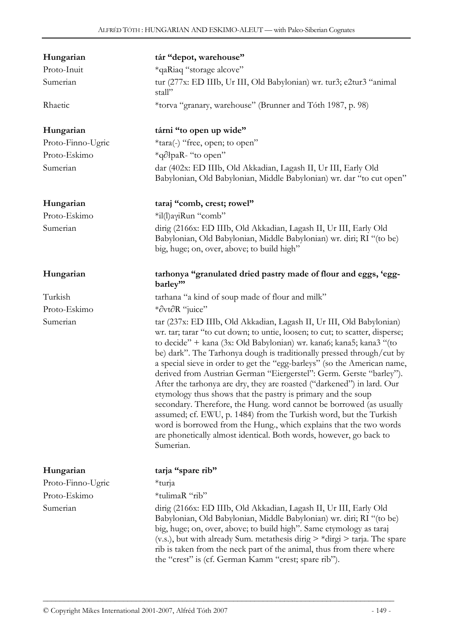big, huge; on, over, above; to build high"

stall"

# Hungarian tár "depot, warehouse"

Proto-Inuit \*qaRiaq "storage alcove" Sumerian tur (277x: ED IIIb, Ur III, Old Babylonian) wr. tur3; e2tur3 "animal

Rhaetic \*torva "granary, warehouse" (Brunner and Tóth 1987, p. 98)

# Hungarian tárni "to open up wide"

Proto-Finno-Ugric \*tara(-) "free, open; to open" Proto-Eskimo \*q∂łpaR- "to open" Sumerian dar (402x: ED IIIb, Old Akkadian, Lagash II, Ur III, Early Old

# Hungarian taraj "comb, crest; rowel"

Proto-Eskimo \*il(l)aγiRun "comb" Sumerian dirig (2166x: ED IIIb, Old Akkadian, Lagash II, Ur III, Early Old

# Hungarian tarhonya "granulated dried pastry made of flour and eggs, 'egg-

Turkish tarhana "a kind of soup made of flour and milk" Proto-Eskimo \*∂vt∂R "juice" Sumerian tar (237x: ED IIIb, Old Akkadian, Lagash II, Ur III, Old Babylonian)

# Hungarian tarja "spare rib"

Proto-Finno-Ugric \*turia

barley"

Proto-Eskimo \*tulimaR "rib"

Sumerian.

Sumerian dirig (2166x: ED IIIb, Old Akkadian, Lagash II, Ur III, Early Old Babylonian, Old Babylonian, Middle Babylonian) wr. diri; RI "(to be) big, huge; on, over, above; to build high". Same etymology as taraj (v.s.), but with already Sum. metathesis dirig  $>$  \*dirgi  $>$  tarja. The spare rib is taken from the neck part of the animal, thus from there where the "crest" is (cf. German Kamm "crest; spare rib").

Babylonian, Old Babylonian, Middle Babylonian) wr. dar "to cut open"

Babylonian, Old Babylonian, Middle Babylonian) wr. diri; RI "(to be)

wr. tar; tarar "to cut down; to untie, loosen; to cut; to scatter, disperse; to decide" + kana (3x: Old Babylonian) wr. kana6; kana5; kana3 "(to be) dark". The Tarhonya dough is traditionally pressed through/cut by a special sieve in order to get the "egg-barleys" (so the American name, derived from Austrian German "Eiergerstel": Germ. Gerste "barley"). After the tarhonya are dry, they are roasted ("darkened") in lard. Our

secondary. Therefore, the Hung. word cannot be borrowed (as usually assumed; cf. EWU, p. 1484) from the Turkish word, but the Turkish word is borrowed from the Hung., which explains that the two words are phonetically almost identical. Both words, however, go back to

etymology thus shows that the pastry is primary and the soup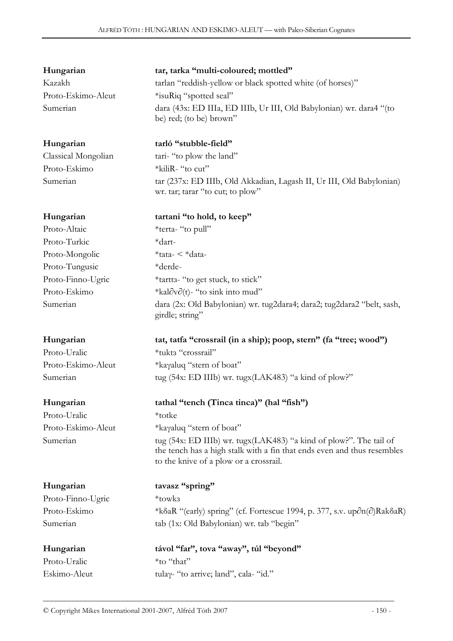# Hungarian tar, tarka "multi-coloured; mottled"

Kazakh tarlan "reddish-yellow or black spotted white (of horses)" Proto-Eskimo-Aleut \*isuRiq "spotted seal" Sumerian dara (43x: ED IIIa, ED IIIb, Ur III, Old Babylonian) wr. dara4 "(to be) red; (to be) brown"

Proto-Eskimo \*kiliR- "to cut"

Proto-Altaic \*terta- "to pull" Proto-Turkic \*dart-Proto-Mongolic \*tata- < \*data-Proto-Tungusic \*derde-

Proto-Uralic \*tukts "crossrail"

Proto-Uralic \*totke

Proto-Finno-Ugric \*towk3

Proto-Uralic  $*$  to "that"

# Hungarian tarló "stubble-field" Classical Mongolian tari- "to plow the land" Sumerian tar (237x: ED IIIb, Old Akkadian, Lagash II, Ur III, Old Babylonian) wr. tar; tarar "to cut; to plow"

# Hungarian tartani "to hold, to keep"

Proto-Finno-Ugric \*tartts- "to get stuck, to stick" Proto-Eskimo \*kal∂v∂(t)- "to sink into mud" Sumerian dara (2x: Old Babylonian) wr. tug2dara4; dara2; tug2dara2 "belt, sash, girdle; string"

# Hungarian tat, tatfa "crossrail (in a ship); poop, stern" (fa "tree; wood")

Proto-Eskimo-Aleut \*kaγaluq "stern of boat" Sumerian tug (54x: ED IIIb) wr. tugx(LAK483) "a kind of plow?"

# Hungarian tathal "tench (Tinca tinca)" (hal "fish")

Proto-Eskimo-Aleut \*kaγaluq "stern of boat" Sumerian tug (54x: ED IIIb) wr. tugx(LAK483) "a kind of plow?". The tail of the tench has a high stalk with a fin that ends even and thus resembles to the knive of a plow or a crossrail.

# Hungarian tavasz "spring"

Proto-Eskimo \*kδaR "(early) spring" (cf. Fortescue 1994, p. 377, s.v. up∂n(∂)RakδaR) Sumerian tab (1x: Old Babylonian) wr. tab "begin"

# Hungarian távol "far", tova "away", túl "beyond" Eskimo-Aleut tulay- "to arrive; land", cala- "id."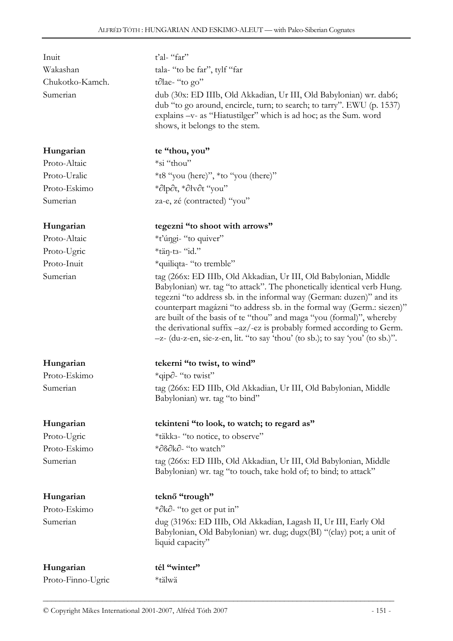Inuit Wakashan Chukotko-Kamch Sumerian

t'al-"far" tala-"to be far", tylf "far tôlae-"to go" dub (30x: ED IIIb, Old Akkadian, Ur III, Old Babylonian) wr. dab6; dub "to go around, encircle, turn; to search; to tarry". EWU (p. 1537) explains -v- as "Hiatustilger" which is ad hoc; as the Sum. word shows, it belongs to the stem.

### Hungarian

Proto-Altaic Proto-Uralic Proto-Eskimo Sumerian

# Hungarian

Proto-Altaic Proto-Ugric Proto-Inuit Sumerian

# Hungarian

Proto-Eskimo Sumerian

# Hungarian

Proto-Ugric Proto-Eskimo Sumerian

# Hungarian

Proto-Eskimo Sumerian

# Hungarian

Proto-Finno-Ugric

# te "thou, you"

\*si "thou" \*t8 "you (here)", \*to "you (there)" \*∂lp∂t, \*∂łv∂t "you" za-e, zé (contracted) "you"

### tegezni "to shoot with arrows"

\*t'úngi- "to quiver" \*tän-ta- "id."

\*quiliqta- "to tremble" tag (266x: ED IIIb, Old Akkadian, Ur III, Old Babylonian, Middle Babylonian) wr. tag "to attack". The phonetically identical verb Hung. tegezni "to address sb. in the informal way (German: duzen)" and its counterpart magázni "to address sb. in the formal way (Germ.: siezen)" are built of the basis of te "thou" and maga "you (formal)", whereby the derivational suffix -az/-ez is probably formed according to Germ. -z- (du-z-en, sie-z-en, lit. "to say 'thou' (to sb.); to say 'you' (to sb.)".

# tekerni "to twist, to wind"

\*qip $\partial$ - "to twist" tag (266x: ED IIIb, Old Akkadian, Ur III, Old Babylonian, Middle Babylonian) wr. tag "to bind"

# tekinteni "to look, to watch; to regard as"

\*täkk3- "to notice, to observe"  $* \partial \delta \partial k \partial$ - "to watch" tag (266x: ED IIIb, Old Akkadian, Ur III, Old Babylonian, Middle Babylonian) wr. tag "to touch, take hold of; to bind; to attack"

# teknő "trough"

tél "winter"

\* $\partial k\partial$ - "to get or put in" dug (3196x: ED IIIb, Old Akkadian, Lagash II, Ur III, Early Old Babylonian, Old Babylonian) wr. dug; dugx(BI) "(clay) pot; a unit of liquid capacity"

# \*tälwä

© Copyright Mikes International 2001-2007, Alfréd Tóth 2007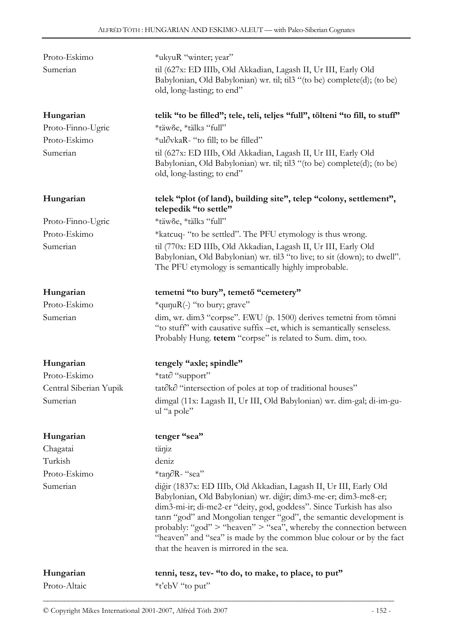| Proto-Eskimo           | *ukyuR "winter; year"                                                                                                                     |
|------------------------|-------------------------------------------------------------------------------------------------------------------------------------------|
| Sumerian               | til (627x: ED IIIb, Old Akkadian, Lagash II, Ur III, Early Old<br>Babylonian, Old Babylonian) wr. til; til3 "(to be) complete(d); (to be) |
|                        | old, long-lasting; to end"                                                                                                                |
|                        |                                                                                                                                           |
| Hungarian              | telik "to be filled"; tele, teli, teljes "full", tölteni "to fill, to stuff"                                                              |
| Proto-Finno-Ugric      | *täwδe, *tälks "full"                                                                                                                     |
| Proto-Eskimo           | *ul∂vkaR- "to fill; to be filled"                                                                                                         |
| Sumerian               | til (627x: ED IIIb, Old Akkadian, Lagash II, Ur III, Early Old                                                                            |
|                        | Babylonian, Old Babylonian) wr. til; til3 "(to be) complete(d); (to be)                                                                   |
|                        | old, long-lasting; to end"                                                                                                                |
|                        |                                                                                                                                           |
| Hungarian              | telek "plot (of land), building site", telep "colony, settlement",<br>telepedik "to settle"                                               |
| Proto-Finno-Ugric      | *täwδe, *tälks "full"                                                                                                                     |
| Proto-Eskimo           | *katcuq- "to be settled". The PFU etymology is thus wrong.                                                                                |
| Sumerian               | til (770x: ED IIIb, Old Akkadian, Lagash II, Ur III, Early Old                                                                            |
|                        | Babylonian, Old Babylonian) wr. til3 "to live; to sit (down); to dwell".                                                                  |
|                        | The PFU etymology is semantically highly improbable.                                                                                      |
| Hungarian              | temetni "to bury", temető "cemetery"                                                                                                      |
| Proto-Eskimo           | *ququR(-) "to bury; grave"                                                                                                                |
| Sumerian               | dim, wr. dim3 "corpse". EWU (p. 1500) derives temetni from tömni                                                                          |
|                        | "to stuff" with causative suffix -et, which is semantically senseless.                                                                    |
|                        | Probably Hung. tetem "corpse" is related to Sum. dim, too.                                                                                |
| Hungarian              | tengely "axle; spindle"                                                                                                                   |
| Proto-Eskimo           | *tat∂ "support"                                                                                                                           |
| Central Siberian Yupik | tat $\partial k \partial$ "intersection of poles at top of traditional houses"                                                            |
| Sumerian               | dimgal (11x: Lagash II, Ur III, Old Babylonian) wr. dim-gal; di-im-gu-                                                                    |
|                        | ul "a pole"                                                                                                                               |
| Hungarian              | tenger "sea"                                                                                                                              |
| Chagatai               | täniz                                                                                                                                     |
| Turkish                | deniz                                                                                                                                     |
| Proto-Eskimo           | *tan∂R- "sea"                                                                                                                             |
| Sumerian               | diĝir (1837x: ED IIIb, Old Akkadian, Lagash II, Ur III, Early Old                                                                         |
|                        | Babylonian, Old Babylonian) wr. diĝir; dim3-me-er; dim3-me8-er;                                                                           |
|                        | dim3-mi-ir; di-me2-er "deity, god, goddess". Since Turkish has also                                                                       |
|                        | tann "god" and Mongolian tenger "god", the semantic development is                                                                        |
|                        | probably: "god" > "heaven" > "sea", whereby the connection between<br>"heaven" and "sea" is made by the common blue colour or by the fact |
|                        | that the heaven is mirrored in the sea.                                                                                                   |
|                        |                                                                                                                                           |
| Hungarian              | tenni, tesz, tev- "to do, to make, to place, to put"                                                                                      |
| Proto-Altaic           | *t'ebV "to put"                                                                                                                           |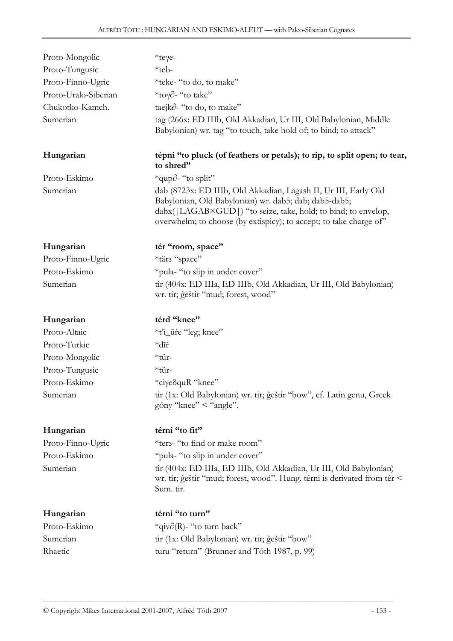| Proto-Mongolic<br>Proto-Tungusic<br>Proto-Finno-Ugric<br>Proto-Uralo-Siberian<br>Chukotko-Kamch.<br>Sumerian | $*$ teye-<br>*teb-<br>*teke- "to do, to make"<br><i>*</i> toγ∂- "to take"<br>taejk $\partial$ - "to do, to make"<br>tag (266x: ED IIIb, Old Akkadian, Ur III, Old Babylonian, Middle<br>Babylonian) wr. tag "to touch, take hold of; to bind; to attack"        |
|--------------------------------------------------------------------------------------------------------------|-----------------------------------------------------------------------------------------------------------------------------------------------------------------------------------------------------------------------------------------------------------------|
| Hungarian                                                                                                    | tépni "to pluck (of feathers or petals); to rip, to split open; to tear<br>to shred"                                                                                                                                                                            |
| Proto-Eskimo                                                                                                 | *qupô- "to split"                                                                                                                                                                                                                                               |
| Sumerian                                                                                                     | dab (8723x: ED IIIb, Old Akkadian, Lagash II, Ur III, Early Old<br>Babylonian, Old Babylonian) wr. dab5; dab; dab5-dab5;<br>dabx( LAGAB×GUD ) "to seize, take, hold; to bind; to envelop,<br>overwhelm; to choose (by extispicy); to accept; to take charge of" |
| Hungarian                                                                                                    | tér "room, space"                                                                                                                                                                                                                                               |
| Proto-Finno-Ugric                                                                                            | *tärs "space"                                                                                                                                                                                                                                                   |
| Proto-Eskimo                                                                                                 | *pula- "to slip in under cover"                                                                                                                                                                                                                                 |
| Sumerian                                                                                                     | tir (404x: ED IIIa, ED IIIb, Old Akkadian, Ur III, Old Babylonian)<br>wr. tir; gestir "mud; forest, wood"                                                                                                                                                       |
|                                                                                                              |                                                                                                                                                                                                                                                                 |
| Hungarian                                                                                                    | térd "knee"                                                                                                                                                                                                                                                     |
| Proto-Altaic                                                                                                 | *t'i_ūŕe "leg; knee"                                                                                                                                                                                                                                            |
| Proto-Turkic                                                                                                 | *dīŕ                                                                                                                                                                                                                                                            |
| Proto-Mongolic                                                                                               | *tür-                                                                                                                                                                                                                                                           |
| Proto-Tungusic                                                                                               | *tür-                                                                                                                                                                                                                                                           |
| Proto-Eskimo                                                                                                 | *ciγeδquR "knee"                                                                                                                                                                                                                                                |
| Sumerian                                                                                                     | tir (1x: Old Babylonian) wr. tir; ĝeštir "bow", cf. Latin genu, Greek<br>góny "knee" < "angle".                                                                                                                                                                 |
| Hungarian                                                                                                    | térni "to fit"                                                                                                                                                                                                                                                  |
| Proto-Finno-Ugric                                                                                            | *ters- "to find or make room"                                                                                                                                                                                                                                   |
| Proto-Eskimo                                                                                                 | *pula- "to slip in under cover"                                                                                                                                                                                                                                 |
| Sumerian                                                                                                     | tir (404x: ED IIIa, ED IIIb, Old Akkadian, Ur III, Old Babylonian)<br>wr. tir; ĝeštir "mud; forest, wood". Hung. térni is derivated from tér <<br>Sum. tir.                                                                                                     |
| Hungarian                                                                                                    | térni "to turn"                                                                                                                                                                                                                                                 |
| Proto-Eskimo                                                                                                 | *qiv $\partial$ (R)- "to turn back"                                                                                                                                                                                                                             |
| Sumerian                                                                                                     | tir (1x: Old Babylonian) wr. tir; gestir "bow"                                                                                                                                                                                                                  |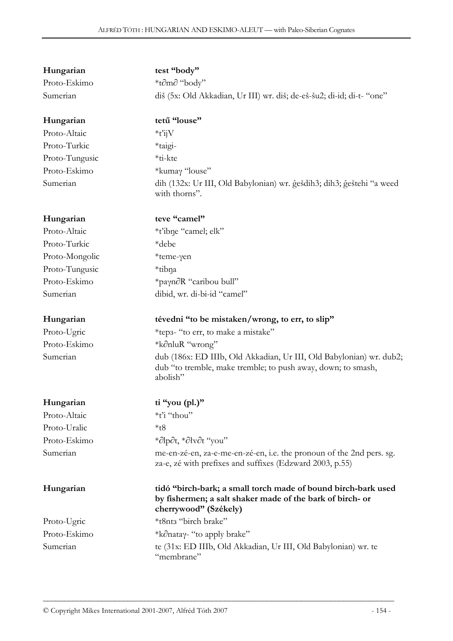| Hungarian      | test "body"                                                                                                                                         |
|----------------|-----------------------------------------------------------------------------------------------------------------------------------------------------|
| Proto-Eskimo   | *t∂m∂ "body"                                                                                                                                        |
| Sumerian       | diš (5x: Old Akkadian, Ur III) wr. diš; de-eš-šu2; di-id; di-t- "one"                                                                               |
| Hungarian      | tetű "louse"                                                                                                                                        |
| Proto-Altaic   | $*t'$ ij $V$                                                                                                                                        |
| Proto-Turkic   | *taigi-                                                                                                                                             |
| Proto-Tungusic | *ti-kte                                                                                                                                             |
| Proto-Eskimo   | *kumaγ "louse"                                                                                                                                      |
| Sumerian       | dih (132x: Ur III, Old Babylonian) wr. ĝešdih3; dih3; ĝeštehi "a weed<br>with thorns".                                                              |
| Hungarian      | teve "camel"                                                                                                                                        |
| Proto-Altaic   | *t'ibne "camel; elk"                                                                                                                                |
| Proto-Turkic   | *debe                                                                                                                                               |
| Proto-Mongolic | *teme-γen                                                                                                                                           |
| Proto-Tungusic | *tibna                                                                                                                                              |
| Proto-Eskimo   | *paγn∂R "caribou bull"                                                                                                                              |
| Sumerian       | dibid, wr. di-bi-id "camel"                                                                                                                         |
| Hungarian      | tévedni "to be mistaken/wrong, to err, to slip"                                                                                                     |
| Proto-Ugric    | *teps- "to err, to make a mistake"                                                                                                                  |
| Proto-Eskimo   | *k∂nluR "wrong"                                                                                                                                     |
| Sumerian       | dub (186x: ED IIIb, Old Akkadian, Ur III, Old Babylonian) wr. dub2;<br>dub "to tremble, make tremble; to push away, down; to smash,<br>abolish"     |
| Hungarian      | ti "you $\left(\text{pl.}\right)$ "                                                                                                                 |
| Proto-Altaic   | *t'i "thou"                                                                                                                                         |
| Proto-Uralic   | $*$ t $8$                                                                                                                                           |
| Proto-Eskimo   | *∂lp∂t, *∂łv∂t "you"                                                                                                                                |
| Sumerian       | me-en-zé-en, za-e-me-en-zé-en, <i>i.e.</i> the pronoun of the 2nd pers. sg.<br>za-e, zé with prefixes and suffixes (Edzward 2003, p.55)             |
| Hungarian      | tidó "birch-bark; a small torch made of bound birch-bark used<br>by fishermen; a salt shaker made of the bark of birch- or<br>cherrywood" (Székely) |
| Proto-Ugric    | *t8nts "birch brake"                                                                                                                                |
| Proto-Eskimo   | <i>*k∂nataγ-</i> "to apply brake"                                                                                                                   |
| Sumerian       | te (31x: ED IIIb, Old Akkadian, Ur III, Old Babylonian) wr. te<br>"membrane"                                                                        |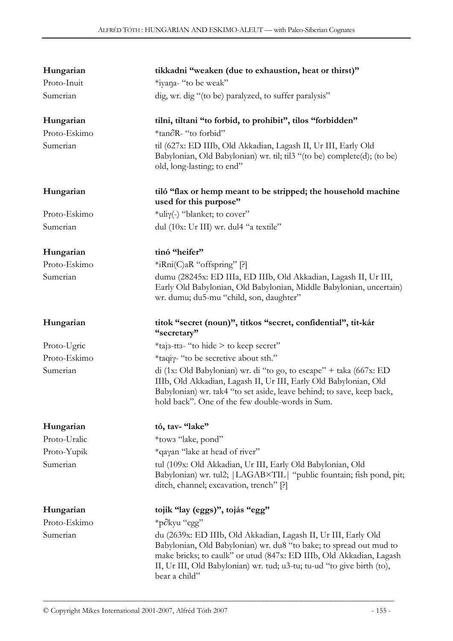| Hungarian<br>Proto-Inuit | tikkadni "weaken (due to exhaustion, heat or thirst)"<br>*iyana- "to be weak"                                                                                                                                                                                                                          |
|--------------------------|--------------------------------------------------------------------------------------------------------------------------------------------------------------------------------------------------------------------------------------------------------------------------------------------------------|
| Sumerian                 | dig, wr. dig "(to be) paralyzed, to suffer paralysis"                                                                                                                                                                                                                                                  |
| Hungarian                | tilni, tiltani "to forbid, to prohibit", tilos "forbidden"                                                                                                                                                                                                                                             |
| Proto-Eskimo             | *tan∂R- "to forbid"                                                                                                                                                                                                                                                                                    |
| Sumerian                 | til (627x: ED IIIb, Old Akkadian, Lagash II, Ur III, Early Old<br>Babylonian, Old Babylonian) wr. til; til3 "(to be) complete(d); (to be)<br>old, long-lasting; to end"                                                                                                                                |
| Hungarian                | tiló "flax or hemp meant to be stripped; the household machine<br>used for this purpose"                                                                                                                                                                                                               |
| Proto-Eskimo             | *uliγ(-) "blanket; to cover"                                                                                                                                                                                                                                                                           |
| Sumerian                 | dul (10x: Ur III) wr. dul4 "a textile"                                                                                                                                                                                                                                                                 |
| Hungarian                | tinó "heifer"                                                                                                                                                                                                                                                                                          |
| Proto-Eskimo             | $*iRni(C)aR$ "offspring" [?]                                                                                                                                                                                                                                                                           |
| Sumerian                 | dumu (28245x: ED IIIa, ED IIIb, Old Akkadian, Lagash II, Ur III,<br>Early Old Babylonian, Old Babylonian, Middle Babylonian, uncertain)<br>wr. dumu; du5-mu "child, son, daughter"                                                                                                                     |
| Hungarian                | titok "secret (noun)", titkos "secret, confidential", tit-kár<br>"secretary"                                                                                                                                                                                                                           |
| Proto-Ugric              | *taja-tta- "to hide > to keep secret"                                                                                                                                                                                                                                                                  |
| Proto-Eskimo             | *taqiγ- "to be secretive about sth."                                                                                                                                                                                                                                                                   |
| Sumerian                 | di (1x: Old Babylonian) wr. di "to go, to escape" + taka (667x: ED<br>IIIb, Old Akkadian, Lagash II, Ur III, Early Old Babylonian, Old<br>Babylonian) wr. tak4 "to set aside, leave behind; to save, keep back,<br>hold back". One of the few double-words in Sum.                                     |
| Hungarian                | tó, tav- "lake"                                                                                                                                                                                                                                                                                        |
| Proto-Uralic             | *tows "lake, pond"                                                                                                                                                                                                                                                                                     |
| Proto-Yupik              | *qayan "lake at head of river"                                                                                                                                                                                                                                                                         |
| Sumerian                 | tul (109x: Old Akkadian, Ur III, Early Old Babylonian, Old<br>Babylonian) wr. tul2; [LAGAB×TIL] "public fountain; fish pond, pit;<br>ditch, channel; excavation, trench" [?]                                                                                                                           |
| Hungarian                | tojik "lay (eggs)", tojás "egg"                                                                                                                                                                                                                                                                        |
| Proto-Eskimo             | *p∂kyu "egg"                                                                                                                                                                                                                                                                                           |
| Sumerian                 | du (2639x: ED IIIb, Old Akkadian, Lagash II, Ur III, Early Old<br>Babylonian, Old Babylonian) wr. du8 "to bake; to spread out mud to<br>make bricks; to caulk" or utud (847x: ED IIIb, Old Akkadian, Lagash<br>II, Ur III, Old Babylonian) wr. tud; u3-tu; tu-ud "to give birth (to),<br>bear a child" |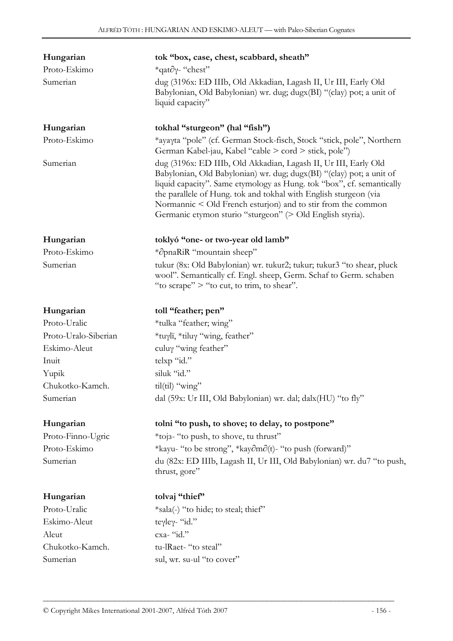| Hungarian            | tok "box, case, chest, scabbard, sheath"                                                                                                                                                                                                                                                                                                                                                                          |
|----------------------|-------------------------------------------------------------------------------------------------------------------------------------------------------------------------------------------------------------------------------------------------------------------------------------------------------------------------------------------------------------------------------------------------------------------|
| Proto-Eskimo         | *qat∂γ- "chest"                                                                                                                                                                                                                                                                                                                                                                                                   |
| Sumerian             | dug (3196x: ED IIIb, Old Akkadian, Lagash II, Ur III, Early Old<br>Babylonian, Old Babylonian) wr. dug; dugx(BI) "(clay) pot; a unit of<br>liquid capacity"                                                                                                                                                                                                                                                       |
| Hungarian            | tokhal "sturgeon" (hal "fish")                                                                                                                                                                                                                                                                                                                                                                                    |
| Proto-Eskimo         | *ayayta "pole" (cf. German Stock-fisch, Stock "stick, pole", Northern<br>German Kabel-jau, Kabel "cable > cord > stick, pole")                                                                                                                                                                                                                                                                                    |
| Sumerian             | dug (3196x: ED IIIb, Old Akkadian, Lagash II, Ur III, Early Old<br>Babylonian, Old Babylonian) wr. dug; dugx(BI) "(clay) pot; a unit of<br>liquid capacity". Same etymology as Hung. tok "box", cf. semantically<br>the parallele of Hung. tok and tokhal with English sturgeon (via<br>Normannic < Old French esturion) and to stir from the common<br>Germanic etymon sturio "sturgeon" (> Old English styria). |
| Hungarian            | toklyó "one- or two-year old lamb"                                                                                                                                                                                                                                                                                                                                                                                |
| Proto-Eskimo         | * $\partial$ pnaRiR "mountain sheep"                                                                                                                                                                                                                                                                                                                                                                              |
| Sumerian             | tukur (8x: Old Babylonian) wr. tukur2; tukur; tukur3 "to shear, pluck<br>wool". Semantically cf. Engl. sheep, Germ. Schaf to Germ. schaben<br>"to scrape" $>$ "to cut, to trim, to shear".                                                                                                                                                                                                                        |
| Hungarian            | toll "feather; pen"                                                                                                                                                                                                                                                                                                                                                                                               |
| Proto-Uralic         | *tulka "feather; wing"                                                                                                                                                                                                                                                                                                                                                                                            |
| Proto-Uralo-Siberian | *tuγli, *tiluγ "wing, feather"                                                                                                                                                                                                                                                                                                                                                                                    |
| Eskimo-Aleut         | culuγ "wing feather"                                                                                                                                                                                                                                                                                                                                                                                              |
|                      |                                                                                                                                                                                                                                                                                                                                                                                                                   |
| Inuit                | telxp "id."                                                                                                                                                                                                                                                                                                                                                                                                       |
| Yupik                | siluk "id."                                                                                                                                                                                                                                                                                                                                                                                                       |
| Chukotko-Kamch.      | til(til) "wing"                                                                                                                                                                                                                                                                                                                                                                                                   |
| Sumerian             | dal (59x: Ur III, Old Babylonian) wr. dal; dalx(HU) "to fly"                                                                                                                                                                                                                                                                                                                                                      |
| Hungarian            | tolni "to push, to shove; to delay, to postpone"                                                                                                                                                                                                                                                                                                                                                                  |
| Proto-Finno-Ugric    | *toj <sup>3</sup> - "to push, to shove, tu thrust"                                                                                                                                                                                                                                                                                                                                                                |
| Proto-Eskimo         | *kayu- "to be strong", *kay $\partial m \partial (t)$ - "to push (forward)"                                                                                                                                                                                                                                                                                                                                       |
| Sumerian             | du (82x: ED IIIb, Lagash II, Ur III, Old Babylonian) wr. du7 "to push,<br>thrust, gore"                                                                                                                                                                                                                                                                                                                           |
| Hungarian            | tolvaj "thief"                                                                                                                                                                                                                                                                                                                                                                                                    |
| Proto-Uralic         | *sala(-) "to hide; to steal; thief"                                                                                                                                                                                                                                                                                                                                                                               |
| Eskimo-Aleut         | teyley- $"id."$                                                                                                                                                                                                                                                                                                                                                                                                   |
| Aleut                | cxa-"id."                                                                                                                                                                                                                                                                                                                                                                                                         |
| Chukotko-Kamch.      | tu-lRaet-"to steal"                                                                                                                                                                                                                                                                                                                                                                                               |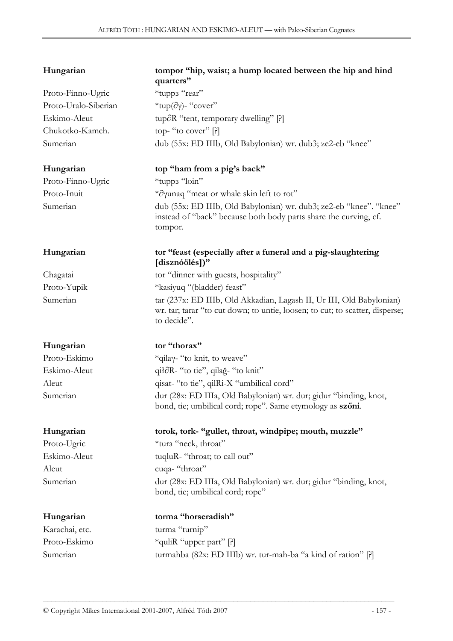| Hungarian            | tompor "hip, waist; a hump located between the hip and hind<br>quarters"                                                                                            |
|----------------------|---------------------------------------------------------------------------------------------------------------------------------------------------------------------|
| Proto-Finno-Ugric    | *tupps "rear"                                                                                                                                                       |
| Proto-Uralo-Siberian | *tup( $\partial \gamma$ )- "cover"                                                                                                                                  |
| Eskimo-Aleut         | tup∂R "tent, temporary dwelling" [?]                                                                                                                                |
| Chukotko-Kamch.      | top-"to cover" [?]                                                                                                                                                  |
| Sumerian             | dub (55x: ED IIIb, Old Babylonian) wr. dub3; ze2-eb "knee"                                                                                                          |
| Hungarian            | top "ham from a pig's back"                                                                                                                                         |
| Proto-Finno-Ugric    | *tupps "loin"                                                                                                                                                       |
| Proto-Inuit          | *∂γunaq "meat or whale skin left to rot"                                                                                                                            |
| Sumerian             | dub (55x: ED IIIb, Old Babylonian) wr. dub3; ze2-eb "knee". "knee"<br>instead of "back" because both body parts share the curving, cf.<br>tompor.                   |
| Hungarian            | tor "feast (especially after a funeral and a pig-slaughtering<br>[disznóölés])"                                                                                     |
| Chagatai             | tor "dinner with guests, hospitality"                                                                                                                               |
| Proto-Yupik          | *kasiyuq "(bladder) feast"                                                                                                                                          |
| Sumerian             | tar (237x: ED IIIb, Old Akkadian, Lagash II, Ur III, Old Babylonian)<br>wr. tar; tarar "to cut down; to untie, loosen; to cut; to scatter, disperse;<br>to decide". |
| Hungarian            | tor "thorax"                                                                                                                                                        |
| Proto-Eskimo         | *qilaγ- "to knit, to weave"                                                                                                                                         |
| Eskimo-Aleut         | qil∂R- "to tie", qilağ- "to knit"                                                                                                                                   |
| Aleut                | qisat-"to tie", qilRi-X "umbilical cord"                                                                                                                            |
| Sumerian             | dur (28x: ED IIIa, Old Babylonian) wr. dur; gidur "binding, knot,<br>bond, tie; umbilical cord; rope". Same etymology as szőni.                                     |
| Hungarian            | torok, tork- "gullet, throat, windpipe; mouth, muzzle"                                                                                                              |
| Proto-Ugric          | *turs "neck, throat"                                                                                                                                                |
| Eskimo-Aleut         | tuqluR- "throat; to call out"                                                                                                                                       |
| Aleut                | cuqa-"throat"                                                                                                                                                       |
| Sumerian             | dur (28x: ED IIIa, Old Babylonian) wr. dur; gidur "binding, knot,<br>bond, tie; umbilical cord; rope"                                                               |
| Hungarian            | torma "horseradish"                                                                                                                                                 |
| Karachai, etc.       | turma "turnip"                                                                                                                                                      |
| Proto-Eskimo         | *quliR "upper part" [?]                                                                                                                                             |
| Sumerian             | turmahba (82x: ED IIIb) wr. tur-mah-ba "a kind of ration" [?]                                                                                                       |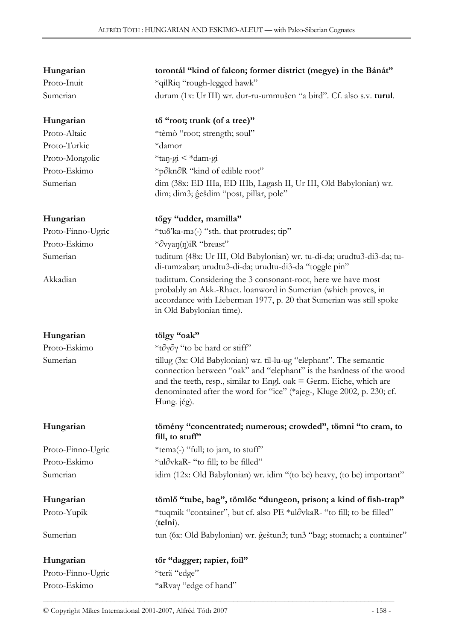| Hungarian         | torontál "kind of falcon; former district (megye) in the Bánát"                                                                                                                                                                                                                                            |
|-------------------|------------------------------------------------------------------------------------------------------------------------------------------------------------------------------------------------------------------------------------------------------------------------------------------------------------|
| Proto-Inuit       | *qilRiq "rough-legged hawk"                                                                                                                                                                                                                                                                                |
| Sumerian          | durum (1x: Ur III) wr. dur-ru-ummušen "a bird". Cf. also s.v. turul.                                                                                                                                                                                                                                       |
| Hungarian         | tő "root; trunk (of a tree)"                                                                                                                                                                                                                                                                               |
| Proto-Altaic      | *tèmò "root; strength; soul"                                                                                                                                                                                                                                                                               |
| Proto-Turkic      | *damor                                                                                                                                                                                                                                                                                                     |
| Proto-Mongolic    | *tan-gi < *dam-gi                                                                                                                                                                                                                                                                                          |
| Proto-Eskimo      | *poknoR "kind of edible root"                                                                                                                                                                                                                                                                              |
| Sumerian          | dim (38x: ED IIIa, ED IIIb, Lagash II, Ur III, Old Babylonian) wr.<br>dim; dim3; ĝešdim "post, pillar, pole"                                                                                                                                                                                               |
| Hungarian         | tőgy "udder, mamilla"                                                                                                                                                                                                                                                                                      |
| Proto-Finno-Ugric | *tuδ'ka-m3(-) "sth. that protrudes; tip"                                                                                                                                                                                                                                                                   |
| Proto-Eskimo      | * $\partial$ vyan(n)iR "breast"                                                                                                                                                                                                                                                                            |
| Sumerian          | tuditum (48x: Ur III, Old Babylonian) wr. tu-di-da; urudtu3-di3-da; tu-<br>di-tumzabar; urudtu3-di-da; urudtu-di3-da "toggle pin"                                                                                                                                                                          |
| Akkadian          | tudittum. Considering the 3 consonant-root, here we have most<br>probably an Akk.-Rhaet. loanword in Sumerian (which proves, in<br>accordance with Lieberman 1977, p. 20 that Sumerian was still spoke<br>in Old Babylonian time).                                                                         |
| Hungarian         | tölgy "oak"                                                                                                                                                                                                                                                                                                |
| Proto-Eskimo      | *t∂γ∂γ "to be hard or stiff"                                                                                                                                                                                                                                                                               |
| Sumerian          | tillug (3x: Old Babylonian) wr. til-lu-ug "elephant". The semantic<br>connection between "oak" and "elephant" is the hardness of the wood<br>and the teeth, resp., similar to Engl. oak $=$ Germ. Eiche, which are<br>denominated after the word for "ice" (*ajeg-, Kluge 2002, p. 230; cf.<br>Hung. jég). |
| Hungarian         | tömény "concentrated; numerous; crowded", tömni "to cram, to<br>fill, to stuff"                                                                                                                                                                                                                            |
| Proto-Finno-Ugric | *tems(-) "full; to jam, to stuff"                                                                                                                                                                                                                                                                          |
| Proto-Eskimo      | *ul∂vkaR- "to fill; to be filled"                                                                                                                                                                                                                                                                          |
| Sumerian          | idim (12x: Old Babylonian) wr. idim "(to be) heavy, (to be) important"                                                                                                                                                                                                                                     |
| Hungarian         | tömlő "tube, bag", tömlőc "dungeon, prison; a kind of fish-trap"                                                                                                                                                                                                                                           |
| Proto-Yupik       | *tuqmik "container", but cf. also PE *ul∂vkaR- "to fill; to be filled"<br>(telni).                                                                                                                                                                                                                         |
| Sumerian          | tun (6x: Old Babylonian) wr. ĝeštun3; tun3 "bag; stomach; a container"                                                                                                                                                                                                                                     |
| Hungarian         | tőr "dagger; rapier, foil"                                                                                                                                                                                                                                                                                 |
| Proto-Finno-Ugric | *terä "edge"                                                                                                                                                                                                                                                                                               |
| Proto-Eskimo      | *aRvay "edge of hand"                                                                                                                                                                                                                                                                                      |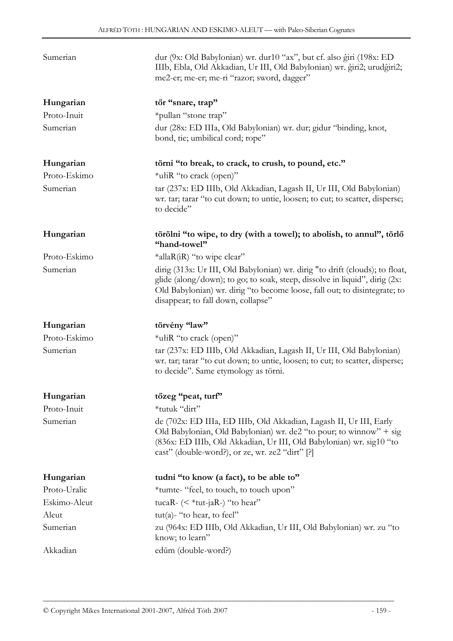| Sumerian     | dur (9x: Old Babylonian) wr. dur10 "ax", but cf. also ĝiri (198x: ED<br>IIIb, Ebla, Old Akkadian, Ur III, Old Babylonian) wr. giri2; urudgiri2;<br>me2-er; me-er; me-ri "razor; sword, dagger"                                                                                |
|--------------|-------------------------------------------------------------------------------------------------------------------------------------------------------------------------------------------------------------------------------------------------------------------------------|
| Hungarian    | tőr "snare, trap"                                                                                                                                                                                                                                                             |
| Proto-Inuit  | *pullan "stone trap"                                                                                                                                                                                                                                                          |
| Sumerian     | dur (28x: ED IIIa, Old Babylonian) wr. dur; gidur "binding, knot,<br>bond, tie; umbilical cord; rope"                                                                                                                                                                         |
| Hungarian    | törni "to break, to crack, to crush, to pound, etc."                                                                                                                                                                                                                          |
| Proto-Eskimo | *uliR "to crack (open)"                                                                                                                                                                                                                                                       |
| Sumerian     | tar (237x: ED IIIb, Old Akkadian, Lagash II, Ur III, Old Babylonian)<br>wr. tar; tarar "to cut down; to untie, loosen; to cut; to scatter, disperse;<br>to decide"                                                                                                            |
| Hungarian    | törölni "to wipe, to dry (with a towel); to abolish, to annul", törlő<br>"hand-towel"                                                                                                                                                                                         |
| Proto-Eskimo | *allaR(iR) "to wipe clear"                                                                                                                                                                                                                                                    |
| Sumerian     | dirig (313x: Ur III, Old Babylonian) wr. dirig "to drift (clouds); to float,<br>glide (along/down); to go; to soak, steep, dissolve in liquid", dirig (2x:<br>Old Babylonian) wr. dirig "to become loose, fall out; to disintegrate; to<br>disappear; to fall down, collapse" |
| Hungarian    | törvény "law"                                                                                                                                                                                                                                                                 |
| Proto-Eskimo | *uliR "to crack (open)"                                                                                                                                                                                                                                                       |
| Sumerian     | tar (237x: ED IIIb, Old Akkadian, Lagash II, Ur III, Old Babylonian)<br>wr. tar; tarar "to cut down; to untie, loosen; to cut; to scatter, disperse;<br>to decide". Same etymology as törni.                                                                                  |
| Hungarian    | tőzeg "peat, turf"                                                                                                                                                                                                                                                            |
| Proto-Inuit  | *tutuk "dirt"                                                                                                                                                                                                                                                                 |
| Sumerian     | de (702x: ED IIIa, ED IIIb, Old Akkadian, Lagash II, Ur III, Early<br>Old Babylonian, Old Babylonian) wr. de2 "to pour; to winnow" + sig<br>(836x: ED IIIb, Old Akkadian, Ur III, Old Babylonian) wr. sig10 "to<br>cast" (double-word?), or ze, wr. ze2 "dirt" [?]            |
| Hungarian    | tudni "to know (a fact), to be able to"                                                                                                                                                                                                                                       |
| Proto-Uralic | *tumte- "feel, to touch, to touch upon"                                                                                                                                                                                                                                       |
| Eskimo-Aleut | tucaR- $\left(\lt^*$ tut-jaR- $\right)$ "to hear"                                                                                                                                                                                                                             |
| Aleut        | $\text{tut}(a)$ - "to hear, to feel"                                                                                                                                                                                                                                          |
| Sumerian     | zu (964x: ED IIIb, Old Akkadian, Ur III, Old Babylonian) wr. zu "to<br>know; to learn"                                                                                                                                                                                        |
| Akkadian     | edūm (double-word?)                                                                                                                                                                                                                                                           |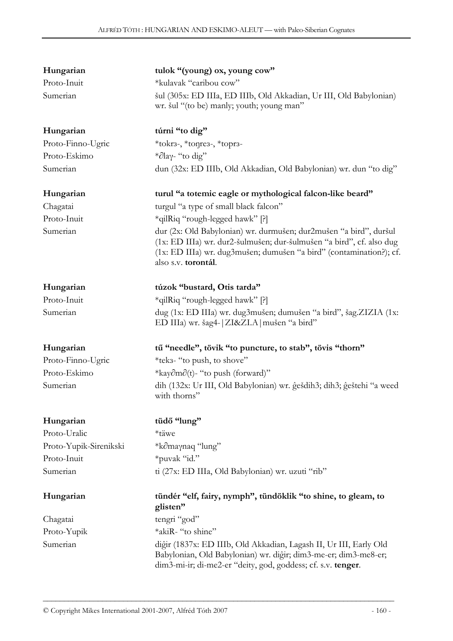| Hungarian              | tulok "(young) ox, young cow"                                                                                                                                                                                                           |
|------------------------|-----------------------------------------------------------------------------------------------------------------------------------------------------------------------------------------------------------------------------------------|
| Proto-Inuit            | *kulavak "caribou cow"                                                                                                                                                                                                                  |
| Sumerian               | šul (305x: ED IIIa, ED IIIb, Old Akkadian, Ur III, Old Babylonian)<br>wr. šul "(to be) manly; youth; young man"                                                                                                                         |
| Hungarian              | túrni "to dig"                                                                                                                                                                                                                          |
| Proto-Finno-Ugric      | *tokra-, *tonrea-, *topra-                                                                                                                                                                                                              |
| Proto-Eskimo           | *∂laγ- "to dig"                                                                                                                                                                                                                         |
| Sumerian               | dun (32x: ED IIIb, Old Akkadian, Old Babylonian) wr. dun "to dig"                                                                                                                                                                       |
| Hungarian              | turul "a totemic eagle or mythological falcon-like beard"                                                                                                                                                                               |
| Chagatai               | turgul "a type of small black falcon"                                                                                                                                                                                                   |
| Proto-Inuit            | *qilRiq "rough-legged hawk" [?]                                                                                                                                                                                                         |
| Sumerian               | dur (2x: Old Babylonian) wr. durmušen; dur2mušen "a bird", duršul<br>(1x: ED IIIa) wr. dur2-šulmušen; dur-šulmušen "a bird", cf. also dug<br>(1x: ED IIIa) wr. dug3mušen; dumušen "a bird" (contamination?); cf.<br>also s.v. torontál. |
| Hungarian              | túzok "bustard, Otis tarda"                                                                                                                                                                                                             |
| Proto-Inuit            | *qilRiq "rough-legged hawk" [?]                                                                                                                                                                                                         |
| Sumerian               | dug (1x: ED IIIa) wr. dug3mušen; dumušen "a bird", šag.ZIZIA (1x:<br>ED IIIa) wr. šag4-   ZI&ZI.A   mušen "a bird"                                                                                                                      |
| Hungarian              | tű "needle", tövik "to puncture, to stab", tövis "thorn"                                                                                                                                                                                |
| Proto-Finno-Ugric      | *tek3- "to push, to shove"                                                                                                                                                                                                              |
| Proto-Eskimo           | *kay $\partial m \partial (t)$ - "to push (forward)"                                                                                                                                                                                    |
| Sumerian               | dih (132x: Ur III, Old Babylonian) wr. ĝešdih3; dih3; ĝeštehi "a weed<br>with thorns"                                                                                                                                                   |
| Hungarian              | tüdő "lung"                                                                                                                                                                                                                             |
| Proto-Uralic           | *täwe                                                                                                                                                                                                                                   |
| Proto-Yupik-Sirenikski | <i>*k∂maγnaq "lung"</i>                                                                                                                                                                                                                 |
| Proto-Inuit            | *puvak "id."                                                                                                                                                                                                                            |
| Sumerian               | ti (27x: ED IIIa, Old Babylonian) wr. uzuti "rib"                                                                                                                                                                                       |
| Hungarian              | tündér "elf, fairy, nymph", tündöklik "to shine, to gleam, to<br>glisten"                                                                                                                                                               |
| Chagatai               | tengri "god"                                                                                                                                                                                                                            |
| Proto-Yupik            | *akiR- "to shine"                                                                                                                                                                                                                       |
| Sumerian               | diĝir (1837x: ED IIIb, Old Akkadian, Lagash II, Ur III, Early Old<br>Babylonian, Old Babylonian) wr. diĝir; dim3-me-er; dim3-me8-er;<br>dim3-mi-ir; di-me2-er "deity, god, goddess; cf. s.v. tenger.                                    |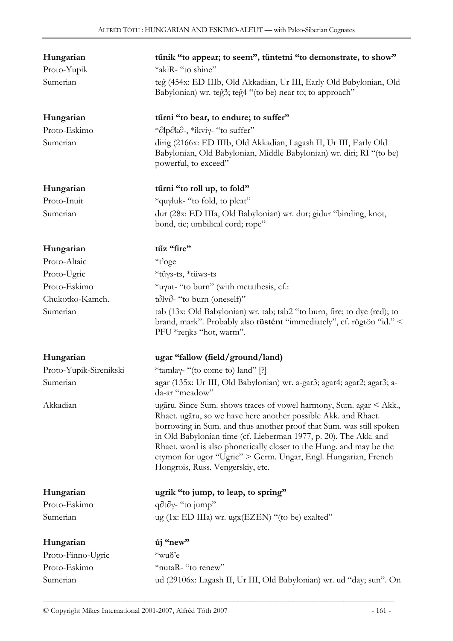| Hungarian              | tűnik "to appear; to seem", tüntetni "to demonstrate, to show"                                                                                                                                                                                                                                                                                                                                                                                               |
|------------------------|--------------------------------------------------------------------------------------------------------------------------------------------------------------------------------------------------------------------------------------------------------------------------------------------------------------------------------------------------------------------------------------------------------------------------------------------------------------|
| Proto-Yupik            | *akiR- "to shine"                                                                                                                                                                                                                                                                                                                                                                                                                                            |
| Sumerian               | teĝ (454x: ED IIIb, Old Akkadian, Ur III, Early Old Babylonian, Old<br>Babylonian) wr. teg3; teg4 "(to be) near to; to approach"                                                                                                                                                                                                                                                                                                                             |
| Hungarian              | tűrni "to bear, to endure; to suffer"                                                                                                                                                                                                                                                                                                                                                                                                                        |
| Proto-Eskimo           | *∂lp∂k∂-, *ikviγ- "to suffer"                                                                                                                                                                                                                                                                                                                                                                                                                                |
| Sumerian               | dirig (2166x: ED IIIb, Old Akkadian, Lagash II, Ur III, Early Old<br>Babylonian, Old Babylonian, Middle Babylonian) wr. diri; RI "(to be)<br>powerful, to exceed"                                                                                                                                                                                                                                                                                            |
| Hungarian              | tűrni "to roll up, to fold"                                                                                                                                                                                                                                                                                                                                                                                                                                  |
| Proto-Inuit            | *quγluk- "to fold, to pleat"                                                                                                                                                                                                                                                                                                                                                                                                                                 |
| Sumerian               | dur (28x: ED IIIa, Old Babylonian) wr. dur; gidur "binding, knot,<br>bond, tie; umbilical cord; rope"                                                                                                                                                                                                                                                                                                                                                        |
| Hungarian              | tűz "fire"                                                                                                                                                                                                                                                                                                                                                                                                                                                   |
| Proto-Altaic           | $*_{t'}{\text{oge}}$                                                                                                                                                                                                                                                                                                                                                                                                                                         |
| Proto-Ugric            | *tüγ3-t3, *tüw3-t3                                                                                                                                                                                                                                                                                                                                                                                                                                           |
| Proto-Eskimo           | *uγut- "to burn" (with metathesis, cf.:                                                                                                                                                                                                                                                                                                                                                                                                                      |
| Chukotko-Kamch.        | $t\partial\psi$ "to burn (oneself)"                                                                                                                                                                                                                                                                                                                                                                                                                          |
| Sumerian               | tab (13x: Old Babylonian) wr. tab; tab2 "to burn, fire; to dye (red); to<br>brand, mark". Probably also tüstént "immediately", cf. rögtön "id." <<br>PFU *renks "hot, warm".                                                                                                                                                                                                                                                                                 |
| Hungarian              | ugar "fallow (field/ground/land)                                                                                                                                                                                                                                                                                                                                                                                                                             |
| Proto-Yupik-Sirenikski | *tamlay- "(to come to) land" [?]                                                                                                                                                                                                                                                                                                                                                                                                                             |
| Sumerian               | agar (135x: Ur III, Old Babylonian) wr. a-gar3; agar4; agar2; agar3; a-<br>da-ar "meadow"                                                                                                                                                                                                                                                                                                                                                                    |
| Akkadian               | ugāru. Since Sum. shows traces of vowel harmony, Sum. agar < Akk.,<br>Rhaet. ugāru, so we have here another possible Akk. and Rhaet.<br>borrowing in Sum. and thus another proof that Sum. was still spoken<br>in Old Babylonian time (cf. Lieberman 1977, p. 20). The Akk. and<br>Rhaet. word is also phonetically closer to the Hung. and may be the<br>etymon for ugor "Ugric" > Germ. Ungar, Engl. Hungarian, French<br>Hongrois, Russ. Vengerskiy, etc. |
| Hungarian              | ugrik "to jump, to leap, to spring"                                                                                                                                                                                                                                                                                                                                                                                                                          |
| Proto-Eskimo           | $q\partial t\partial y$ - "to jump"                                                                                                                                                                                                                                                                                                                                                                                                                          |
| Sumerian               | ug (1x: ED IIIa) wr. ugx(EZEN) "(to be) exalted"                                                                                                                                                                                                                                                                                                                                                                                                             |
| Hungarian              | új "new"                                                                                                                                                                                                                                                                                                                                                                                                                                                     |
| Proto-Finno-Ugric      | *wuδ'e                                                                                                                                                                                                                                                                                                                                                                                                                                                       |
| Proto-Eskimo           | *nutaR- "to renew"                                                                                                                                                                                                                                                                                                                                                                                                                                           |

ud (29106x: Lagash II, Ur III, Old Babylonian) wr. ud "day; sun". On

Sumerian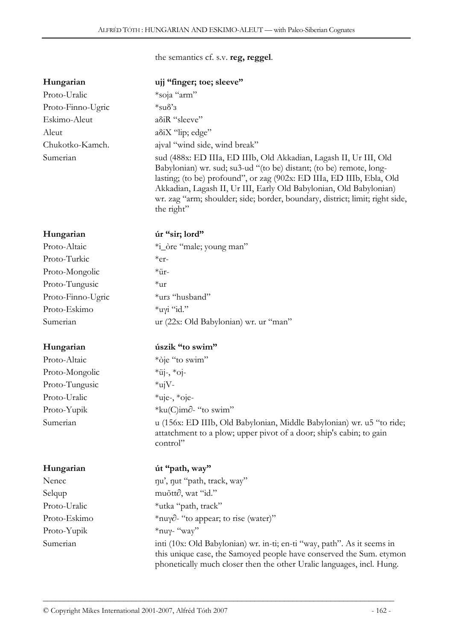the semantics cf. s.v. reg, reggel.

| Hungarian         | ujj "finger; toe; sleeve"                                                                                                                                                                                                                                                                                                                                                             |
|-------------------|---------------------------------------------------------------------------------------------------------------------------------------------------------------------------------------------------------------------------------------------------------------------------------------------------------------------------------------------------------------------------------------|
| Proto-Uralic      | *soja "arm"                                                                                                                                                                                                                                                                                                                                                                           |
| Proto-Finno-Ugric | $*$ su $\delta$ '3                                                                                                                                                                                                                                                                                                                                                                    |
| Eskimo-Aleut      | aδiR "sleeve"                                                                                                                                                                                                                                                                                                                                                                         |
| Aleut             | aδiX "lip; edge"                                                                                                                                                                                                                                                                                                                                                                      |
| Chukotko-Kamch.   | ajval "wind side, wind break"                                                                                                                                                                                                                                                                                                                                                         |
| Sumerian          | sud (488x: ED IIIa, ED IIIb, Old Akkadian, Lagash II, Ur III, Old<br>Babylonian) wr. sud; su3-ud "(to be) distant; (to be) remote, long-<br>lasting; (to be) profound", or zag (902x: ED IIIa, ED IIIb, Ebla, Old<br>Akkadian, Lagash II, Ur III, Early Old Babylonian, Old Babylonian)<br>wr. zag "arm; shoulder; side; border, boundary, district; limit; right side,<br>the right" |
| Hungarian         | úr "sir; lord"                                                                                                                                                                                                                                                                                                                                                                        |
| Proto-Altaic      | *i_òre "male; young man"                                                                                                                                                                                                                                                                                                                                                              |
| Proto-Turkic      | $*er-$                                                                                                                                                                                                                                                                                                                                                                                |
| Proto-Mongolic    | *ür-                                                                                                                                                                                                                                                                                                                                                                                  |
| Proto-Tungusic    | $*ur$                                                                                                                                                                                                                                                                                                                                                                                 |
| Proto-Finno-Ugric | *urs "husband"                                                                                                                                                                                                                                                                                                                                                                        |
| Proto-Eskimo      | $*$ uγi "id."                                                                                                                                                                                                                                                                                                                                                                         |
| Sumerian          | ur (22x: Old Babylonian) wr. ur "man"                                                                                                                                                                                                                                                                                                                                                 |
| Hungarian         | úszik "to swim"                                                                                                                                                                                                                                                                                                                                                                       |
| Proto-Altaic      | *òje "to swim"                                                                                                                                                                                                                                                                                                                                                                        |
| Proto-Mongolic    | $*ii$ -, $*oi$ -                                                                                                                                                                                                                                                                                                                                                                      |
| Proto-Tungusic    | $*$ ujV-                                                                                                                                                                                                                                                                                                                                                                              |
| Proto-Uralic      | $*$ uje-, $*$ oje-                                                                                                                                                                                                                                                                                                                                                                    |
| Proto-Yupik       | *ku(C)im $\partial$ - "to swim"                                                                                                                                                                                                                                                                                                                                                       |
| Sumerian          | u (156x: ED IIIb, Old Babylonian, Middle Babylonian) wr. u5 "to ride;<br>attatchment to a plow; upper pivot of a door; ship's cabin; to gain<br>control"                                                                                                                                                                                                                              |
| Hungarian         | út "path, way"                                                                                                                                                                                                                                                                                                                                                                        |
| Nenec             | nu', nut "path, track, way"                                                                                                                                                                                                                                                                                                                                                           |
| Selqup            | muõtt∂, wat "id."                                                                                                                                                                                                                                                                                                                                                                     |
| Proto-Uralic      | *utka "path, track"                                                                                                                                                                                                                                                                                                                                                                   |
| Proto-Eskimo      | *nuy $\partial$ - "to appear; to rise (water)"                                                                                                                                                                                                                                                                                                                                        |
| Proto-Yupik       | $*$ nuy- "way"                                                                                                                                                                                                                                                                                                                                                                        |
| Sumerian          | inti (10x: Old Babylonian) wr. in-ti; en-ti "way, path". As it seems in<br>this unique case, the Samoyed people have conserved the Sum. etymon<br>phonetically much closer then the other Uralic languages, incl. Hung.                                                                                                                                                               |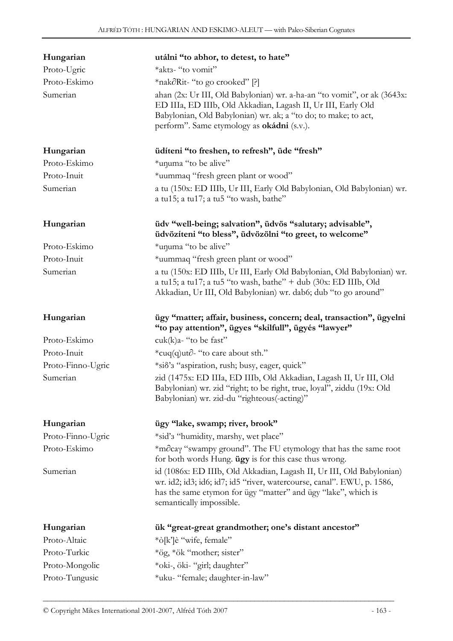| Hungarian         | utálni "to abhor, to detest, to hate"                                                                                                                                                                                                                          |
|-------------------|----------------------------------------------------------------------------------------------------------------------------------------------------------------------------------------------------------------------------------------------------------------|
| Proto-Ugric       | *akt <sub>3</sub> - "to vomit"                                                                                                                                                                                                                                 |
| Proto-Eskimo      | *nak∂Rit- "to go crooked" [?]                                                                                                                                                                                                                                  |
| Sumerian          | ahan (2x: Ur III, Old Babylonian) wr. a-ha-an "to vomit", or ak (3643x:<br>ED IIIa, ED IIIb, Old Akkadian, Lagash II, Ur III, Early Old<br>Babylonian, Old Babylonian) wr. ak; a "to do; to make; to act,<br>perform". Same etymology as <b>okádni</b> (s.v.). |
| Hungarian         | üdíteni "to freshen, to refresh", üde "fresh"                                                                                                                                                                                                                  |
| Proto-Eskimo      | *unuma "to be alive"                                                                                                                                                                                                                                           |
| Proto-Inuit       | *uummaq "fresh green plant or wood"                                                                                                                                                                                                                            |
| Sumerian          | a tu (150x: ED IIIb, Ur III, Early Old Babylonian, Old Babylonian) wr.<br>a tu15; a tu17; a tu5 "to wash, bathe"                                                                                                                                               |
| Hungarian         | üdv "well-being; salvation", üdvös "salutary; advisable",<br>üdvözíteni "to bless", üdvözölni "to greet, to welcome"                                                                                                                                           |
| Proto-Eskimo      | *unuma "to be alive"                                                                                                                                                                                                                                           |
| Proto-Inuit       | *uummaq "fresh green plant or wood"                                                                                                                                                                                                                            |
| Sumerian          | a tu (150x: ED IIIb, Ur III, Early Old Babylonian, Old Babylonian) wr.<br>a tu15; a tu17; a tu5 "to wash, bathe" + dub $(30x: ED IIIb, Old$<br>Akkadian, Ur III, Old Babylonian) wr. dab6; dub "to go around"                                                  |
| Hungarian         | ügy "matter; affair, business, concern; deal, transaction", ügyelni<br>"to pay attention", ügyes "skilfull", ügyés "lawyer"                                                                                                                                    |
| Proto-Eskimo      | $\text{cuk}(k)a-$ "to be fast"                                                                                                                                                                                                                                 |
| Proto-Inuit       | *cuq(q)ut $\partial$ - "to care about sth."                                                                                                                                                                                                                    |
| Proto-Finno-Ugric | *siδ's "aspiration, rush; busy, eager, quick"                                                                                                                                                                                                                  |
| Sumerian          | zid (1475x: ED IIIa, ED IIIb, Old Akkadian, Lagash II, Ur III, Old<br>Babylonian) wr. zid "right; to be right, true, loyal", ziddu (19x: Old<br>Babylonian) wr. zid-du "righteous(-acting)"                                                                    |
| Hungarian         | ügy "lake, swamp; river, brook"                                                                                                                                                                                                                                |
| Proto-Finno-Ugric | *sid's "humidity, marshy, wet place"                                                                                                                                                                                                                           |
| Proto-Eskimo      | *m $\partial$ cay "swampy ground". The FU etymology that has the same root<br>for both words Hung. <b>ügy</b> is for this case thus wrong.                                                                                                                     |
| Sumerian          | id (1086x: ED IIIb, Old Akkadian, Lagash II, Ur III, Old Babylonian)<br>wr. id2; id3; id6; id7; id5 "river, watercourse, canal". EWU, p. 1586,<br>has the same etymon for ügy "matter" and ügy "lake", which is<br>semantically impossible.                    |
| Hungarian         | ük "great-great grandmother; one's distant ancestor"                                                                                                                                                                                                           |
| Proto-Altaic      | *ò[k']è "wife, female"                                                                                                                                                                                                                                         |
| Proto-Turkic      | *ög, *ök "mother; sister"                                                                                                                                                                                                                                      |
| Proto-Mongolic    | *oki-, öki- "girl; daughter"                                                                                                                                                                                                                                   |
| Proto-Tungusic    | *uku- "female; daughter-in-law"                                                                                                                                                                                                                                |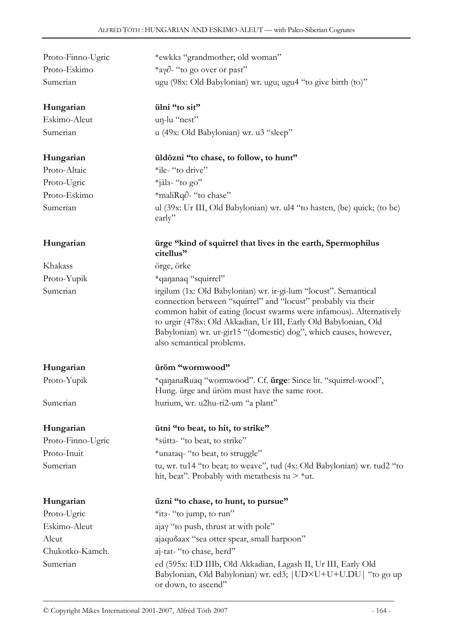| Proto-Finno-Ugric |
|-------------------|
| Proto-Eskimo      |
| Sumerian          |

Proto-Ugric  $*$ jäls- "to go"

Khakass örge, örke

\*ewkks "grandmother; old woman" <sup>\*</sup>aγ∂- "to go over or past" ugu (98x: Old Babylonian) wr. ugu; ugu4 "to give birth (to)"

# Hungarian ülni "to sit"

Eskimo-Aleut un-lu "nest" Sumerian u (49x: Old Babylonian) wr. u3 "sleep"

# Hungarian üldözni "to chase, to follow, to hunt"

Proto-Altaic  $*ile$   $*ile$  "to drive" Proto-Eskimo \*maliRq∂- "to chase" Sumerian ul (39x: Ur III, Old Babylonian) wr. ul4 "to hasten, (be) quick; (to be) early"

# Hungarian ürge "kind of squirrel that lives in the earth, Spermophilus citellus"

Proto-Yupik \*qaqanaq "squirrel"

Sumerian irgilum (1x: Old Babylonian) wr. ir-gi-lum "locust". Semantical connection between "squirrel" and "locust" probably via their common habit of eating (locust swarms were infamous). Alternatively to urgir (478x: Old Akkadian, Ur III, Early Old Babylonian, Old Babylonian) wr. ur-gir15 "(domestic) dog", which causes, however, also semantical problems.

# Hungarian üröm "wormwood"

Proto-Yupik \*qaŋanaRuaq "wormwood". Cf. ürge: Since lit. "squirrel-wood", Hung. ürge and üröm must have the same root. Sumerian hurium, wr. u2hu-ri2-um "a plant"

# Hungarian ütni "to beat, to hit, to strike" Proto-Finno-Ugric \*sütts- "to beat, to strike"

Proto-Inuit \*unataq- "to beat, to struggle" Sumerian tu, wr. tu14 "to beat; to weave", tud (4x: Old Babylonian) wr. tud2 "to hit, beat". Probably with metathesis tu  $>$  \*ut.

# Hungarian űzni "to chase, to hunt, to pursue"

Proto-Ugric  $*$ its- "to jump, to run" Eskimo-Aleut ajaγ "to push, thrust at with pole" Aleut ajaquδaax "sea otter spear, small harpoon" Chukotko-Kamch. aj-tat- "to chase, herd" Sumerian ed (595x: ED IIIb, Old Akkadian, Lagash II, Ur III, Early Old Babylonian, Old Babylonian) wr. ed3; |UD×U+U+U.DU| "to go up or down, to ascend"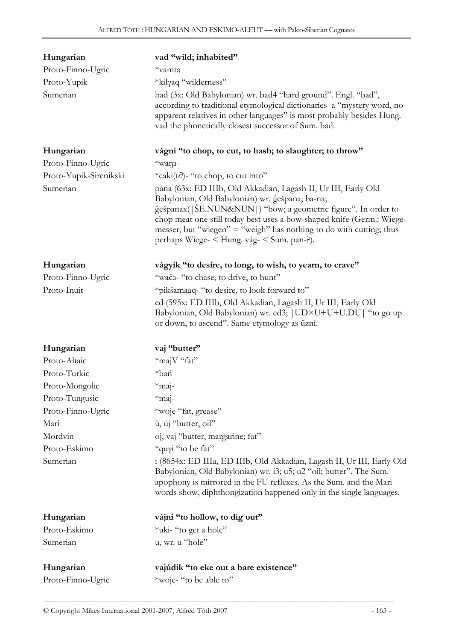| Hungarian              | vad "wild; inhabited"                                                                                                                                                                                                                                                                                                                                                              |
|------------------------|------------------------------------------------------------------------------------------------------------------------------------------------------------------------------------------------------------------------------------------------------------------------------------------------------------------------------------------------------------------------------------|
| Proto-Finno-Ugric      | *vamta                                                                                                                                                                                                                                                                                                                                                                             |
| Proto-Yupik            | *kilγaq "wilderness"                                                                                                                                                                                                                                                                                                                                                               |
| Sumerian               | bad (3x: Old Babylonian) wr. bad4 "hard ground". Engl. "bad",<br>according to traditional etymological dictionaries a "mystery word, no<br>apparent relatives in other languages" is most probably besides Hung.<br>vad the phonetically closest successor of Sum. bad.                                                                                                            |
| Hungarian              | vágni "to chop, to cut, to hash; to slaughter; to throw"                                                                                                                                                                                                                                                                                                                           |
| Proto-Finno-Ugric      | $*$ wan <sup>3-</sup>                                                                                                                                                                                                                                                                                                                                                              |
| Proto-Yupik-Sirenikski | *caki(t $\partial$ )- "to chop, to cut into"                                                                                                                                                                                                                                                                                                                                       |
| Sumerian               | pana (63x: ED IIIb, Old Akkadian, Lagash II, Ur III, Early Old<br>Babylonian, Old Babylonian) wr. ĝešpana; ba-na;<br>ĝešpanax( SE.NUN&NUN ) "bow; a geometric figure". In order to<br>chop meat one still today best uses a bow-shaped knife (Germ.: Wiege-<br>messer, but "wiegen" $=$ "weigh" has nothing to do with cutting; thus<br>perhaps Wiege- < Hung. vág- < Sum. pan-?). |
| Hungarian              | vágyik "to desire, to long, to wish, to yearn, to crave"                                                                                                                                                                                                                                                                                                                           |
| Proto-Finno-Ugric      | *wač3- "to chase, to drive, to hunt"                                                                                                                                                                                                                                                                                                                                               |
| Proto-Inuit            | *pikšamaaq- "to desire, to look forward to"                                                                                                                                                                                                                                                                                                                                        |
|                        | ed (595x: ED IIIb, Old Akkadian, Lagash II, Ur III, Early Old<br>Babylonian, Old Babylonian) wr. ed3;  UD×U+U+U.DU   "to go up<br>or down, to ascend". Same etymology as űzni.                                                                                                                                                                                                     |
| Hungarian              | vaj "butter"                                                                                                                                                                                                                                                                                                                                                                       |
| Proto-Altaic           | *majV "fat"                                                                                                                                                                                                                                                                                                                                                                        |
| Proto-Turkic           | *bań                                                                                                                                                                                                                                                                                                                                                                               |
| Proto-Mongolic         | $*$ maj-                                                                                                                                                                                                                                                                                                                                                                           |
| Proto-Tungusic         | $*$ maj-                                                                                                                                                                                                                                                                                                                                                                           |
| Proto-Finno-Ugric      | *woje "fat, grease"                                                                                                                                                                                                                                                                                                                                                                |
| Mari                   | ü, üj "butter, oil"                                                                                                                                                                                                                                                                                                                                                                |
| Mordvin                | oj, vaj "butter, margarine; fat"                                                                                                                                                                                                                                                                                                                                                   |
| Proto-Eskimo           | <sup>*</sup> quγi "to be fat"                                                                                                                                                                                                                                                                                                                                                      |
| Sumerian               | i (8654x: ED IIIa, ED IIIb, Old Akkadian, Lagash II, Ur III, Early Old<br>Babylonian, Old Babylonian) wr. i3; u5; u2 "oil; butter". The Sum.<br>apophony is mirrored in the FU reflexes. As the Sum. and the Mari<br>words show, diphthongization happened only in the single languages.                                                                                           |
| Hungarian              | vájni "to hollow, to dig out"                                                                                                                                                                                                                                                                                                                                                      |
| Proto-Eskimo           | *uki- "to get a hole"                                                                                                                                                                                                                                                                                                                                                              |
| Sumerian               | u, wr. u "hole"                                                                                                                                                                                                                                                                                                                                                                    |
| Hungarian              | vajúdik "to eke out a bare existence"                                                                                                                                                                                                                                                                                                                                              |
| Proto-Finno-Ugric      | *woje- "to be able to"                                                                                                                                                                                                                                                                                                                                                             |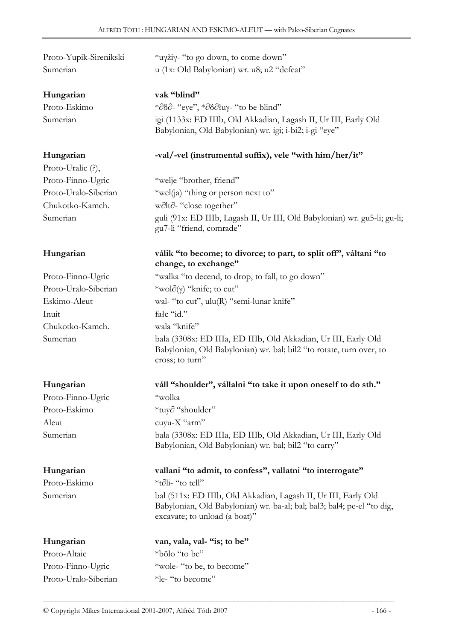| Proto-Yupik-Sirenikski | *uγžiγ- "to go down, to come down"                                                                                                                                        |
|------------------------|---------------------------------------------------------------------------------------------------------------------------------------------------------------------------|
| Sumerian               | u (1x: Old Babylonian) wr. u8; u2 "defeat"                                                                                                                                |
| Hungarian              | vak "blind"                                                                                                                                                               |
| Proto-Eskimo           | *∂δ∂- "eye", *∂δ∂łuγ- "to be blind"                                                                                                                                       |
| Sumerian               | igi (1133x: ED IIIb, Old Akkadian, Lagash II, Ur III, Early Old                                                                                                           |
|                        | Babylonian, Old Babylonian) wr. igi; i-bi2; i-gi "eye"                                                                                                                    |
| Hungarian              | -val/-vel (instrumental suffix), vele "with him/her/it"                                                                                                                   |
| Proto-Uralic (?),      |                                                                                                                                                                           |
| Proto-Finno-Ugric      | *welje "brother, friend"                                                                                                                                                  |
| Proto-Uralo-Siberian   | *wel(ja) "thing or person next to"                                                                                                                                        |
| Chukotko-Kamch.        | wolto-"close together"                                                                                                                                                    |
| Sumerian               | guli (91x: ED IIIb, Lagash II, Ur III, Old Babylonian) wr. gu5-li; gu-li;<br>gu7-li "friend, comrade"                                                                     |
| Hungarian              | válik "to become; to divorce; to part, to split off", váltani "to<br>change, to exchange"                                                                                 |
| Proto-Finno-Ugric      | *walka "to decend, to drop, to fall, to go down"                                                                                                                          |
| Proto-Uralo-Siberian   | *wol $\partial(\gamma)$ "knife; to cut"                                                                                                                                   |
| Eskimo-Aleut           | wal- "to cut", ulu(R) "semi-lunar knife"                                                                                                                                  |
| Inuit                  | falc "id."                                                                                                                                                                |
| Chukotko-Kamch.        | wala "knife"                                                                                                                                                              |
| Sumerian               | bala (3308x: ED IIIa, ED IIIb, Old Akkadian, Ur III, Early Old<br>Babylonian, Old Babylonian) wr. bal; bil2 "to rotate, turn over, to<br>cross; to turn"                  |
| Hungarian              | váll "shoulder", vállalni "to take it upon oneself to do sth."                                                                                                            |
| Proto-Finno-Ugric      | *wolka                                                                                                                                                                    |
| Proto-Eskimo           | *tuy∂ "shoulder"                                                                                                                                                          |
| Aleut                  | cuyu-X "arm"                                                                                                                                                              |
| Sumerian               | bala (3308x: ED IIIa, ED IIIb, Old Akkadian, Ur III, Early Old<br>Babylonian, Old Babylonian) wr. bal; bil2 "to carry"                                                    |
| Hungarian              | vallani "to admit, to confess", vallatni "to interrogate"                                                                                                                 |
| Proto-Eskimo           | *t∂li- "to tell"                                                                                                                                                          |
| Sumerian               | bal (511x: ED IIIb, Old Akkadian, Lagash II, Ur III, Early Old<br>Babylonian, Old Babylonian) wr. ba-al; bal; bal3; bal4; pe-el "to dig,<br>excavate; to unload (a boat)" |
| Hungarian              | van, vala, val- "is; to be"                                                                                                                                               |
| Proto-Altaic           | *bōlo "to be"                                                                                                                                                             |
| Proto-Finno-Ugric      | *wole- "to be, to become"                                                                                                                                                 |
| Proto-Uralo-Siberian   | *le-"to become"                                                                                                                                                           |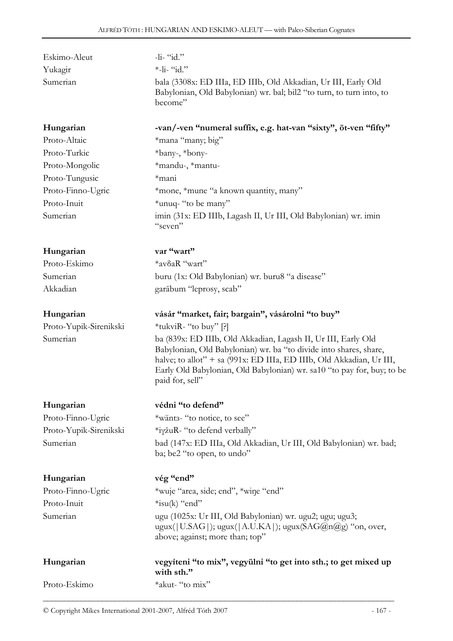| Eskimo-Aleut           | $-li-$ "id."                                                                                                                                                                                                                                                                                            |
|------------------------|---------------------------------------------------------------------------------------------------------------------------------------------------------------------------------------------------------------------------------------------------------------------------------------------------------|
| Yukagir                | $*$ -li- "id."                                                                                                                                                                                                                                                                                          |
| Sumerian               | bala (3308x: ED IIIa, ED IIIb, Old Akkadian, Ur III, Early Old<br>Babylonian, Old Babylonian) wr. bal; bil2 "to turn, to turn into, to<br>become"                                                                                                                                                       |
| Hungarian              | -van/-ven "numeral suffix, e.g. hat-van "sixty", öt-ven "fifty"                                                                                                                                                                                                                                         |
| Proto-Altaic           | *mana "many; big"                                                                                                                                                                                                                                                                                       |
| Proto-Turkic           | *bany-, *bony-                                                                                                                                                                                                                                                                                          |
| Proto-Mongolic         | *mandu-, *mantu-                                                                                                                                                                                                                                                                                        |
| Proto-Tungusic         | *mani                                                                                                                                                                                                                                                                                                   |
| Proto-Finno-Ugric      | *mone, *mune "a known quantity, many"                                                                                                                                                                                                                                                                   |
| Proto-Inuit            | *unuq- "to be many"                                                                                                                                                                                                                                                                                     |
| Sumerian               | imin (31x: ED IIIb, Lagash II, Ur III, Old Babylonian) wr. imin<br>"seven"                                                                                                                                                                                                                              |
| Hungarian              | var "wart"                                                                                                                                                                                                                                                                                              |
| Proto-Eskimo           | *avδaR "wart"                                                                                                                                                                                                                                                                                           |
| Sumerian               | buru (1x: Old Babylonian) wr. buru8 "a disease"                                                                                                                                                                                                                                                         |
| Akkadian               | garābum "leprosy, scab"                                                                                                                                                                                                                                                                                 |
| Hungarian              | vásár "market, fair; bargain", vásárolni "to buy"                                                                                                                                                                                                                                                       |
| Proto-Yupik-Sirenikski | *tukviR- "to buy" [?]                                                                                                                                                                                                                                                                                   |
| Sumerian               | ba (839x: ED IIIb, Old Akkadian, Lagash II, Ur III, Early Old<br>Babylonian, Old Babylonian) wr. ba "to divide into shares, share,<br>halve; to allot" + sa (991x: ED IIIa, ED IIIb, Old Akkadian, Ur III,<br>Early Old Babylonian, Old Babylonian) wr. sa10 "to pay for, buy; to be<br>paid for, sell" |
| Hungarian              | védni "to defend"                                                                                                                                                                                                                                                                                       |
| Proto-Finno-Ugric      | *wänts- "to notice, to see"                                                                                                                                                                                                                                                                             |
| Proto-Yupik-Sirenikski | *iγžuR- "to defend verbally"                                                                                                                                                                                                                                                                            |
| Sumerian               | bad (147x: ED IIIa, Old Akkadian, Ur III, Old Babylonian) wr. bad;<br>ba; be2 "to open, to undo"                                                                                                                                                                                                        |
| Hungarian              | vég "end"                                                                                                                                                                                                                                                                                               |
| Proto-Finno-Ugric      | *wuje "area, side; end", *wine "end"                                                                                                                                                                                                                                                                    |
| Proto-Inuit            | $*$ isu(k) "end"                                                                                                                                                                                                                                                                                        |
| Sumerian               | ugu (1025x: Ur III, Old Babylonian) wr. ugu2; ugu; ugu3;<br>ugux( U.SAG ); ugux( A.U.KA ); ugux(SAG@n@g) "on, over,<br>above; against; more than; top"                                                                                                                                                  |
| Hungarian              | vegyíteni "to mix", vegyülni "to get into sth.; to get mixed up<br>with sth."                                                                                                                                                                                                                           |
| Proto-Eskimo           | *akut- "to mix"                                                                                                                                                                                                                                                                                         |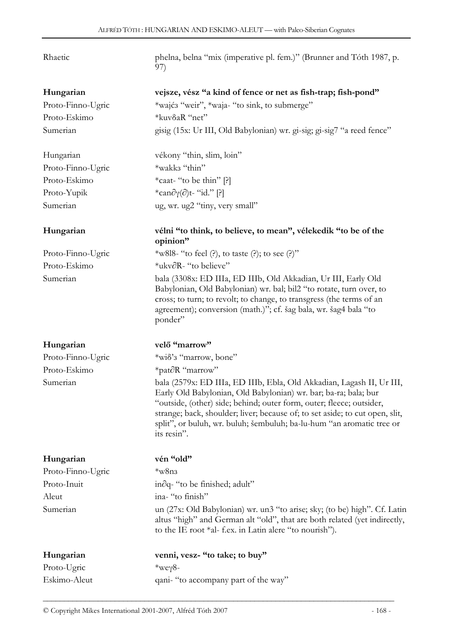Rhaetic

Hungarian

Proto-Eskimo

Sumerian

Hungarian

Proto-Finno-Ugric

Proto-Finno-Ugric

Proto-Eskimo

Proto-Yupik Sumerian

vejsze, vész "a kind of fence or net as fish-trap; fish-pond" \*wajća "weir", \*waja- "to sink, to submerge"

phelna, belna "mix (imperative pl. fem.)" (Brunner and Tóth 1987, p.

\*kuv $\delta$ aR "net" gisig (15x: Ur III, Old Babylonian) wr. gi-sig; gi-sig7 "a reed fence"

vélni "to think, to believe, to mean", vélekedik "to be of the

vékony "thin, slim, loin" \*wakk3 "thin" \*caat- "to be thin" [?] \*can $\partial$ γ(∂)t- "id." [?] ug, wr. ug2 "tiny, very small"

97)

# Hungarian

Hungarian

Proto-Eskimo

Sumerian

Proto-Finno-Ugric Proto-Eskimo Sumerian

bala (3308x: ED IIIa, ED IIIb, Old Akkadian, Ur III, Early Old Babylonian, Old Babylonian) wr. bal; bil2 "to rotate, turn over, to cross; to turn; to revolt; to change, to transgress (the terms of an agreement); conversion (math.)"; cf. šag bala, wr. šag4 bala "to ponder" velő "marrow" \*wiδ's "marrow, bone" Proto-Finno-Ugric

\*w8l8- "to feel (?), to taste (?); to see (?)"

\*pat∂R "marrow"

opinion"

\*ukv∂R- "to believe"

bala (2579x: ED IIIa, ED IIIb, Ebla, Old Akkadian, Lagash II, Ur III, Early Old Babylonian, Old Babylonian) wr. bar; ba-ra; bala; bur "outside, (other) side; behind; outer form, outer; fleece; outsider, strange; back, shoulder; liver; because of; to set aside; to cut open, slit, split", or buluh, wr. buluh; šembuluh; ba-lu-hum "an aromatic tree or its resin".

| Hungarian         | vén "old"                                                                                                                                                                                                         |
|-------------------|-------------------------------------------------------------------------------------------------------------------------------------------------------------------------------------------------------------------|
| Proto-Finno-Ugric | $*_{\rm w8ns}$                                                                                                                                                                                                    |
| Proto-Inuit       | in $\partial q$ - "to be finished; adult"                                                                                                                                                                         |
| Aleut             | ina-"to finish"                                                                                                                                                                                                   |
| Sumerian          | un (27x: Old Babylonian) wr. un3 "to arise; sky; (to be) high". Cf. Latin<br>altus "high" and German alt "old", that are both related (yet indirectly,<br>to the IE root *al- f.ex. in Latin alere "to nourish"). |
| Hungarian         | venni, vesz- "to take; to buy"                                                                                                                                                                                    |
| Proto-Ugric       | $*_{\text{wey8-}}$                                                                                                                                                                                                |
| Eskimo-Aleut      | qani- "to accompany part of the way"                                                                                                                                                                              |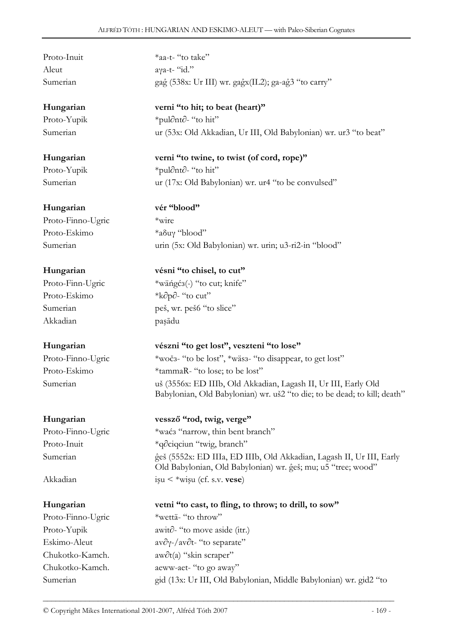Proto-Inuit Aleut Sumerian

# Hungarian

Proto-Yupik Sumerian

# Hungarian

Proto-Yupik Sumerian

# Hungarian

Proto-Finno-Ugric Proto-Eskimo Sumerian

# Hungarian

Proto-Finn-Ugric Proto-Eskimo Sumerian Akkadian

# Hungarian

Proto-Finno-Ugric Proto-Eskimo Sumerian

# Hungarian

Proto-Finno-Ugric Proto-Inuit Sumerian

Akkadian

# Hungarian

Proto-Finno-Ugric Proto-Yupik Eskimo-Aleut Chukotko-Kamch. Chukotko-Kamch. Sumerian

\*aa-t- "to take" aγa-t-"id." gaĝ (538x: Ur III) wr. gaĝx(IL2); ga-aĝ3 "to carry"

verni "to hit; to beat (heart)" \*pul∂nt∂- "to hit" ur (53x: Old Akkadian, Ur III, Old Babylonian) wr. ur3 "to beat"

# verni "to twine, to twist (of cord, rope)" \*pul∂nt∂- "to hit"

ur (17x: Old Babylonian) wr. ur4 "to be convulsed"

# vér "blood"

\*wire \*aδuν "blood" urin (5x: Old Babylonian) wr. urin; u3-ri2-in "blood"

# vésni "to chisel, to cut"

\*wäńgć3(-) "to cut; knife" \*k∂p∂- "to cut" peš, wr. peš6 "to slice" pașādu

# vészni "to get lost", veszteni "to lose" \*wočs- "to be lost", \*wäss- "to disappear, to get lost" \*tammaR- "to lose; to be lost"

uš (3556x: ED IIIb, Old Akkadian, Lagash II, Ur III, Early Old Babylonian, Old Babylonian) wr. uš2 "to die; to be dead; to kill; death"

vessző "rod, twig, verge" \*waćs "narrow, thin bent branch" \*q∂ciqciun "twig, branch" ĝeš (5552x: ED IIIa, ED IIIb, Old Akkadian, Lagash II, Ur III, Early Old Babylonian, Old Babylonian) wr. ĝeš; mu; u5 "tree; wood" isu  $\langle$  \*wisu (cf. s.v. vese)

# vetni "to cast, to fling, to throw; to drill, to sow"

\*wettä- "to throw" awit $\partial$ - "to move aside (itr.)  $av\partial y$ -/av $\partial t$ - "to separate"  $aw\partial t$ (a) "skin scraper" aeww-aet- "to go away" gid (13x: Ur III, Old Babylonian, Middle Babylonian) wr. gid2 "to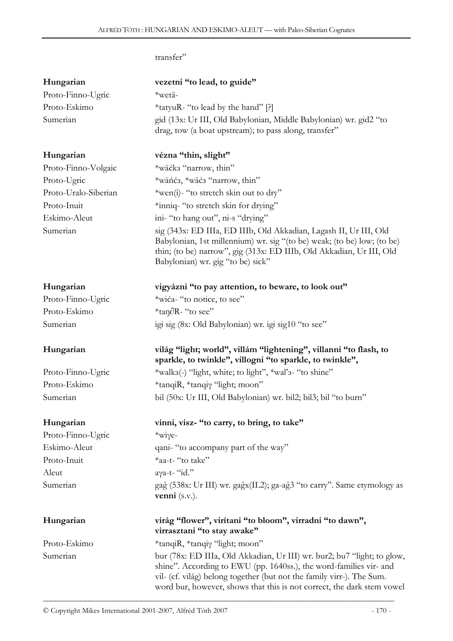### transfer"

| Hungarian |  |
|-----------|--|
|           |  |

Proto-Finno-Ugric \*wetä-

Proto-Eskimo \*taη∂R- "to see"

Proto-Finno-Ugric \*wiγe-Proto-Inuit \*aa-t- "to take" Aleut ava-t- "id."

vezetni "to lead, to guide" Proto-Eskimo \*tatyuR- "to lead by the hand" [?] Sumerian gid (13x: Ur III, Old Babylonian, Middle Babylonian) wr. gid2 "to drag, tow (a boat upstream); to pass along, transfer"

# Hungarian vézna "thin, slight"

Proto-Finno-Volgaic \*wäćks "narrow, thin" Proto-Ugric \*wäńćs, \*wäćs "narrow, thin" Proto-Uralo-Siberian \*wen(i)- "to stretch skin out to dry" Proto-Inuit \*inniq- "to stretch skin for drying" Eskimo-Aleut ini- "to hang out", ni-s "drying" Sumerian sig (343x: ED IIIa, ED IIIb, Old Akkadian, Lagash II, Ur III, Old Babylonian, 1st millennium) wr. sig "(to be) weak; (to be) low; (to be) thin; (to be) narrow", gig (313x: ED IIIb, Old Akkadian, Ur III, Old Babylonian) wr. gig "to be) sick"

# Hungarian vigyázni "to pay attention, to beware, to look out" Proto-Finno-Ugric \*wića- "to notice, to see"

Sumerian igi sig (8x: Old Babylonian) wr. igi sig10 "to see"

# Hungarian világ "light; world", villám "lightening", villanni "to flash, to sparkle, to twinkle", villogni "to sparkle, to twinkle",

Proto-Finno-Ugric \*walks(-) "light, white; to light", \*wal's- "to shine" Proto-Eskimo \*tanqiR, \*tanqiγ "light; moon" Sumerian bil (50x: Ur III, Old Babylonian) wr. bil2; bil3; bil "to burn"

# Hungarian vinni, visz- "to carry, to bring, to take" Eskimo-Aleut qani- "to accompany part of the way" Sumerian gaĝ (538x: Ur III) wr. gaĝx(IL2); ga-aĝ3 "to carry". Same etymology as venni (s.v.).

Hungarian virág "flower", virítani "to bloom", virradni "to dawn", virrasztani "to stay awake" Proto-Eskimo \*tanqiR, \*tanqiγ "light; moon" Sumerian bur (78x: ED IIIa, Old Akkadian, Ur III) wr. bur2; bu7 "light; to glow, shine". According to EWU (pp. 1640ss.), the word-families vir- and vil- (cf. világ) belong together (but not the family virr-). The Sum. word bur, however, shows that this is not correct, the dark stem vowel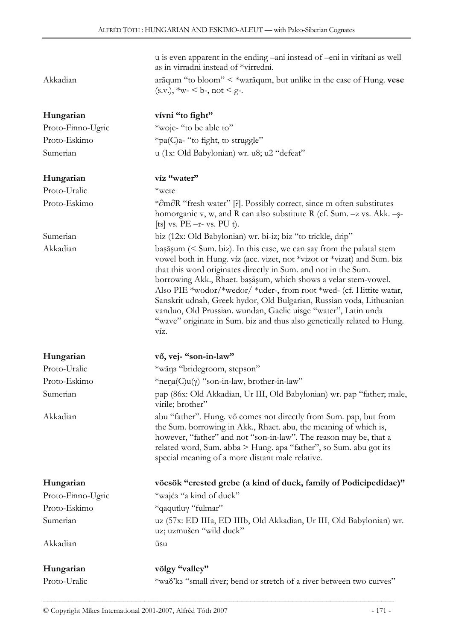|                   | u is even apparent in the ending -ani instead of -eni in viritani as well<br>as in virradni instead of *virredni.                                                                                                                                                                                                                                                                                                                                                                                                                                                                            |
|-------------------|----------------------------------------------------------------------------------------------------------------------------------------------------------------------------------------------------------------------------------------------------------------------------------------------------------------------------------------------------------------------------------------------------------------------------------------------------------------------------------------------------------------------------------------------------------------------------------------------|
| Akkadian          | arāqum "to bloom" $\lt^*$ warāqum, but unlike in the case of Hung. vese<br>$(s.v.),$ *w- < b-, not < g-.                                                                                                                                                                                                                                                                                                                                                                                                                                                                                     |
| Hungarian         | vívni "to fight"                                                                                                                                                                                                                                                                                                                                                                                                                                                                                                                                                                             |
| Proto-Finno-Ugric | *woje- "to be able to"                                                                                                                                                                                                                                                                                                                                                                                                                                                                                                                                                                       |
| Proto-Eskimo      | *pa(C)a- "to fight, to struggle"                                                                                                                                                                                                                                                                                                                                                                                                                                                                                                                                                             |
| Sumerian          | u (1x: Old Babylonian) wr. u8; u2 "defeat"                                                                                                                                                                                                                                                                                                                                                                                                                                                                                                                                                   |
| Hungarian         | víz "water"                                                                                                                                                                                                                                                                                                                                                                                                                                                                                                                                                                                  |
| Proto-Uralic      | *wete                                                                                                                                                                                                                                                                                                                                                                                                                                                                                                                                                                                        |
| Proto-Eskimo      | $*\partial m\partial R$ "fresh water" [?]. Possibly correct, since m often substitutes<br>homorganic v, w, and R can also substitute R (cf. Sum. $-z$ vs. Akk. $-\xi$ -<br>[ts] vs. $PE -r - vs. PU t$ .                                                                                                                                                                                                                                                                                                                                                                                     |
| Sumerian          | biz (12x: Old Babylonian) wr. bi-iz; biz "to trickle, drip"                                                                                                                                                                                                                                                                                                                                                                                                                                                                                                                                  |
| Akkadian          | başāşum $\leq$ Sum. biz). In this case, we can say from the palatal stem<br>vowel both in Hung. víz (acc. vizet, not *vizot or *vizat) and Sum. biz<br>that this word originates directly in Sum. and not in the Sum.<br>borrowing Akk., Rhaet. başāşum, which shows a velar stem-vowel.<br>Also PIE *wodor/*wedor/ *uder-, from root *wed- (cf. Hittite watar,<br>Sanskrit udnah, Greek hydor, Old Bulgarian, Russian voda, Lithuanian<br>vanduo, Old Prussian. wundan, Gaelic uisge "water", Latin unda<br>"wave" originate in Sum. biz and thus also genetically related to Hung.<br>víz. |
| Hungarian         | vő, vej- "son-in-law"                                                                                                                                                                                                                                                                                                                                                                                                                                                                                                                                                                        |
| Proto-Uralic      | *wäns "bridegroom, stepson"                                                                                                                                                                                                                                                                                                                                                                                                                                                                                                                                                                  |
| Proto-Eskimo      | *neqa( $C$ ) $u(y)$ "son-in-law, brother-in-law"                                                                                                                                                                                                                                                                                                                                                                                                                                                                                                                                             |
| Sumerian          | pap (86x: Old Akkadian, Ur III, Old Babylonian) wr. pap "father; male,<br>virile; brother"                                                                                                                                                                                                                                                                                                                                                                                                                                                                                                   |
| Akkadian          | abu "father". Hung. vő comes not directly from Sum. pap, but from<br>the Sum. borrowing in Akk., Rhaet. abu, the meaning of which is,<br>however, "father" and not "son-in-law". The reason may be, that a<br>related word, Sum. abba > Hung. apa "father", so Sum. abu got its<br>special meaning of a more distant male relative.                                                                                                                                                                                                                                                          |
| Hungarian         | vöcsök "crested grebe (a kind of duck, family of Podicipedidae)"                                                                                                                                                                                                                                                                                                                                                                                                                                                                                                                             |
| Proto-Finno-Ugric | *wajća "a kind of duck"                                                                                                                                                                                                                                                                                                                                                                                                                                                                                                                                                                      |
| Proto-Eskimo      | *qaqutluy "fulmar"                                                                                                                                                                                                                                                                                                                                                                                                                                                                                                                                                                           |
| Sumerian          | uz (57x: ED IIIa, ED IIIb, Old Akkadian, Ur III, Old Babylonian) wr.<br>uz; uzmušen "wild duck"                                                                                                                                                                                                                                                                                                                                                                                                                                                                                              |
| Akkadian          | ūsu                                                                                                                                                                                                                                                                                                                                                                                                                                                                                                                                                                                          |
| Hungarian         | völgy "valley"                                                                                                                                                                                                                                                                                                                                                                                                                                                                                                                                                                               |
| Proto-Uralic      | *waδ'ka "small river; bend or stretch of a river between two curves"                                                                                                                                                                                                                                                                                                                                                                                                                                                                                                                         |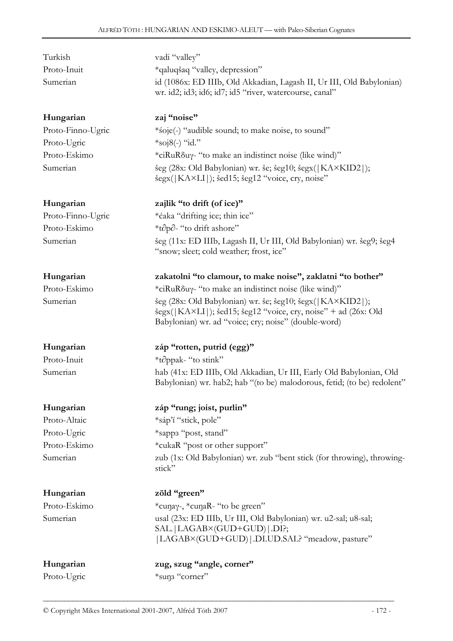Proto-Ugric  $*_{\text{soi8(-)}}$  "id."

Turkish vadi "valley" Proto-Inuit \*qaluqšaq "valley, depression" Sumerian id (1086x: ED IIIb, Old Akkadian, Lagash II, Ur III, Old Babylonian) wr. id2; id3; id6; id7; id5 "river, watercourse, canal" Hungarian zaj "noise" Proto-Finno-Ugric \*śoje(-) "audible sound; to make noise, to sound" Proto-Eskimo \*ciRuRδuγ- "to make an indistinct noise (like wind)" Sumerian šeg (28x: Old Babylonian) wr. še; šeg10; šegx(|KA×KID2|); šegx(|KA×LI|); šed15; šeg12 "voice, cry, noise" Hungarian zajlik "to drift (of ice)" Proto-Finno-Ugric \*ćaka "drifting ice; thin ice"

Proto-Eskimo \*t∂p∂- "to drift ashore" Sumerian šeg (11x: ED IIIb, Lagash II, Ur III, Old Babylonian) wr. šeg9; šeg4 "snow; sleet; cold weather; frost, ice"

Hungarian zakatolni "to clamour, to make noise", zaklatni "to bother" Proto-Eskimo \*ciRuRδuγ- "to make an indistinct noise (like wind)" Sumerian šeg (28x: Old Babylonian) wr. še; šeg10; šegx(|KA×KID2|);  $\text{Segx}(|\text{KAXLI}|)$ ; šed15; šeg12 "voice, cry, noise" + ad (26x: Old Babylonian) wr. ad "voice; cry; noise" (double-word)

Hungarian záp "rotten, putrid (egg)" Proto-Inuit \*t∂ppak- "to stink" Sumerian hab (41x: ED IIIb, Old Akkadian, Ur III, Early Old Babylonian, Old Babylonian) wr. hab2; hab "(to be) malodorous, fetid; (to be) redolent"

# Hungarian záp "rung; joist, purlin" Proto-Altaic  $*$ sáp'í "stick, pole"

Proto-Ugric \*sapps "post, stand" Proto-Eskimo \*cukaR "post or other support" Sumerian zub (1x: Old Babylonian) wr. zub "bent stick (for throwing), throwingstick"

# Hungarian zöld "green"

Proto-Eskimo \*cuηaγ-, \*cuηaR- "to be green" Sumerian usal (23x: ED IIIb, Ur III, Old Babylonian) wr. u2-sal; u8-sal; SAL.|LAGAB×(GUD+GUD)|.DI?; |LAGAB×(GUD+GUD)|.DI.UD.SAL? "meadow, pasture"

Hungarian zug, szug "angle, corner" Proto-Ugric \*suŋ3 "corner"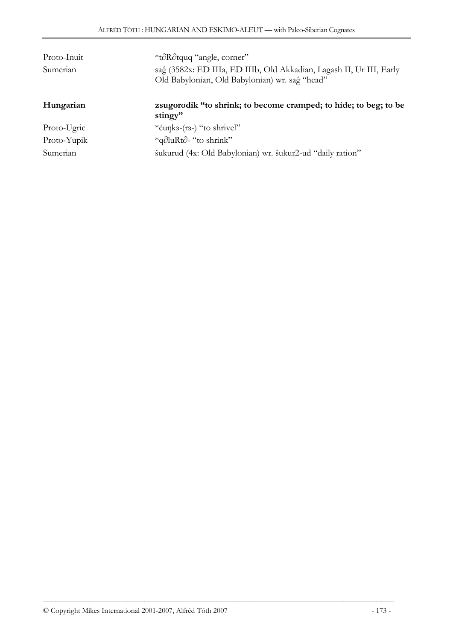| Proto-Inuit | *t∂R∂tquq "angle, corner"                                                                                              |
|-------------|------------------------------------------------------------------------------------------------------------------------|
| Sumerian    | saĝ (3582x: ED IIIa, ED IIIb, Old Akkadian, Lagash II, Ur III, Early<br>Old Babylonian, Old Babylonian) wr. sag "head" |
| Hungarian   | zsugorodik "to shrink; to become cramped; to hide; to beg; to be<br>stingy"                                            |
| Proto-Ugric | * cunk 3 - (r 3 -) " to shrivel"                                                                                       |
| Proto-Yupik | *q $\partial$ luRt $\partial$ - "to shrink"                                                                            |
| Sumerian    | šukurud (4x: Old Babylonian) wr. šukur2-ud "daily ration"                                                              |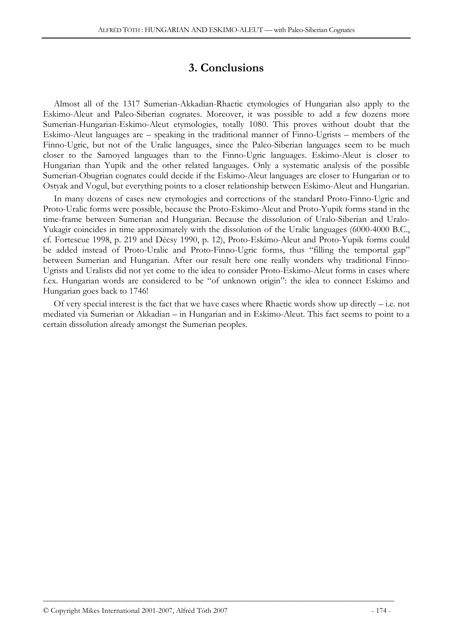# 3. Conclusions

Almost all of the 1317 Sumerian-Akkadian-Rhaetic etymologies of Hungarian also apply to the Eskimo-Aleut and Paleo-Siberian cognates. Moreover, it was possible to add a few dozens more Sumerian-Hungarian-Eskimo-Aleut etymologies, totally 1080. This proves without doubt that the Eskimo-Aleut languages are – speaking in the traditional manner of Finno-Ugrists – members of the Finno-Ugric, but not of the Uralic languages, since the Paleo-Siberian languages seem to be much closer to the Samoyed languages than to the Finno-Ugric languages. Eskimo-Aleut is closer to Hungarian than Yupik and the other related languages. Only a systematic analysis of the possible Sumerian-Obugrian cognates could decide if the Eskimo-Aleut languages are closer to Hungarian or to Ostyak and Vogul, but everything points to a closer relationship between Eskimo-Aleut and Hungarian.

In many dozens of cases new etymologies and corrections of the standard Proto-Finno-Ugric and Proto-Uralic forms were possible, because the Proto-Eskimo-Aleut and Proto-Yupik forms stand in the time-frame between Sumerian and Hungarian. Because the dissolution of Uralo-Siberian and Uralo-Yukagir coincides in time approximately with the dissolution of the Uralic languages (6000-4000 B.C., cf. Fortescue 1998, p. 219 and Décsy 1990, p. 12), Proto-Eskimo-Aleut and Proto-Yupik forms could be added instead of Proto-Uralic and Proto-Finno-Ugric forms, thus "filling the temportal gap" between Sumerian and Hungarian. After our result here one really wonders why traditional Finno-Ugrists and Uralists did not yet come to the idea to consider Proto-Eskimo-Aleut forms in cases where f.ex. Hungarian words are considered to be "of unknown origin": the idea to connect Eskimo and Hungarian goes back to 1746!

Of very special interest is the fact that we have cases where Rhaetic words show up directly  $-$  i.e. not mediated via Sumerian or Akkadian – in Hungarian and in Eskimo-Aleut. This fact seems to point to a certain dissolution already amongst the Sumerian peoples.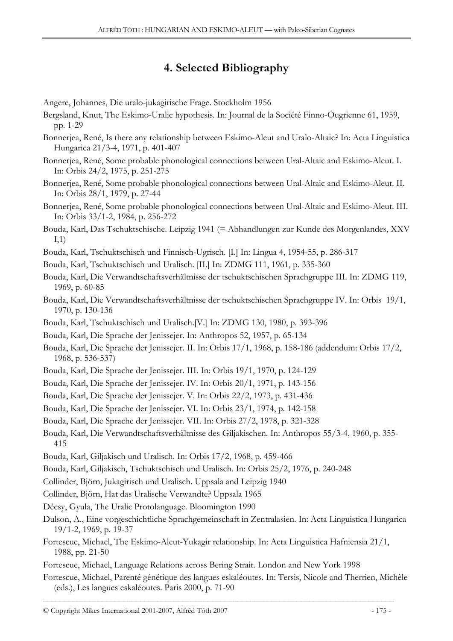# 4. Selected Bibliography

Angere, Johannes, Die uralo-jukagirische Frage. Stockholm 1956

- Bergsland, Knut, The Eskimo-Uralic hypothesis. In: Journal de la Société Finno-Ougrienne 61, 1959, pp. 1-29
- Bonnerjea, René, Is there any relationship between Eskimo-Aleut and Uralo-Altaic? In: Acta Linguistica Hungarica 21/3-4, 1971, p. 401-407
- Bonnerjea, René, Some probable phonological connections between Ural-Altaic and Eskimo-Aleut. I. In: Orbis 24/2, 1975, p. 251-275
- Bonnerjea, René, Some probable phonological connections between Ural-Altaic and Eskimo-Aleut. II. In: Orbis 28/1, 1979, p. 27-44
- Bonnerjea, René, Some probable phonological connections between Ural-Altaic and Eskimo-Aleut. III. In: Orbis 33/1-2, 1984, p. 256-272
- Bouda, Karl, Das Tschuktschische. Leipzig 1941 (= Abhandlungen zur Kunde des Morgenlandes, XXV I,1)
- Bouda, Karl, Tschuktschisch und Finnisch-Ugrisch. [I.] In: Lingua 4, 1954-55, p. 286-317
- Bouda, Karl, Tschuktschisch und Uralisch. [II.] In: ZDMG 111, 1961, p. 335-360
- Bouda, Karl, Die Verwandtschaftsverhältnisse der tschuktschischen Sprachgruppe III. In: ZDMG 119, 1969, p. 60-85
- Bouda, Karl, Die Verwandtschaftsverhältnisse der tschuktschischen Sprachgruppe IV. In: Orbis 19/1, 1970, p. 130-136
- Bouda, Karl, Tschuktschisch und Uralisch.[V.] In: ZDMG 130, 1980, p. 393-396
- Bouda, Karl, Die Sprache der Jenissejer. In: Anthropos 52, 1957, p. 65-134
- Bouda, Karl, Die Sprache der Jenissejer. II. In: Orbis 17/1, 1968, p. 158-186 (addendum: Orbis 17/2, 1968, p. 536-537)
- Bouda, Karl, Die Sprache der Jenissejer. III. In: Orbis 19/1, 1970, p. 124-129
- Bouda, Karl, Die Sprache der Jenissejer. IV. In: Orbis 20/1, 1971, p. 143-156
- Bouda, Karl, Die Sprache der Jenissejer. V. In: Orbis 22/2, 1973, p. 431-436
- Bouda, Karl, Die Sprache der Jenissejer. VI. In: Orbis 23/1, 1974, p. 142-158
- Bouda, Karl, Die Sprache der Jenissejer. VII. In: Orbis 27/2, 1978, p. 321-328
- Bouda, Karl, Die Verwandtschaftsverhältnisse des Giljakischen. In: Anthropos 55/3-4, 1960, p. 355- 415
- Bouda, Karl, Giljakisch und Uralisch. In: Orbis 17/2, 1968, p. 459-466
- Bouda, Karl, Giljakisch, Tschuktschisch und Uralisch. In: Orbis 25/2, 1976, p. 240-248
- Collinder, Björn, Jukagirisch und Uralisch. Uppsala and Leipzig 1940
- Collinder, Björn, Hat das Uralische Verwandte? Uppsala 1965
- Décsy, Gyula, The Uralic Protolanguage. Bloomington 1990
- Dulson, A., Eine vorgeschichtliche Sprachgemeinschaft in Zentralasien. In: Acta Linguistica Hungarica 19/1-2, 1969, p. 19-37
- Fortescue, Michael, The Eskimo-Aleut-Yukagir relationship. In: Acta Linguistica Hafniensia 21/1, 1988, pp. 21-50
- Fortescue, Michael, Language Relations across Bering Strait. London and New York 1998
- Fortescue, Michael, Parenté génétique des langues eskaléoutes. In: Tersis, Nicole and Therrien, Michèle (eds.), Les langues eskaléoutes. Paris 2000, p. 71-90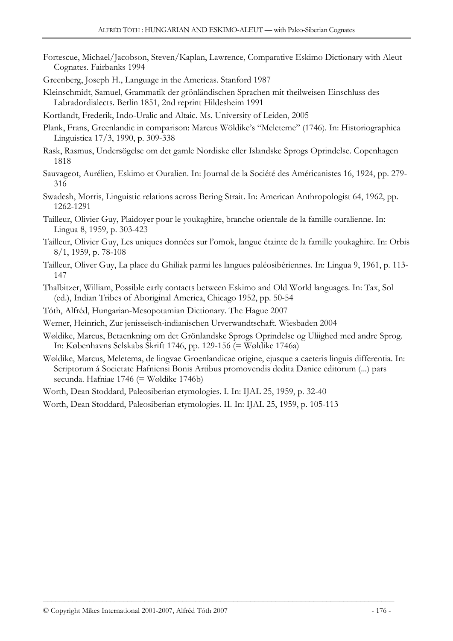Fortescue, Michael/Jacobson, Steven/Kaplan, Lawrence, Comparative Eskimo Dictionary with Aleut Cognates. Fairbanks 1994

Greenberg, Joseph H., Language in the Americas. Stanford 1987

Kleinschmidt, Samuel, Grammatik der grönländischen Sprachen mit theilweisen Einschluss des Labradordialects. Berlin 1851, 2nd reprint Hildesheim 1991

Kortlandt, Frederik, Indo-Uralic and Altaic. Ms. University of Leiden, 2005

- Plank, Frans, Greenlandic in comparison: Marcus Wöldike's "Meleteme" (1746). In: Historiographica Linguistica 17/3, 1990, p. 309-338
- Rask, Rasmus, Undersögelse om det gamle Nordiske eller Islandske Sprogs Oprindelse. Copenhagen 1818
- Sauvageot, Aurélien, Eskimo et Ouralien. In: Journal de la Société des Américanistes 16, 1924, pp. 279- 316
- Swadesh, Morris, Linguistic relations across Bering Strait. In: American Anthropologist 64, 1962, pp. 1262-1291
- Tailleur, Olivier Guy, Plaidoyer pour le youkaghire, branche orientale de la famille ouralienne. In: Lingua 8, 1959, p. 303-423
- Tailleur, Olivier Guy, Les uniques données sur l'omok, langue étainte de la famille youkaghire. In: Orbis 8/1, 1959, p. 78-108
- Tailleur, Oliver Guy, La place du Ghiliak parmi les langues paléosibériennes. In: Lingua 9, 1961, p. 113- 147
- Thalbitzer, William, Possible early contacts between Eskimo and Old World languages. In: Tax, Sol (ed.), Indian Tribes of Aboriginal America, Chicago 1952, pp. 50-54
- Tóth, Alfréd, Hungarian-Mesopotamian Dictionary. The Hague 2007
- Werner, Heinrich, Zur jenisseisch-indianischen Urverwandtschaft. Wiesbaden 2004
- Wøldike, Marcus, Betaenkning om det Grönlandske Sprogs Oprindelse og Uliighed med andre Sprog. In: Københavns Selskabs Skrift 1746, pp. 129-156 (= Wøldike 1746a)
- Wøldike, Marcus, Meletema, de lingvae Groenlandicae origine, ejusque a caeteris linguis differentia. In: Scriptorum á Societate Hafniensi Bonis Artibus promovendis dedita Danice editorum (...) pars secunda. Hafniae 1746 (= Wøldike 1746b)

Worth, Dean Stoddard, Paleosiberian etymologies. I. In: IJAL 25, 1959, p. 32-40

Worth, Dean Stoddard, Paleosiberian etymologies. II. In: IJAL 25, 1959, p. 105-113